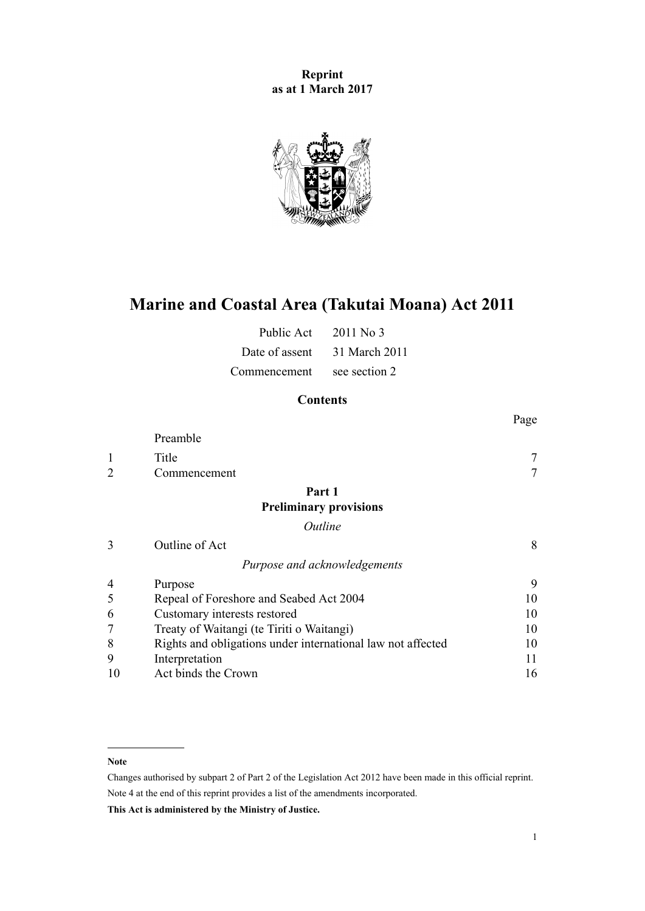**Reprint as at 1 March 2017**



# **Marine and Coastal Area (Takutai Moana) Act 2011**

| Public Act     | $2011$ No 3   |
|----------------|---------------|
| Date of assent | 31 March 2011 |
| Commencement   | see section 2 |

# **Contents**

|                |                                                             | Page   |
|----------------|-------------------------------------------------------------|--------|
|                | Preamble                                                    |        |
| 1              | Title                                                       |        |
| $\overline{2}$ | Commencement                                                | $\tau$ |
|                | Part 1                                                      |        |
|                | <b>Preliminary provisions</b>                               |        |
|                | Outline                                                     |        |
| 3              | Outline of Act                                              | 8      |
|                | Purpose and acknowledgements                                |        |
| 4              | Purpose                                                     | 9      |
| 5              | Repeal of Foreshore and Seabed Act 2004                     | 10     |
| 6              | Customary interests restored                                | 10     |
|                | Treaty of Waitangi (te Tiriti o Waitangi)                   | 10     |
| 8              | Rights and obligations under international law not affected | 10     |
| 9              | Interpretation                                              | 11     |
| 10             | Act binds the Crown                                         | 16     |

#### **Note**

Changes authorised by [subpart 2](http://prd-lgnz-nlb.prd.pco.net.nz/pdflink.aspx?id=DLM2998524) of Part 2 of the Legislation Act 2012 have been made in this official reprint. Note 4 at the end of this reprint provides a list of the amendments incorporated.

**This Act is administered by the Ministry of Justice.**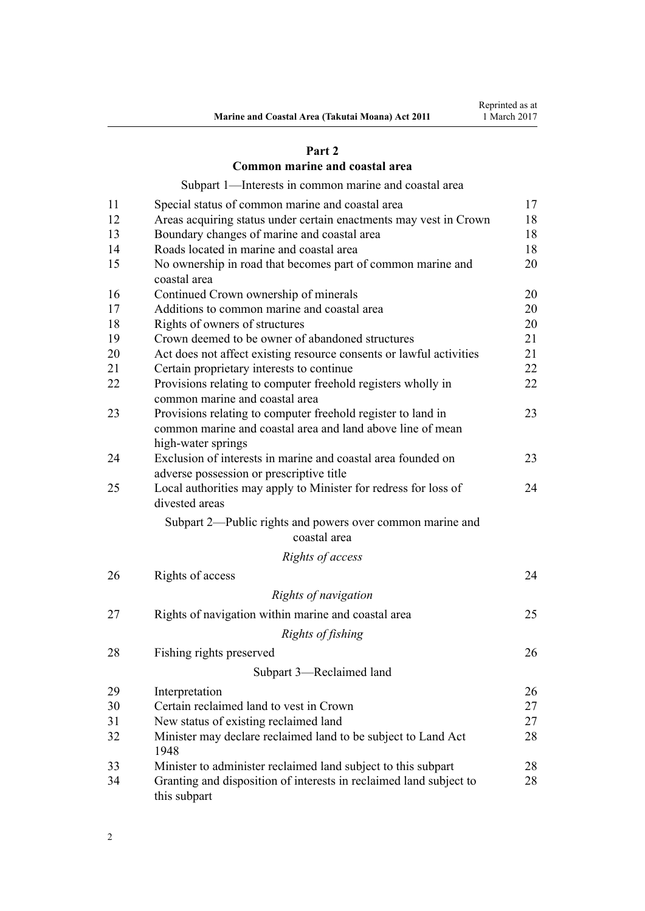### **[Part 2](#page-16-0)**

### **[Common marine and coastal area](#page-16-0)**

[Subpart 1—Interests in common marine and coastal area](#page-16-0)

| 11 | Special status of common marine and coastal area                                               | 17 |
|----|------------------------------------------------------------------------------------------------|----|
| 12 | Areas acquiring status under certain enactments may vest in Crown                              | 18 |
| 13 | Boundary changes of marine and coastal area                                                    | 18 |
| 14 | Roads located in marine and coastal area                                                       | 18 |
| 15 | No ownership in road that becomes part of common marine and<br>coastal area                    | 20 |
| 16 | Continued Crown ownership of minerals                                                          | 20 |
| 17 | Additions to common marine and coastal area                                                    | 20 |
| 18 | Rights of owners of structures                                                                 | 20 |
| 19 | Crown deemed to be owner of abandoned structures                                               | 21 |
| 20 | Act does not affect existing resource consents or lawful activities                            | 21 |
| 21 | Certain proprietary interests to continue                                                      | 22 |
| 22 | Provisions relating to computer freehold registers wholly in<br>common marine and coastal area | 22 |
| 23 | Provisions relating to computer freehold register to land in                                   | 23 |
|    | common marine and coastal area and land above line of mean<br>high-water springs               |    |
| 24 | Exclusion of interests in marine and coastal area founded on                                   | 23 |
|    | adverse possession or prescriptive title                                                       |    |
| 25 | Local authorities may apply to Minister for redress for loss of<br>divested areas              | 24 |
|    | Subpart 2-Public rights and powers over common marine and<br>coastal area                      |    |
|    | Rights of access                                                                               |    |
| 26 | Rights of access                                                                               | 24 |
|    | Rights of navigation                                                                           |    |
| 27 | Rights of navigation within marine and coastal area                                            | 25 |
|    | Rights of fishing                                                                              |    |
| 28 | Fishing rights preserved                                                                       | 26 |
|    | Subpart 3—Reclaimed land                                                                       |    |
| 29 | Interpretation                                                                                 | 26 |
| 30 | Certain reclaimed land to vest in Crown                                                        | 27 |
| 31 | New status of existing reclaimed land                                                          | 27 |
| 32 | Minister may declare reclaimed land to be subject to Land Act<br>1948                          | 28 |
| 33 | Minister to administer reclaimed land subject to this subpart                                  | 28 |
| 34 | Granting and disposition of interests in reclaimed land subject to<br>this subpart             | 28 |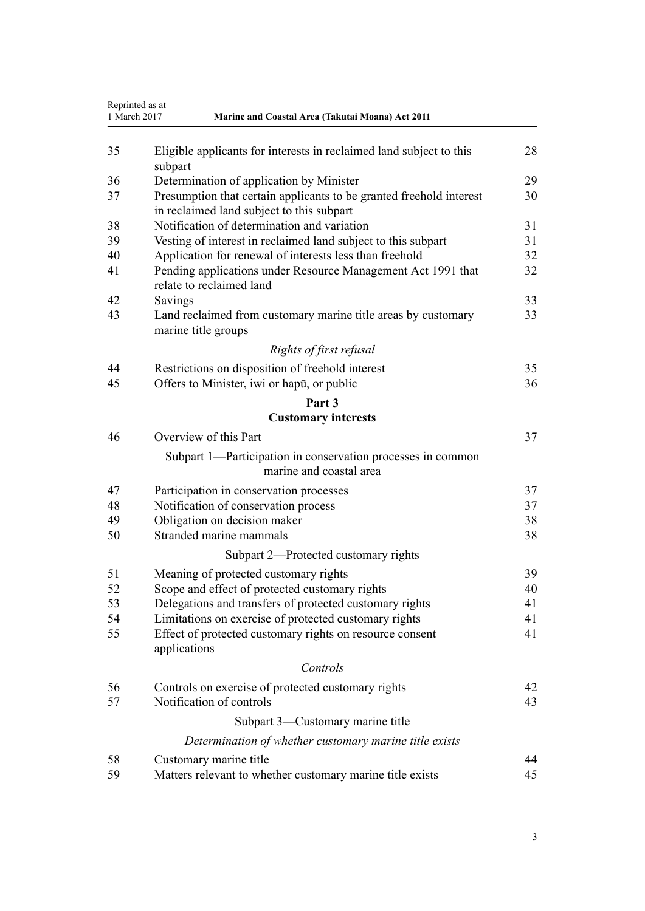|    | Reprinted as at<br>1 March 2017<br>Marine and Coastal Area (Takutai Moana) Act 2011                              |    |
|----|------------------------------------------------------------------------------------------------------------------|----|
| 35 | Eligible applicants for interests in reclaimed land subject to this<br>subpart                                   | 28 |
| 36 | Determination of application by Minister                                                                         | 29 |
| 37 | Presumption that certain applicants to be granted freehold interest<br>in reclaimed land subject to this subpart | 30 |
| 38 | Notification of determination and variation                                                                      | 31 |
| 39 | Vesting of interest in reclaimed land subject to this subpart                                                    | 31 |
| 40 | Application for renewal of interests less than freehold                                                          | 32 |
| 41 | Pending applications under Resource Management Act 1991 that<br>relate to reclaimed land                         | 32 |
| 42 | Savings                                                                                                          | 33 |
| 43 | Land reclaimed from customary marine title areas by customary<br>marine title groups                             | 33 |
|    | Rights of first refusal                                                                                          |    |
| 44 | Restrictions on disposition of freehold interest                                                                 | 35 |
| 45 | Offers to Minister, iwi or hapu, or public                                                                       | 36 |
|    | Part 3                                                                                                           |    |
|    | <b>Customary interests</b>                                                                                       |    |
| 46 | Overview of this Part                                                                                            | 37 |
|    | Subpart 1—Participation in conservation processes in common<br>marine and coastal area                           |    |
| 47 | Participation in conservation processes                                                                          | 37 |
| 48 | Notification of conservation process                                                                             | 37 |
| 49 | Obligation on decision maker                                                                                     | 38 |
| 50 | Stranded marine mammals                                                                                          | 38 |
|    | Subpart 2—Protected customary rights                                                                             |    |
| 51 | Meaning of protected customary rights                                                                            | 39 |
| 52 | Scope and effect of protected customary rights                                                                   | 40 |
| 53 | Delegations and transfers of protected customary rights                                                          | 41 |
| 54 | Limitations on exercise of protected customary rights                                                            | 41 |
| 55 | Effect of protected customary rights on resource consent<br>applications                                         | 41 |
|    | Controls                                                                                                         |    |
| 56 | Controls on exercise of protected customary rights                                                               | 42 |
| 57 | Notification of controls                                                                                         | 43 |
|    | Subpart 3—Customary marine title                                                                                 |    |
|    | Determination of whether customary marine title exists                                                           |    |
| 58 | Customary marine title                                                                                           | 44 |
| 59 | Matters relevant to whether customary marine title exists                                                        | 45 |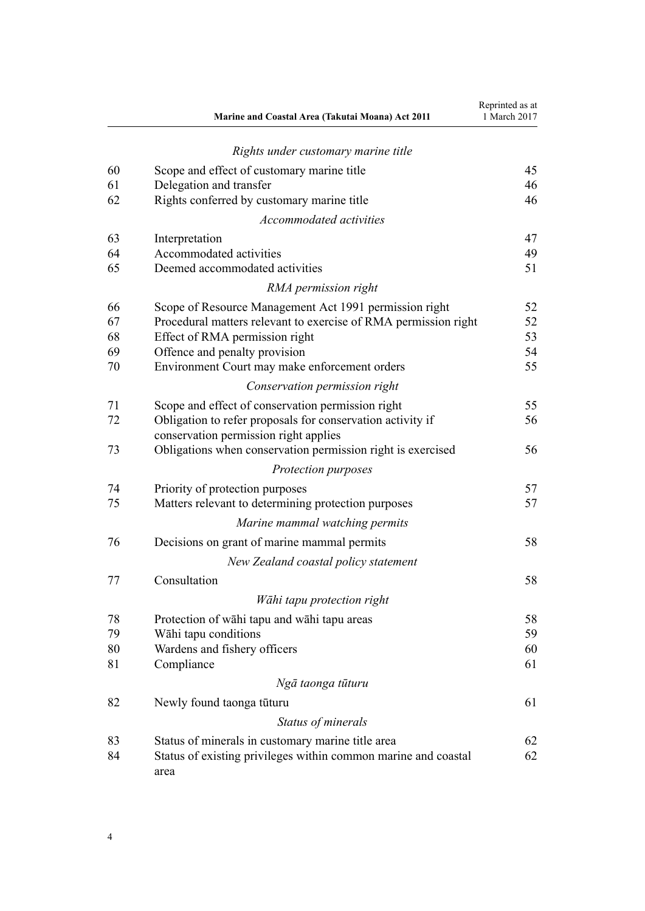|    | Marine and Coastal Area (Takutai Moana) Act 2011                | Reprinted as at<br>1 March 2017 |
|----|-----------------------------------------------------------------|---------------------------------|
|    | Rights under customary marine title                             |                                 |
| 60 | Scope and effect of customary marine title                      | 45                              |
| 61 | Delegation and transfer                                         | 46                              |
| 62 | Rights conferred by customary marine title                      | 46                              |
|    | <b>Accommodated activities</b>                                  |                                 |
| 63 | Interpretation                                                  | 47                              |
| 64 | Accommodated activities                                         | 49                              |
| 65 | Deemed accommodated activities                                  | 51                              |
|    | RMA permission right                                            |                                 |
| 66 | Scope of Resource Management Act 1991 permission right          | 52                              |
| 67 | Procedural matters relevant to exercise of RMA permission right | 52                              |
| 68 | Effect of RMA permission right                                  | 53                              |
| 69 | Offence and penalty provision                                   | 54                              |
| 70 | Environment Court may make enforcement orders                   | 55                              |
|    | Conservation permission right                                   |                                 |
| 71 | Scope and effect of conservation permission right               | 55                              |
| 72 | Obligation to refer proposals for conservation activity if      | 56                              |
|    | conservation permission right applies                           |                                 |
| 73 | Obligations when conservation permission right is exercised     | 56                              |
|    | Protection purposes                                             |                                 |
| 74 | Priority of protection purposes                                 | 57                              |
| 75 | Matters relevant to determining protection purposes             | 57                              |
|    | Marine mammal watching permits                                  |                                 |
| 76 | Decisions on grant of marine mammal permits                     | 58                              |
|    | New Zealand coastal policy statement                            |                                 |
| 77 | Consultation                                                    | 58                              |
|    | Wāhi tapu protection right                                      |                                 |
| 78 | Protection of wahi tapu and wahi tapu areas                     | 58                              |
| 79 | Wāhi tapu conditions                                            | 59                              |
| 80 | Wardens and fishery officers                                    | 60                              |
| 81 | Compliance                                                      | 61                              |
|    | Ngā taonga tūturu                                               |                                 |
| 82 | Newly found taonga tūturu                                       | 61                              |
|    | Status of minerals                                              |                                 |
| 83 | Status of minerals in customary marine title area               | 62                              |
| 84 | Status of existing privileges within common marine and coastal  | 62                              |
|    | area                                                            |                                 |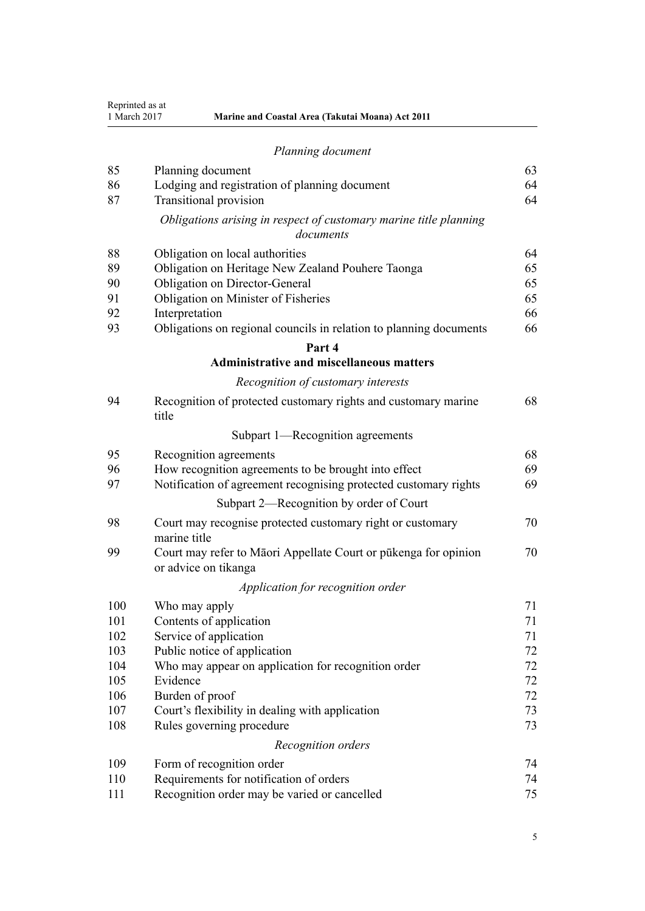| Planning document |
|-------------------|
|-------------------|

| 85  | Planning document                                                                       | 63 |
|-----|-----------------------------------------------------------------------------------------|----|
| 86  | Lodging and registration of planning document                                           | 64 |
| 87  | <b>Transitional provision</b>                                                           | 64 |
|     | Obligations arising in respect of customary marine title planning<br>documents          |    |
| 88  | Obligation on local authorities                                                         | 64 |
| 89  | Obligation on Heritage New Zealand Pouhere Taonga                                       | 65 |
| 90  | Obligation on Director-General                                                          | 65 |
| 91  | Obligation on Minister of Fisheries                                                     | 65 |
| 92  | Interpretation                                                                          | 66 |
| 93  | Obligations on regional councils in relation to planning documents                      | 66 |
|     | Part 4                                                                                  |    |
|     | <b>Administrative and miscellaneous matters</b>                                         |    |
|     | Recognition of customary interests                                                      |    |
| 94  | Recognition of protected customary rights and customary marine<br>title                 | 68 |
|     | Subpart 1—Recognition agreements                                                        |    |
| 95  | Recognition agreements                                                                  | 68 |
| 96  | How recognition agreements to be brought into effect                                    | 69 |
| 97  | Notification of agreement recognising protected customary rights                        | 69 |
|     | Subpart 2—Recognition by order of Court                                                 |    |
| 98  | Court may recognise protected customary right or customary<br>marine title              | 70 |
| 99  | Court may refer to Māori Appellate Court or pūkenga for opinion<br>or advice on tikanga | 70 |
|     | Application for recognition order                                                       |    |
| 100 | Who may apply                                                                           | 71 |
| 101 | Contents of application                                                                 | 71 |
| 102 | Service of application                                                                  | 71 |
| 103 | Public notice of application                                                            | 72 |
| 104 | Who may appear on application for recognition order                                     | 72 |
| 105 | Evidence                                                                                | 72 |
| 106 | Burden of proof                                                                         | 72 |
| 107 | Court's flexibility in dealing with application                                         | 73 |
| 108 | Rules governing procedure                                                               | 73 |
|     | Recognition orders                                                                      |    |
| 109 | Form of recognition order                                                               | 74 |
| 110 | Requirements for notification of orders                                                 | 74 |
| 111 | Recognition order may be varied or cancelled                                            | 75 |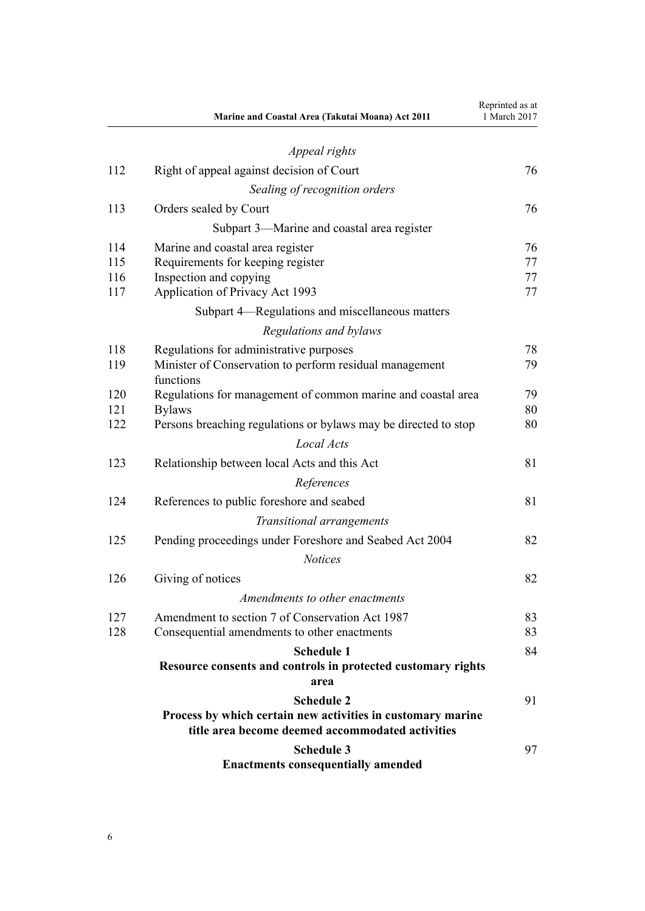|     | Marine and Coastal Area (Takutai Moana) Act 2011                     | Reprinted as at<br>1 March 2017 |
|-----|----------------------------------------------------------------------|---------------------------------|
|     | Appeal rights                                                        |                                 |
| 112 | Right of appeal against decision of Court                            | 76                              |
|     | Sealing of recognition orders                                        |                                 |
| 113 | Orders sealed by Court                                               | 76                              |
|     | Subpart 3—Marine and coastal area register                           |                                 |
| 114 | Marine and coastal area register                                     | 76                              |
| 115 | Requirements for keeping register                                    | 77                              |
| 116 | Inspection and copying                                               | 77                              |
| 117 | Application of Privacy Act 1993                                      | 77                              |
|     | Subpart 4—Regulations and miscellaneous matters                      |                                 |
|     | Regulations and bylaws                                               |                                 |
| 118 | Regulations for administrative purposes                              | 78                              |
| 119 | Minister of Conservation to perform residual management<br>functions | 79                              |
| 120 | Regulations for management of common marine and coastal area         | 79                              |
| 121 | <b>Bylaws</b>                                                        | 80                              |
| 122 | Persons breaching regulations or bylaws may be directed to stop      | 80                              |
|     | Local Acts                                                           |                                 |
| 123 | Relationship between local Acts and this Act                         | 81                              |
|     | References                                                           |                                 |
| 124 | References to public foreshore and seabed                            | 81                              |
|     | Transitional arrangements                                            |                                 |
| 125 | Pending proceedings under Foreshore and Seabed Act 2004              | 82                              |
|     | <b>Notices</b>                                                       |                                 |
| 126 | Giving of notices                                                    | 82                              |
|     | Amendments to other enactments                                       |                                 |
| 127 | Amendment to section 7 of Conservation Act 1987                      | 83                              |
| 128 | Consequential amendments to other enactments                         | 83                              |
|     | <b>Schedule 1</b>                                                    | 84                              |
|     | Resource consents and controls in protected customary rights<br>area |                                 |
|     | <b>Schedule 2</b>                                                    | 91                              |
|     | Process by which certain new activities in customary marine          |                                 |
|     | title area become deemed accommodated activities                     |                                 |
|     | <b>Schedule 3</b>                                                    | 97                              |
|     | <b>Enactments consequentially amended</b>                            |                                 |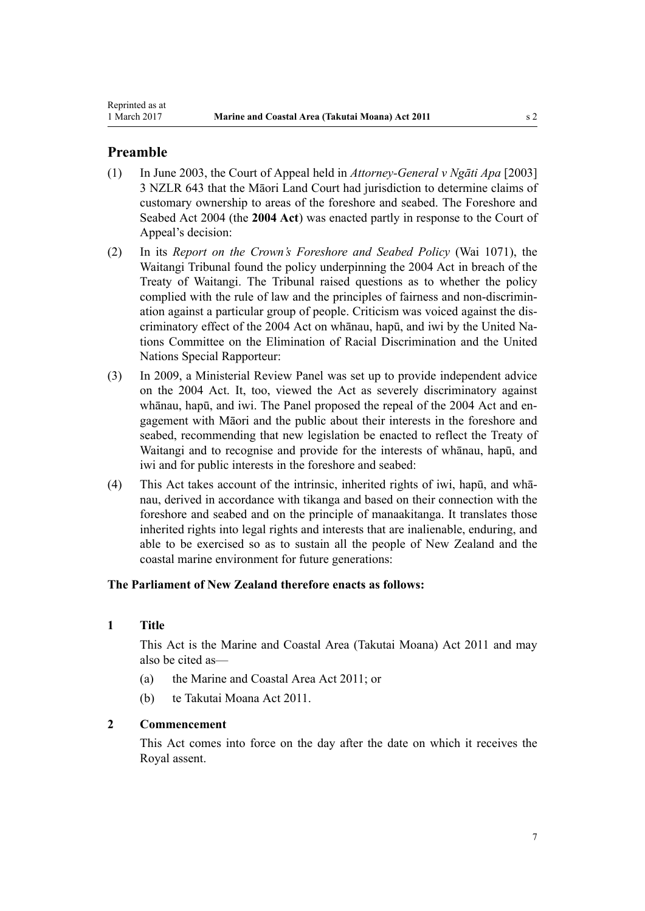# <span id="page-6-0"></span>**Preamble**

- (1) In June 2003, the Court of Appeal held in *Attorney-General v Ngāti Apa* [2003] 3 NZLR 643 that the Māori Land Court had jurisdiction to determine claims of customary ownership to areas of the foreshore and seabed. The [Foreshore and](http://prd-lgnz-nlb.prd.pco.net.nz/pdflink.aspx?id=DLM319838) [Seabed Act 2004](http://prd-lgnz-nlb.prd.pco.net.nz/pdflink.aspx?id=DLM319838) (the **2004 Act**) was enacted partly in response to the Court of Appeal's decision:
- (2) In its *Report on the Crown's Foreshore and Seabed Policy* (Wai 1071), the Waitangi Tribunal found the policy underpinning the [2004 Act](http://prd-lgnz-nlb.prd.pco.net.nz/pdflink.aspx?id=DLM319838) in breach of the Treaty of Waitangi. The Tribunal raised questions as to whether the policy complied with the rule of law and the principles of fairness and non-discrimination against a particular group of people. Criticism was voiced against the discriminatory effect of the 2004 Act on whānau, hapū, and iwi by the United Nations Committee on the Elimination of Racial Discrimination and the United Nations Special Rapporteur:
- (3) In 2009, a Ministerial Review Panel was set up to provide independent advice on the 2004 Act. It, too, viewed the Act as severely discriminatory against whānau, hapū, and iwi. The Panel proposed the repeal of the [2004 Act](http://prd-lgnz-nlb.prd.pco.net.nz/pdflink.aspx?id=DLM319838) and engagement with Māori and the public about their interests in the foreshore and seabed, recommending that new legislation be enacted to reflect the Treaty of Waitangi and to recognise and provide for the interests of whānau, hapū, and iwi and for public interests in the foreshore and seabed:
- (4) This Act takes account of the intrinsic, inherited rights of iwi, hapū, and whānau, derived in accordance with tikanga and based on their connection with the foreshore and seabed and on the principle of manaakitanga. It translates those inherited rights into legal rights and interests that are inalienable, enduring, and able to be exercised so as to sustain all the people of New Zealand and the coastal marine environment for future generations:

### **The Parliament of New Zealand therefore enacts as follows:**

### **1 Title**

This Act is the Marine and Coastal Area (Takutai Moana) Act 2011 and may also be cited as—

- (a) the Marine and Coastal Area Act 2011; or
- (b) te Takutai Moana Act 2011.

#### **2 Commencement**

This Act comes into force on the day after the date on which it receives the Royal assent.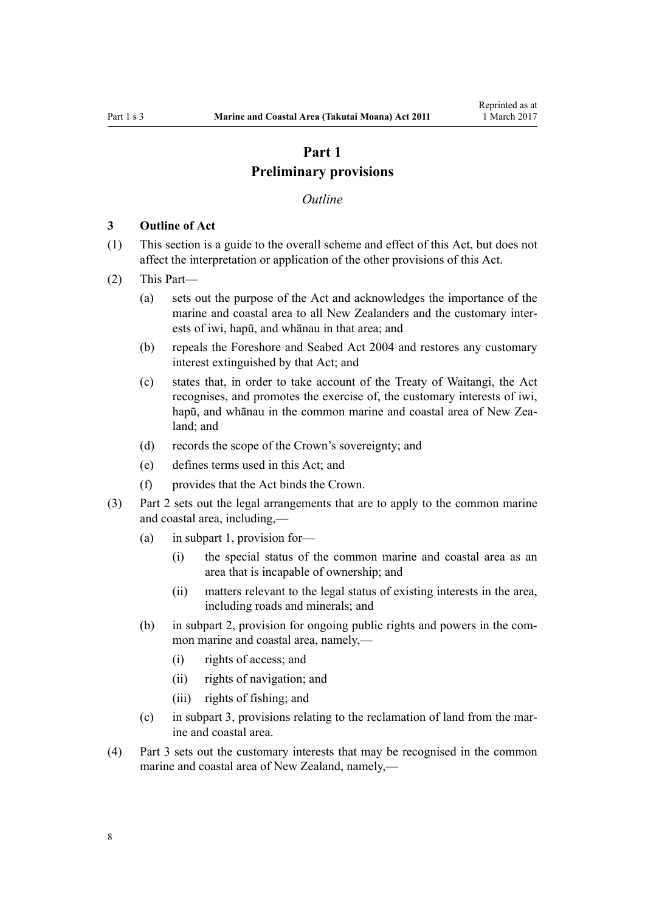# **Part 1 Preliminary provisions**

#### *Outline*

#### <span id="page-7-0"></span>**3 Outline of Act**

- (1) This section is a guide to the overall scheme and effect of this Act, but does not affect the interpretation or application of the other provisions of this Act.
- (2) This Part—
	- (a) sets out the purpose of the Act and acknowledges the importance of the marine and coastal area to all New Zealanders and the customary interests of iwi, hapū, and whānau in that area; and
	- (b) repeals the [Foreshore and Seabed Act 2004](http://prd-lgnz-nlb.prd.pco.net.nz/pdflink.aspx?id=DLM319838) and restores any customary interest extinguished by that Act; and
	- (c) states that, in order to take account of the Treaty of Waitangi, the Act recognises, and promotes the exercise of, the customary interests of iwi, hapū, and whānau in the common marine and coastal area of New Zealand; and
	- (d) records the scope of the Crown's sovereignty; and
	- (e) defines terms used in this Act; and
	- (f) provides that the Act binds the Crown.
- (3) [Part 2](#page-16-0) sets out the legal arrangements that are to apply to the common marine and coastal area, including,—
	- (a) in [subpart 1,](#page-16-0) provision for—
		- (i) the special status of the common marine and coastal area as an area that is incapable of ownership; and
		- (ii) matters relevant to the legal status of existing interests in the area, including roads and minerals; and
	- (b) in [subpart 2](#page-23-0), provision for ongoing public rights and powers in the common marine and coastal area, namely,—
		- (i) rights of access; and
		- (ii) rights of navigation; and
		- (iii) rights of fishing; and
	- (c) in [subpart 3](#page-25-0), provisions relating to the reclamation of land from the marine and coastal area.
- (4) [Part 3](#page-36-0) sets out the customary interests that may be recognised in the common marine and coastal area of New Zealand, namely,—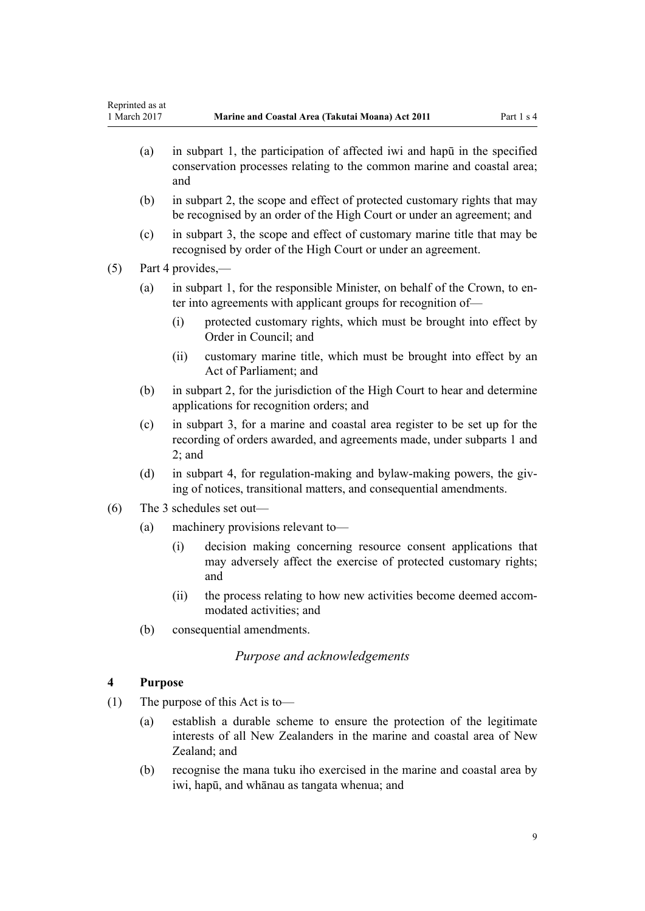- <span id="page-8-0"></span>(a) in [subpart 1,](#page-36-0) the participation of affected iwi and hapū in the specified conservation processes relating to the common marine and coastal area; and
- (b) in [subpart 2](#page-38-0), the scope and effect of protected customary rights that may be recognised by an order of the High Court or under an agreement; and
- (c) in [subpart 3](#page-43-0), the scope and effect of customary marine title that may be recognised by order of the High Court or under an agreement.

(5) [Part 4](#page-67-0) provides,—

- (a) in [subpart 1](#page-67-0), for the responsible Minister, on behalf of the Crown, to enter into agreements with applicant groups for recognition of—
	- (i) protected customary rights, which must be brought into effect by Order in Council; and
	- (ii) customary marine title, which must be brought into effect by an Act of Parliament; and
- (b) in [subpart 2](#page-69-0), for the jurisdiction of the High Court to hear and determine applications for recognition orders; and
- (c) in [subpart 3,](#page-75-0) for a marine and coastal area register to be set up for the recording of orders awarded, and agreements made, under [subparts 1](#page-67-0) and [2;](#page-69-0) and
- (d) in [subpart 4,](#page-77-0) for regulation-making and bylaw-making powers, the giving of notices, transitional matters, and consequential amendments.
- (6) The 3 schedules set out—
	- (a) machinery provisions relevant to—
		- (i) decision making concerning resource consent applications that may adversely affect the exercise of protected customary rights; and
		- (ii) the process relating to how new activities become deemed accommodated activities; and
	- (b) consequential amendments.

### *Purpose and acknowledgements*

### **4 Purpose**

- (1) The purpose of this Act is to—
	- (a) establish a durable scheme to ensure the protection of the legitimate interests of all New Zealanders in the marine and coastal area of New Zealand; and
	- (b) recognise the mana tuku iho exercised in the marine and coastal area by iwi, hapū, and whānau as tangata whenua; and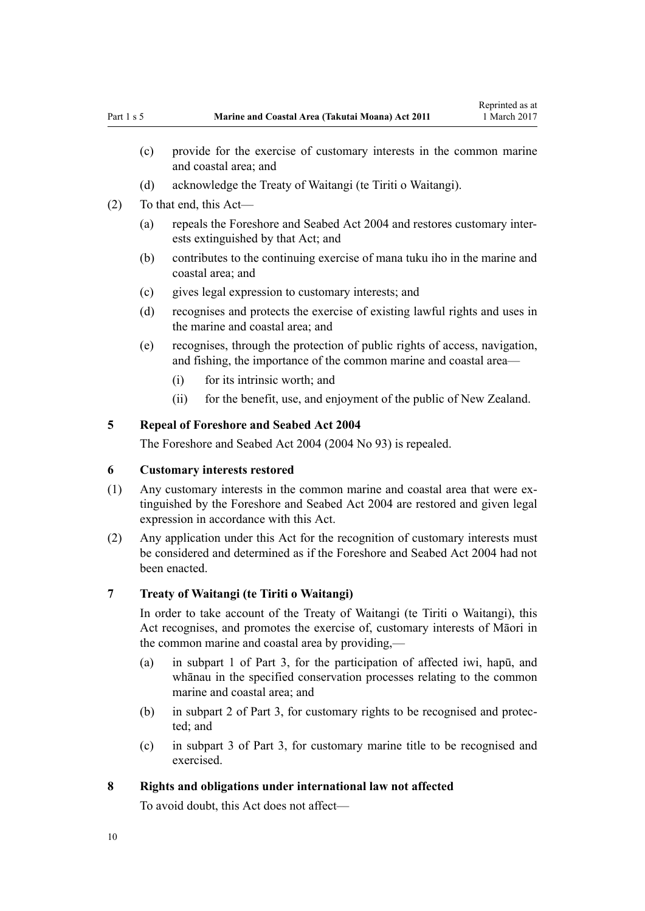- <span id="page-9-0"></span>and coastal area; and (d) acknowledge the Treaty of Waitangi (te Tiriti o Waitangi).
- (2) To that end, this Act—
	- (a) repeals the [Foreshore and Seabed Act 2004](http://prd-lgnz-nlb.prd.pco.net.nz/pdflink.aspx?id=DLM319838) and restores customary interests extinguished by that Act; and
	- (b) contributes to the continuing exercise of mana tuku iho in the marine and coastal area; and
	- (c) gives legal expression to customary interests; and
	- (d) recognises and protects the exercise of existing lawful rights and uses in the marine and coastal area; and
	- (e) recognises, through the protection of public rights of access, navigation, and fishing, the importance of the common marine and coastal area—
		- (i) for its intrinsic worth; and
		- (ii) for the benefit, use, and enjoyment of the public of New Zealand.

# **5 Repeal of Foreshore and Seabed Act 2004**

The [Foreshore and Seabed Act 2004](http://prd-lgnz-nlb.prd.pco.net.nz/pdflink.aspx?id=DLM319838) (2004 No 93) is repealed.

### **6 Customary interests restored**

- (1) Any customary interests in the common marine and coastal area that were extinguished by the [Foreshore and Seabed Act 2004](http://prd-lgnz-nlb.prd.pco.net.nz/pdflink.aspx?id=DLM319838) are restored and given legal expression in accordance with this Act.
- (2) Any application under this Act for the recognition of customary interests must be considered and determined as if the [Foreshore and Seabed Act 2004](http://prd-lgnz-nlb.prd.pco.net.nz/pdflink.aspx?id=DLM319838) had not been enacted.

### **7 Treaty of Waitangi (te Tiriti o Waitangi)**

In order to take account of the Treaty of Waitangi (te Tiriti o Waitangi), this Act recognises, and promotes the exercise of, customary interests of Māori in the common marine and coastal area by providing,—

- (a) in [subpart 1 of Part 3,](#page-36-0) for the participation of affected iwi, hapū, and whānau in the specified conservation processes relating to the common marine and coastal area; and
- (b) in [subpart 2 of Part 3](#page-38-0), for customary rights to be recognised and protected; and
- (c) in [subpart 3 of Part 3](#page-43-0), for customary marine title to be recognised and exercised.

### **8 Rights and obligations under international law not affected**

To avoid doubt, this Act does not affect—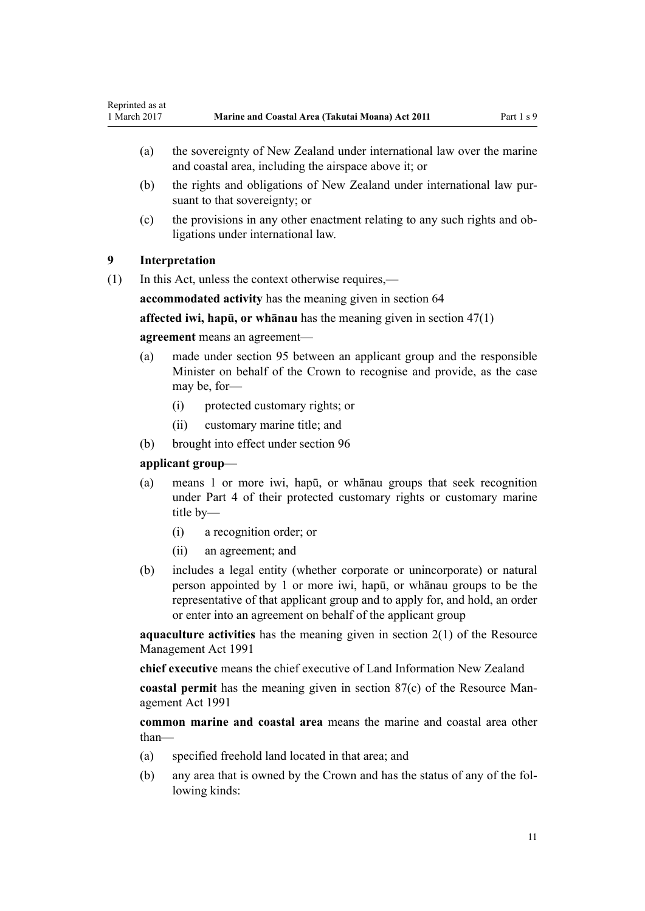- <span id="page-10-0"></span>(a) the sovereignty of New Zealand under international law over the marine and coastal area, including the airspace above it; or
- (b) the rights and obligations of New Zealand under international law pursuant to that sovereignty; or
- (c) the provisions in any other enactment relating to any such rights and obligations under international law.

### **9 Interpretation**

(1) In this Act, unless the context otherwise requires,—

**accommodated activity** has the meaning given in [section 64](#page-48-0)

**affected iwi, hapū, or whānau** has the meaning given in [section 47\(1\)](#page-36-0)

#### **agreement** means an agreement—

- (a) made under [section 95](#page-67-0) between an applicant group and the responsible Minister on behalf of the Crown to recognise and provide, as the case may be, for-
	- (i) protected customary rights; or
	- (ii) customary marine title; and
- (b) brought into effect under [section 96](#page-68-0)

### **applicant group**—

- (a) means 1 or more iwi, hapū, or whānau groups that seek recognition under [Part 4](#page-67-0) of their protected customary rights or customary marine title by—
	- (i) a recognition order; or
	- (ii) an agreement; and
- (b) includes a legal entity (whether corporate or unincorporate) or natural person appointed by 1 or more iwi, hapū, or whānau groups to be the representative of that applicant group and to apply for, and hold, an order or enter into an agreement on behalf of the applicant group

**aquaculture activities** has the meaning given in [section 2\(1\)](http://prd-lgnz-nlb.prd.pco.net.nz/pdflink.aspx?id=DLM230272) of the Resource Management Act 1991

**chief executive** means the chief executive of Land Information New Zealand

**coastal permit** has the meaning given in [section 87\(c\)](http://prd-lgnz-nlb.prd.pco.net.nz/pdflink.aspx?id=DLM233848) of the Resource Management Act 1991

**common marine and coastal area** means the marine and coastal area other than—

- (a) specified freehold land located in that area; and
- (b) any area that is owned by the Crown and has the status of any of the following kinds: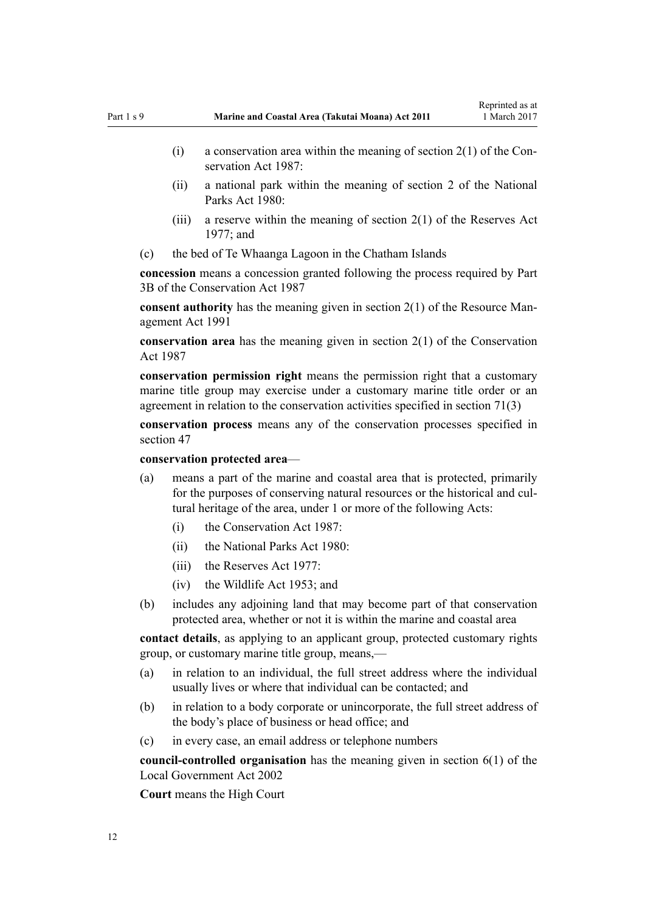- (i) a conservation area within the meaning of [section 2\(1\)](http://prd-lgnz-nlb.prd.pco.net.nz/pdflink.aspx?id=DLM103616) of the Conservation Act 1987:
- (ii) a national park within the meaning of [section 2](http://prd-lgnz-nlb.prd.pco.net.nz/pdflink.aspx?id=DLM36968) of the National Parks Act 1980:
- (iii) a reserve within the meaning of section  $2(1)$  of the Reserves Act 1977; and
- (c) the bed of Te Whaanga Lagoon in the Chatham Islands

**concession** means a concession granted following the process required by [Part](http://prd-lgnz-nlb.prd.pco.net.nz/pdflink.aspx?id=DLM104633) [3B](http://prd-lgnz-nlb.prd.pco.net.nz/pdflink.aspx?id=DLM104633) of the Conservation Act 1987

**consent authority** has the meaning given in [section 2\(1\)](http://prd-lgnz-nlb.prd.pco.net.nz/pdflink.aspx?id=DLM230272) of the Resource Management Act 1991

**conservation area** has the meaning given in [section 2\(1\)](http://prd-lgnz-nlb.prd.pco.net.nz/pdflink.aspx?id=DLM103616) of the Conservation Act 1987

**conservation permission right** means the permission right that a customary marine title group may exercise under a customary marine title order or an agreement in relation to the conservation activities specified in [section 71\(3\)](#page-54-0)

**conservation process** means any of the conservation processes specified in [section 47](#page-36-0)

**conservation protected area**—

- (a) means a part of the marine and coastal area that is protected, primarily for the purposes of conserving natural resources or the historical and cultural heritage of the area, under 1 or more of the following Acts:
	- (i) the [Conservation Act 1987:](http://prd-lgnz-nlb.prd.pco.net.nz/pdflink.aspx?id=DLM103609)
	- (ii) the [National Parks Act 1980:](http://prd-lgnz-nlb.prd.pco.net.nz/pdflink.aspx?id=DLM36962)
	- $(iii)$  the [Reserves Act 1977](http://prd-lgnz-nlb.prd.pco.net.nz/pdflink.aspx?id=DLM444304).
	- (iv) the [Wildlife Act 1953](http://prd-lgnz-nlb.prd.pco.net.nz/pdflink.aspx?id=DLM276813); and
- (b) includes any adjoining land that may become part of that conservation protected area, whether or not it is within the marine and coastal area

**contact details**, as applying to an applicant group, protected customary rights group, or customary marine title group, means,—

- (a) in relation to an individual, the full street address where the individual usually lives or where that individual can be contacted; and
- (b) in relation to a body corporate or unincorporate, the full street address of the body's place of business or head office; and
- (c) in every case, an email address or telephone numbers

**council-controlled organisation** has the meaning given in [section 6\(1\)](http://prd-lgnz-nlb.prd.pco.net.nz/pdflink.aspx?id=DLM171482) of the Local Government Act 2002

**Court** means the High Court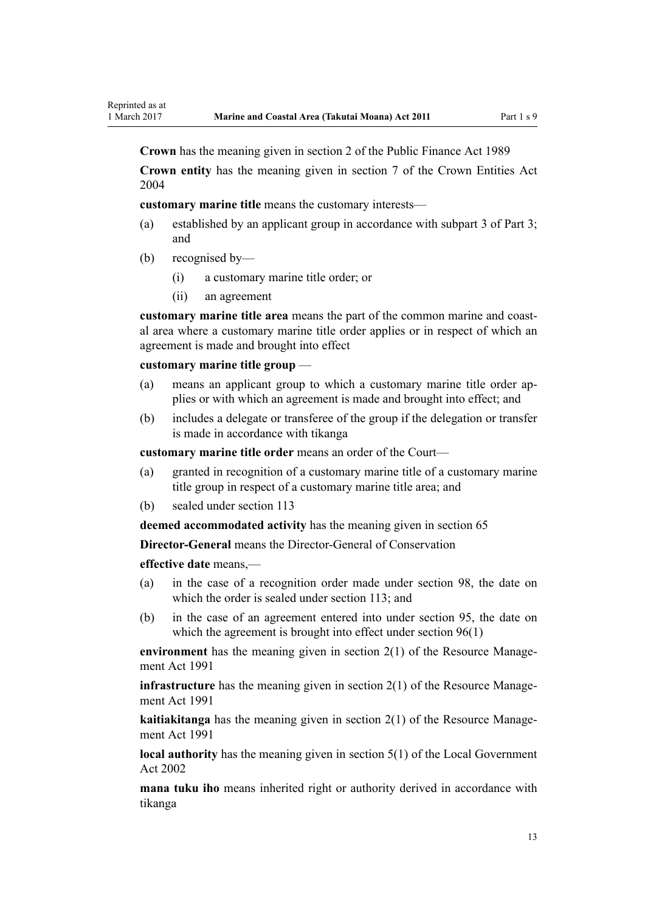**Crown** has the meaning given in [section 2](http://prd-lgnz-nlb.prd.pco.net.nz/pdflink.aspx?id=DLM160819) of the Public Finance Act 1989

**Crown entity** has the meaning given in [section 7](http://prd-lgnz-nlb.prd.pco.net.nz/pdflink.aspx?id=DLM329641) of the Crown Entities Act 2004

**customary marine title** means the customary interests—

- (a) established by an applicant group in accordance with [subpart 3 of Part 3;](#page-43-0) and
- (b) recognised by—
	- (i) a customary marine title order; or
	- (ii) an agreement

**customary marine title area** means the part of the common marine and coastal area where a customary marine title order applies or in respect of which an agreement is made and brought into effect

#### **customary marine title group** —

- (a) means an applicant group to which a customary marine title order applies or with which an agreement is made and brought into effect; and
- (b) includes a delegate or transferee of the group if the delegation or transfer is made in accordance with tikanga

**customary marine title order** means an order of the Court—

- (a) granted in recognition of a customary marine title of a customary marine title group in respect of a customary marine title area; and
- (b) sealed under [section 113](#page-75-0)

**deemed accommodated activity** has the meaning given in [section 65](#page-50-0)

**Director-General** means the Director-General of Conservation

**effective date** means,—

- (a) in the case of a recognition order made under [section 98,](#page-69-0) the date on which the order is sealed under [section 113;](#page-75-0) and
- (b) in the case of an agreement entered into under [section 95,](#page-67-0) the date on which the agreement is brought into effect under [section 96\(1\)](#page-68-0)

**environment** has the meaning given in [section 2\(1\)](http://prd-lgnz-nlb.prd.pco.net.nz/pdflink.aspx?id=DLM230272) of the Resource Management Act 1991

**infrastructure** has the meaning given in [section 2\(1\)](http://prd-lgnz-nlb.prd.pco.net.nz/pdflink.aspx?id=DLM230272) of the Resource Management Act 1991

**kaitiakitanga** has the meaning given in [section 2\(1\)](http://prd-lgnz-nlb.prd.pco.net.nz/pdflink.aspx?id=DLM230272) of the Resource Management Act 1991

**local authority** has the meaning given in [section 5\(1\)](http://prd-lgnz-nlb.prd.pco.net.nz/pdflink.aspx?id=DLM170881) of the Local Government Act 2002

**mana tuku iho** means inherited right or authority derived in accordance with tikanga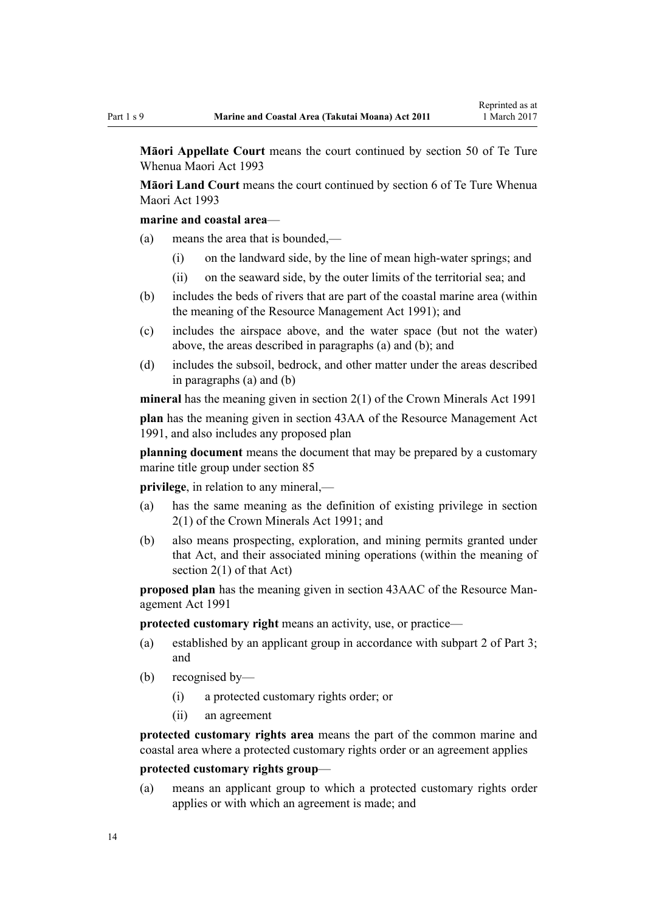**Māori Appellate Court** means the court continued by [section 50](http://prd-lgnz-nlb.prd.pco.net.nz/pdflink.aspx?id=DLM290929) of Te Ture Whenua Maori Act 1993

**Māori Land Court** means the court continued by [section 6](http://prd-lgnz-nlb.prd.pco.net.nz/pdflink.aspx?id=DLM290517) of Te Ture Whenua Maori Act 1993

#### **marine and coastal area**—

- (a) means the area that is bounded,—
	- (i) on the landward side, by the line of mean high-water springs; and
	- (ii) on the seaward side, by the outer limits of the territorial sea; and
- (b) includes the beds of rivers that are part of the coastal marine area (within the meaning of the [Resource Management Act 1991](http://prd-lgnz-nlb.prd.pco.net.nz/pdflink.aspx?id=DLM230264)); and
- (c) includes the airspace above, and the water space (but not the water) above, the areas described in paragraphs (a) and (b); and
- (d) includes the subsoil, bedrock, and other matter under the areas described in paragraphs (a) and (b)

**mineral** has the meaning given in [section 2\(1\)](http://prd-lgnz-nlb.prd.pco.net.nz/pdflink.aspx?id=DLM242543) of the Crown Minerals Act 1991

**plan** has the meaning given in [section 43AA](http://prd-lgnz-nlb.prd.pco.net.nz/pdflink.aspx?id=DLM2412743) of the Resource Management Act 1991, and also includes any proposed plan

**planning document** means the document that may be prepared by a customary marine title group under [section 85](#page-62-0)

**privilege**, in relation to any mineral,—

- (a) has the same meaning as the definition of existing privilege in [section](http://prd-lgnz-nlb.prd.pco.net.nz/pdflink.aspx?id=DLM242543) [2\(1\)](http://prd-lgnz-nlb.prd.pco.net.nz/pdflink.aspx?id=DLM242543) of the Crown Minerals Act 1991; and
- (b) also means prospecting, exploration, and mining permits granted under that Act, and their associated mining operations (within the meaning of [section 2\(1\)](http://prd-lgnz-nlb.prd.pco.net.nz/pdflink.aspx?id=DLM242543) of that Act)

**proposed plan** has the meaning given in [section 43AAC](http://prd-lgnz-nlb.prd.pco.net.nz/pdflink.aspx?id=DLM2412769) of the Resource Management Act 1991

**protected customary right** means an activity, use, or practice—

- (a) established by an applicant group in accordance with [subpart 2 of Part 3;](#page-38-0) and
- (b) recognised by—
	- (i) a protected customary rights order; or
	- (ii) an agreement

**protected customary rights area** means the part of the common marine and coastal area where a protected customary rights order or an agreement applies

### **protected customary rights group**—

(a) means an applicant group to which a protected customary rights order applies or with which an agreement is made; and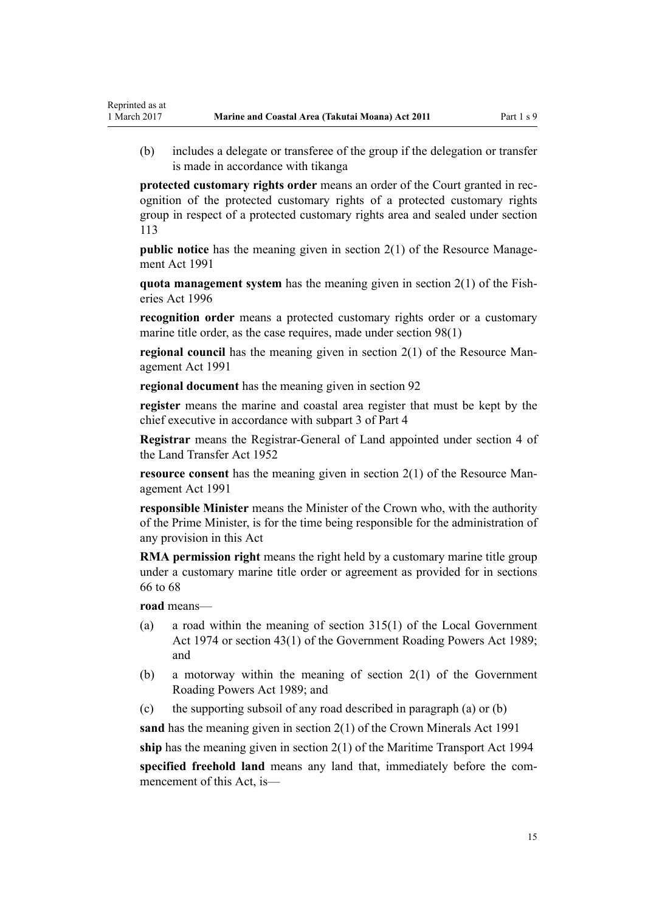(b) includes a delegate or transferee of the group if the delegation or transfer is made in accordance with tikanga

**protected customary rights order** means an order of the Court granted in recognition of the protected customary rights of a protected customary rights group in respect of a protected customary rights area and sealed under [section](#page-75-0) [113](#page-75-0)

**public notice** has the meaning given in [section 2\(1\)](http://prd-lgnz-nlb.prd.pco.net.nz/pdflink.aspx?id=DLM230272) of the Resource Management Act 1991

**quota management system** has the meaning given in [section 2\(1\)](http://prd-lgnz-nlb.prd.pco.net.nz/pdflink.aspx?id=DLM394199) of the Fisheries Act 1996

**recognition order** means a protected customary rights order or a customary marine title order, as the case requires, made under [section 98\(1\)](#page-69-0)

**regional council** has the meaning given in [section 2\(1\)](http://prd-lgnz-nlb.prd.pco.net.nz/pdflink.aspx?id=DLM230272) of the Resource Management Act 1991

**regional document** has the meaning given in [section 92](#page-65-0)

**register** means the marine and coastal area register that must be kept by the chief executive in accordance with [subpart 3 of Part 4](#page-75-0)

**Registrar** means the Registrar-General of Land appointed under [section 4](http://prd-lgnz-nlb.prd.pco.net.nz/pdflink.aspx?id=DLM270019) of the Land Transfer Act 1952

**resource consent** has the meaning given in [section 2\(1\)](http://prd-lgnz-nlb.prd.pco.net.nz/pdflink.aspx?id=DLM230272) of the Resource Management Act 1991

**responsible Minister** means the Minister of the Crown who, with the authority of the Prime Minister, is for the time being responsible for the administration of any provision in this Act

**RMA permission right** means the right held by a customary marine title group under a customary marine title order or agreement as provided for in [sections](#page-51-0) [66 to 68](#page-51-0)

**road** means—

Reprinted as at

- (a) a road within the meaning of [section 315\(1\)](http://prd-lgnz-nlb.prd.pco.net.nz/pdflink.aspx?id=DLM420326) of the Local Government Act 1974 or [section 43\(1\)](http://prd-lgnz-nlb.prd.pco.net.nz/pdflink.aspx?id=DLM175232) of the Government Roading Powers Act 1989; and
- (b) a motorway within the meaning of [section 2\(1\)](http://prd-lgnz-nlb.prd.pco.net.nz/pdflink.aspx?id=DLM173374) of the Government Roading Powers Act 1989; and
- (c) the supporting subsoil of any road described in paragraph (a) or (b)

**sand** has the meaning given in [section 2\(1\)](http://prd-lgnz-nlb.prd.pco.net.nz/pdflink.aspx?id=DLM242543) of the Crown Minerals Act 1991

**ship** has the meaning given in [section 2\(1\)](http://prd-lgnz-nlb.prd.pco.net.nz/pdflink.aspx?id=DLM334667) of the Maritime Transport Act 1994

**specified freehold land** means any land that, immediately before the commencement of this Act, is—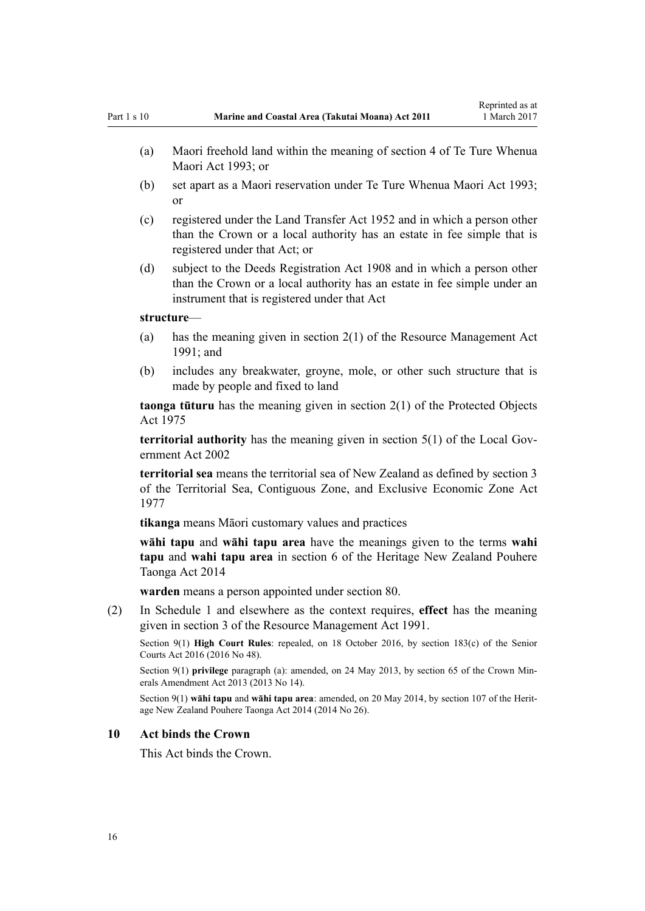- <span id="page-15-0"></span>(a) Maori freehold land within the meaning of [section 4](http://prd-lgnz-nlb.prd.pco.net.nz/pdflink.aspx?id=DLM289897) of Te Ture Whenua Maori Act 1993; or
- (b) set apart as a Maori reservation under [Te Ture Whenua Maori Act 1993;](http://prd-lgnz-nlb.prd.pco.net.nz/pdflink.aspx?id=DLM289881) or
- (c) registered under the [Land Transfer Act 1952](http://prd-lgnz-nlb.prd.pco.net.nz/pdflink.aspx?id=DLM269031) and in which a person other than the Crown or a local authority has an estate in fee simple that is registered under that Act; or
- (d) subject to the [Deeds Registration Act 1908](http://prd-lgnz-nlb.prd.pco.net.nz/pdflink.aspx?id=DLM141134) and in which a person other than the Crown or a local authority has an estate in fee simple under an instrument that is registered under that Act

#### **structure**—

- (a) has the meaning given in [section 2\(1\)](http://prd-lgnz-nlb.prd.pco.net.nz/pdflink.aspx?id=DLM230272) of the Resource Management Act 1991; and
- (b) includes any breakwater, groyne, mole, or other such structure that is made by people and fixed to land

**taonga tūturu** has the meaning given in [section 2\(1\)](http://prd-lgnz-nlb.prd.pco.net.nz/pdflink.aspx?id=DLM432125) of the Protected Objects Act 1975

**territorial authority** has the meaning given in [section 5\(1\)](http://prd-lgnz-nlb.prd.pco.net.nz/pdflink.aspx?id=DLM170881) of the Local Government Act 2002

**territorial sea** means the territorial sea of New Zealand as defined by [section 3](http://prd-lgnz-nlb.prd.pco.net.nz/pdflink.aspx?id=DLM442665) of the Territorial Sea, Contiguous Zone, and Exclusive Economic Zone Act 1977

**tikanga** means Māori customary values and practices

**wāhi tapu** and **wāhi tapu area** have the meanings given to the terms **wahi tapu** and **wahi tapu area** in [section 6](http://prd-lgnz-nlb.prd.pco.net.nz/pdflink.aspx?id=DLM4005423) of the Heritage New Zealand Pouhere Taonga Act 2014

**warden** means a person appointed under [section 80](#page-59-0).

(2) In [Schedule 1](#page-83-0) and elsewhere as the context requires, **effect** has the meaning given in [section 3](http://prd-lgnz-nlb.prd.pco.net.nz/pdflink.aspx?id=DLM231795) of the Resource Management Act 1991.

Section 9(1) **High Court Rules**: repealed, on 18 October 2016, by [section 183\(c\)](http://prd-lgnz-nlb.prd.pco.net.nz/pdflink.aspx?id=DLM5759564) of the Senior Courts Act 2016 (2016 No 48).

Section 9(1) **privilege** paragraph (a): amended, on 24 May 2013, by [section 65](http://prd-lgnz-nlb.prd.pco.net.nz/pdflink.aspx?id=DLM5081570) of the Crown Minerals Amendment Act 2013 (2013 No 14).

Section 9(1) **wāhi tapu** and **wāhi tapu area**: amended, on 20 May 2014, by [section 107](http://prd-lgnz-nlb.prd.pco.net.nz/pdflink.aspx?id=DLM4005646) of the Heritage New Zealand Pouhere Taonga Act 2014 (2014 No 26).

#### **10 Act binds the Crown**

This Act binds the Crown.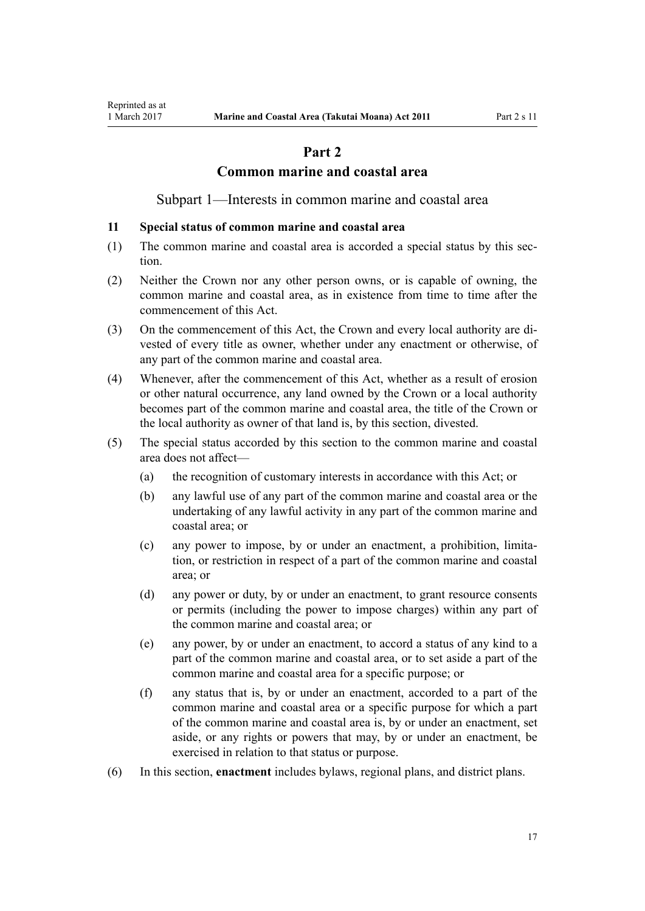# **Part 2**

### **Common marine and coastal area**

Subpart 1—Interests in common marine and coastal area

#### <span id="page-16-0"></span>**11 Special status of common marine and coastal area**

- (1) The common marine and coastal area is accorded a special status by this section.
- (2) Neither the Crown nor any other person owns, or is capable of owning, the common marine and coastal area, as in existence from time to time after the commencement of this Act.
- (3) On the commencement of this Act, the Crown and every local authority are divested of every title as owner, whether under any enactment or otherwise, of any part of the common marine and coastal area.
- (4) Whenever, after the commencement of this Act, whether as a result of erosion or other natural occurrence, any land owned by the Crown or a local authority becomes part of the common marine and coastal area, the title of the Crown or the local authority as owner of that land is, by this section, divested.
- (5) The special status accorded by this section to the common marine and coastal area does not affect—
	- (a) the recognition of customary interests in accordance with this Act; or
	- (b) any lawful use of any part of the common marine and coastal area or the undertaking of any lawful activity in any part of the common marine and coastal area; or
	- (c) any power to impose, by or under an enactment, a prohibition, limitation, or restriction in respect of a part of the common marine and coastal area; or
	- (d) any power or duty, by or under an enactment, to grant resource consents or permits (including the power to impose charges) within any part of the common marine and coastal area; or
	- (e) any power, by or under an enactment, to accord a status of any kind to a part of the common marine and coastal area, or to set aside a part of the common marine and coastal area for a specific purpose; or
	- (f) any status that is, by or under an enactment, accorded to a part of the common marine and coastal area or a specific purpose for which a part of the common marine and coastal area is, by or under an enactment, set aside, or any rights or powers that may, by or under an enactment, be exercised in relation to that status or purpose.
- (6) In this section, **enactment** includes bylaws, regional plans, and district plans.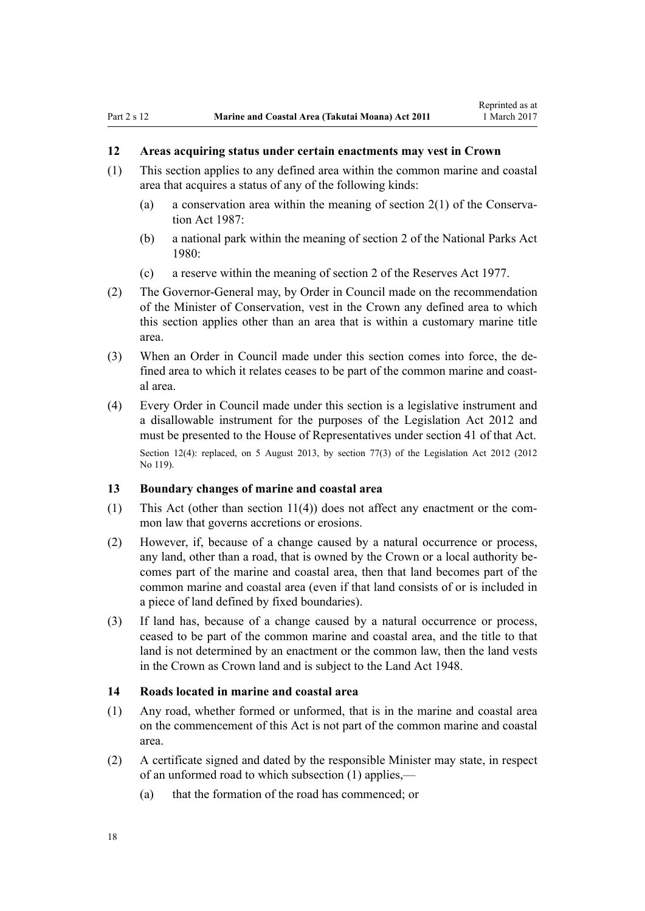# <span id="page-17-0"></span>**12 Areas acquiring status under certain enactments may vest in Crown**

- (1) This section applies to any defined area within the common marine and coastal area that acquires a status of any of the following kinds:
	- (a) a conservation area within the meaning of [section 2\(1\)](http://prd-lgnz-nlb.prd.pco.net.nz/pdflink.aspx?id=DLM103616) of the Conservation Act 1987:
	- (b) a national park within the meaning of [section 2](http://prd-lgnz-nlb.prd.pco.net.nz/pdflink.aspx?id=DLM36968) of the National Parks Act 1980:
	- (c) a reserve within the meaning of [section 2](http://prd-lgnz-nlb.prd.pco.net.nz/pdflink.aspx?id=DLM444310) of the Reserves Act 1977.
- (2) The Governor-General may, by Order in Council made on the recommendation of the Minister of Conservation, vest in the Crown any defined area to which this section applies other than an area that is within a customary marine title area.
- (3) When an Order in Council made under this section comes into force, the defined area to which it relates ceases to be part of the common marine and coastal area.
- (4) Every Order in Council made under this section is a legislative instrument and a disallowable instrument for the purposes of the [Legislation Act 2012](http://prd-lgnz-nlb.prd.pco.net.nz/pdflink.aspx?id=DLM2997643) and must be presented to the House of Representatives under [section 41](http://prd-lgnz-nlb.prd.pco.net.nz/pdflink.aspx?id=DLM2998573) of that Act. Section 12(4): replaced, on 5 August 2013, by [section 77\(3\)](http://prd-lgnz-nlb.prd.pco.net.nz/pdflink.aspx?id=DLM2998633) of the Legislation Act 2012 (2012) No 119).

#### **13 Boundary changes of marine and coastal area**

- (1) This Act (other than [section 11\(4\)](#page-16-0)) does not affect any enactment or the common law that governs accretions or erosions.
- (2) However, if, because of a change caused by a natural occurrence or process, any land, other than a road, that is owned by the Crown or a local authority becomes part of the marine and coastal area, then that land becomes part of the common marine and coastal area (even if that land consists of or is included in a piece of land defined by fixed boundaries).
- (3) If land has, because of a change caused by a natural occurrence or process, ceased to be part of the common marine and coastal area, and the title to that land is not determined by an enactment or the common law, then the land vests in the Crown as Crown land and is subject to the [Land Act 1948.](http://prd-lgnz-nlb.prd.pco.net.nz/pdflink.aspx?id=DLM250585)

#### **14 Roads located in marine and coastal area**

- (1) Any road, whether formed or unformed, that is in the marine and coastal area on the commencement of this Act is not part of the common marine and coastal area.
- (2) A certificate signed and dated by the responsible Minister may state, in respect of an unformed road to which subsection (1) applies,—
	- (a) that the formation of the road has commenced; or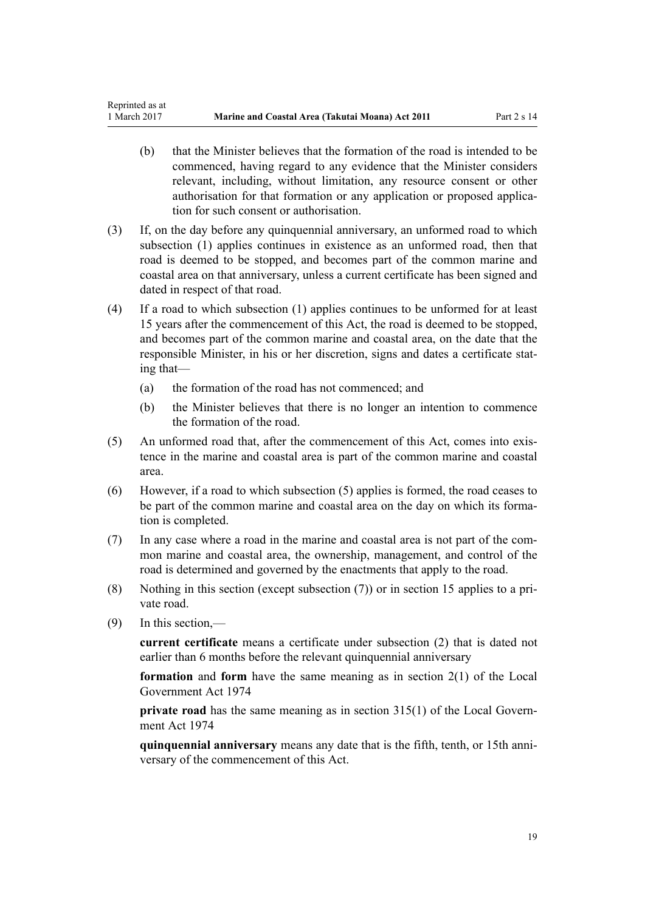- (b) that the Minister believes that the formation of the road is intended to be commenced, having regard to any evidence that the Minister considers relevant, including, without limitation, any resource consent or other authorisation for that formation or any application or proposed application for such consent or authorisation.
- (3) If, on the day before any quinquennial anniversary, an unformed road to which subsection (1) applies continues in existence as an unformed road, then that road is deemed to be stopped, and becomes part of the common marine and coastal area on that anniversary, unless a current certificate has been signed and dated in respect of that road.
- (4) If a road to which subsection (1) applies continues to be unformed for at least 15 years after the commencement of this Act, the road is deemed to be stopped, and becomes part of the common marine and coastal area, on the date that the responsible Minister, in his or her discretion, signs and dates a certificate stating that—
	- (a) the formation of the road has not commenced; and
	- (b) the Minister believes that there is no longer an intention to commence the formation of the road.
- (5) An unformed road that, after the commencement of this Act, comes into existence in the marine and coastal area is part of the common marine and coastal area.
- (6) However, if a road to which subsection (5) applies is formed, the road ceases to be part of the common marine and coastal area on the day on which its formation is completed.
- (7) In any case where a road in the marine and coastal area is not part of the common marine and coastal area, the ownership, management, and control of the road is determined and governed by the enactments that apply to the road.
- (8) Nothing in this section (except subsection (7)) or in [section 15](#page-19-0) applies to a private road.
- (9) In this section,—

**current certificate** means a certificate under subsection (2) that is dated not earlier than 6 months before the relevant quinquennial anniversary

**formation** and **form** have the same meaning as in [section 2\(1\)](http://prd-lgnz-nlb.prd.pco.net.nz/pdflink.aspx?id=DLM415539) of the Local Government Act 1974

**private road** has the same meaning as in [section 315\(1\)](http://prd-lgnz-nlb.prd.pco.net.nz/pdflink.aspx?id=DLM420326) of the Local Government Act 1974

**quinquennial anniversary** means any date that is the fifth, tenth, or 15th anniversary of the commencement of this Act.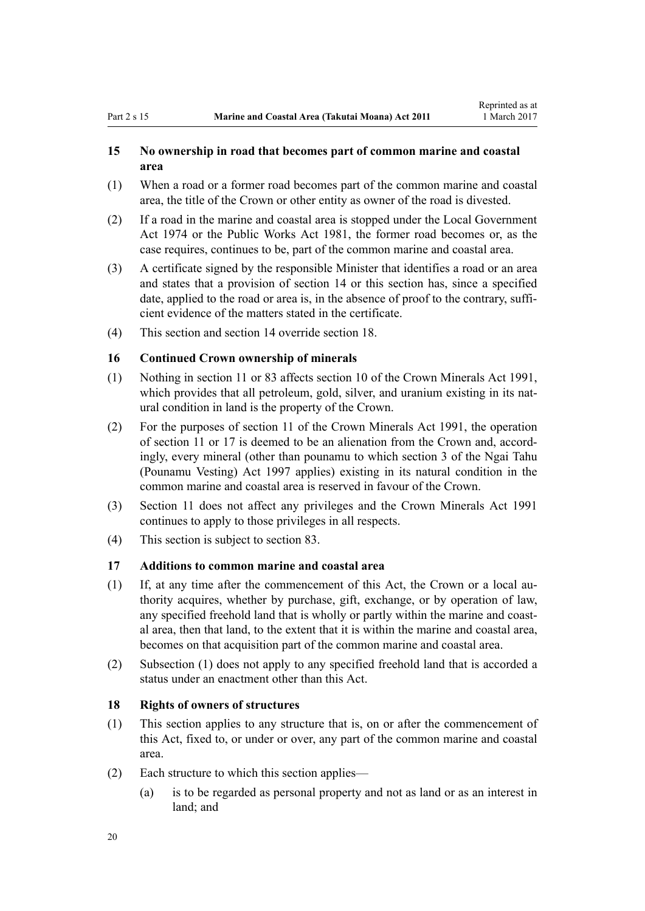### <span id="page-19-0"></span>**15 No ownership in road that becomes part of common marine and coastal area**

- (1) When a road or a former road becomes part of the common marine and coastal area, the title of the Crown or other entity as owner of the road is divested.
- (2) If a road in the marine and coastal area is stopped under the [Local Government](http://prd-lgnz-nlb.prd.pco.net.nz/pdflink.aspx?id=DLM415531) [Act 1974](http://prd-lgnz-nlb.prd.pco.net.nz/pdflink.aspx?id=DLM415531) or the [Public Works Act 1981](http://prd-lgnz-nlb.prd.pco.net.nz/pdflink.aspx?id=DLM45426), the former road becomes or, as the case requires, continues to be, part of the common marine and coastal area.
- (3) A certificate signed by the responsible Minister that identifies a road or an area and states that a provision of [section 14](#page-17-0) or this section has, since a specified date, applied to the road or area is, in the absence of proof to the contrary, sufficient evidence of the matters stated in the certificate.
- (4) This section and [section 14](#page-17-0) override section 18.

### **16 Continued Crown ownership of minerals**

- (1) Nothing in [section 11](#page-16-0) or [83](#page-61-0) affects [section 10](http://prd-lgnz-nlb.prd.pco.net.nz/pdflink.aspx?id=DLM246310) of the Crown Minerals Act 1991, which provides that all petroleum, gold, silver, and uranium existing in its natural condition in land is the property of the Crown.
- (2) For the purposes of [section 11](http://prd-lgnz-nlb.prd.pco.net.nz/pdflink.aspx?id=DLM246311) of the Crown Minerals Act 1991, the operation of [section 11](#page-16-0) or 17 is deemed to be an alienation from the Crown and, accordingly, every mineral (other than pounamu to which [section 3](http://prd-lgnz-nlb.prd.pco.net.nz/pdflink.aspx?id=DLM413605) of the Ngai Tahu (Pounamu Vesting) Act 1997 applies) existing in its natural condition in the common marine and coastal area is reserved in favour of the Crown.
- (3) [Section 11](#page-16-0) does not affect any privileges and the [Crown Minerals Act 1991](http://prd-lgnz-nlb.prd.pco.net.nz/pdflink.aspx?id=DLM242535) continues to apply to those privileges in all respects.
- (4) This section is subject to [section 83.](#page-61-0)

### **17 Additions to common marine and coastal area**

- (1) If, at any time after the commencement of this Act, the Crown or a local authority acquires, whether by purchase, gift, exchange, or by operation of law, any specified freehold land that is wholly or partly within the marine and coastal area, then that land, to the extent that it is within the marine and coastal area, becomes on that acquisition part of the common marine and coastal area.
- (2) Subsection (1) does not apply to any specified freehold land that is accorded a status under an enactment other than this Act.

#### **18 Rights of owners of structures**

- (1) This section applies to any structure that is, on or after the commencement of this Act, fixed to, or under or over, any part of the common marine and coastal area.
- (2) Each structure to which this section applies—
	- (a) is to be regarded as personal property and not as land or as an interest in land; and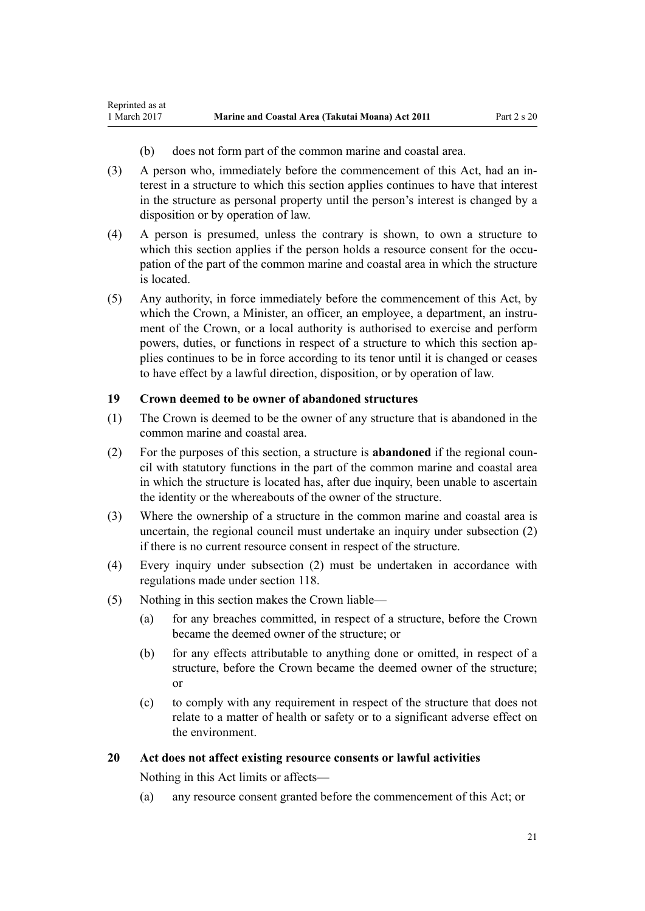<span id="page-20-0"></span>Reprinted as at

- (b) does not form part of the common marine and coastal area.
- (3) A person who, immediately before the commencement of this Act, had an interest in a structure to which this section applies continues to have that interest in the structure as personal property until the person's interest is changed by a disposition or by operation of law.
- (4) A person is presumed, unless the contrary is shown, to own a structure to which this section applies if the person holds a resource consent for the occupation of the part of the common marine and coastal area in which the structure is located.
- (5) Any authority, in force immediately before the commencement of this Act, by which the Crown, a Minister, an officer, an employee, a department, an instrument of the Crown, or a local authority is authorised to exercise and perform powers, duties, or functions in respect of a structure to which this section applies continues to be in force according to its tenor until it is changed or ceases to have effect by a lawful direction, disposition, or by operation of law.

### **19 Crown deemed to be owner of abandoned structures**

- (1) The Crown is deemed to be the owner of any structure that is abandoned in the common marine and coastal area.
- (2) For the purposes of this section, a structure is **abandoned** if the regional council with statutory functions in the part of the common marine and coastal area in which the structure is located has, after due inquiry, been unable to ascertain the identity or the whereabouts of the owner of the structure.
- (3) Where the ownership of a structure in the common marine and coastal area is uncertain, the regional council must undertake an inquiry under subsection (2) if there is no current resource consent in respect of the structure.
- (4) Every inquiry under subsection (2) must be undertaken in accordance with regulations made under [section 118](#page-77-0).
- (5) Nothing in this section makes the Crown liable—
	- (a) for any breaches committed, in respect of a structure, before the Crown became the deemed owner of the structure; or
	- (b) for any effects attributable to anything done or omitted, in respect of a structure, before the Crown became the deemed owner of the structure; or
	- (c) to comply with any requirement in respect of the structure that does not relate to a matter of health or safety or to a significant adverse effect on the environment.

#### **20 Act does not affect existing resource consents or lawful activities**

Nothing in this Act limits or affects—

(a) any resource consent granted before the commencement of this Act; or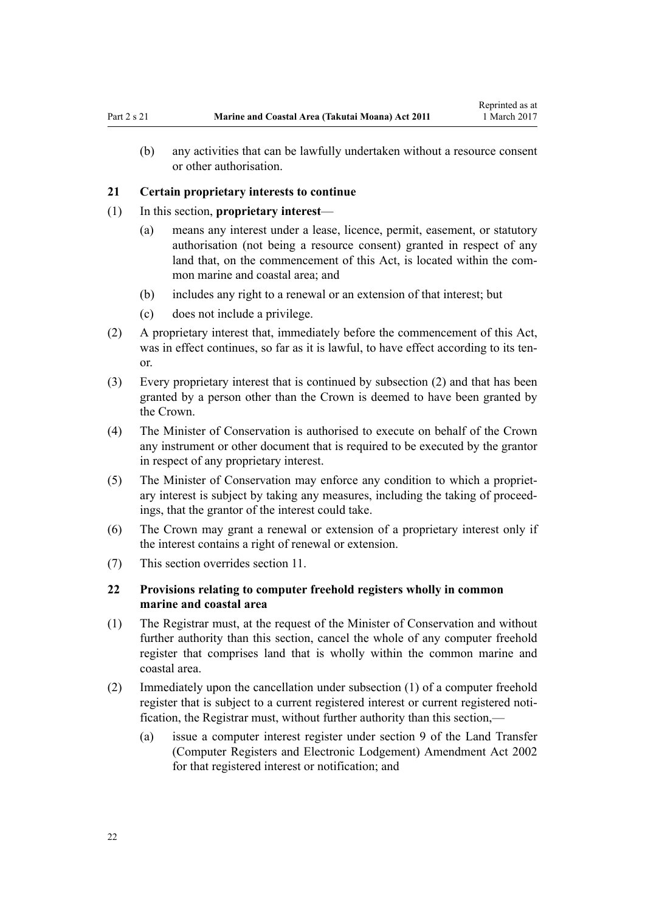<span id="page-21-0"></span>(b) any activities that can be lawfully undertaken without a resource consent or other authorisation.

#### **21 Certain proprietary interests to continue**

- (1) In this section, **proprietary interest**
	- (a) means any interest under a lease, licence, permit, easement, or statutory authorisation (not being a resource consent) granted in respect of any land that, on the commencement of this Act, is located within the common marine and coastal area; and
	- (b) includes any right to a renewal or an extension of that interest; but
	- (c) does not include a privilege.
- (2) A proprietary interest that, immediately before the commencement of this Act, was in effect continues, so far as it is lawful, to have effect according to its tenor.
- (3) Every proprietary interest that is continued by subsection (2) and that has been granted by a person other than the Crown is deemed to have been granted by the Crown.
- (4) The Minister of Conservation is authorised to execute on behalf of the Crown any instrument or other document that is required to be executed by the grantor in respect of any proprietary interest.
- (5) The Minister of Conservation may enforce any condition to which a proprietary interest is subject by taking any measures, including the taking of proceedings, that the grantor of the interest could take.
- (6) The Crown may grant a renewal or extension of a proprietary interest only if the interest contains a right of renewal or extension.
- (7) This section overrides [section 11](#page-16-0).

### **22 Provisions relating to computer freehold registers wholly in common marine and coastal area**

- (1) The Registrar must, at the request of the Minister of Conservation and without further authority than this section, cancel the whole of any computer freehold register that comprises land that is wholly within the common marine and coastal area.
- (2) Immediately upon the cancellation under subsection (1) of a computer freehold register that is subject to a current registered interest or current registered notification, the Registrar must, without further authority than this section,—
	- (a) issue a computer interest register under [section 9](http://prd-lgnz-nlb.prd.pco.net.nz/pdflink.aspx?id=DLM140179) of the Land Transfer (Computer Registers and Electronic Lodgement) Amendment Act 2002 for that registered interest or notification; and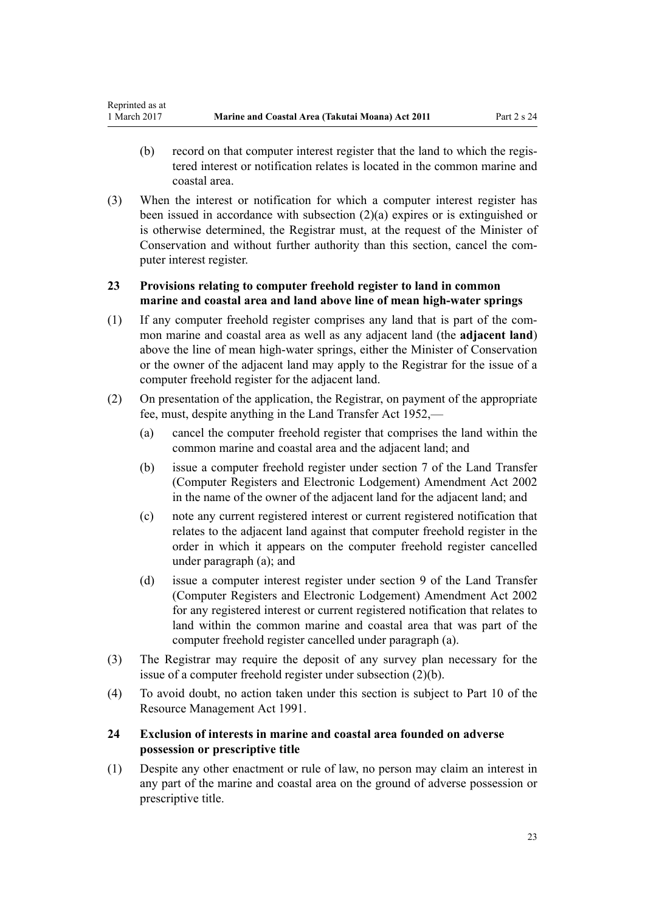- <span id="page-22-0"></span>(b) record on that computer interest register that the land to which the registered interest or notification relates is located in the common marine and coastal area.
- (3) When the interest or notification for which a computer interest register has been issued in accordance with subsection (2)(a) expires or is extinguished or is otherwise determined, the Registrar must, at the request of the Minister of Conservation and without further authority than this section, cancel the computer interest register.

# **23 Provisions relating to computer freehold register to land in common marine and coastal area and land above line of mean high-water springs**

- (1) If any computer freehold register comprises any land that is part of the common marine and coastal area as well as any adjacent land (the **adjacent land**) above the line of mean high-water springs, either the Minister of Conservation or the owner of the adjacent land may apply to the Registrar for the issue of a computer freehold register for the adjacent land.
- (2) On presentation of the application, the Registrar, on payment of the appropriate fee, must, despite anything in the [Land Transfer Act 1952,](http://prd-lgnz-nlb.prd.pco.net.nz/pdflink.aspx?id=DLM269031)—
	- (a) cancel the computer freehold register that comprises the land within the common marine and coastal area and the adjacent land; and
	- (b) issue a computer freehold register under [section 7](http://prd-lgnz-nlb.prd.pco.net.nz/pdflink.aspx?id=DLM140177) of the Land Transfer (Computer Registers and Electronic Lodgement) Amendment Act 2002 in the name of the owner of the adjacent land for the adjacent land; and
	- (c) note any current registered interest or current registered notification that relates to the adjacent land against that computer freehold register in the order in which it appears on the computer freehold register cancelled under paragraph (a); and
	- (d) issue a computer interest register under [section 9](http://prd-lgnz-nlb.prd.pco.net.nz/pdflink.aspx?id=DLM140179) of the Land Transfer (Computer Registers and Electronic Lodgement) Amendment Act 2002 for any registered interest or current registered notification that relates to land within the common marine and coastal area that was part of the computer freehold register cancelled under paragraph (a).
- (3) The Registrar may require the deposit of any survey plan necessary for the issue of a computer freehold register under subsection (2)(b).
- (4) To avoid doubt, no action taken under this section is subject to [Part 10](http://prd-lgnz-nlb.prd.pco.net.nz/pdflink.aspx?id=DLM236786) of the Resource Management Act 1991.

# **24 Exclusion of interests in marine and coastal area founded on adverse possession or prescriptive title**

(1) Despite any other enactment or rule of law, no person may claim an interest in any part of the marine and coastal area on the ground of adverse possession or prescriptive title.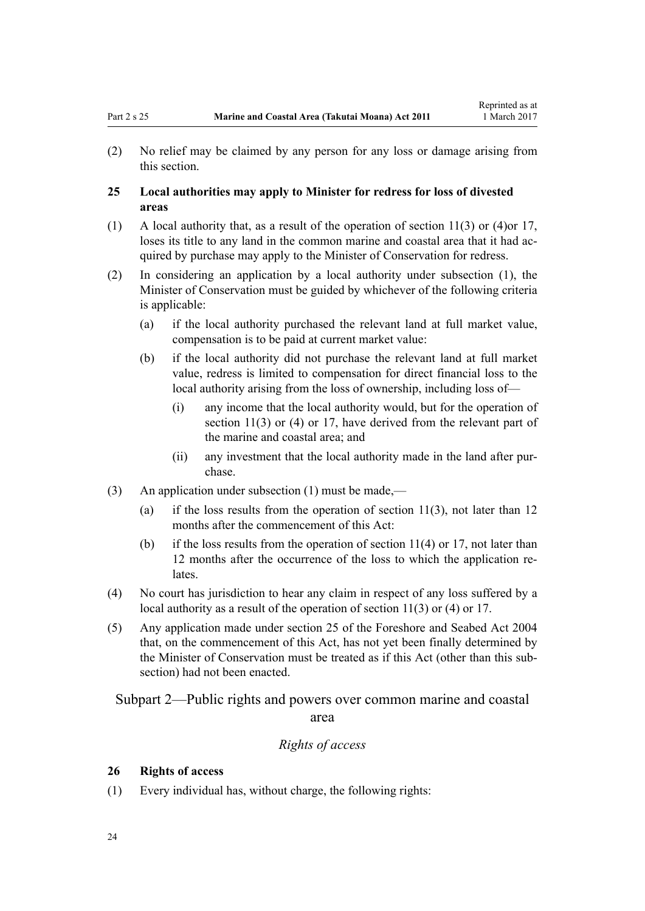<span id="page-23-0"></span>(2) No relief may be claimed by any person for any loss or damage arising from this section.

### **25 Local authorities may apply to Minister for redress for loss of divested areas**

- (1) A local authority that, as a result of the operation of [section 11\(3\) or \(4\)o](#page-16-0)r [17](#page-19-0), loses its title to any land in the common marine and coastal area that it had acquired by purchase may apply to the Minister of Conservation for redress.
- (2) In considering an application by a local authority under subsection (1), the Minister of Conservation must be guided by whichever of the following criteria is applicable:
	- (a) if the local authority purchased the relevant land at full market value, compensation is to be paid at current market value:
	- (b) if the local authority did not purchase the relevant land at full market value, redress is limited to compensation for direct financial loss to the local authority arising from the loss of ownership, including loss of—
		- (i) any income that the local authority would, but for the operation of [section 11\(3\) or \(4\)](#page-16-0) or [17](#page-19-0), have derived from the relevant part of the marine and coastal area; and
		- (ii) any investment that the local authority made in the land after purchase.
- (3) An application under subsection (1) must be made,—
	- (a) if the loss results from the operation of section  $11(3)$ , not later than 12 months after the commencement of this Act:
	- (b) if the loss results from the operation of section  $11(4)$  or [17](#page-19-0), not later than 12 months after the occurrence of the loss to which the application relates.
- (4) No court has jurisdiction to hear any claim in respect of any loss suffered by a local authority as a result of the operation of [section 11\(3\) or \(4\)](#page-16-0) or [17](#page-19-0).
- (5) Any application made under [section 25](http://prd-lgnz-nlb.prd.pco.net.nz/pdflink.aspx?id=DLM320246) of the Foreshore and Seabed Act 2004 that, on the commencement of this Act, has not yet been finally determined by the Minister of Conservation must be treated as if this Act (other than this subsection) had not been enacted.

Subpart 2—Public rights and powers over common marine and coastal area

### *Rights of access*

#### **26 Rights of access**

(1) Every individual has, without charge, the following rights: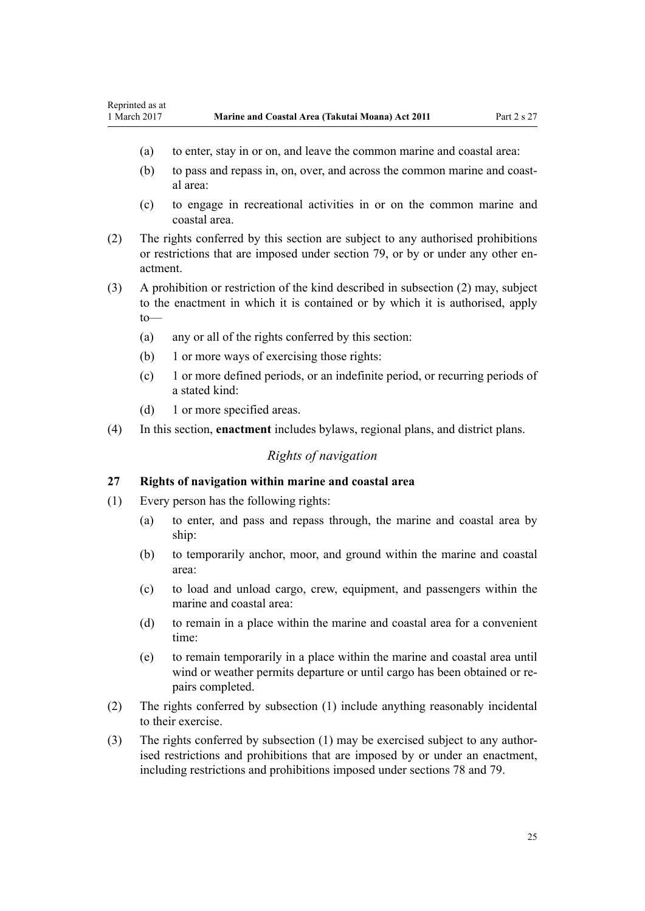- <span id="page-24-0"></span>(a) to enter, stay in or on, and leave the common marine and coastal area:
- (b) to pass and repass in, on, over, and across the common marine and coastal area:
- (c) to engage in recreational activities in or on the common marine and coastal area.
- (2) The rights conferred by this section are subject to any authorised prohibitions or restrictions that are imposed under [section 79,](#page-58-0) or by or under any other enactment.
- (3) A prohibition or restriction of the kind described in subsection (2) may, subject to the enactment in which it is contained or by which it is authorised, apply to—
	- (a) any or all of the rights conferred by this section:
	- (b) 1 or more ways of exercising those rights:
	- (c) 1 or more defined periods, or an indefinite period, or recurring periods of a stated kind:
	- (d) 1 or more specified areas.
- (4) In this section, **enactment** includes bylaws, regional plans, and district plans.

### *Rights of navigation*

#### **27 Rights of navigation within marine and coastal area**

- (1) Every person has the following rights:
	- (a) to enter, and pass and repass through, the marine and coastal area by ship:
	- (b) to temporarily anchor, moor, and ground within the marine and coastal area:
	- (c) to load and unload cargo, crew, equipment, and passengers within the marine and coastal area:
	- (d) to remain in a place within the marine and coastal area for a convenient time:
	- (e) to remain temporarily in a place within the marine and coastal area until wind or weather permits departure or until cargo has been obtained or repairs completed.
- (2) The rights conferred by subsection (1) include anything reasonably incidental to their exercise.
- (3) The rights conferred by subsection (1) may be exercised subject to any authorised restrictions and prohibitions that are imposed by or under an enactment, including restrictions and prohibitions imposed under [sections 78](#page-57-0) and [79.](#page-58-0)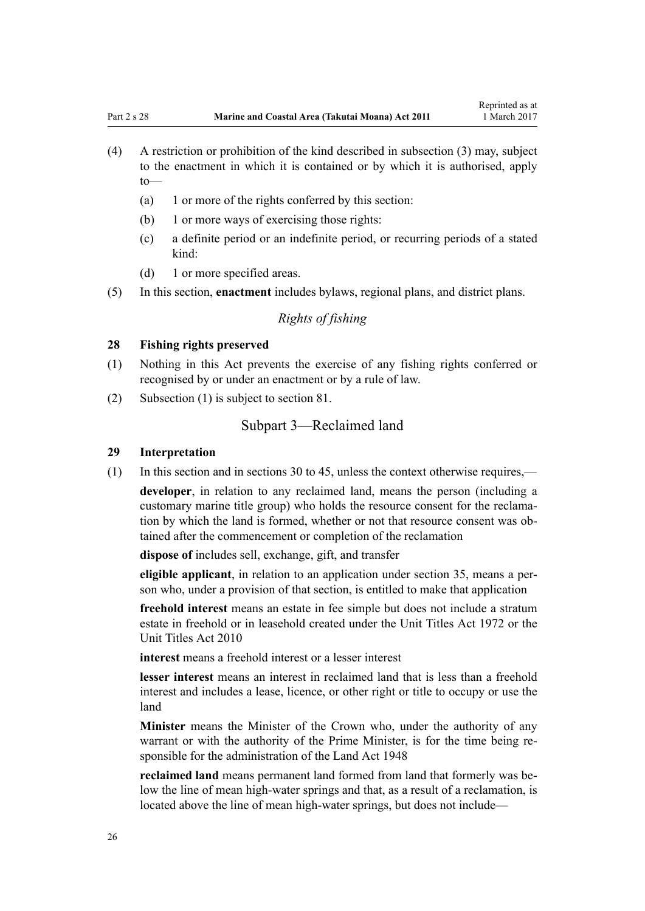- <span id="page-25-0"></span>(4) A restriction or prohibition of the kind described in subsection (3) may, subject to the enactment in which it is contained or by which it is authorised, apply to—
	- (a) 1 or more of the rights conferred by this section:
	- (b) 1 or more ways of exercising those rights:
	- (c) a definite period or an indefinite period, or recurring periods of a stated kind:
	- (d) 1 or more specified areas.
- (5) In this section, **enactment** includes bylaws, regional plans, and district plans.

# *Rights of fishing*

#### **28 Fishing rights preserved**

- (1) Nothing in this Act prevents the exercise of any fishing rights conferred or recognised by or under an enactment or by a rule of law.
- (2) Subsection (1) is subject to [section 81.](#page-60-0)

### Subpart 3—Reclaimed land

#### **29 Interpretation**

(1) In this section and in [sections 30 to 45,](#page-26-0) unless the context otherwise requires,—

**developer**, in relation to any reclaimed land, means the person (including a customary marine title group) who holds the resource consent for the reclamation by which the land is formed, whether or not that resource consent was obtained after the commencement or completion of the reclamation

**dispose of** includes sell, exchange, gift, and transfer

**eligible applicant**, in relation to an application under [section 35,](#page-27-0) means a person who, under a provision of that section, is entitled to make that application

**freehold interest** means an estate in fee simple but does not include a stratum estate in freehold or in leasehold created under the [Unit Titles Act 1972](http://prd-lgnz-nlb.prd.pco.net.nz/pdflink.aspx?id=DLM405590) or the [Unit Titles Act 2010](http://prd-lgnz-nlb.prd.pco.net.nz/pdflink.aspx?id=DLM1160400)

**interest** means a freehold interest or a lesser interest

**lesser interest** means an interest in reclaimed land that is less than a freehold interest and includes a lease, licence, or other right or title to occupy or use the land

**Minister** means the Minister of the Crown who, under the authority of any warrant or with the authority of the Prime Minister, is for the time being responsible for the administration of the [Land Act 1948](http://prd-lgnz-nlb.prd.pco.net.nz/pdflink.aspx?id=DLM250585)

**reclaimed land** means permanent land formed from land that formerly was below the line of mean high-water springs and that, as a result of a reclamation, is located above the line of mean high-water springs, but does not include—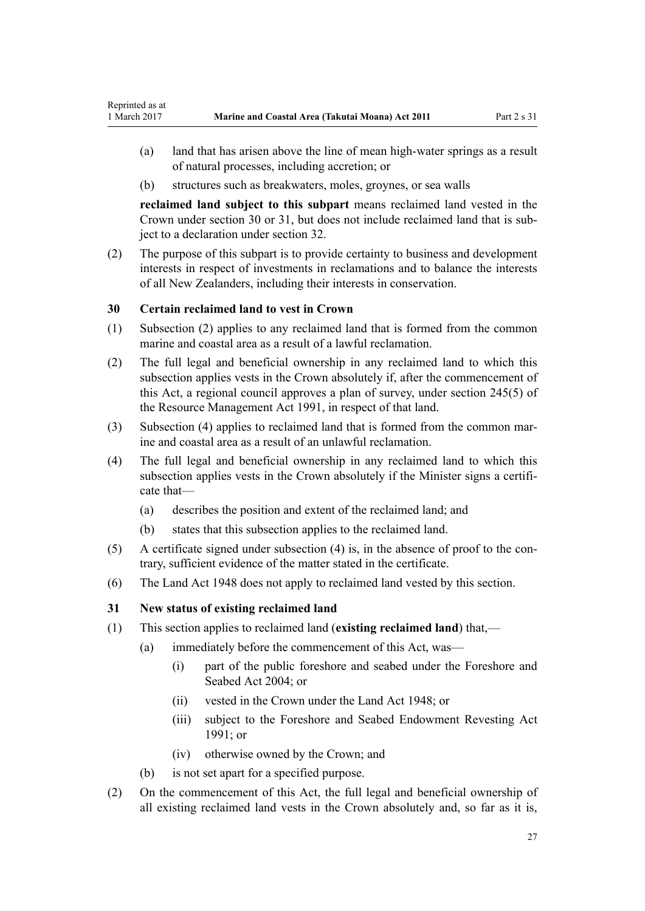- <span id="page-26-0"></span>(a) land that has arisen above the line of mean high-water springs as a result of natural processes, including accretion; or
- (b) structures such as breakwaters, moles, groynes, or sea walls

**reclaimed land subject to this subpart** means reclaimed land vested in the Crown under section 30 or 31, but does not include reclaimed land that is subject to a declaration under [section 32](#page-27-0).

(2) The purpose of this subpart is to provide certainty to business and development interests in respect of investments in reclamations and to balance the interests of all New Zealanders, including their interests in conservation.

### **30 Certain reclaimed land to vest in Crown**

- (1) Subsection (2) applies to any reclaimed land that is formed from the common marine and coastal area as a result of a lawful reclamation.
- (2) The full legal and beneficial ownership in any reclaimed land to which this subsection applies vests in the Crown absolutely if, after the commencement of this Act, a regional council approves a plan of survey, under [section 245\(5\)](http://prd-lgnz-nlb.prd.pco.net.nz/pdflink.aspx?id=DLM237630) of the Resource Management Act 1991, in respect of that land.
- (3) Subsection (4) applies to reclaimed land that is formed from the common marine and coastal area as a result of an unlawful reclamation.
- (4) The full legal and beneficial ownership in any reclaimed land to which this subsection applies vests in the Crown absolutely if the Minister signs a certificate that—
	- (a) describes the position and extent of the reclaimed land; and
	- (b) states that this subsection applies to the reclaimed land.
- (5) A certificate signed under subsection (4) is, in the absence of proof to the contrary, sufficient evidence of the matter stated in the certificate.
- (6) The [Land Act 1948](http://prd-lgnz-nlb.prd.pco.net.nz/pdflink.aspx?id=DLM250585) does not apply to reclaimed land vested by this section.

### **31 New status of existing reclaimed land**

- (1) This section applies to reclaimed land (**existing reclaimed land**) that,—
	- (a) immediately before the commencement of this Act, was—
		- (i) part of the public foreshore and seabed under the [Foreshore and](http://prd-lgnz-nlb.prd.pco.net.nz/pdflink.aspx?id=DLM319838) [Seabed Act 2004;](http://prd-lgnz-nlb.prd.pco.net.nz/pdflink.aspx?id=DLM319838) or
		- (ii) vested in the Crown under the [Land Act 1948](http://prd-lgnz-nlb.prd.pco.net.nz/pdflink.aspx?id=DLM250585); or
		- (iii) subject to the Foreshore and Seabed Endowment Revesting Act 1991; or
		- (iv) otherwise owned by the Crown; and
	- (b) is not set apart for a specified purpose.
- (2) On the commencement of this Act, the full legal and beneficial ownership of all existing reclaimed land vests in the Crown absolutely and, so far as it is,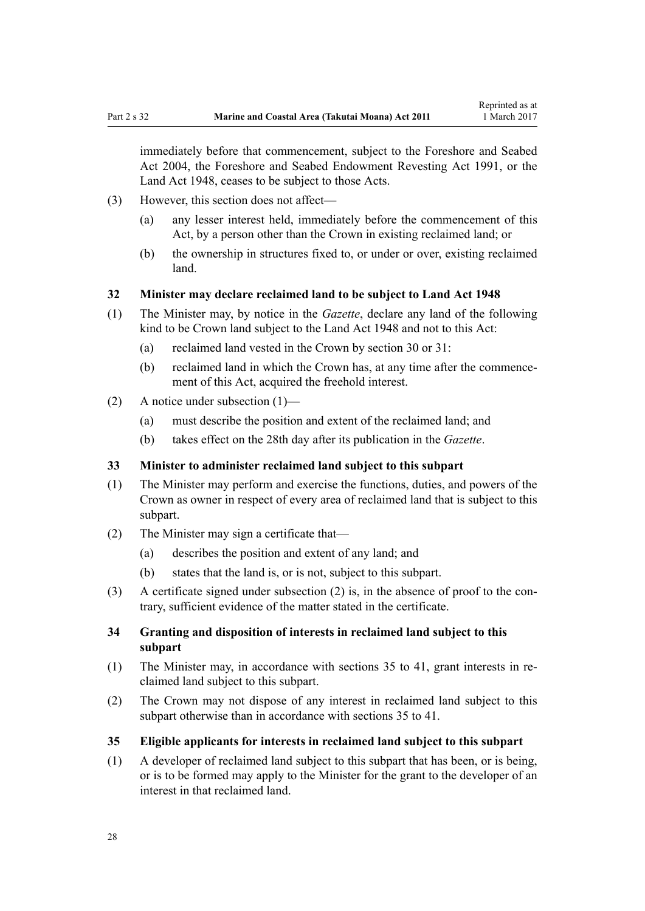<span id="page-27-0"></span>immediately before that commencement, subject to the [Foreshore and Seabed](http://prd-lgnz-nlb.prd.pco.net.nz/pdflink.aspx?id=DLM319838) [Act 2004](http://prd-lgnz-nlb.prd.pco.net.nz/pdflink.aspx?id=DLM319838), the Foreshore and Seabed Endowment Revesting Act 1991, or the [Land Act 1948](http://prd-lgnz-nlb.prd.pco.net.nz/pdflink.aspx?id=DLM250585), ceases to be subject to those Acts.

- (3) However, this section does not affect—
	- (a) any lesser interest held, immediately before the commencement of this Act, by a person other than the Crown in existing reclaimed land; or
	- (b) the ownership in structures fixed to, or under or over, existing reclaimed land.

#### **32 Minister may declare reclaimed land to be subject to Land Act 1948**

- (1) The Minister may, by notice in the *Gazette*, declare any land of the following kind to be Crown land subject to the [Land Act 1948](http://prd-lgnz-nlb.prd.pco.net.nz/pdflink.aspx?id=DLM250585) and not to this Act:
	- (a) reclaimed land vested in the Crown by [section 30](#page-26-0) or [31](#page-26-0):
	- (b) reclaimed land in which the Crown has, at any time after the commencement of this Act, acquired the freehold interest.
- (2) A notice under subsection (1)—
	- (a) must describe the position and extent of the reclaimed land; and
	- (b) takes effect on the 28th day after its publication in the *Gazette*.

#### **33 Minister to administer reclaimed land subject to this subpart**

- (1) The Minister may perform and exercise the functions, duties, and powers of the Crown as owner in respect of every area of reclaimed land that is subject to this subpart.
- (2) The Minister may sign a certificate that—
	- (a) describes the position and extent of any land; and
	- (b) states that the land is, or is not, subject to this subpart.
- (3) A certificate signed under subsection (2) is, in the absence of proof to the contrary, sufficient evidence of the matter stated in the certificate.

### **34 Granting and disposition of interests in reclaimed land subject to this subpart**

- (1) The Minister may, in accordance with sections 35 to 41, grant interests in reclaimed land subject to this subpart.
- (2) The Crown may not dispose of any interest in reclaimed land subject to this subpart otherwise than in accordance with sections 35 to 41.
- **35 Eligible applicants for interests in reclaimed land subject to this subpart**
- (1) A developer of reclaimed land subject to this subpart that has been, or is being, or is to be formed may apply to the Minister for the grant to the developer of an interest in that reclaimed land.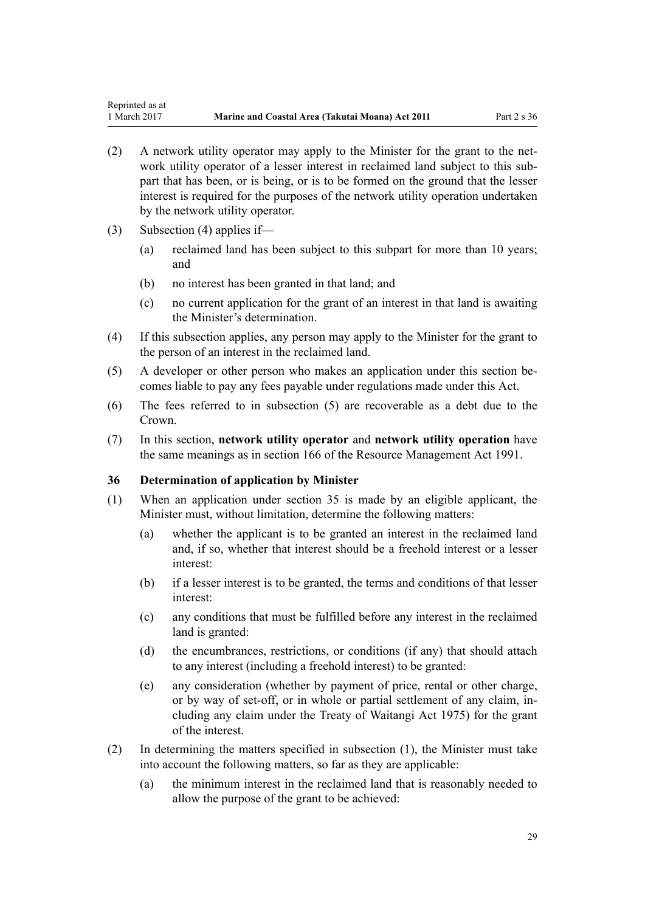- <span id="page-28-0"></span>(2) A network utility operator may apply to the Minister for the grant to the network utility operator of a lesser interest in reclaimed land subject to this subpart that has been, or is being, or is to be formed on the ground that the lesser interest is required for the purposes of the network utility operation undertaken by the network utility operator.
- (3) Subsection (4) applies if—
	- (a) reclaimed land has been subject to this subpart for more than 10 years; and
	- (b) no interest has been granted in that land; and
	- (c) no current application for the grant of an interest in that land is awaiting the Minister's determination.
- (4) If this subsection applies, any person may apply to the Minister for the grant to the person of an interest in the reclaimed land.
- (5) A developer or other person who makes an application under this section becomes liable to pay any fees payable under regulations made under this Act.
- (6) The fees referred to in subsection (5) are recoverable as a debt due to the Crown.
- (7) In this section, **network utility operator** and **network utility operation** have the same meanings as in [section 166](http://prd-lgnz-nlb.prd.pco.net.nz/pdflink.aspx?id=DLM236206) of the Resource Management Act 1991.

#### **36 Determination of application by Minister**

- (1) When an application under [section 35](#page-27-0) is made by an eligible applicant, the Minister must, without limitation, determine the following matters:
	- (a) whether the applicant is to be granted an interest in the reclaimed land and, if so, whether that interest should be a freehold interest or a lesser interest:
	- (b) if a lesser interest is to be granted, the terms and conditions of that lesser interest:
	- (c) any conditions that must be fulfilled before any interest in the reclaimed land is granted:
	- (d) the encumbrances, restrictions, or conditions (if any) that should attach to any interest (including a freehold interest) to be granted:
	- (e) any consideration (whether by payment of price, rental or other charge, or by way of set-off, or in whole or partial settlement of any claim, including any claim under the [Treaty of Waitangi Act 1975\)](http://prd-lgnz-nlb.prd.pco.net.nz/pdflink.aspx?id=DLM435367) for the grant of the interest.
- (2) In determining the matters specified in subsection (1), the Minister must take into account the following matters, so far as they are applicable:
	- (a) the minimum interest in the reclaimed land that is reasonably needed to allow the purpose of the grant to be achieved: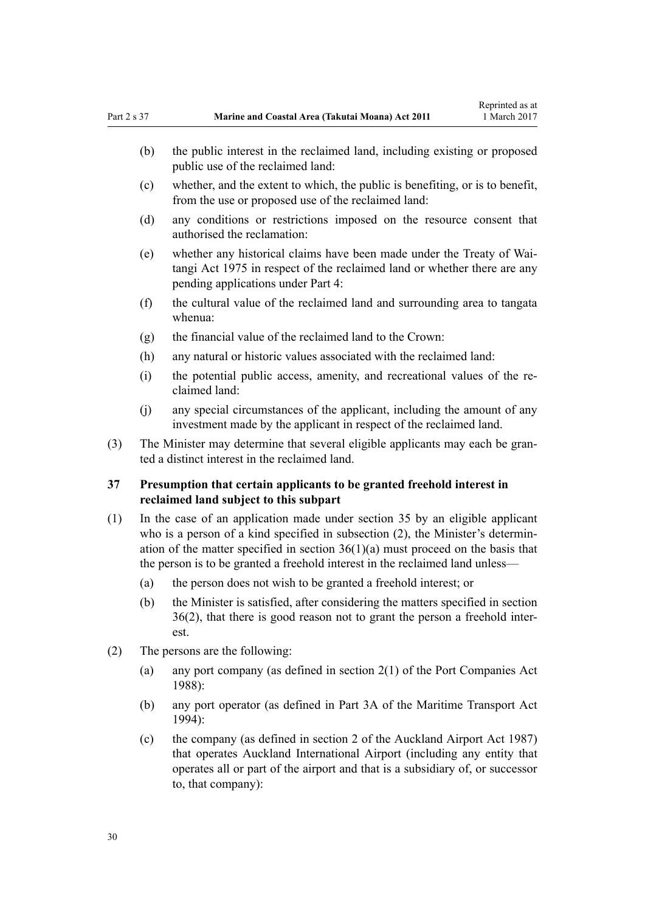- <span id="page-29-0"></span>(b) the public interest in the reclaimed land, including existing or proposed public use of the reclaimed land:
- (c) whether, and the extent to which, the public is benefiting, or is to benefit, from the use or proposed use of the reclaimed land:
- (d) any conditions or restrictions imposed on the resource consent that authorised the reclamation:
- (e) whether any historical claims have been made under the [Treaty of Wai](http://prd-lgnz-nlb.prd.pco.net.nz/pdflink.aspx?id=DLM435367)[tangi Act 1975](http://prd-lgnz-nlb.prd.pco.net.nz/pdflink.aspx?id=DLM435367) in respect of the reclaimed land or whether there are any pending applications under [Part 4:](#page-67-0)
- (f) the cultural value of the reclaimed land and surrounding area to tangata whenua:
- (g) the financial value of the reclaimed land to the Crown:
- (h) any natural or historic values associated with the reclaimed land:
- (i) the potential public access, amenity, and recreational values of the reclaimed land:
- (j) any special circumstances of the applicant, including the amount of any investment made by the applicant in respect of the reclaimed land.
- (3) The Minister may determine that several eligible applicants may each be granted a distinct interest in the reclaimed land.

### **37 Presumption that certain applicants to be granted freehold interest in reclaimed land subject to this subpart**

- (1) In the case of an application made under [section 35](#page-27-0) by an eligible applicant who is a person of a kind specified in subsection (2), the Minister's determination of the matter specified in section  $36(1)(a)$  must proceed on the basis that the person is to be granted a freehold interest in the reclaimed land unless—
	- (a) the person does not wish to be granted a freehold interest; or
	- (b) the Minister is satisfied, after considering the matters specified in [section](#page-28-0) [36\(2\)](#page-28-0), that there is good reason not to grant the person a freehold interest.
- (2) The persons are the following:
	- (a) any port company (as defined in [section 2\(1\)](http://prd-lgnz-nlb.prd.pco.net.nz/pdflink.aspx?id=DLM131688) of the Port Companies Act 1988):
	- (b) any port operator (as defined in [Part 3A](http://prd-lgnz-nlb.prd.pco.net.nz/pdflink.aspx?id=DLM5689750) of the Maritime Transport Act 1994):
	- (c) the company (as defined in [section 2](http://prd-lgnz-nlb.prd.pco.net.nz/pdflink.aspx?id=DLM125376) of the Auckland Airport Act 1987) that operates Auckland International Airport (including any entity that operates all or part of the airport and that is a subsidiary of, or successor to, that company):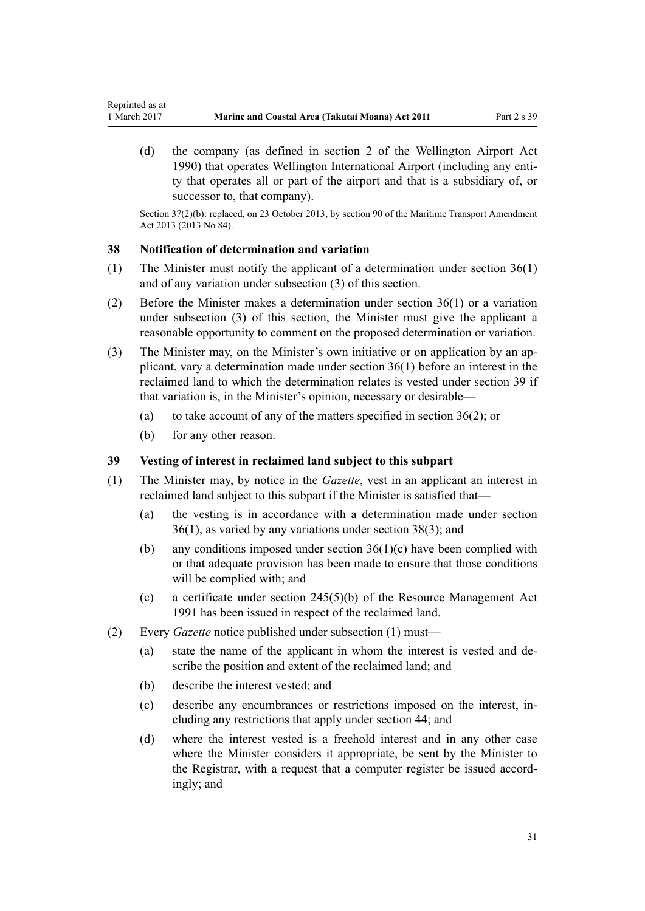(d) the company (as defined in [section 2](http://prd-lgnz-nlb.prd.pco.net.nz/pdflink.aspx?id=DLM211896) of the Wellington Airport Act 1990) that operates Wellington International Airport (including any entity that operates all or part of the airport and that is a subsidiary of, or successor to, that company).

Section 37(2)(b): replaced, on 23 October 2013, by [section 90](http://prd-lgnz-nlb.prd.pco.net.nz/pdflink.aspx?id=DLM4698973) of the Maritime Transport Amendment Act 2013 (2013 No 84).

#### **38 Notification of determination and variation**

<span id="page-30-0"></span>Reprinted as at

- (1) The Minister must notify the applicant of a determination under [section 36\(1\)](#page-28-0) and of any variation under subsection (3) of this section.
- (2) Before the Minister makes a determination under [section 36\(1\)](#page-28-0) or a variation under subsection (3) of this section, the Minister must give the applicant a reasonable opportunity to comment on the proposed determination or variation.
- (3) The Minister may, on the Minister's own initiative or on application by an applicant, vary a determination made under [section 36\(1\)](#page-28-0) before an interest in the reclaimed land to which the determination relates is vested under section 39 if that variation is, in the Minister's opinion, necessary or desirable—
	- (a) to take account of any of the matters specified in section  $36(2)$ ; or
	- (b) for any other reason.

#### **39 Vesting of interest in reclaimed land subject to this subpart**

- (1) The Minister may, by notice in the *Gazette*, vest in an applicant an interest in reclaimed land subject to this subpart if the Minister is satisfied that—
	- (a) the vesting is in accordance with a determination made under [section](#page-28-0) [36\(1\)](#page-28-0), as varied by any variations under section 38(3); and
	- (b) any conditions imposed under section  $36(1)(c)$  have been complied with or that adequate provision has been made to ensure that those conditions will be complied with; and
	- (c) a certificate under [section 245\(5\)\(b\)](http://prd-lgnz-nlb.prd.pco.net.nz/pdflink.aspx?id=DLM237630) of the Resource Management Act 1991 has been issued in respect of the reclaimed land.
- (2) Every *Gazette* notice published under subsection (1) must—
	- (a) state the name of the applicant in whom the interest is vested and describe the position and extent of the reclaimed land; and
	- (b) describe the interest vested; and
	- (c) describe any encumbrances or restrictions imposed on the interest, including any restrictions that apply under [section 44;](#page-34-0) and
	- (d) where the interest vested is a freehold interest and in any other case where the Minister considers it appropriate, be sent by the Minister to the Registrar, with a request that a computer register be issued accordingly; and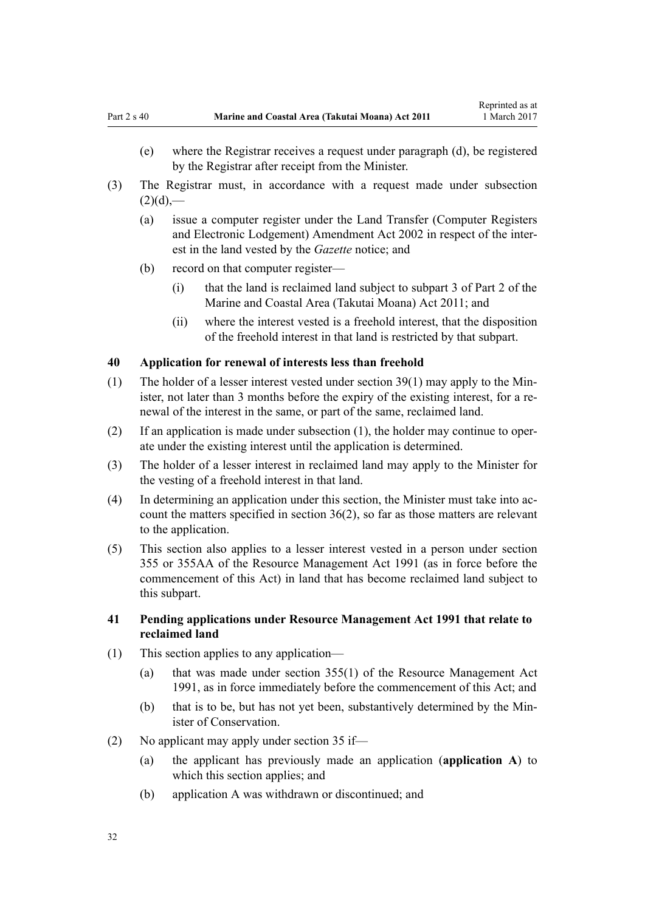- <span id="page-31-0"></span>(e) where the Registrar receives a request under paragraph (d), be registered by the Registrar after receipt from the Minister.
- (3) The Registrar must, in accordance with a request made under subsection  $(2)(d)$ ,—
	- (a) issue a computer register under the [Land Transfer \(Computer Registers](http://prd-lgnz-nlb.prd.pco.net.nz/pdflink.aspx?id=DLM140136) [and Electronic Lodgement\) Amendment Act 2002](http://prd-lgnz-nlb.prd.pco.net.nz/pdflink.aspx?id=DLM140136) in respect of the interest in the land vested by the *Gazette* notice; and
	- (b) record on that computer register—
		- (i) that the land is reclaimed land subject to [subpart 3 of Part 2](#page-25-0) of the Marine and Coastal Area (Takutai Moana) Act 2011; and
		- (ii) where the interest vested is a freehold interest, that the disposition of the freehold interest in that land is restricted by that subpart.

#### **40 Application for renewal of interests less than freehold**

- (1) The holder of a lesser interest vested under [section 39\(1\)](#page-30-0) may apply to the Minister, not later than 3 months before the expiry of the existing interest, for a renewal of the interest in the same, or part of the same, reclaimed land.
- (2) If an application is made under subsection (1), the holder may continue to operate under the existing interest until the application is determined.
- (3) The holder of a lesser interest in reclaimed land may apply to the Minister for the vesting of a freehold interest in that land.
- (4) In determining an application under this section, the Minister must take into account the matters specified in [section 36\(2\)](#page-28-0), so far as those matters are relevant to the application.
- (5) This section also applies to a lesser interest vested in a person under [section](http://prd-lgnz-nlb.prd.pco.net.nz/pdflink.aspx?id=DLM239322) [355](http://prd-lgnz-nlb.prd.pco.net.nz/pdflink.aspx?id=DLM239322) or [355AA](http://prd-lgnz-nlb.prd.pco.net.nz/pdflink.aspx?id=DLM239326) of the Resource Management Act 1991 (as in force before the commencement of this Act) in land that has become reclaimed land subject to this subpart.

#### **41 Pending applications under Resource Management Act 1991 that relate to reclaimed land**

- (1) This section applies to any application—
	- (a) that was made under [section 355\(1\)](http://prd-lgnz-nlb.prd.pco.net.nz/pdflink.aspx?id=DLM239322) of the Resource Management Act 1991, as in force immediately before the commencement of this Act; and
	- (b) that is to be, but has not yet been, substantively determined by the Minister of Conservation.
- (2) No applicant may apply under [section 35](#page-27-0) if—
	- (a) the applicant has previously made an application (**application A**) to which this section applies; and
	- (b) application A was withdrawn or discontinued; and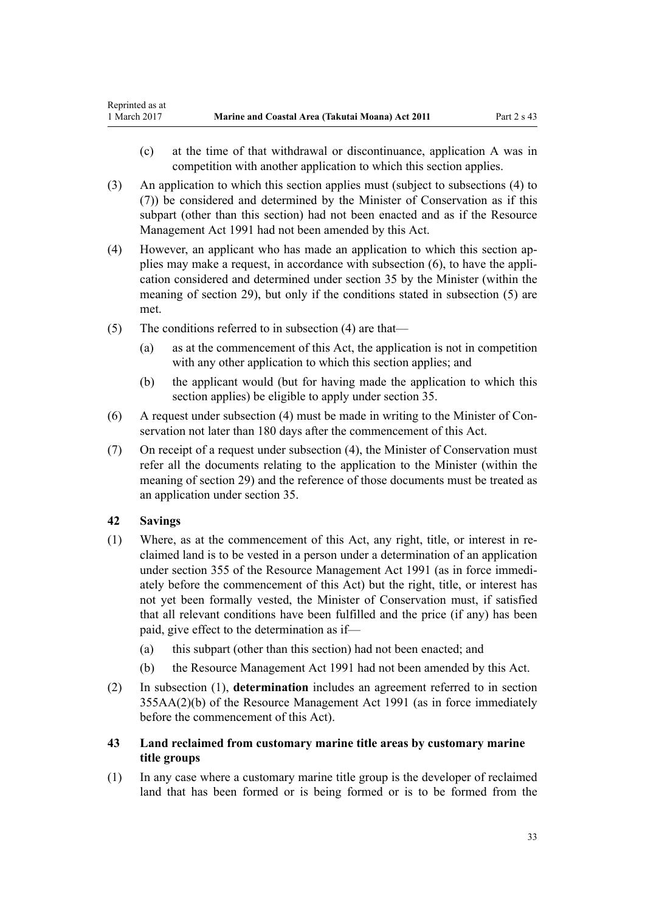- <span id="page-32-0"></span>(c) at the time of that withdrawal or discontinuance, application A was in competition with another application to which this section applies.
- (3) An application to which this section applies must (subject to subsections (4) to (7)) be considered and determined by the Minister of Conservation as if this subpart (other than this section) had not been enacted and as if the [Resource](http://prd-lgnz-nlb.prd.pco.net.nz/pdflink.aspx?id=DLM230264) [Management Act 1991](http://prd-lgnz-nlb.prd.pco.net.nz/pdflink.aspx?id=DLM230264) had not been amended by this Act.
- (4) However, an applicant who has made an application to which this section applies may make a request, in accordance with subsection (6), to have the application considered and determined under [section 35](#page-27-0) by the Minister (within the meaning of [section 29](#page-25-0)), but only if the conditions stated in subsection (5) are met.
- (5) The conditions referred to in subsection (4) are that—
	- (a) as at the commencement of this Act, the application is not in competition with any other application to which this section applies; and
	- (b) the applicant would (but for having made the application to which this section applies) be eligible to apply under [section 35](#page-27-0).
- (6) A request under subsection (4) must be made in writing to the Minister of Conservation not later than 180 days after the commencement of this Act.
- (7) On receipt of a request under subsection (4), the Minister of Conservation must refer all the documents relating to the application to the Minister (within the meaning of [section 29](#page-25-0)) and the reference of those documents must be treated as an application under [section 35.](#page-27-0)

# **42 Savings**

- (1) Where, as at the commencement of this Act, any right, title, or interest in reclaimed land is to be vested in a person under a determination of an application under [section 355](http://prd-lgnz-nlb.prd.pco.net.nz/pdflink.aspx?id=DLM239322) of the Resource Management Act 1991 (as in force immediately before the commencement of this Act) but the right, title, or interest has not yet been formally vested, the Minister of Conservation must, if satisfied that all relevant conditions have been fulfilled and the price (if any) has been paid, give effect to the determination as if—
	- (a) this subpart (other than this section) had not been enacted; and
	- (b) the [Resource Management Act 1991](http://prd-lgnz-nlb.prd.pco.net.nz/pdflink.aspx?id=DLM230264) had not been amended by this Act.
- (2) In subsection (1), **determination** includes an agreement referred to in [section](http://prd-lgnz-nlb.prd.pco.net.nz/pdflink.aspx?id=DLM239326) [355AA\(2\)\(b\)](http://prd-lgnz-nlb.prd.pco.net.nz/pdflink.aspx?id=DLM239326) of the Resource Management Act 1991 (as in force immediately before the commencement of this Act).
- **43 Land reclaimed from customary marine title areas by customary marine title groups**
- (1) In any case where a customary marine title group is the developer of reclaimed land that has been formed or is being formed or is to be formed from the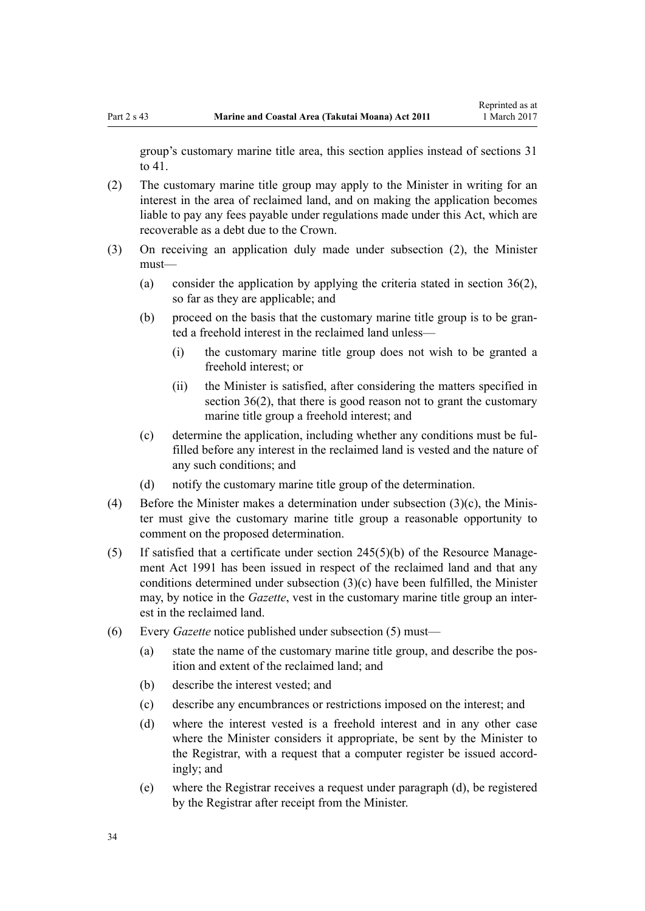group's customary marine title area, this section applies instead of [sections 31](#page-26-0) [to 41.](#page-26-0)

- (2) The customary marine title group may apply to the Minister in writing for an interest in the area of reclaimed land, and on making the application becomes liable to pay any fees payable under regulations made under this Act, which are recoverable as a debt due to the Crown.
- (3) On receiving an application duly made under subsection (2), the Minister must—
	- (a) consider the application by applying the criteria stated in [section 36\(2\)](#page-28-0), so far as they are applicable; and
	- (b) proceed on the basis that the customary marine title group is to be granted a freehold interest in the reclaimed land unless—
		- (i) the customary marine title group does not wish to be granted a freehold interest; or
		- (ii) the Minister is satisfied, after considering the matters specified in [section 36\(2\),](#page-28-0) that there is good reason not to grant the customary marine title group a freehold interest; and
	- (c) determine the application, including whether any conditions must be fulfilled before any interest in the reclaimed land is vested and the nature of any such conditions; and
	- (d) notify the customary marine title group of the determination.
- (4) Before the Minister makes a determination under subsection (3)(c), the Minister must give the customary marine title group a reasonable opportunity to comment on the proposed determination.
- (5) If satisfied that a certificate under [section 245\(5\)\(b\)](http://prd-lgnz-nlb.prd.pco.net.nz/pdflink.aspx?id=DLM237630) of the Resource Management Act 1991 has been issued in respect of the reclaimed land and that any conditions determined under subsection (3)(c) have been fulfilled, the Minister may, by notice in the *Gazette*, vest in the customary marine title group an interest in the reclaimed land.
- (6) Every *Gazette* notice published under subsection (5) must—
	- (a) state the name of the customary marine title group, and describe the position and extent of the reclaimed land; and
	- (b) describe the interest vested; and
	- (c) describe any encumbrances or restrictions imposed on the interest; and
	- (d) where the interest vested is a freehold interest and in any other case where the Minister considers it appropriate, be sent by the Minister to the Registrar, with a request that a computer register be issued accordingly; and
	- (e) where the Registrar receives a request under paragraph (d), be registered by the Registrar after receipt from the Minister.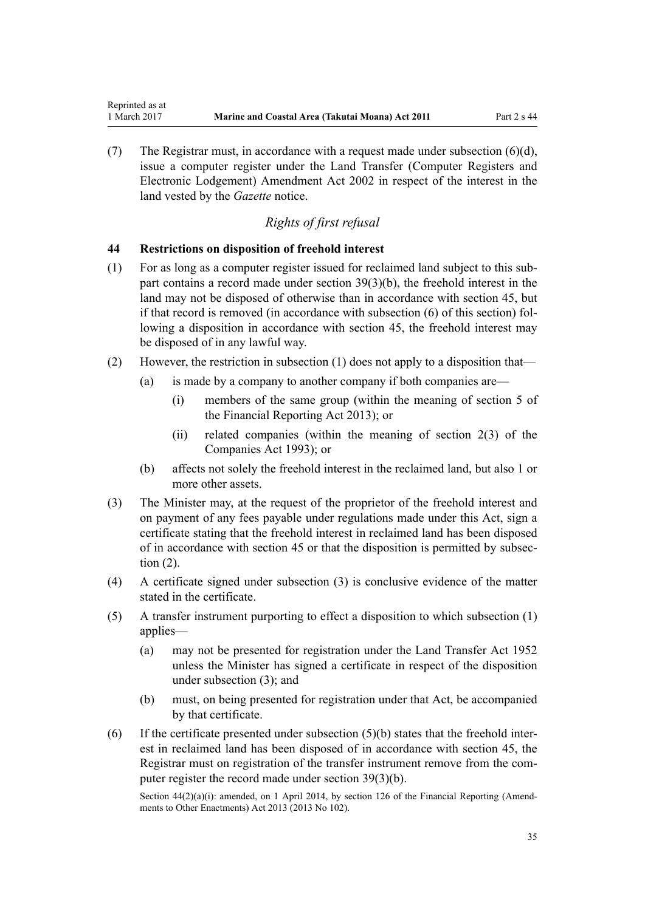(7) The Registrar must, in accordance with a request made under subsection (6)(d), issue a computer register under the [Land Transfer \(Computer Registers and](http://prd-lgnz-nlb.prd.pco.net.nz/pdflink.aspx?id=DLM140136) [Electronic Lodgement\) Amendment Act 2002](http://prd-lgnz-nlb.prd.pco.net.nz/pdflink.aspx?id=DLM140136) in respect of the interest in the land vested by the *Gazette* notice.

### *Rights of first refusal*

#### **44 Restrictions on disposition of freehold interest**

<span id="page-34-0"></span>Reprinted as at

- (1) For as long as a computer register issued for reclaimed land subject to this subpart contains a record made under [section 39\(3\)\(b\)](#page-30-0), the freehold interest in the land may not be disposed of otherwise than in accordance with [section 45](#page-35-0), but if that record is removed (in accordance with subsection (6) of this section) following a disposition in accordance with section 45, the freehold interest may be disposed of in any lawful way.
- (2) However, the restriction in subsection (1) does not apply to a disposition that—
	- (a) is made by a company to another company if both companies are—
		- (i) members of the same group (within the meaning of [section 5](http://prd-lgnz-nlb.prd.pco.net.nz/pdflink.aspx?id=DLM4632837) of the Financial Reporting Act 2013); or
		- (ii) related companies (within the meaning of [section 2\(3\)](http://prd-lgnz-nlb.prd.pco.net.nz/pdflink.aspx?id=DLM319576) of the Companies Act 1993); or
	- (b) affects not solely the freehold interest in the reclaimed land, but also 1 or more other assets.
- (3) The Minister may, at the request of the proprietor of the freehold interest and on payment of any fees payable under regulations made under this Act, sign a certificate stating that the freehold interest in reclaimed land has been disposed of in accordance with [section 45](#page-35-0) or that the disposition is permitted by subsection (2).
- (4) A certificate signed under subsection (3) is conclusive evidence of the matter stated in the certificate.
- (5) A transfer instrument purporting to effect a disposition to which subsection (1) applies—
	- (a) may not be presented for registration under the [Land Transfer Act 1952](http://prd-lgnz-nlb.prd.pco.net.nz/pdflink.aspx?id=DLM269031) unless the Minister has signed a certificate in respect of the disposition under subsection (3); and
	- (b) must, on being presented for registration under that Act, be accompanied by that certificate.
- (6) If the certificate presented under subsection  $(5)(b)$  states that the freehold interest in reclaimed land has been disposed of in accordance with [section 45](#page-35-0), the Registrar must on registration of the transfer instrument remove from the computer register the record made under [section 39\(3\)\(b\).](#page-30-0)

Section 44(2)(a)(i): amended, on 1 April 2014, by [section 126](http://prd-lgnz-nlb.prd.pco.net.nz/pdflink.aspx?id=DLM5740665) of the Financial Reporting (Amendments to Other Enactments) Act 2013 (2013 No 102).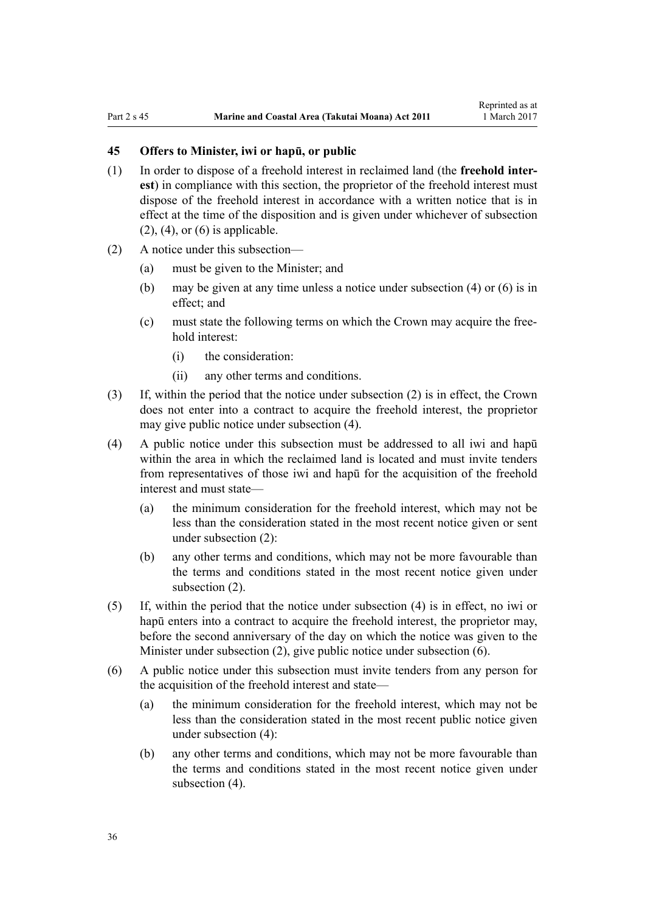### <span id="page-35-0"></span>**45 Offers to Minister, iwi or hapū, or public**

- (1) In order to dispose of a freehold interest in reclaimed land (the **freehold interest**) in compliance with this section, the proprietor of the freehold interest must dispose of the freehold interest in accordance with a written notice that is in effect at the time of the disposition and is given under whichever of subsection  $(2)$ ,  $(4)$ , or  $(6)$  is applicable.
- (2) A notice under this subsection—
	- (a) must be given to the Minister; and
	- (b) may be given at any time unless a notice under subsection (4) or (6) is in effect; and
	- (c) must state the following terms on which the Crown may acquire the freehold interest:
		- (i) the consideration:
		- (ii) any other terms and conditions.
- (3) If, within the period that the notice under subsection (2) is in effect, the Crown does not enter into a contract to acquire the freehold interest, the proprietor may give public notice under subsection (4).
- (4) A public notice under this subsection must be addressed to all iwi and hapū within the area in which the reclaimed land is located and must invite tenders from representatives of those iwi and hapū for the acquisition of the freehold interest and must state—
	- (a) the minimum consideration for the freehold interest, which may not be less than the consideration stated in the most recent notice given or sent under subsection (2):
	- (b) any other terms and conditions, which may not be more favourable than the terms and conditions stated in the most recent notice given under subsection (2).
- (5) If, within the period that the notice under subsection (4) is in effect, no iwi or hapū enters into a contract to acquire the freehold interest, the proprietor may, before the second anniversary of the day on which the notice was given to the Minister under subsection (2), give public notice under subsection (6).
- (6) A public notice under this subsection must invite tenders from any person for the acquisition of the freehold interest and state—
	- (a) the minimum consideration for the freehold interest, which may not be less than the consideration stated in the most recent public notice given under subsection (4):
	- (b) any other terms and conditions, which may not be more favourable than the terms and conditions stated in the most recent notice given under subsection  $(4)$ .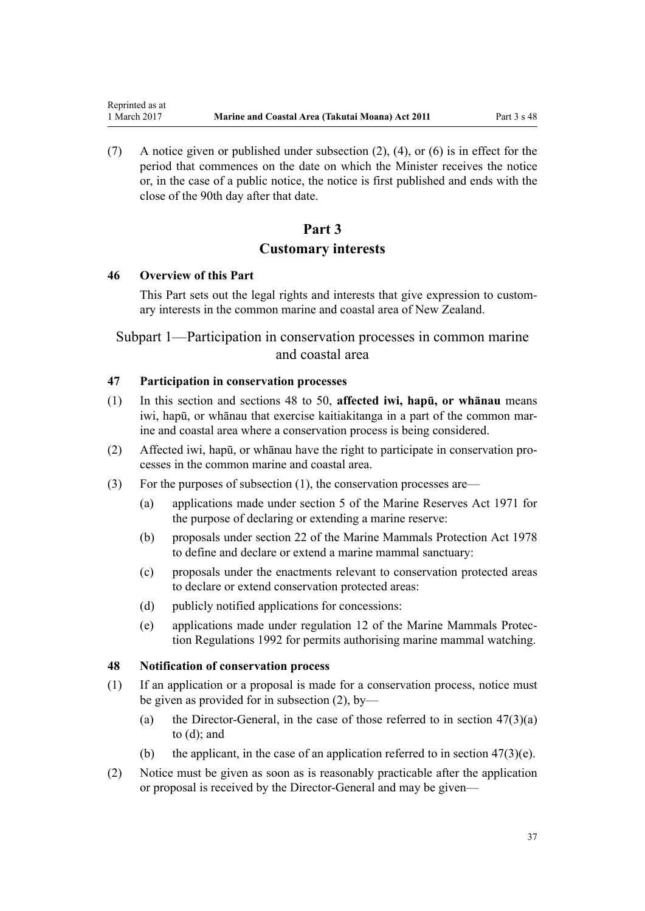(7) A notice given or published under subsection (2), (4), or (6) is in effect for the period that commences on the date on which the Minister receives the notice or, in the case of a public notice, the notice is first published and ends with the close of the 90th day after that date.

# **Part 3 Customary interests**

#### **46 Overview of this Part**

<span id="page-36-0"></span>Reprinted as at

This Part sets out the legal rights and interests that give expression to customary interests in the common marine and coastal area of New Zealand.

# Subpart 1—Participation in conservation processes in common marine and coastal area

## **47 Participation in conservation processes**

- (1) In this section and sections 48 to 50, **affected iwi, hapū, or whānau** means iwi, hapū, or whānau that exercise kaitiakitanga in a part of the common marine and coastal area where a conservation process is being considered.
- (2) Affected iwi, hapū, or whānau have the right to participate in conservation processes in the common marine and coastal area.
- (3) For the purposes of subsection (1), the conservation processes are—
	- (a) applications made under [section 5](http://prd-lgnz-nlb.prd.pco.net.nz/pdflink.aspx?id=DLM398113) of the Marine Reserves Act 1971 for the purpose of declaring or extending a marine reserve:
	- (b) proposals under [section 22](http://prd-lgnz-nlb.prd.pco.net.nz/pdflink.aspx?id=DLM25372) of the Marine Mammals Protection Act 1978 to define and declare or extend a marine mammal sanctuary:
	- (c) proposals under the enactments relevant to conservation protected areas to declare or extend conservation protected areas:
	- (d) publicly notified applications for concessions:
	- (e) applications made under [regulation 12](http://prd-lgnz-nlb.prd.pco.net.nz/pdflink.aspx?id=DLM168830) of the Marine Mammals Protection Regulations 1992 for permits authorising marine mammal watching.

#### **48 Notification of conservation process**

- (1) If an application or a proposal is made for a conservation process, notice must be given as provided for in subsection (2), by—
	- (a) the Director-General, in the case of those referred to in section  $47(3)(a)$ to (d); and
	- (b) the applicant, in the case of an application referred to in section  $47(3)(e)$ .
- (2) Notice must be given as soon as is reasonably practicable after the application or proposal is received by the Director-General and may be given—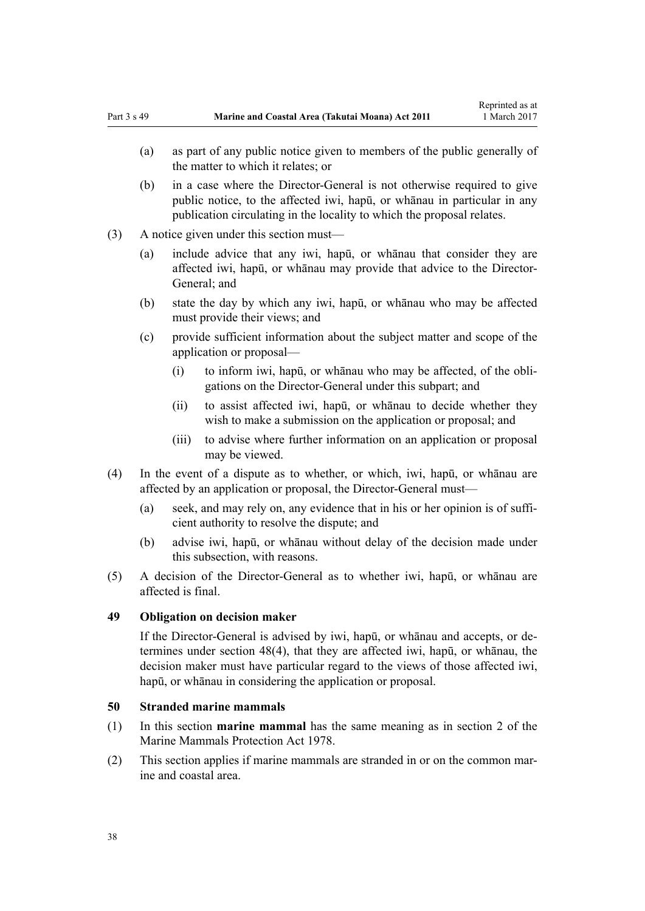- (a) as part of any public notice given to members of the public generally of the matter to which it relates; or
- (b) in a case where the Director-General is not otherwise required to give public notice, to the affected iwi, hapū, or whānau in particular in any publication circulating in the locality to which the proposal relates.
- (3) A notice given under this section must—
	- (a) include advice that any iwi, hapū, or whānau that consider they are affected iwi, hapū, or whānau may provide that advice to the Director-General; and
	- (b) state the day by which any iwi, hapū, or whānau who may be affected must provide their views; and
	- (c) provide sufficient information about the subject matter and scope of the application or proposal—
		- (i) to inform iwi, hapū, or whānau who may be affected, of the obligations on the Director-General under this subpart; and
		- (ii) to assist affected iwi, hapū, or whānau to decide whether they wish to make a submission on the application or proposal; and
		- (iii) to advise where further information on an application or proposal may be viewed.
- (4) In the event of a dispute as to whether, or which, iwi, hapū, or whānau are affected by an application or proposal, the Director-General must—
	- (a) seek, and may rely on, any evidence that in his or her opinion is of sufficient authority to resolve the dispute; and
	- (b) advise iwi, hapū, or whānau without delay of the decision made under this subsection, with reasons.
- (5) A decision of the Director-General as to whether iwi, hapū, or whānau are affected is final.

## **49 Obligation on decision maker**

If the Director-General is advised by iwi, hapū, or whānau and accepts, or determines under [section 48\(4\)](#page-36-0), that they are affected iwi, hapū, or whānau, the decision maker must have particular regard to the views of those affected iwi, hapū, or whānau in considering the application or proposal.

#### **50 Stranded marine mammals**

- (1) In this section **marine mammal** has the same meaning as in [section 2](http://prd-lgnz-nlb.prd.pco.net.nz/pdflink.aspx?id=DLM25116) of the Marine Mammals Protection Act 1978.
- (2) This section applies if marine mammals are stranded in or on the common marine and coastal area.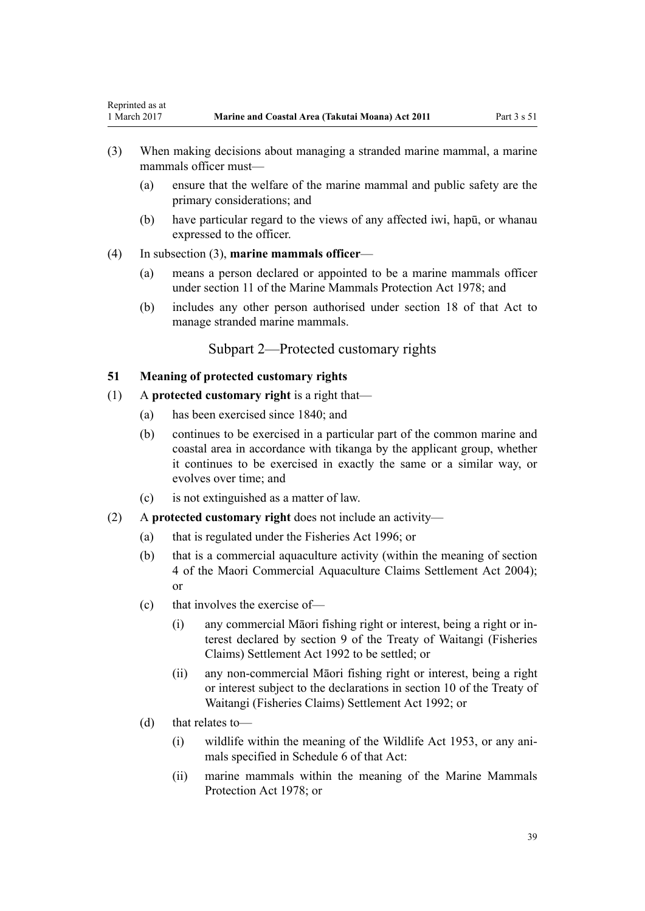- (3) When making decisions about managing a stranded marine mammal, a marine mammals officer must—
	- (a) ensure that the welfare of the marine mammal and public safety are the primary considerations; and
	- (b) have particular regard to the views of any affected iwi, hapū, or whanau expressed to the officer.
- (4) In subsection (3), **marine mammals officer**—

<span id="page-38-0"></span>Reprinted as at

- (a) means a person declared or appointed to be a marine mammals officer under [section 11](http://prd-lgnz-nlb.prd.pco.net.nz/pdflink.aspx?id=DLM25336) of the Marine Mammals Protection Act 1978; and
- (b) includes any other person authorised under [section 18](http://prd-lgnz-nlb.prd.pco.net.nz/pdflink.aspx?id=DLM25362) of that Act to manage stranded marine mammals.

## Subpart 2—Protected customary rights

## **51 Meaning of protected customary rights**

- (1) A **protected customary right** is a right that—
	- (a) has been exercised since 1840; and
	- (b) continues to be exercised in a particular part of the common marine and coastal area in accordance with tikanga by the applicant group, whether it continues to be exercised in exactly the same or a similar way, or evolves over time; and
	- (c) is not extinguished as a matter of law.
- (2) A **protected customary right** does not include an activity—
	- (a) that is regulated under the [Fisheries Act 1996](http://prd-lgnz-nlb.prd.pco.net.nz/pdflink.aspx?id=DLM394191); or
	- (b) that is a commercial aquaculture activity (within the meaning of [section](http://prd-lgnz-nlb.prd.pco.net.nz/pdflink.aspx?id=DLM324356) [4](http://prd-lgnz-nlb.prd.pco.net.nz/pdflink.aspx?id=DLM324356) of the Maori Commercial Aquaculture Claims Settlement Act 2004); or
	- (c) that involves the exercise of—
		- (i) any commercial Māori fishing right or interest, being a right or interest declared by [section 9](http://prd-lgnz-nlb.prd.pco.net.nz/pdflink.aspx?id=DLM281460) of the Treaty of Waitangi (Fisheries Claims) Settlement Act 1992 to be settled; or
		- (ii) any non-commercial Māori fishing right or interest, being a right or interest subject to the declarations in [section 10](http://prd-lgnz-nlb.prd.pco.net.nz/pdflink.aspx?id=DLM281461) of the Treaty of Waitangi (Fisheries Claims) Settlement Act 1992; or
	- (d) that relates to—
		- (i) wildlife within the meaning of the [Wildlife Act 1953](http://prd-lgnz-nlb.prd.pco.net.nz/pdflink.aspx?id=DLM276813), or any animals specified in [Schedule 6](http://prd-lgnz-nlb.prd.pco.net.nz/pdflink.aspx?id=DLM278592) of that Act:
		- (ii) marine mammals within the meaning of the [Marine Mammals](http://prd-lgnz-nlb.prd.pco.net.nz/pdflink.aspx?id=DLM25110) [Protection Act 1978;](http://prd-lgnz-nlb.prd.pco.net.nz/pdflink.aspx?id=DLM25110) or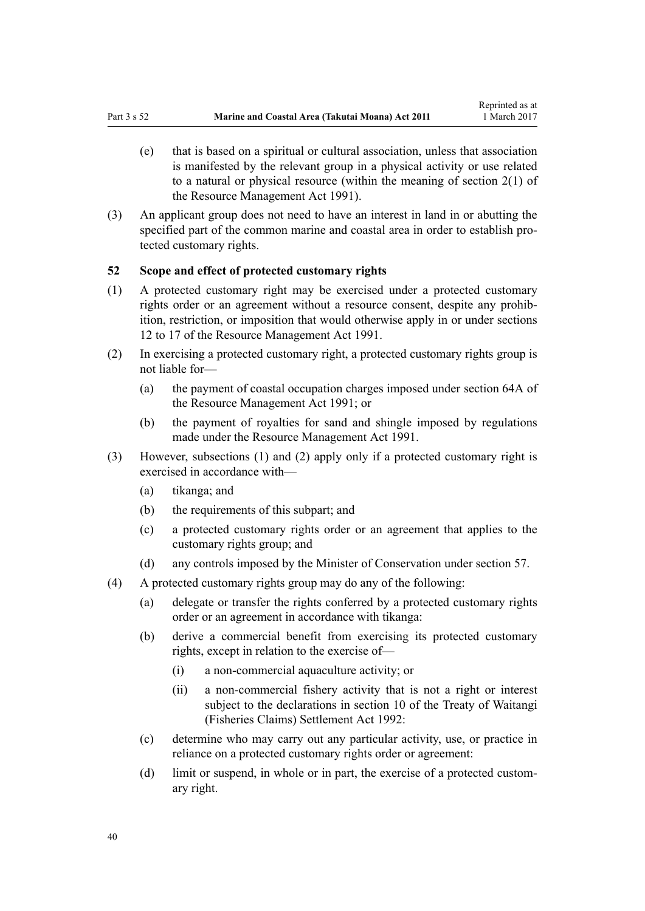- <span id="page-39-0"></span>(e) that is based on a spiritual or cultural association, unless that association is manifested by the relevant group in a physical activity or use related to a natural or physical resource (within the meaning of [section 2\(1\)](http://prd-lgnz-nlb.prd.pco.net.nz/pdflink.aspx?id=DLM230272) of the Resource Management Act 1991).
- (3) An applicant group does not need to have an interest in land in or abutting the specified part of the common marine and coastal area in order to establish protected customary rights.

## **52 Scope and effect of protected customary rights**

- (1) A protected customary right may be exercised under a protected customary rights order or an agreement without a resource consent, despite any prohibition, restriction, or imposition that would otherwise apply in or under [sections](http://prd-lgnz-nlb.prd.pco.net.nz/pdflink.aspx?id=DLM231949) [12 to 17](http://prd-lgnz-nlb.prd.pco.net.nz/pdflink.aspx?id=DLM231949) of the Resource Management Act 1991.
- (2) In exercising a protected customary right, a protected customary rights group is not liable for—
	- (a) the payment of coastal occupation charges imposed under [section 64A](http://prd-lgnz-nlb.prd.pco.net.nz/pdflink.aspx?id=DLM233610) of the Resource Management Act 1991; or
	- (b) the payment of royalties for sand and shingle imposed by regulations made under the [Resource Management Act 1991](http://prd-lgnz-nlb.prd.pco.net.nz/pdflink.aspx?id=DLM230264).
- (3) However, subsections (1) and (2) apply only if a protected customary right is exercised in accordance with—
	- (a) tikanga; and
	- (b) the requirements of this subpart; and
	- (c) a protected customary rights order or an agreement that applies to the customary rights group; and
	- (d) any controls imposed by the Minister of Conservation under [section 57](#page-42-0).
- (4) A protected customary rights group may do any of the following:
	- (a) delegate or transfer the rights conferred by a protected customary rights order or an agreement in accordance with tikanga:
	- (b) derive a commercial benefit from exercising its protected customary rights, except in relation to the exercise of—
		- (i) a non-commercial aquaculture activity; or
		- (ii) a non-commercial fishery activity that is not a right or interest subject to the declarations in [section 10](http://prd-lgnz-nlb.prd.pco.net.nz/pdflink.aspx?id=DLM281461) of the Treaty of Waitangi (Fisheries Claims) Settlement Act 1992:
	- (c) determine who may carry out any particular activity, use, or practice in reliance on a protected customary rights order or agreement:
	- (d) limit or suspend, in whole or in part, the exercise of a protected customary right.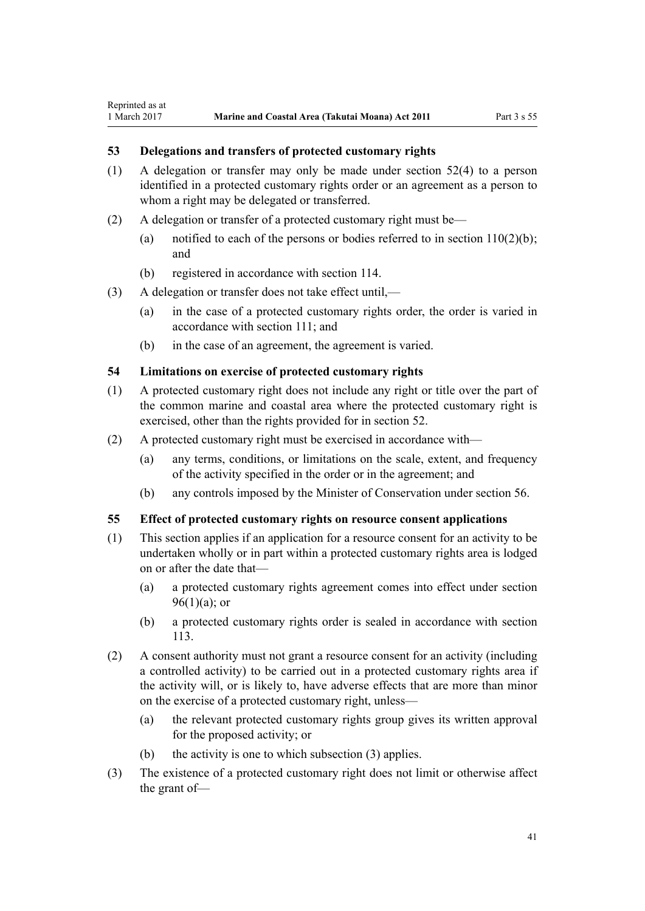## **53 Delegations and transfers of protected customary rights**

Reprinted as at

- (1) A delegation or transfer may only be made under [section 52\(4\)](#page-39-0) to a person identified in a protected customary rights order or an agreement as a person to whom a right may be delegated or transferred.
- (2) A delegation or transfer of a protected customary right must be—
	- (a) notified to each of the persons or bodies referred to in section  $110(2)(b)$ ; and
	- (b) registered in accordance with [section 114](#page-75-0).
- (3) A delegation or transfer does not take effect until,—
	- (a) in the case of a protected customary rights order, the order is varied in accordance with [section 111;](#page-74-0) and
	- (b) in the case of an agreement, the agreement is varied.

#### **54 Limitations on exercise of protected customary rights**

- (1) A protected customary right does not include any right or title over the part of the common marine and coastal area where the protected customary right is exercised, other than the rights provided for in [section 52](#page-39-0).
- (2) A protected customary right must be exercised in accordance with—
	- (a) any terms, conditions, or limitations on the scale, extent, and frequency of the activity specified in the order or in the agreement; and
	- (b) any controls imposed by the Minister of Conservation under [section 56](#page-41-0).

#### **55 Effect of protected customary rights on resource consent applications**

- (1) This section applies if an application for a resource consent for an activity to be undertaken wholly or in part within a protected customary rights area is lodged on or after the date that—
	- (a) a protected customary rights agreement comes into effect under [section](#page-68-0)  $96(1)(a)$ ; or
	- (b) a protected customary rights order is sealed in accordance with [section](#page-75-0) [113](#page-75-0).
- (2) A consent authority must not grant a resource consent for an activity (including a controlled activity) to be carried out in a protected customary rights area if the activity will, or is likely to, have adverse effects that are more than minor on the exercise of a protected customary right, unless—
	- (a) the relevant protected customary rights group gives its written approval for the proposed activity; or
	- (b) the activity is one to which subsection (3) applies.
- (3) The existence of a protected customary right does not limit or otherwise affect the grant of—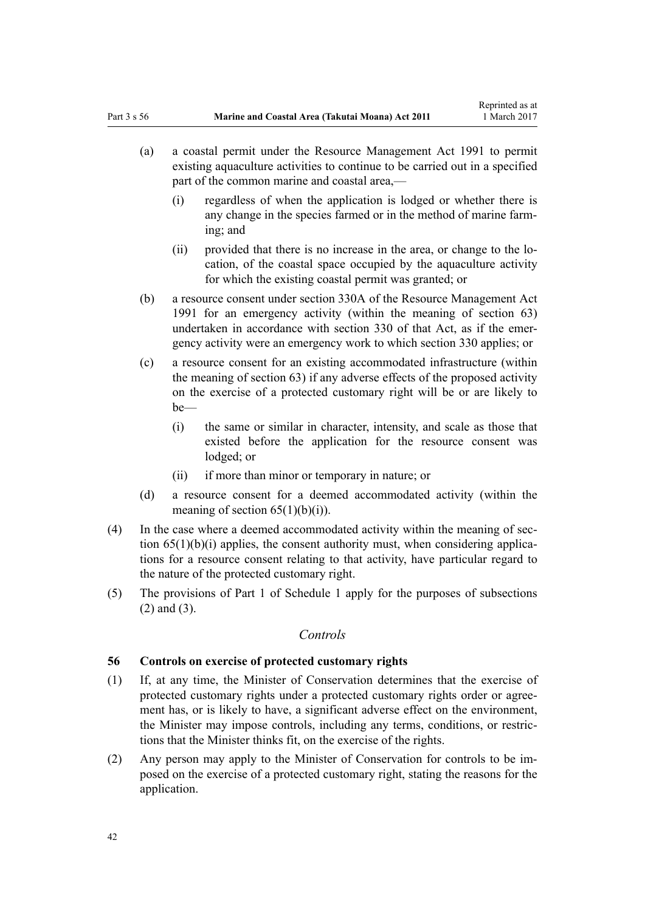- <span id="page-41-0"></span>(a) a coastal permit under the [Resource Management Act 1991](http://prd-lgnz-nlb.prd.pco.net.nz/pdflink.aspx?id=DLM230264) to permit existing aquaculture activities to continue to be carried out in a specified part of the common marine and coastal area,—
	- (i) regardless of when the application is lodged or whether there is any change in the species farmed or in the method of marine farming; and
	- (ii) provided that there is no increase in the area, or change to the location, of the coastal space occupied by the aquaculture activity for which the existing coastal permit was granted; or
- (b) a resource consent under [section 330A](http://prd-lgnz-nlb.prd.pco.net.nz/pdflink.aspx?id=DLM239008) of the Resource Management Act 1991 for an emergency activity (within the meaning of [section 63](#page-46-0)) undertaken in accordance with [section 330](http://prd-lgnz-nlb.prd.pco.net.nz/pdflink.aspx?id=DLM239003) of that Act, as if the emergency activity were an emergency work to which section 330 applies; or
- (c) a resource consent for an existing accommodated infrastructure (within the meaning of [section 63\)](#page-46-0) if any adverse effects of the proposed activity on the exercise of a protected customary right will be or are likely to be—
	- (i) the same or similar in character, intensity, and scale as those that existed before the application for the resource consent was lodged; or
	- (ii) if more than minor or temporary in nature; or
- (d) a resource consent for a deemed accommodated activity (within the meaning of section  $65(1)(b)(i)$ .
- (4) In the case where a deemed accommodated activity within the meaning of [sec](#page-50-0)tion  $65(1)(b)(i)$  applies, the consent authority must, when considering applications for a resource consent relating to that activity, have particular regard to the nature of the protected customary right.
- (5) The provisions of [Part 1](#page-83-0) of Schedule 1 apply for the purposes of subsections (2) and (3).

## *Controls*

## **56 Controls on exercise of protected customary rights**

- (1) If, at any time, the Minister of Conservation determines that the exercise of protected customary rights under a protected customary rights order or agreement has, or is likely to have, a significant adverse effect on the environment, the Minister may impose controls, including any terms, conditions, or restrictions that the Minister thinks fit, on the exercise of the rights.
- (2) Any person may apply to the Minister of Conservation for controls to be imposed on the exercise of a protected customary right, stating the reasons for the application.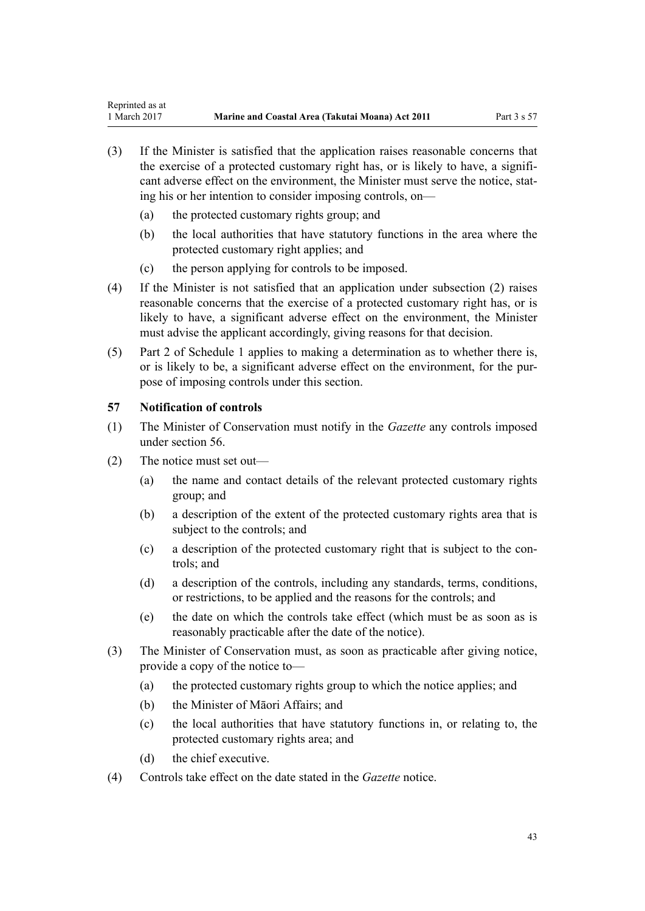- <span id="page-42-0"></span>(3) If the Minister is satisfied that the application raises reasonable concerns that the exercise of a protected customary right has, or is likely to have, a significant adverse effect on the environment, the Minister must serve the notice, stating his or her intention to consider imposing controls, on—
	- (a) the protected customary rights group; and
	- (b) the local authorities that have statutory functions in the area where the protected customary right applies; and
	- (c) the person applying for controls to be imposed.
- (4) If the Minister is not satisfied that an application under subsection (2) raises reasonable concerns that the exercise of a protected customary right has, or is likely to have, a significant adverse effect on the environment, the Minister must advise the applicant accordingly, giving reasons for that decision.
- (5) [Part 2](#page-85-0) of Schedule 1 applies to making a determination as to whether there is, or is likely to be, a significant adverse effect on the environment, for the purpose of imposing controls under this section.

## **57 Notification of controls**

- (1) The Minister of Conservation must notify in the *Gazette* any controls imposed under [section 56](#page-41-0).
- (2) The notice must set out—
	- (a) the name and contact details of the relevant protected customary rights group; and
	- (b) a description of the extent of the protected customary rights area that is subject to the controls; and
	- (c) a description of the protected customary right that is subject to the controls; and
	- (d) a description of the controls, including any standards, terms, conditions, or restrictions, to be applied and the reasons for the controls; and
	- (e) the date on which the controls take effect (which must be as soon as is reasonably practicable after the date of the notice).
- (3) The Minister of Conservation must, as soon as practicable after giving notice, provide a copy of the notice to—
	- (a) the protected customary rights group to which the notice applies; and
	- (b) the Minister of Māori Affairs; and
	- (c) the local authorities that have statutory functions in, or relating to, the protected customary rights area; and
	- (d) the chief executive.
- (4) Controls take effect on the date stated in the *Gazette* notice.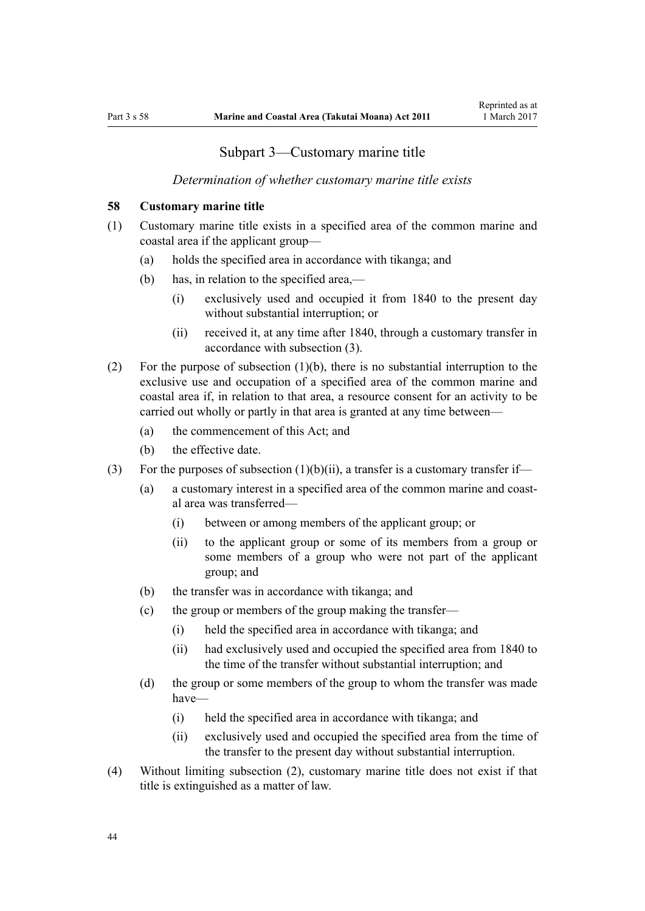## Subpart 3—Customary marine title

#### *Determination of whether customary marine title exists*

#### <span id="page-43-0"></span>**58 Customary marine title**

- (1) Customary marine title exists in a specified area of the common marine and coastal area if the applicant group—
	- (a) holds the specified area in accordance with tikanga; and
	- (b) has, in relation to the specified area,—
		- (i) exclusively used and occupied it from 1840 to the present day without substantial interruption; or
		- (ii) received it, at any time after 1840, through a customary transfer in accordance with subsection (3).
- (2) For the purpose of subsection (1)(b), there is no substantial interruption to the exclusive use and occupation of a specified area of the common marine and coastal area if, in relation to that area, a resource consent for an activity to be carried out wholly or partly in that area is granted at any time between—
	- (a) the commencement of this Act; and
	- (b) the effective date.
- (3) For the purposes of subsection  $(1)(b)(ii)$ , a transfer is a customary transfer if-
	- (a) a customary interest in a specified area of the common marine and coastal area was transferred—
		- (i) between or among members of the applicant group; or
		- (ii) to the applicant group or some of its members from a group or some members of a group who were not part of the applicant group; and
	- (b) the transfer was in accordance with tikanga; and
	- (c) the group or members of the group making the transfer—
		- (i) held the specified area in accordance with tikanga; and
		- (ii) had exclusively used and occupied the specified area from 1840 to the time of the transfer without substantial interruption; and
	- (d) the group or some members of the group to whom the transfer was made have—
		- (i) held the specified area in accordance with tikanga; and
		- (ii) exclusively used and occupied the specified area from the time of the transfer to the present day without substantial interruption.
- (4) Without limiting subsection (2), customary marine title does not exist if that title is extinguished as a matter of law.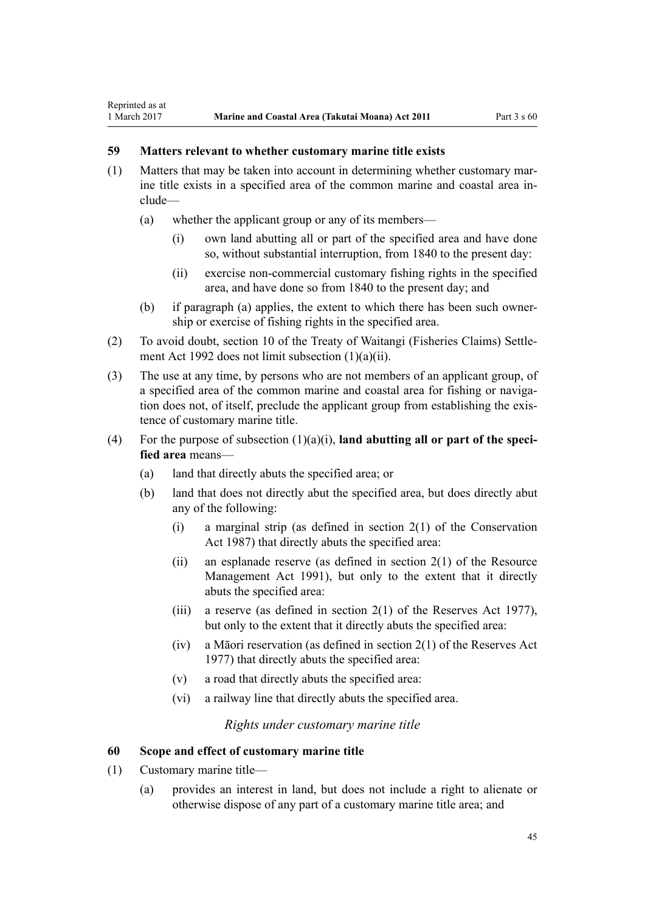## **59 Matters relevant to whether customary marine title exists**

<span id="page-44-0"></span>Reprinted as at

- (1) Matters that may be taken into account in determining whether customary marine title exists in a specified area of the common marine and coastal area include—
	- (a) whether the applicant group or any of its members—
		- (i) own land abutting all or part of the specified area and have done so, without substantial interruption, from 1840 to the present day:
		- (ii) exercise non-commercial customary fishing rights in the specified area, and have done so from 1840 to the present day; and
	- (b) if paragraph (a) applies, the extent to which there has been such ownership or exercise of fishing rights in the specified area.
- (2) To avoid doubt, [section 10](http://prd-lgnz-nlb.prd.pco.net.nz/pdflink.aspx?id=DLM281461) of the Treaty of Waitangi (Fisheries Claims) Settlement Act 1992 does not limit subsection (1)(a)(ii).
- (3) The use at any time, by persons who are not members of an applicant group, of a specified area of the common marine and coastal area for fishing or navigation does not, of itself, preclude the applicant group from establishing the existence of customary marine title.
- (4) For the purpose of subsection (1)(a)(i), **land abutting all or part of the specified area** means—
	- (a) land that directly abuts the specified area; or
	- (b) land that does not directly abut the specified area, but does directly abut any of the following:
		- (i) a marginal strip (as defined in [section 2\(1\)](http://prd-lgnz-nlb.prd.pco.net.nz/pdflink.aspx?id=DLM103616) of the Conservation Act 1987) that directly abuts the specified area:
		- (ii) an esplanade reserve (as defined in section  $2(1)$  of the Resource Management Act 1991), but only to the extent that it directly abuts the specified area:
		- (iii) a reserve (as defined in section  $2(1)$  of the Reserves Act 1977), but only to the extent that it directly abuts the specified area:
		- (iv) a Māori reservation (as defined in [section 2\(1\)](http://prd-lgnz-nlb.prd.pco.net.nz/pdflink.aspx?id=DLM444310) of the Reserves Act 1977) that directly abuts the specified area:
		- (v) a road that directly abuts the specified area:
		- (vi) a railway line that directly abuts the specified area.

*Rights under customary marine title*

#### **60 Scope and effect of customary marine title**

- (1) Customary marine title—
	- (a) provides an interest in land, but does not include a right to alienate or otherwise dispose of any part of a customary marine title area; and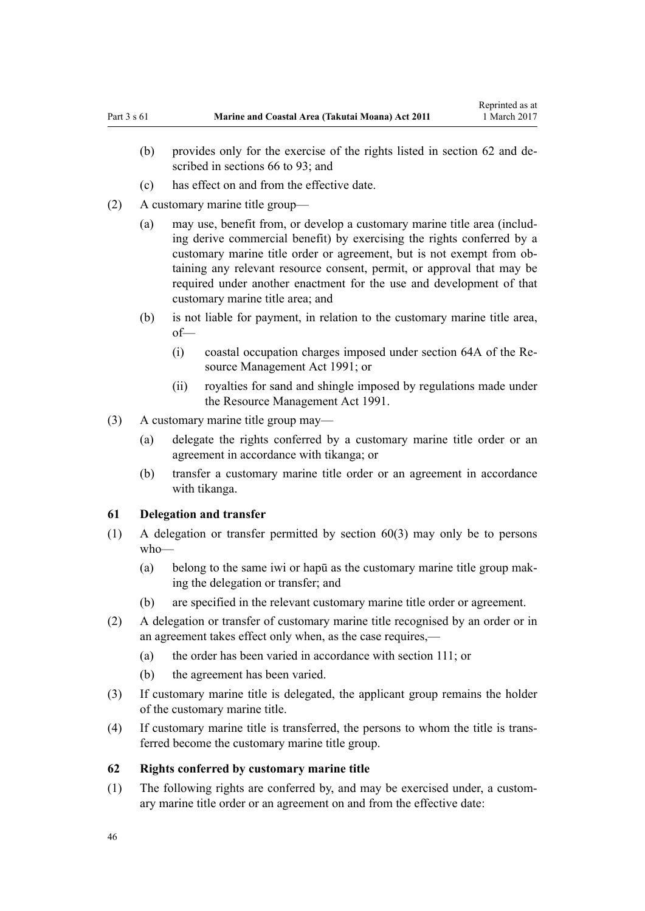- <span id="page-45-0"></span>(b) provides only for the exercise of the rights listed in section 62 and described in [sections 66 to 93;](#page-51-0) and
- (c) has effect on and from the effective date.
- (2) A customary marine title group—
	- (a) may use, benefit from, or develop a customary marine title area (including derive commercial benefit) by exercising the rights conferred by a customary marine title order or agreement, but is not exempt from obtaining any relevant resource consent, permit, or approval that may be required under another enactment for the use and development of that customary marine title area; and
	- (b) is not liable for payment, in relation to the customary marine title area, of—
		- (i) coastal occupation charges imposed under [section 64A](http://prd-lgnz-nlb.prd.pco.net.nz/pdflink.aspx?id=DLM233610) of the Resource Management Act 1991; or
		- (ii) royalties for sand and shingle imposed by regulations made under the [Resource Management Act 1991](http://prd-lgnz-nlb.prd.pco.net.nz/pdflink.aspx?id=DLM230264).
- (3) A customary marine title group may—
	- (a) delegate the rights conferred by a customary marine title order or an agreement in accordance with tikanga; or
	- (b) transfer a customary marine title order or an agreement in accordance with tikanga.

#### **61 Delegation and transfer**

- (1) A delegation or transfer permitted by [section 60\(3\)](#page-44-0) may only be to persons who—
	- (a) belong to the same iwi or hapū as the customary marine title group making the delegation or transfer; and
	- (b) are specified in the relevant customary marine title order or agreement.
- (2) A delegation or transfer of customary marine title recognised by an order or in an agreement takes effect only when, as the case requires,—
	- (a) the order has been varied in accordance with [section 111](#page-74-0); or
	- (b) the agreement has been varied.
- (3) If customary marine title is delegated, the applicant group remains the holder of the customary marine title.
- (4) If customary marine title is transferred, the persons to whom the title is transferred become the customary marine title group.

#### **62 Rights conferred by customary marine title**

(1) The following rights are conferred by, and may be exercised under, a customary marine title order or an agreement on and from the effective date: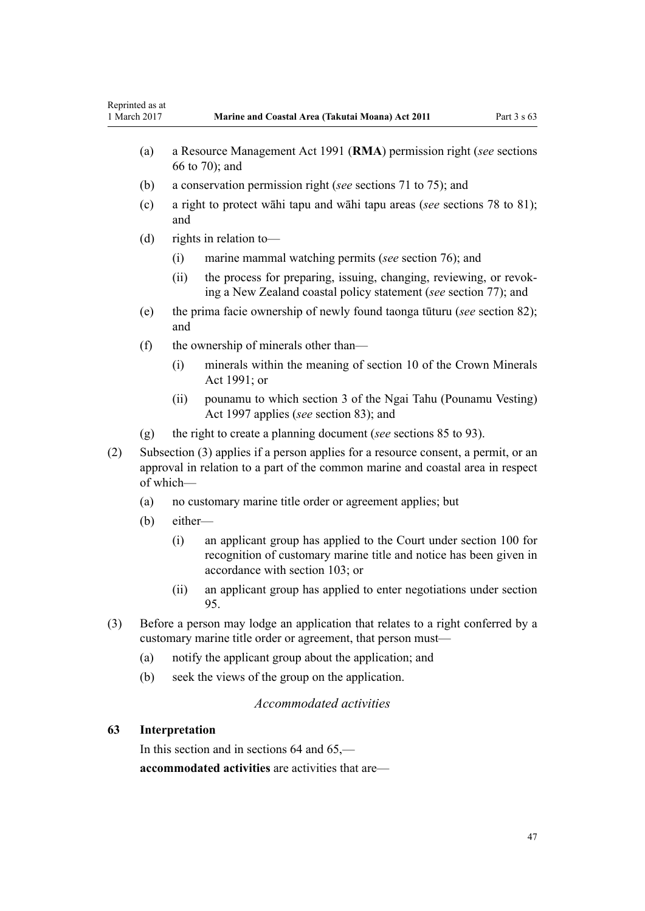- <span id="page-46-0"></span>(b) a conservation permission right (*see* [sections 71 to 75\)](#page-54-0); and
- (c) a right to protect wāhi tapu and wāhi tapu areas (*see* [sections 78 to 81](#page-57-0)); and
- (d) rights in relation to—
	- (i) marine mammal watching permits (*see* [section 76\)](#page-57-0); and
	- (ii) the process for preparing, issuing, changing, reviewing, or revoking a New Zealand coastal policy statement (*see* [section 77\)](#page-57-0); and
- (e) the prima facie ownership of newly found taonga tūturu (*see* [section 82](#page-60-0)); and
- (f) the ownership of minerals other than—
	- (i) minerals within the meaning of [section 10](http://prd-lgnz-nlb.prd.pco.net.nz/pdflink.aspx?id=DLM246310) of the Crown Minerals Act 1991; or
	- (ii) pounamu to which [section 3](http://prd-lgnz-nlb.prd.pco.net.nz/pdflink.aspx?id=DLM413605) of the Ngai Tahu (Pounamu Vesting) Act 1997 applies (*see* [section 83](#page-61-0)); and
- (g) the right to create a planning document (*see* [sections 85 to 93](#page-62-0)).
- (2) Subsection (3) applies if a person applies for a resource consent, a permit, or an approval in relation to a part of the common marine and coastal area in respect of which—
	- (a) no customary marine title order or agreement applies; but
	- (b) either—
		- (i) an applicant group has applied to the Court under [section 100](#page-70-0) for recognition of customary marine title and notice has been given in accordance with [section 103;](#page-71-0) or
		- (ii) an applicant group has applied to enter negotiations under [section](#page-67-0) [95.](#page-67-0)
- (3) Before a person may lodge an application that relates to a right conferred by a customary marine title order or agreement, that person must—
	- (a) notify the applicant group about the application; and
	- (b) seek the views of the group on the application.

## *Accommodated activities*

## **63 Interpretation**

In this section and in sections 64 and 65, **accommodated activities** are activities that are—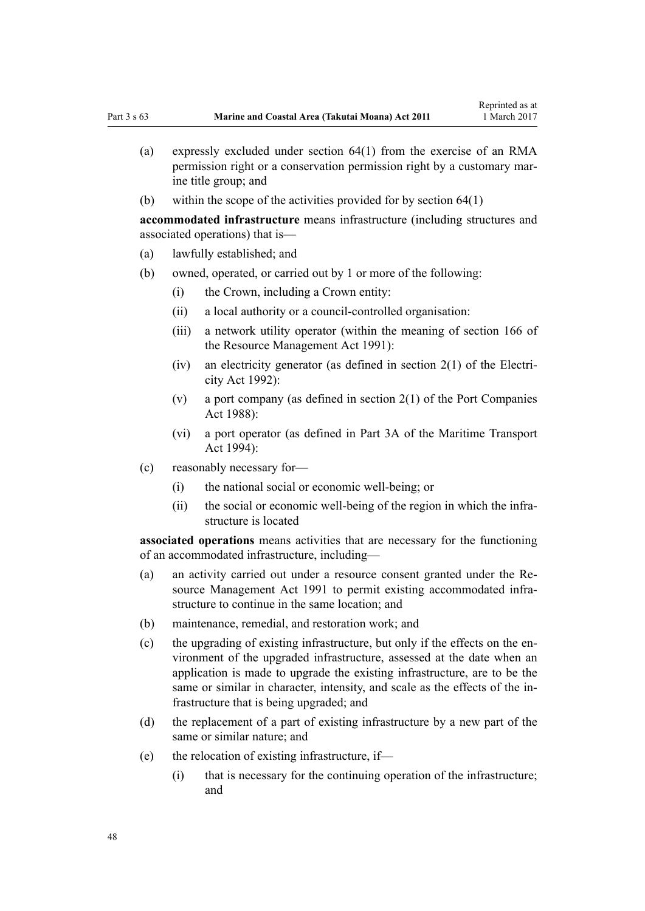- (a) expressly excluded under [section 64\(1\)](#page-48-0) from the exercise of an RMA permission right or a conservation permission right by a customary marine title group; and
- (b) within the scope of the activities provided for by [section 64\(1\)](#page-48-0)

**accommodated infrastructure** means infrastructure (including structures and associated operations) that is—

- (a) lawfully established; and
- (b) owned, operated, or carried out by 1 or more of the following:
	- (i) the Crown, including a Crown entity:
	- (ii) a local authority or a council-controlled organisation:
	- (iii) a network utility operator (within the meaning of [section 166](http://prd-lgnz-nlb.prd.pco.net.nz/pdflink.aspx?id=DLM236206) of the Resource Management Act 1991):
	- (iv) an electricity generator (as defined in [section 2\(1\)](http://prd-lgnz-nlb.prd.pco.net.nz/pdflink.aspx?id=DLM281866) of the Electricity Act 1992):
	- (v) a port company (as defined in [section 2\(1\)](http://prd-lgnz-nlb.prd.pco.net.nz/pdflink.aspx?id=DLM131688) of the Port Companies Act 1988):
	- (vi) a port operator (as defined in [Part 3A](http://prd-lgnz-nlb.prd.pco.net.nz/pdflink.aspx?id=DLM5689750) of the Maritime Transport Act 1994):
- (c) reasonably necessary for—
	- (i) the national social or economic well-being; or
	- (ii) the social or economic well-being of the region in which the infrastructure is located

**associated operations** means activities that are necessary for the functioning of an accommodated infrastructure, including—

- (a) an activity carried out under a resource consent granted under the [Re](http://prd-lgnz-nlb.prd.pco.net.nz/pdflink.aspx?id=DLM230264)[source Management Act 1991](http://prd-lgnz-nlb.prd.pco.net.nz/pdflink.aspx?id=DLM230264) to permit existing accommodated infrastructure to continue in the same location; and
- (b) maintenance, remedial, and restoration work; and
- (c) the upgrading of existing infrastructure, but only if the effects on the environment of the upgraded infrastructure, assessed at the date when an application is made to upgrade the existing infrastructure, are to be the same or similar in character, intensity, and scale as the effects of the infrastructure that is being upgraded; and
- (d) the replacement of a part of existing infrastructure by a new part of the same or similar nature; and
- (e) the relocation of existing infrastructure, if—
	- (i) that is necessary for the continuing operation of the infrastructure; and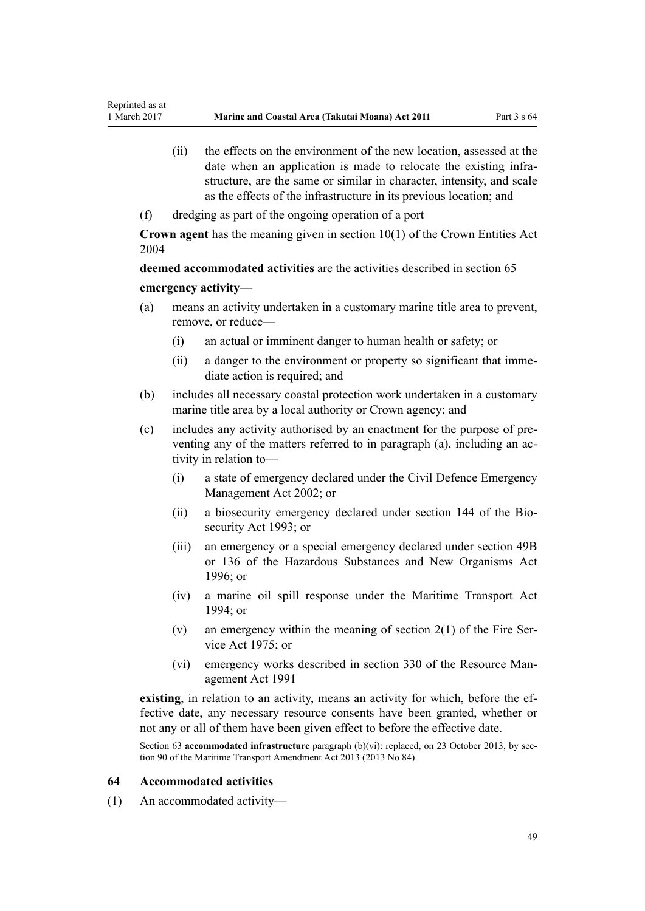- <span id="page-48-0"></span>(ii) the effects on the environment of the new location, assessed at the date when an application is made to relocate the existing infrastructure, are the same or similar in character, intensity, and scale as the effects of the infrastructure in its previous location; and
- (f) dredging as part of the ongoing operation of a port

**Crown agent** has the meaning given in [section 10\(1\)](http://prd-lgnz-nlb.prd.pco.net.nz/pdflink.aspx?id=DLM329649) of the Crown Entities Act 2004

**deemed accommodated activities** are the activities described in [section 65](#page-50-0) **emergency activity**—

- (a) means an activity undertaken in a customary marine title area to prevent, remove, or reduce—
	- (i) an actual or imminent danger to human health or safety; or
	- (ii) a danger to the environment or property so significant that immediate action is required; and
- (b) includes all necessary coastal protection work undertaken in a customary marine title area by a local authority or Crown agency; and
- (c) includes any activity authorised by an enactment for the purpose of preventing any of the matters referred to in paragraph (a), including an activity in relation to—
	- (i) a state of emergency declared under the [Civil Defence Emergency](http://prd-lgnz-nlb.prd.pco.net.nz/pdflink.aspx?id=DLM149788) [Management Act 2002;](http://prd-lgnz-nlb.prd.pco.net.nz/pdflink.aspx?id=DLM149788) or
	- (ii) a biosecurity emergency declared under [section 144](http://prd-lgnz-nlb.prd.pco.net.nz/pdflink.aspx?id=DLM149788) of the Biosecurity Act 1993; or
	- (iii) an emergency or a special emergency declared under [section 49B](http://prd-lgnz-nlb.prd.pco.net.nz/pdflink.aspx?id=DLM384019) or [136](http://prd-lgnz-nlb.prd.pco.net.nz/pdflink.aspx?id=DLM384998) of the Hazardous Substances and New Organisms Act  $1996$ ; or
	- (iv) a marine oil spill response under the [Maritime Transport Act](http://prd-lgnz-nlb.prd.pco.net.nz/pdflink.aspx?id=DLM334659) [1994](http://prd-lgnz-nlb.prd.pco.net.nz/pdflink.aspx?id=DLM334659); or
	- (v) an emergency within the meaning of section  $2(1)$  of the Fire Service Act 1975; or
	- (vi) emergency works described in [section 330](http://prd-lgnz-nlb.prd.pco.net.nz/pdflink.aspx?id=DLM239003) of the Resource Management Act 1991

**existing**, in relation to an activity, means an activity for which, before the effective date, any necessary resource consents have been granted, whether or not any or all of them have been given effect to before the effective date.

Section 63 **accommodated infrastructure** paragraph (b)(vi): replaced, on 23 October 2013, by [sec](http://prd-lgnz-nlb.prd.pco.net.nz/pdflink.aspx?id=DLM4698973)[tion 90](http://prd-lgnz-nlb.prd.pco.net.nz/pdflink.aspx?id=DLM4698973) of the Maritime Transport Amendment Act 2013 (2013 No 84).

### **64 Accommodated activities**

(1) An accommodated activity—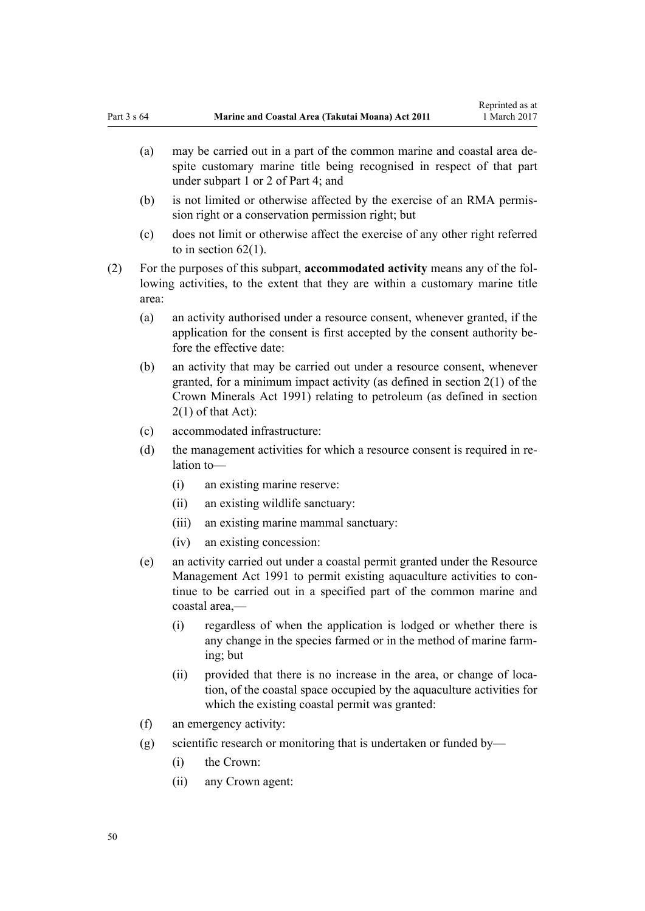- (a) may be carried out in a part of the common marine and coastal area despite customary marine title being recognised in respect of that part under [subpart 1](#page-67-0) or [2](#page-69-0) of Part 4; and
- (b) is not limited or otherwise affected by the exercise of an RMA permission right or a conservation permission right; but
- (c) does not limit or otherwise affect the exercise of any other right referred to in [section 62\(1\)](#page-45-0).
- (2) For the purposes of this subpart, **accommodated activity** means any of the following activities, to the extent that they are within a customary marine title area:
	- (a) an activity authorised under a resource consent, whenever granted, if the application for the consent is first accepted by the consent authority before the effective date:
	- (b) an activity that may be carried out under a resource consent, whenever granted, for a minimum impact activity (as defined in [section 2\(1\)](http://prd-lgnz-nlb.prd.pco.net.nz/pdflink.aspx?id=DLM242543) of the Crown Minerals Act 1991) relating to petroleum (as defined in section 2(1) of that Act):
	- (c) accommodated infrastructure:
	- (d) the management activities for which a resource consent is required in relation to—
		- (i) an existing marine reserve:
		- (ii) an existing wildlife sanctuary:
		- (iii) an existing marine mammal sanctuary:
		- (iv) an existing concession:
	- (e) an activity carried out under a coastal permit granted under the [Resource](http://prd-lgnz-nlb.prd.pco.net.nz/pdflink.aspx?id=DLM230264) [Management Act 1991](http://prd-lgnz-nlb.prd.pco.net.nz/pdflink.aspx?id=DLM230264) to permit existing aquaculture activities to continue to be carried out in a specified part of the common marine and coastal area,—
		- (i) regardless of when the application is lodged or whether there is any change in the species farmed or in the method of marine farming; but
		- (ii) provided that there is no increase in the area, or change of location, of the coastal space occupied by the aquaculture activities for which the existing coastal permit was granted:
	- (f) an emergency activity:
	- (g) scientific research or monitoring that is undertaken or funded by—
		- (i) the Crown:
		- (ii) any Crown agent: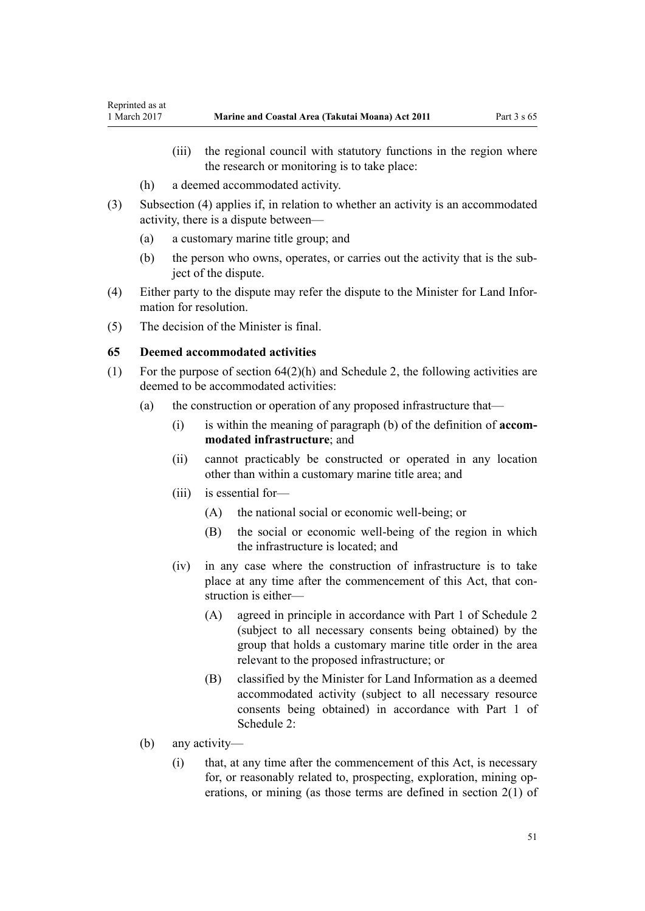- <span id="page-50-0"></span>(iii) the regional council with statutory functions in the region where the research or monitoring is to take place:
- (h) a deemed accommodated activity.
- (3) Subsection (4) applies if, in relation to whether an activity is an accommodated activity, there is a dispute between—
	- (a) a customary marine title group; and
	- (b) the person who owns, operates, or carries out the activity that is the subject of the dispute.
- (4) Either party to the dispute may refer the dispute to the Minister for Land Information for resolution.
- (5) The decision of the Minister is final.

## **65 Deemed accommodated activities**

- (1) For the purpose of [section 64\(2\)\(h\)](#page-48-0) and [Schedule 2](#page-90-0), the following activities are deemed to be accommodated activities:
	- (a) the construction or operation of any proposed infrastructure that—
		- (i) is within the meaning of paragraph (b) of the definition of **accommodated infrastructure**; and
		- (ii) cannot practicably be constructed or operated in any location other than within a customary marine title area; and
		- (iii) is essential for—
			- (A) the national social or economic well-being; or
			- (B) the social or economic well-being of the region in which the infrastructure is located; and
		- (iv) in any case where the construction of infrastructure is to take place at any time after the commencement of this Act, that construction is either—
			- (A) agreed in principle in accordance with [Part 1](#page-90-0) of Schedule 2 (subject to all necessary consents being obtained) by the group that holds a customary marine title order in the area relevant to the proposed infrastructure; or
			- (B) classified by the Minister for Land Information as a deemed accommodated activity (subject to all necessary resource consents being obtained) in accordance with [Part 1](#page-90-0) of Schedule 2:
	- (b) any activity—
		- (i) that, at any time after the commencement of this Act, is necessary for, or reasonably related to, prospecting, exploration, mining operations, or mining (as those terms are defined in [section 2\(1\)](http://prd-lgnz-nlb.prd.pco.net.nz/pdflink.aspx?id=DLM242543) of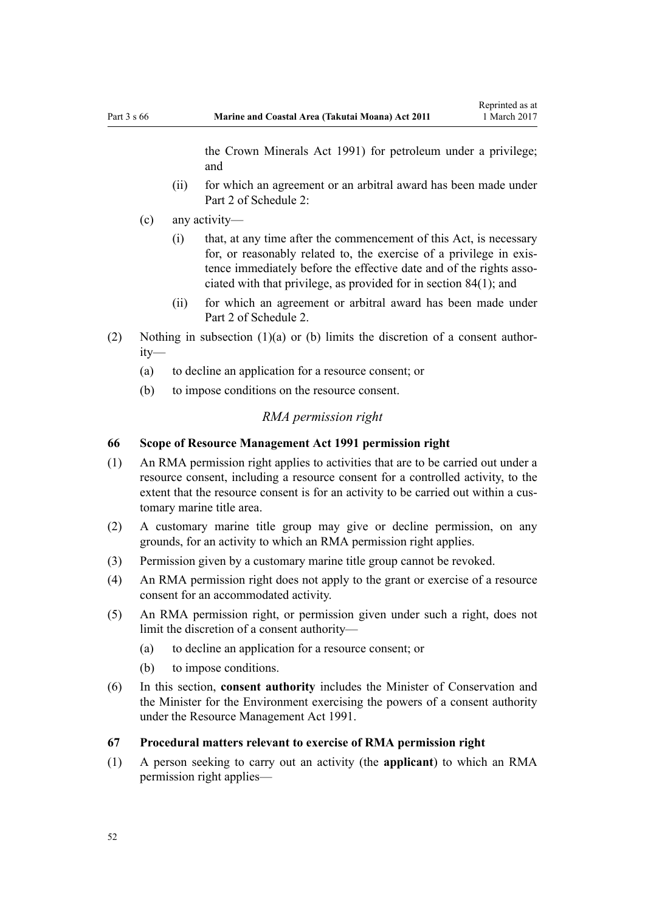the Crown Minerals Act 1991) for petroleum under a privilege; and

- <span id="page-51-0"></span>(ii) for which an agreement or an arbitral award has been made under [Part 2](#page-93-0) of Schedule 2:
- (c) any activity—
	- (i) that, at any time after the commencement of this Act, is necessary for, or reasonably related to, the exercise of a privilege in existence immediately before the effective date and of the rights associated with that privilege, as provided for in [section 84\(1\)](#page-61-0); and
	- (ii) for which an agreement or arbitral award has been made under [Part 2](#page-93-0) of Schedule 2.
- (2) Nothing in subsection (1)(a) or (b) limits the discretion of a consent authority—
	- (a) to decline an application for a resource consent; or
	- (b) to impose conditions on the resource consent.

#### *RMA permission right*

## **66 Scope of Resource Management Act 1991 permission right**

- (1) An RMA permission right applies to activities that are to be carried out under a resource consent, including a resource consent for a controlled activity, to the extent that the resource consent is for an activity to be carried out within a customary marine title area.
- (2) A customary marine title group may give or decline permission, on any grounds, for an activity to which an RMA permission right applies.
- (3) Permission given by a customary marine title group cannot be revoked.
- (4) An RMA permission right does not apply to the grant or exercise of a resource consent for an accommodated activity.
- (5) An RMA permission right, or permission given under such a right, does not limit the discretion of a consent authority—
	- (a) to decline an application for a resource consent; or
	- (b) to impose conditions.
- (6) In this section, **consent authority** includes the Minister of Conservation and the Minister for the Environment exercising the powers of a consent authority under the [Resource Management Act 1991](http://prd-lgnz-nlb.prd.pco.net.nz/pdflink.aspx?id=DLM230264).
- **67 Procedural matters relevant to exercise of RMA permission right**
- (1) A person seeking to carry out an activity (the **applicant**) to which an RMA permission right applies—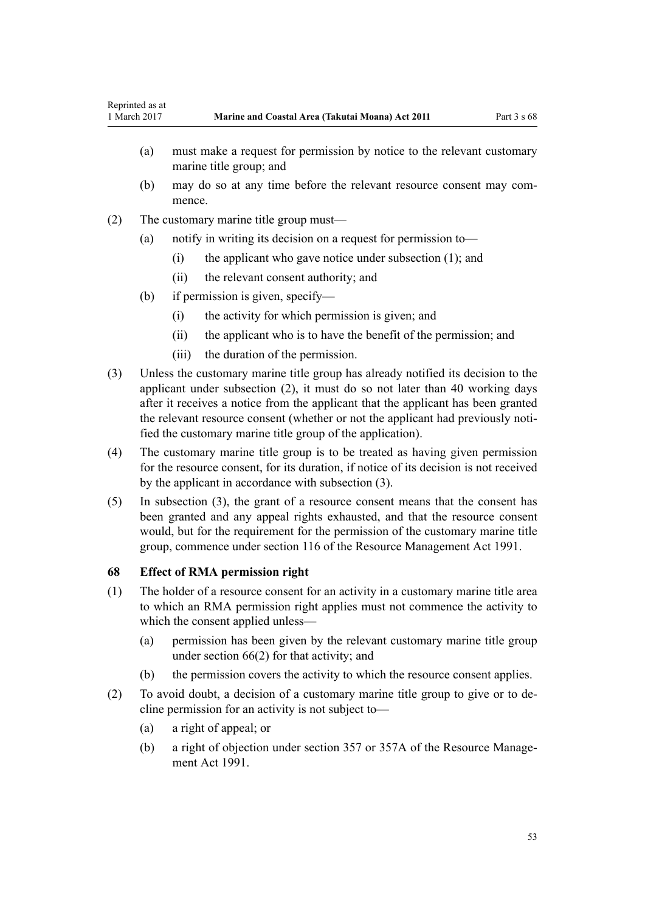- (a) must make a request for permission by notice to the relevant customary marine title group; and
- (b) may do so at any time before the relevant resource consent may commence.
- (2) The customary marine title group must—
	- (a) notify in writing its decision on a request for permission to—
		- (i) the applicant who gave notice under subsection (1); and
		- (ii) the relevant consent authority; and
	- (b) if permission is given, specify—
		- (i) the activity for which permission is given; and
		- (ii) the applicant who is to have the benefit of the permission; and
		- (iii) the duration of the permission.
- (3) Unless the customary marine title group has already notified its decision to the applicant under subsection (2), it must do so not later than 40 working days after it receives a notice from the applicant that the applicant has been granted the relevant resource consent (whether or not the applicant had previously notified the customary marine title group of the application).
- (4) The customary marine title group is to be treated as having given permission for the resource consent, for its duration, if notice of its decision is not received by the applicant in accordance with subsection (3).
- (5) In subsection (3), the grant of a resource consent means that the consent has been granted and any appeal rights exhausted, and that the resource consent would, but for the requirement for the permission of the customary marine title group, commence under [section 116](http://prd-lgnz-nlb.prd.pco.net.nz/pdflink.aspx?id=DLM234865) of the Resource Management Act 1991.

### **68 Effect of RMA permission right**

- (1) The holder of a resource consent for an activity in a customary marine title area to which an RMA permission right applies must not commence the activity to which the consent applied unless—
	- (a) permission has been given by the relevant customary marine title group under [section 66\(2\)](#page-51-0) for that activity; and
	- (b) the permission covers the activity to which the resource consent applies.
- (2) To avoid doubt, a decision of a customary marine title group to give or to decline permission for an activity is not subject to—
	- (a) a right of appeal; or
	- (b) a right of objection under [section 357](http://prd-lgnz-nlb.prd.pco.net.nz/pdflink.aspx?id=DLM239342) or [357A](http://prd-lgnz-nlb.prd.pco.net.nz/pdflink.aspx?id=DLM239356) of the Resource Management Act 1991.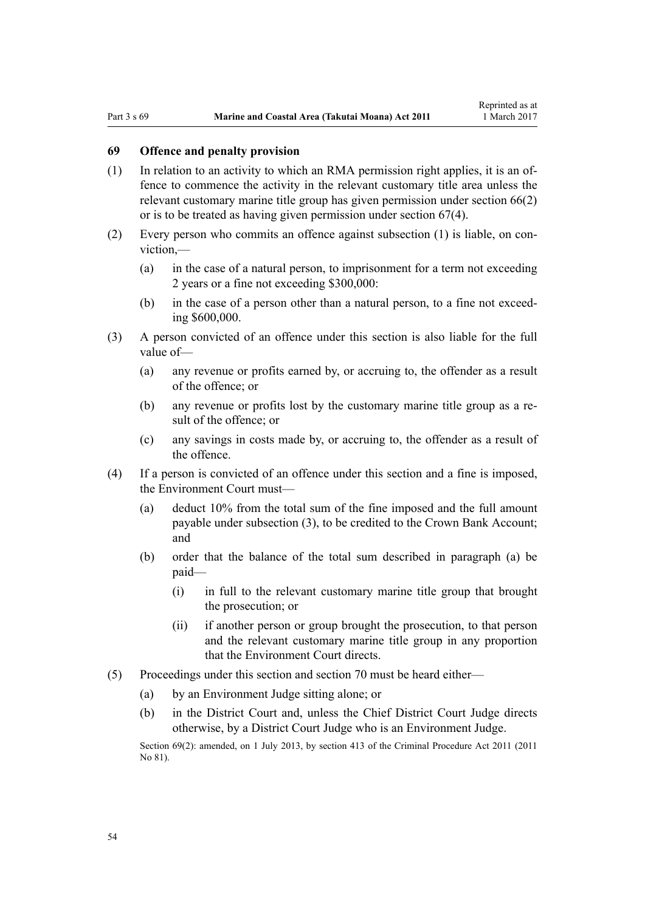## **69 Offence and penalty provision**

- (1) In relation to an activity to which an RMA permission right applies, it is an offence to commence the activity in the relevant customary title area unless the relevant customary marine title group has given permission under [section 66\(2\)](#page-51-0) or is to be treated as having given permission under [section 67\(4\).](#page-51-0)
- (2) Every person who commits an offence against subsection (1) is liable, on conviction,—
	- (a) in the case of a natural person, to imprisonment for a term not exceeding 2 years or a fine not exceeding \$300,000:
	- (b) in the case of a person other than a natural person, to a fine not exceeding \$600,000.
- (3) A person convicted of an offence under this section is also liable for the full value of—
	- (a) any revenue or profits earned by, or accruing to, the offender as a result of the offence; or
	- (b) any revenue or profits lost by the customary marine title group as a result of the offence; or
	- (c) any savings in costs made by, or accruing to, the offender as a result of the offence.
- (4) If a person is convicted of an offence under this section and a fine is imposed, the Environment Court must—
	- (a) deduct 10% from the total sum of the fine imposed and the full amount payable under subsection (3), to be credited to the Crown Bank Account; and
	- (b) order that the balance of the total sum described in paragraph (a) be paid—
		- (i) in full to the relevant customary marine title group that brought the prosecution; or
		- (ii) if another person or group brought the prosecution, to that person and the relevant customary marine title group in any proportion that the Environment Court directs.
- (5) Proceedings under this section and [section 70](#page-54-0) must be heard either—
	- (a) by an Environment Judge sitting alone; or
	- (b) in the District Court and, unless the Chief District Court Judge directs otherwise, by a District Court Judge who is an Environment Judge.

Section 69(2): amended, on 1 July 2013, by [section 413](http://prd-lgnz-nlb.prd.pco.net.nz/pdflink.aspx?id=DLM3360714) of the Criminal Procedure Act 2011 (2011) No 81).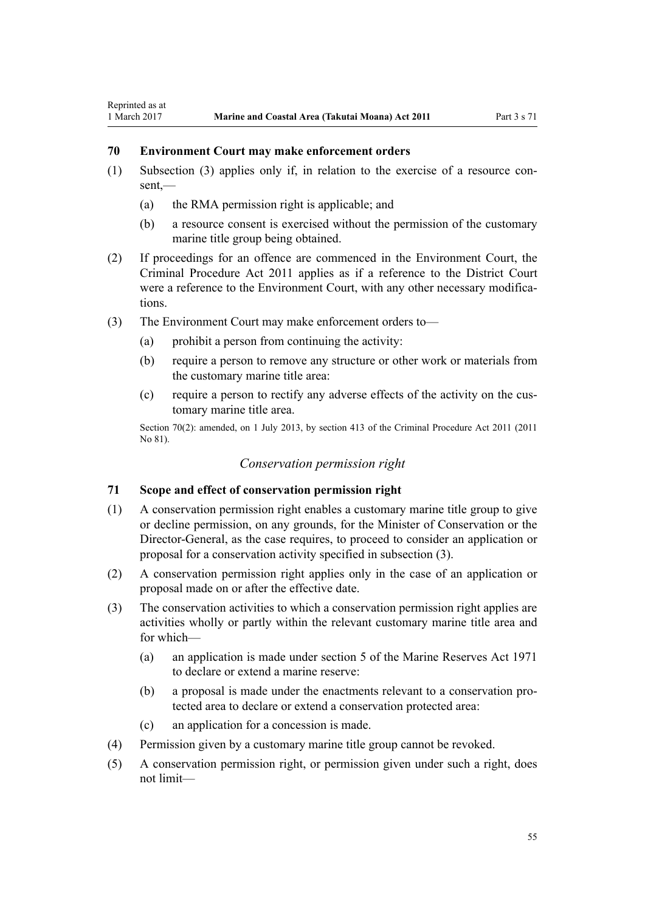## <span id="page-54-0"></span>**70 Environment Court may make enforcement orders**

- (1) Subsection (3) applies only if, in relation to the exercise of a resource con $sent$  —
	- (a) the RMA permission right is applicable; and
	- (b) a resource consent is exercised without the permission of the customary marine title group being obtained.
- (2) If proceedings for an offence are commenced in the Environment Court, the [Criminal Procedure Act 2011](http://prd-lgnz-nlb.prd.pco.net.nz/pdflink.aspx?id=DLM3359902) applies as if a reference to the District Court were a reference to the Environment Court, with any other necessary modifications.
- (3) The Environment Court may make enforcement orders to—
	- (a) prohibit a person from continuing the activity:
	- (b) require a person to remove any structure or other work or materials from the customary marine title area:
	- (c) require a person to rectify any adverse effects of the activity on the customary marine title area.

Section 70(2): amended, on 1 July 2013, by [section 413](http://prd-lgnz-nlb.prd.pco.net.nz/pdflink.aspx?id=DLM3360714) of the Criminal Procedure Act 2011 (2011) No 81).

## *Conservation permission right*

## **71 Scope and effect of conservation permission right**

- (1) A conservation permission right enables a customary marine title group to give or decline permission, on any grounds, for the Minister of Conservation or the Director-General, as the case requires, to proceed to consider an application or proposal for a conservation activity specified in subsection (3).
- (2) A conservation permission right applies only in the case of an application or proposal made on or after the effective date.
- (3) The conservation activities to which a conservation permission right applies are activities wholly or partly within the relevant customary marine title area and for which—
	- (a) an application is made under [section 5](http://prd-lgnz-nlb.prd.pco.net.nz/pdflink.aspx?id=DLM398113) of the Marine Reserves Act 1971 to declare or extend a marine reserve:
	- (b) a proposal is made under the enactments relevant to a conservation protected area to declare or extend a conservation protected area:
	- (c) an application for a concession is made.
- (4) Permission given by a customary marine title group cannot be revoked.
- (5) A conservation permission right, or permission given under such a right, does not limit—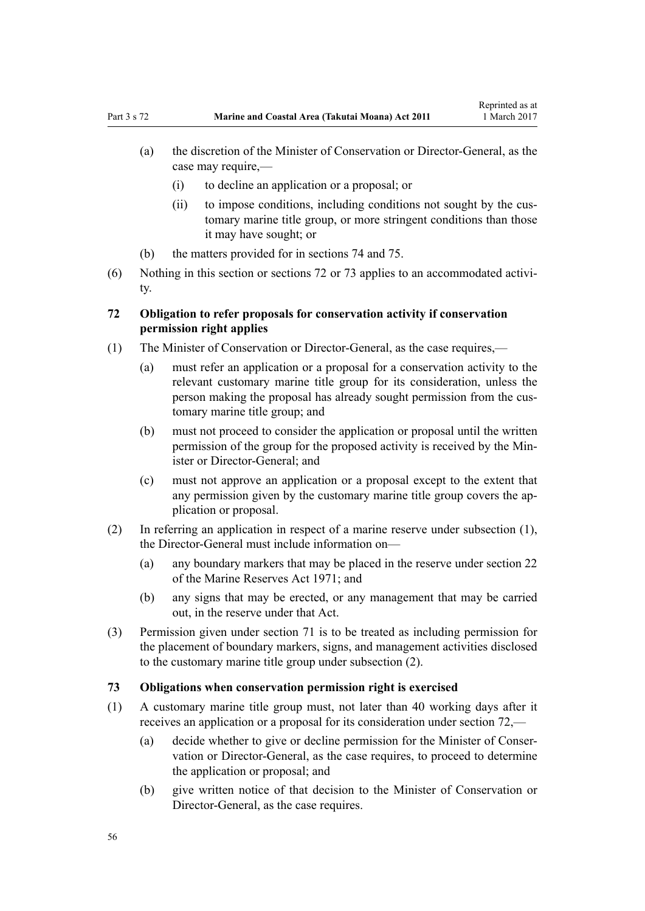- (a) the discretion of the Minister of Conservation or Director-General, as the case may require,—
	- (i) to decline an application or a proposal; or
	- (ii) to impose conditions, including conditions not sought by the customary marine title group, or more stringent conditions than those it may have sought; or
- (b) the matters provided for in [sections 74](#page-56-0) and [75.](#page-56-0)
- (6) Nothing in this section or sections 72 or 73 applies to an accommodated activity.

## **72 Obligation to refer proposals for conservation activity if conservation permission right applies**

- (1) The Minister of Conservation or Director-General, as the case requires,—
	- (a) must refer an application or a proposal for a conservation activity to the relevant customary marine title group for its consideration, unless the person making the proposal has already sought permission from the customary marine title group; and
	- (b) must not proceed to consider the application or proposal until the written permission of the group for the proposed activity is received by the Minister or Director-General: and
	- (c) must not approve an application or a proposal except to the extent that any permission given by the customary marine title group covers the application or proposal.
- (2) In referring an application in respect of a marine reserve under subsection (1), the Director-General must include information on—
	- (a) any boundary markers that may be placed in the reserve under [section 22](http://prd-lgnz-nlb.prd.pco.net.nz/pdflink.aspx?id=DLM398410) of the Marine Reserves Act 1971; and
	- (b) any signs that may be erected, or any management that may be carried out, in the reserve under that Act.
- (3) Permission given under [section 71](#page-54-0) is to be treated as including permission for the placement of boundary markers, signs, and management activities disclosed to the customary marine title group under subsection (2).

## **73 Obligations when conservation permission right is exercised**

- (1) A customary marine title group must, not later than 40 working days after it receives an application or a proposal for its consideration under section 72,—
	- (a) decide whether to give or decline permission for the Minister of Conservation or Director-General, as the case requires, to proceed to determine the application or proposal; and
	- (b) give written notice of that decision to the Minister of Conservation or Director-General, as the case requires.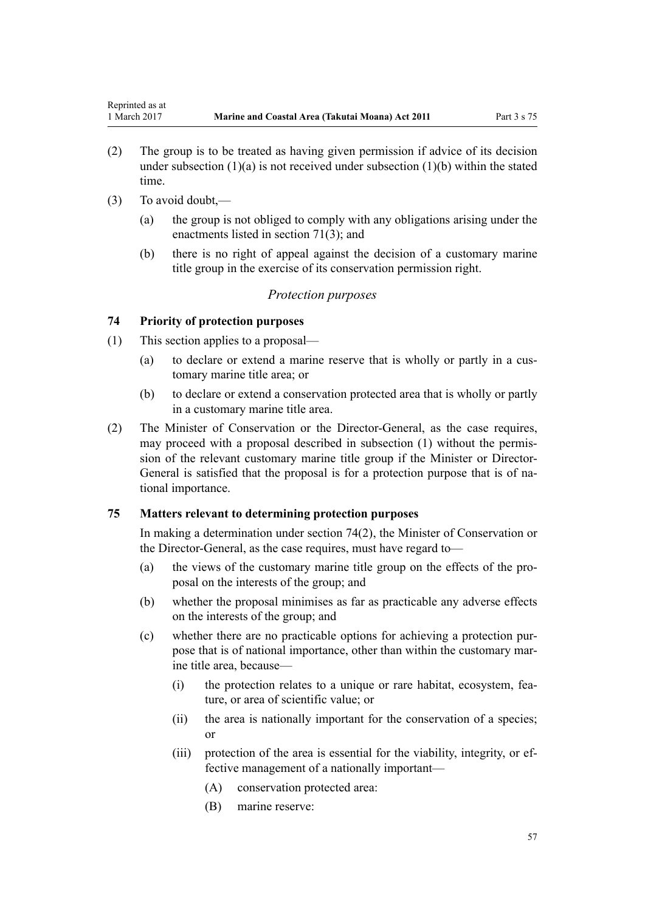- <span id="page-56-0"></span>(2) The group is to be treated as having given permission if advice of its decision under subsection  $(1)(a)$  is not received under subsection  $(1)(b)$  within the stated time.
- (3) To avoid doubt,—
	- (a) the group is not obliged to comply with any obligations arising under the enactments listed in [section 71\(3\);](#page-54-0) and
	- (b) there is no right of appeal against the decision of a customary marine title group in the exercise of its conservation permission right.

## *Protection purposes*

### **74 Priority of protection purposes**

- (1) This section applies to a proposal—
	- (a) to declare or extend a marine reserve that is wholly or partly in a customary marine title area; or
	- (b) to declare or extend a conservation protected area that is wholly or partly in a customary marine title area.
- (2) The Minister of Conservation or the Director-General, as the case requires, may proceed with a proposal described in subsection (1) without the permission of the relevant customary marine title group if the Minister or Director-General is satisfied that the proposal is for a protection purpose that is of national importance.

### **75 Matters relevant to determining protection purposes**

In making a determination under section 74(2), the Minister of Conservation or the Director-General, as the case requires, must have regard to—

- (a) the views of the customary marine title group on the effects of the proposal on the interests of the group; and
- (b) whether the proposal minimises as far as practicable any adverse effects on the interests of the group; and
- (c) whether there are no practicable options for achieving a protection purpose that is of national importance, other than within the customary marine title area, because—
	- (i) the protection relates to a unique or rare habitat, ecosystem, feature, or area of scientific value; or
	- (ii) the area is nationally important for the conservation of a species; or
	- (iii) protection of the area is essential for the viability, integrity, or effective management of a nationally important—
		- (A) conservation protected area:
		- (B) marine reserve: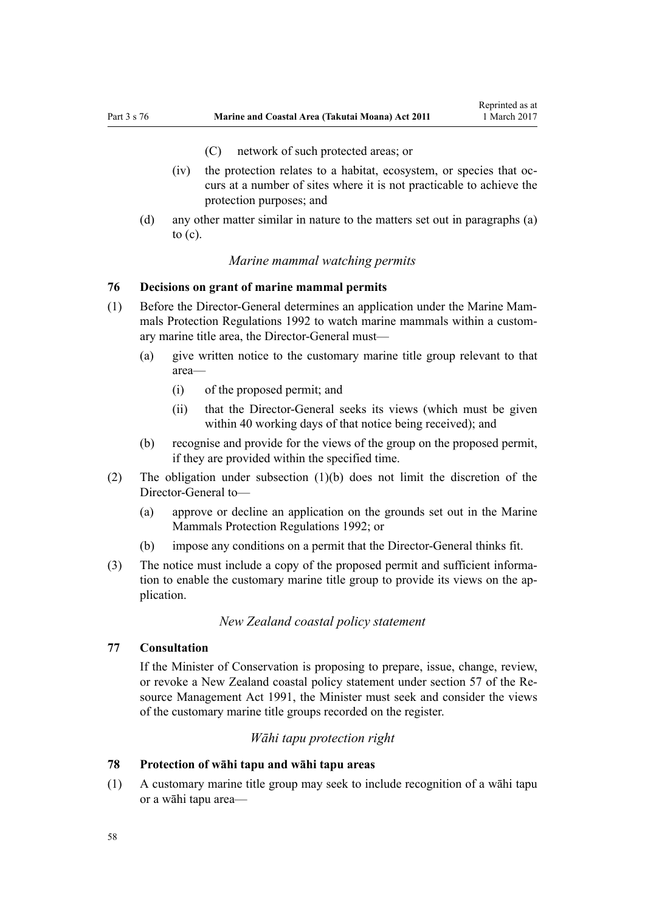- (C) network of such protected areas; or
- <span id="page-57-0"></span>(iv) the protection relates to a habitat, ecosystem, or species that occurs at a number of sites where it is not practicable to achieve the protection purposes; and
- (d) any other matter similar in nature to the matters set out in paragraphs (a) to  $(c)$ .

## *Marine mammal watching permits*

## **76 Decisions on grant of marine mammal permits**

- (1) Before the Director-General determines an application under the [Marine Mam](http://prd-lgnz-nlb.prd.pco.net.nz/pdflink.aspx?id=DLM168285)[mals Protection Regulations 1992](http://prd-lgnz-nlb.prd.pco.net.nz/pdflink.aspx?id=DLM168285) to watch marine mammals within a customary marine title area, the Director-General must—
	- (a) give written notice to the customary marine title group relevant to that area—
		- (i) of the proposed permit; and
		- (ii) that the Director-General seeks its views (which must be given within 40 working days of that notice being received); and
	- (b) recognise and provide for the views of the group on the proposed permit, if they are provided within the specified time.
- (2) The obligation under subsection (1)(b) does not limit the discretion of the Director-General to—
	- (a) approve or decline an application on the grounds set out in the [Marine](http://prd-lgnz-nlb.prd.pco.net.nz/pdflink.aspx?id=DLM168285) [Mammals Protection Regulations 1992](http://prd-lgnz-nlb.prd.pco.net.nz/pdflink.aspx?id=DLM168285); or
	- (b) impose any conditions on a permit that the Director-General thinks fit.
- (3) The notice must include a copy of the proposed permit and sufficient information to enable the customary marine title group to provide its views on the application.

## *New Zealand coastal policy statement*

## **77 Consultation**

If the Minister of Conservation is proposing to prepare, issue, change, review, or revoke a New Zealand coastal policy statement under [section 57](http://prd-lgnz-nlb.prd.pco.net.nz/pdflink.aspx?id=DLM233379) of the Resource Management Act 1991, the Minister must seek and consider the views of the customary marine title groups recorded on the register.

### *Wāhi tapu protection right*

#### **78 Protection of wāhi tapu and wāhi tapu areas**

(1) A customary marine title group may seek to include recognition of a wāhi tapu or a wāhi tapu area—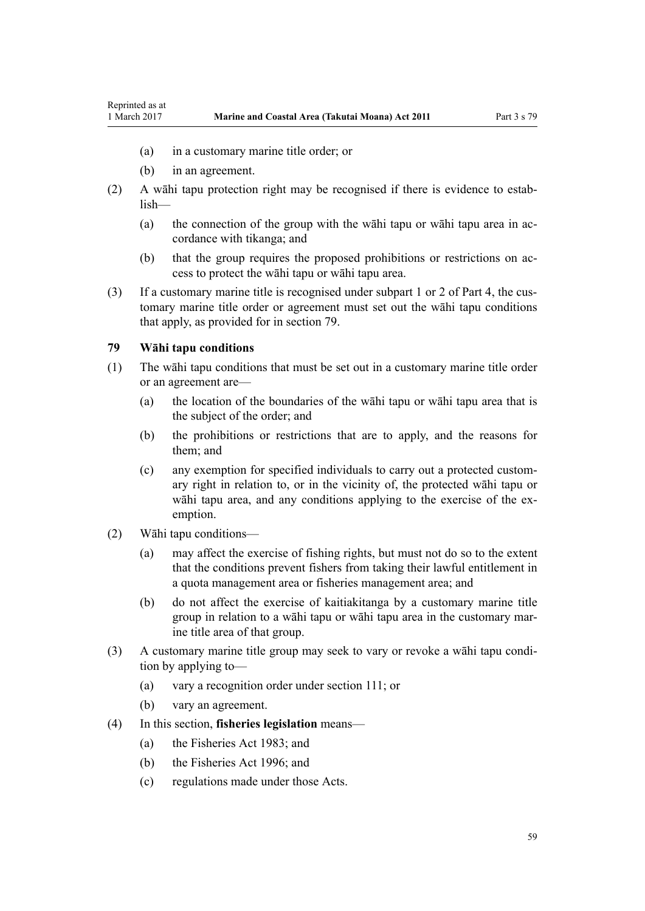- (a) in a customary marine title order; or
- (b) in an agreement.

<span id="page-58-0"></span>Reprinted as at

- (2) A wāhi tapu protection right may be recognised if there is evidence to establish—
	- (a) the connection of the group with the wāhi tapu or wāhi tapu area in accordance with tikanga; and
	- (b) that the group requires the proposed prohibitions or restrictions on access to protect the wāhi tapu or wāhi tapu area.
- (3) If a customary marine title is recognised under [subpart 1](#page-67-0) or [2](#page-69-0) of Part 4, the customary marine title order or agreement must set out the wāhi tapu conditions that apply, as provided for in section 79.

#### **79 Wāhi tapu conditions**

- (1) The wāhi tapu conditions that must be set out in a customary marine title order or an agreement are—
	- (a) the location of the boundaries of the wāhi tapu or wāhi tapu area that is the subject of the order; and
	- (b) the prohibitions or restrictions that are to apply, and the reasons for them; and
	- (c) any exemption for specified individuals to carry out a protected customary right in relation to, or in the vicinity of, the protected wāhi tapu or wāhi tapu area, and any conditions applying to the exercise of the exemption.
- (2) Wāhi tapu conditions—
	- (a) may affect the exercise of fishing rights, but must not do so to the extent that the conditions prevent fishers from taking their lawful entitlement in a quota management area or fisheries management area; and
	- (b) do not affect the exercise of kaitiakitanga by a customary marine title group in relation to a wāhi tapu or wāhi tapu area in the customary marine title area of that group.
- (3) A customary marine title group may seek to vary or revoke a wāhi tapu condition by applying to—
	- (a) vary a recognition order under [section 111;](#page-74-0) or
	- (b) vary an agreement.
- (4) In this section, **fisheries legislation** means—
	- (a) the [Fisheries Act 1983](http://prd-lgnz-nlb.prd.pco.net.nz/pdflink.aspx?id=DLM66581); and
	- (b) the [Fisheries Act 1996](http://prd-lgnz-nlb.prd.pco.net.nz/pdflink.aspx?id=DLM394191); and
	- (c) regulations made under those Acts.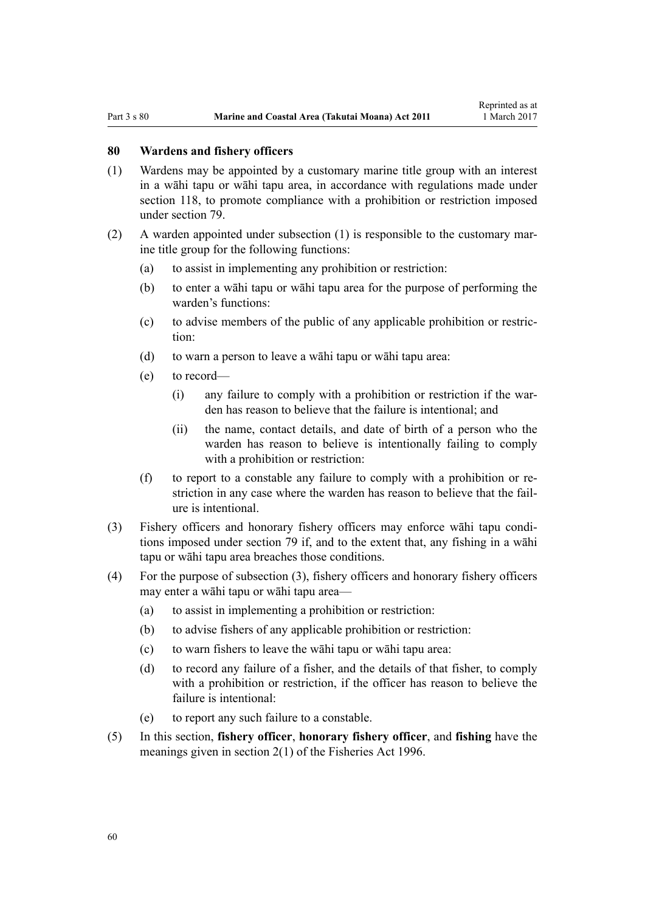#### **80 Wardens and fishery officers**

- (1) Wardens may be appointed by a customary marine title group with an interest in a wāhi tapu or wāhi tapu area, in accordance with regulations made under [section 118,](#page-77-0) to promote compliance with a prohibition or restriction imposed under [section 79](#page-58-0).
- (2) A warden appointed under subsection (1) is responsible to the customary marine title group for the following functions:
	- (a) to assist in implementing any prohibition or restriction:
	- (b) to enter a wāhi tapu or wāhi tapu area for the purpose of performing the warden's functions:
	- (c) to advise members of the public of any applicable prohibition or restriction:
	- (d) to warn a person to leave a wāhi tapu or wāhi tapu area:
	- (e) to record—
		- (i) any failure to comply with a prohibition or restriction if the warden has reason to believe that the failure is intentional; and
		- (ii) the name, contact details, and date of birth of a person who the warden has reason to believe is intentionally failing to comply with a prohibition or restriction:
	- (f) to report to a constable any failure to comply with a prohibition or restriction in any case where the warden has reason to believe that the failure is intentional.
- (3) Fishery officers and honorary fishery officers may enforce wāhi tapu conditions imposed under [section 79](#page-58-0) if, and to the extent that, any fishing in a wāhi tapu or wāhi tapu area breaches those conditions.
- (4) For the purpose of subsection (3), fishery officers and honorary fishery officers may enter a wāhi tapu or wāhi tapu area—
	- (a) to assist in implementing a prohibition or restriction:
	- (b) to advise fishers of any applicable prohibition or restriction:
	- (c) to warn fishers to leave the wāhi tapu or wāhi tapu area:
	- (d) to record any failure of a fisher, and the details of that fisher, to comply with a prohibition or restriction, if the officer has reason to believe the failure is intentional:
	- (e) to report any such failure to a constable.
- (5) In this section, **fishery officer**, **honorary fishery officer**, and **fishing** have the meanings given in [section 2\(1\)](http://prd-lgnz-nlb.prd.pco.net.nz/pdflink.aspx?id=DLM394199) of the Fisheries Act 1996.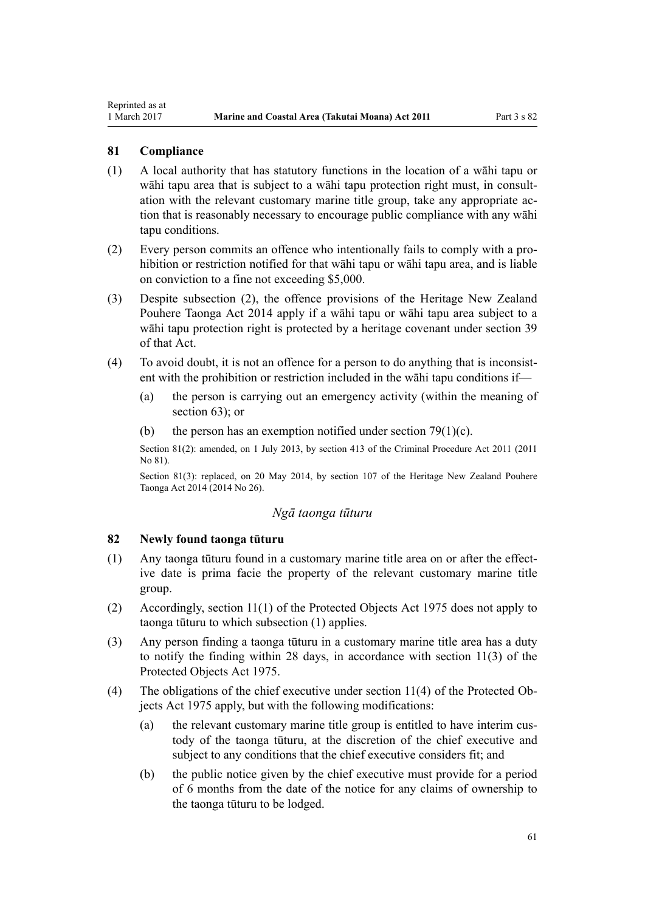## **81 Compliance**

<span id="page-60-0"></span>Reprinted as at

- (1) A local authority that has statutory functions in the location of a wāhi tapu or wāhi tapu area that is subject to a wāhi tapu protection right must, in consultation with the relevant customary marine title group, take any appropriate action that is reasonably necessary to encourage public compliance with any wāhi tapu conditions.
- (2) Every person commits an offence who intentionally fails to comply with a prohibition or restriction notified for that wāhi tapu or wāhi tapu area, and is liable on conviction to a fine not exceeding \$5,000.
- (3) Despite subsection (2), the offence provisions of the [Heritage New Zealand](http://prd-lgnz-nlb.prd.pco.net.nz/pdflink.aspx?id=DLM4005402) [Pouhere Taonga Act 2014](http://prd-lgnz-nlb.prd.pco.net.nz/pdflink.aspx?id=DLM4005402) apply if a wāhi tapu or wāhi tapu area subject to a wāhi tapu protection right is protected by a heritage covenant under [section 39](http://prd-lgnz-nlb.prd.pco.net.nz/pdflink.aspx?id=DLM4005548) of that Act.
- (4) To avoid doubt, it is not an offence for a person to do anything that is inconsistent with the prohibition or restriction included in the wāhi tapu conditions if—
	- (a) the person is carrying out an emergency activity (within the meaning of [section 63](#page-46-0)); or
	- (b) the person has an exemption notified under section  $79(1)(c)$ .

Section 81(2): amended, on 1 July 2013, by [section 413](http://prd-lgnz-nlb.prd.pco.net.nz/pdflink.aspx?id=DLM3360714) of the Criminal Procedure Act 2011 (2011 No 81).

Section 81(3): replaced, on 20 May 2014, by [section 107](http://prd-lgnz-nlb.prd.pco.net.nz/pdflink.aspx?id=DLM4005646) of the Heritage New Zealand Pouhere Taonga Act 2014 (2014 No 26).

#### *Ngā taonga tūturu*

## **82 Newly found taonga tūturu**

- (1) Any taonga tūturu found in a customary marine title area on or after the effective date is prima facie the property of the relevant customary marine title group.
- (2) Accordingly, [section 11\(1\)](http://prd-lgnz-nlb.prd.pco.net.nz/pdflink.aspx?id=DLM432422) of the Protected Objects Act 1975 does not apply to taonga tūturu to which subsection (1) applies.
- (3) Any person finding a taonga tūturu in a customary marine title area has a duty to notify the finding within 28 days, in accordance with [section 11\(3\)](http://prd-lgnz-nlb.prd.pco.net.nz/pdflink.aspx?id=DLM432422) of the Protected Objects Act 1975.
- (4) The obligations of the chief executive under [section 11\(4\)](http://prd-lgnz-nlb.prd.pco.net.nz/pdflink.aspx?id=DLM432422) of the Protected Objects Act 1975 apply, but with the following modifications:
	- (a) the relevant customary marine title group is entitled to have interim custody of the taonga tūturu, at the discretion of the chief executive and subject to any conditions that the chief executive considers fit; and
	- (b) the public notice given by the chief executive must provide for a period of 6 months from the date of the notice for any claims of ownership to the taonga tūturu to be lodged.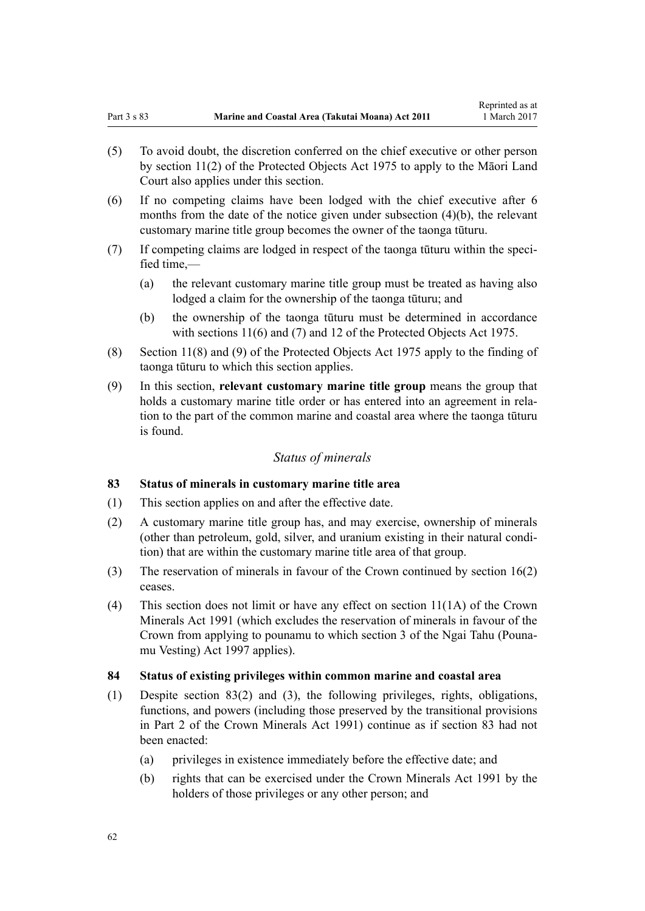- <span id="page-61-0"></span>(5) To avoid doubt, the discretion conferred on the chief executive or other person by [section 11\(2\)](http://prd-lgnz-nlb.prd.pco.net.nz/pdflink.aspx?id=DLM432422) of the Protected Objects Act 1975 to apply to the Māori Land Court also applies under this section.
- (6) If no competing claims have been lodged with the chief executive after 6 months from the date of the notice given under subsection (4)(b), the relevant customary marine title group becomes the owner of the taonga tūturu.
- (7) If competing claims are lodged in respect of the taonga tūturu within the specified time,—
	- (a) the relevant customary marine title group must be treated as having also lodged a claim for the ownership of the taonga tūturu; and
	- (b) the ownership of the taonga tūturu must be determined in accordance with [sections 11\(6\) and \(7\)](http://prd-lgnz-nlb.prd.pco.net.nz/pdflink.aspx?id=DLM432422) and [12](http://prd-lgnz-nlb.prd.pco.net.nz/pdflink.aspx?id=DLM432435) of the Protected Objects Act 1975.
- (8) [Section 11\(8\) and \(9\)](http://prd-lgnz-nlb.prd.pco.net.nz/pdflink.aspx?id=DLM432422) of the Protected Objects Act 1975 apply to the finding of taonga tūturu to which this section applies.
- (9) In this section, **relevant customary marine title group** means the group that holds a customary marine title order or has entered into an agreement in relation to the part of the common marine and coastal area where the taonga tūturu is found.

## *Status of minerals*

## **83 Status of minerals in customary marine title area**

- (1) This section applies on and after the effective date.
- (2) A customary marine title group has, and may exercise, ownership of minerals (other than petroleum, gold, silver, and uranium existing in their natural condition) that are within the customary marine title area of that group.
- (3) The reservation of minerals in favour of the Crown continued by [section 16\(2\)](#page-19-0) ceases.
- (4) This section does not limit or have any effect on [section 11\(1A\)](http://prd-lgnz-nlb.prd.pco.net.nz/pdflink.aspx?id=DLM246311) of the Crown Minerals Act 1991 (which excludes the reservation of minerals in favour of the Crown from applying to pounamu to which [section 3](http://prd-lgnz-nlb.prd.pco.net.nz/pdflink.aspx?id=DLM413605) of the Ngai Tahu (Pounamu Vesting) Act 1997 applies).

#### **84 Status of existing privileges within common marine and coastal area**

- (1) Despite section 83(2) and (3), the following privileges, rights, obligations, functions, and powers (including those preserved by the transitional provisions in [Part 2](http://prd-lgnz-nlb.prd.pco.net.nz/pdflink.aspx?id=DLM247305) of the Crown Minerals Act 1991) continue as if section 83 had not been enacted:
	- (a) privileges in existence immediately before the effective date; and
	- (b) rights that can be exercised under the [Crown Minerals Act 1991](http://prd-lgnz-nlb.prd.pco.net.nz/pdflink.aspx?id=DLM242535) by the holders of those privileges or any other person; and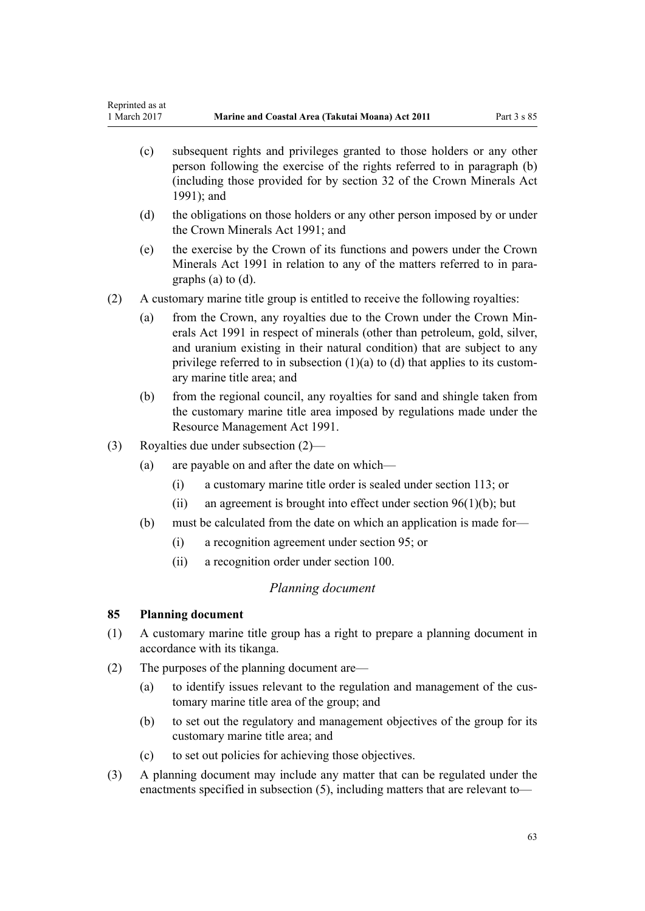- <span id="page-62-0"></span>(c) subsequent rights and privileges granted to those holders or any other person following the exercise of the rights referred to in paragraph (b) (including those provided for by [section 32](http://prd-lgnz-nlb.prd.pco.net.nz/pdflink.aspx?id=DLM246341) of the Crown Minerals Act 1991); and
- (d) the obligations on those holders or any other person imposed by or under the [Crown Minerals Act 1991;](http://prd-lgnz-nlb.prd.pco.net.nz/pdflink.aspx?id=DLM242535) and
- (e) the exercise by the Crown of its functions and powers under the [Crown](http://prd-lgnz-nlb.prd.pco.net.nz/pdflink.aspx?id=DLM242535) [Minerals Act 1991](http://prd-lgnz-nlb.prd.pco.net.nz/pdflink.aspx?id=DLM242535) in relation to any of the matters referred to in paragraphs (a) to (d).
- (2) A customary marine title group is entitled to receive the following royalties:
	- (a) from the Crown, any royalties due to the Crown under the [Crown Min](http://prd-lgnz-nlb.prd.pco.net.nz/pdflink.aspx?id=DLM242535)[erals Act 1991](http://prd-lgnz-nlb.prd.pco.net.nz/pdflink.aspx?id=DLM242535) in respect of minerals (other than petroleum, gold, silver, and uranium existing in their natural condition) that are subject to any privilege referred to in subsection  $(1)(a)$  to  $(d)$  that applies to its customary marine title area; and
	- (b) from the regional council, any royalties for sand and shingle taken from the customary marine title area imposed by regulations made under the [Resource Management Act 1991](http://prd-lgnz-nlb.prd.pco.net.nz/pdflink.aspx?id=DLM230264).
- (3) Royalties due under subsection (2)—
	- (a) are payable on and after the date on which—
		- (i) a customary marine title order is sealed under [section 113](#page-68-0); or
		- (ii) an agreement is brought into effect under section  $96(1)(b)$ ; but
	- (b) must be calculated from the date on which an application is made for—
		- (i) a recognition agreement under [section 95](#page-67-0); or
		- (ii) a recognition order under [section 100](#page-70-0).

### *Planning document*

### **85 Planning document**

- (1) A customary marine title group has a right to prepare a planning document in accordance with its tikanga.
- (2) The purposes of the planning document are—
	- (a) to identify issues relevant to the regulation and management of the customary marine title area of the group; and
	- (b) to set out the regulatory and management objectives of the group for its customary marine title area; and
	- (c) to set out policies for achieving those objectives.
- (3) A planning document may include any matter that can be regulated under the enactments specified in subsection (5), including matters that are relevant to—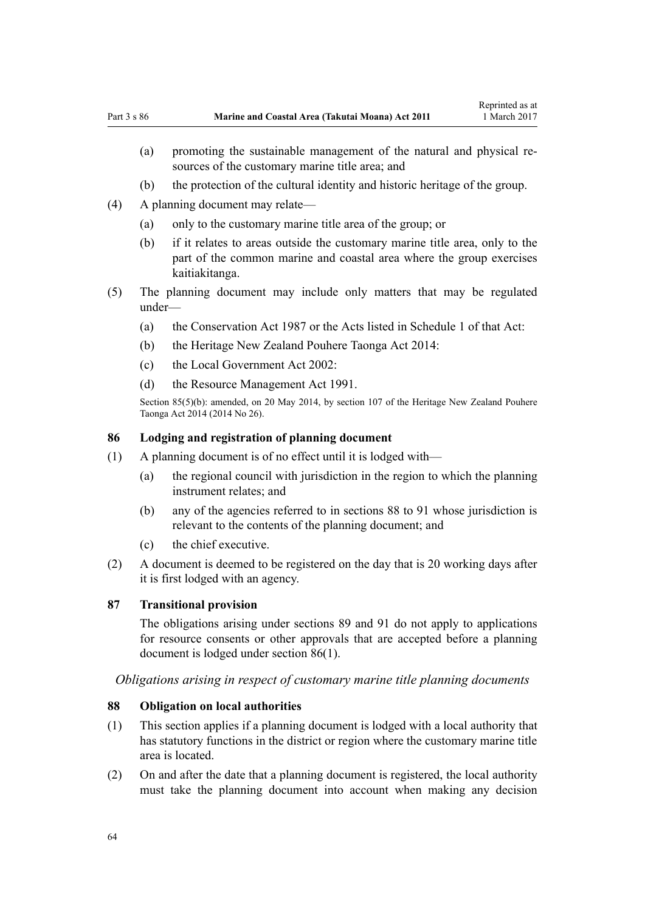- <span id="page-63-0"></span>(a) promoting the sustainable management of the natural and physical resources of the customary marine title area; and
- (b) the protection of the cultural identity and historic heritage of the group.
- (4) A planning document may relate—
	- (a) only to the customary marine title area of the group; or
	- (b) if it relates to areas outside the customary marine title area, only to the part of the common marine and coastal area where the group exercises kaitiakitanga.
- (5) The planning document may include only matters that may be regulated under—
	- (a) the [Conservation Act 1987](http://prd-lgnz-nlb.prd.pco.net.nz/pdflink.aspx?id=DLM103609) or the Acts listed in [Schedule 1](http://prd-lgnz-nlb.prd.pco.net.nz/pdflink.aspx?id=DLM107200) of that Act:
	- (b) the [Heritage New Zealand Pouhere Taonga Act 2014:](http://prd-lgnz-nlb.prd.pco.net.nz/pdflink.aspx?id=DLM4005402)
	- (c) the [Local Government Act 2002](http://prd-lgnz-nlb.prd.pco.net.nz/pdflink.aspx?id=DLM170872):
	- (d) the [Resource Management Act 1991](http://prd-lgnz-nlb.prd.pco.net.nz/pdflink.aspx?id=DLM230264).

Section 85(5)(b): amended, on 20 May 2014, by [section 107](http://prd-lgnz-nlb.prd.pco.net.nz/pdflink.aspx?id=DLM4005646) of the Heritage New Zealand Pouhere Taonga Act 2014 (2014 No 26).

## **86 Lodging and registration of planning document**

- (1) A planning document is of no effect until it is lodged with—
	- (a) the regional council with jurisdiction in the region to which the planning instrument relates; and
	- (b) any of the agencies referred to in sections 88 to 91 whose jurisdiction is relevant to the contents of the planning document; and
	- (c) the chief executive.
- (2) A document is deemed to be registered on the day that is 20 working days after it is first lodged with an agency.

#### **87 Transitional provision**

The obligations arising under [sections 89](#page-64-0) and [91](#page-64-0) do not apply to applications for resource consents or other approvals that are accepted before a planning document is lodged under section 86(1).

*Obligations arising in respect of customary marine title planning documents*

## **88 Obligation on local authorities**

- (1) This section applies if a planning document is lodged with a local authority that has statutory functions in the district or region where the customary marine title area is located.
- (2) On and after the date that a planning document is registered, the local authority must take the planning document into account when making any decision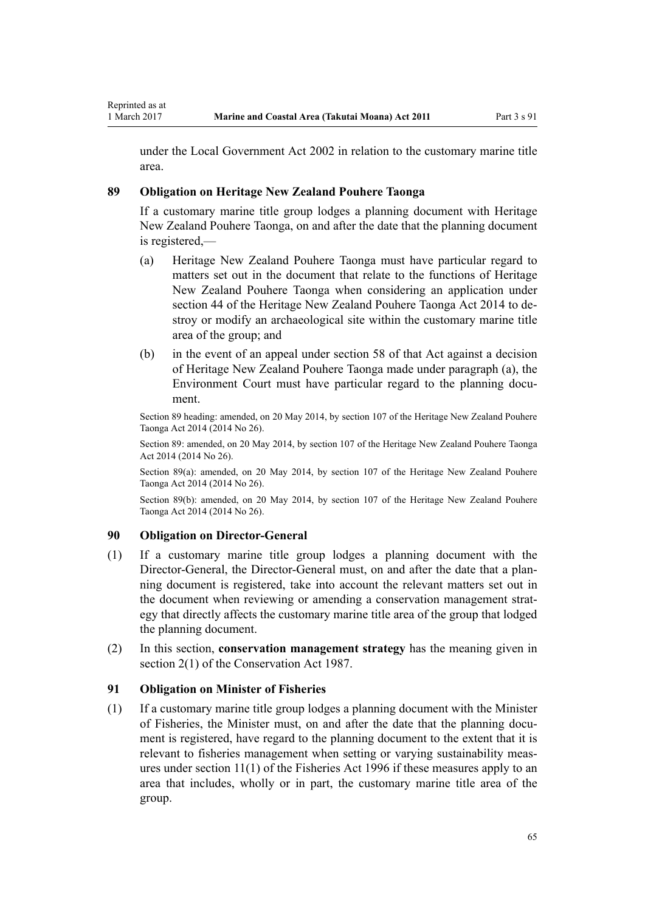<span id="page-64-0"></span>under the [Local Government Act 2002](http://prd-lgnz-nlb.prd.pco.net.nz/pdflink.aspx?id=DLM170872) in relation to the customary marine title area.

#### **89 Obligation on Heritage New Zealand Pouhere Taonga**

If a customary marine title group lodges a planning document with Heritage New Zealand Pouhere Taonga, on and after the date that the planning document is registered,—

- (a) Heritage New Zealand Pouhere Taonga must have particular regard to matters set out in the document that relate to the functions of Heritage New Zealand Pouhere Taonga when considering an application under [section 44](http://prd-lgnz-nlb.prd.pco.net.nz/pdflink.aspx?id=DLM4005562) of the Heritage New Zealand Pouhere Taonga Act 2014 to destroy or modify an archaeological site within the customary marine title area of the group; and
- (b) in the event of an appeal under [section 58](http://prd-lgnz-nlb.prd.pco.net.nz/pdflink.aspx?id=DLM4005583) of that Act against a decision of Heritage New Zealand Pouhere Taonga made under paragraph (a), the Environment Court must have particular regard to the planning document.

Section 89 heading: amended, on 20 May 2014, by [section 107](http://prd-lgnz-nlb.prd.pco.net.nz/pdflink.aspx?id=DLM4005646) of the Heritage New Zealand Pouhere Taonga Act 2014 (2014 No 26).

Section 89: amended, on 20 May 2014, by [section 107](http://prd-lgnz-nlb.prd.pco.net.nz/pdflink.aspx?id=DLM4005646) of the Heritage New Zealand Pouhere Taonga Act 2014 (2014 No 26).

Section 89(a): amended, on 20 May 2014, by [section 107](http://prd-lgnz-nlb.prd.pco.net.nz/pdflink.aspx?id=DLM4005646) of the Heritage New Zealand Pouhere Taonga Act 2014 (2014 No 26).

Section 89(b): amended, on 20 May 2014, by [section 107](http://prd-lgnz-nlb.prd.pco.net.nz/pdflink.aspx?id=DLM4005646) of the Heritage New Zealand Pouhere Taonga Act 2014 (2014 No 26).

#### **90 Obligation on Director-General**

- (1) If a customary marine title group lodges a planning document with the Director-General, the Director-General must, on and after the date that a planning document is registered, take into account the relevant matters set out in the document when reviewing or amending a conservation management strategy that directly affects the customary marine title area of the group that lodged the planning document.
- (2) In this section, **conservation management strategy** has the meaning given in [section 2\(1\)](http://prd-lgnz-nlb.prd.pco.net.nz/pdflink.aspx?id=DLM103616) of the Conservation Act 1987.

#### **91 Obligation on Minister of Fisheries**

(1) If a customary marine title group lodges a planning document with the Minister of Fisheries, the Minister must, on and after the date that the planning document is registered, have regard to the planning document to the extent that it is relevant to fisheries management when setting or varying sustainability measures under [section 11\(1\)](http://prd-lgnz-nlb.prd.pco.net.nz/pdflink.aspx?id=DLM395397) of the Fisheries Act 1996 if these measures apply to an area that includes, wholly or in part, the customary marine title area of the group.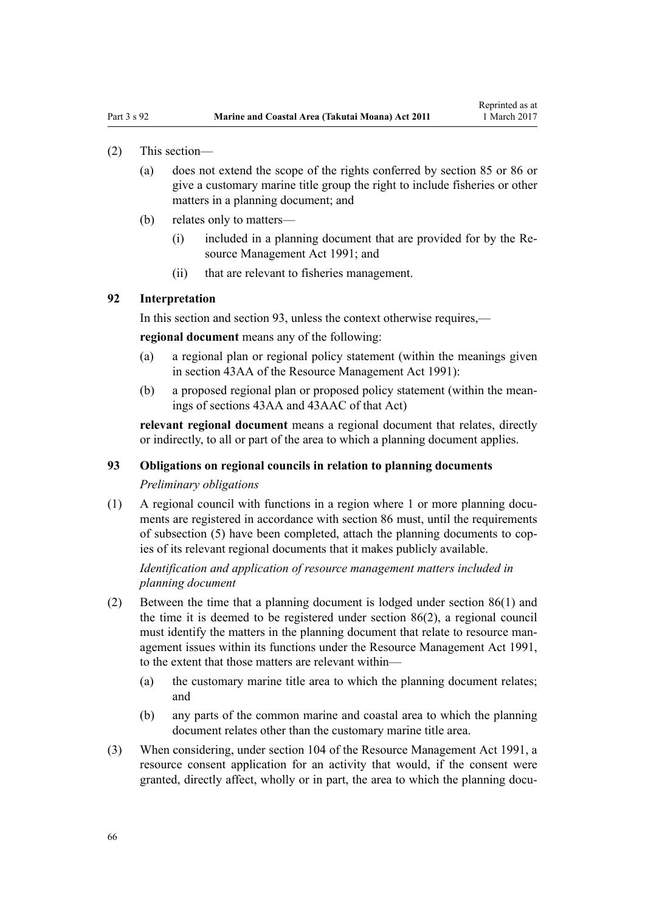- (2) This section—
	- (a) does not extend the scope of the rights conferred by [section 85](#page-62-0) or [86](#page-63-0) or give a customary marine title group the right to include fisheries or other matters in a planning document; and
	- (b) relates only to matters—
		- (i) included in a planning document that are provided for by the [Re](http://prd-lgnz-nlb.prd.pco.net.nz/pdflink.aspx?id=DLM230264)[source Management Act 1991](http://prd-lgnz-nlb.prd.pco.net.nz/pdflink.aspx?id=DLM230264); and
		- (ii) that are relevant to fisheries management.

#### **92 Interpretation**

In this section and section 93, unless the context otherwise requires,—

**regional document** means any of the following:

- (a) a regional plan or regional policy statement (within the meanings given in [section 43AA](http://prd-lgnz-nlb.prd.pco.net.nz/pdflink.aspx?id=DLM2412743) of the Resource Management Act 1991):
- (b) a proposed regional plan or proposed policy statement (within the meanings of [sections 43AA](http://prd-lgnz-nlb.prd.pco.net.nz/pdflink.aspx?id=DLM2412743) and [43AAC](http://prd-lgnz-nlb.prd.pco.net.nz/pdflink.aspx?id=DLM2412769) of that Act)

**relevant regional document** means a regional document that relates, directly or indirectly, to all or part of the area to which a planning document applies.

#### **93 Obligations on regional councils in relation to planning documents**

#### *Preliminary obligations*

(1) A regional council with functions in a region where 1 or more planning documents are registered in accordance with [section 86](#page-63-0) must, until the requirements of subsection (5) have been completed, attach the planning documents to copies of its relevant regional documents that it makes publicly available.

*Identification and application of resource management matters included in planning document*

- (2) Between the time that a planning document is lodged under [section 86\(1\)](#page-63-0) and the time it is deemed to be registered under section 86(2), a regional council must identify the matters in the planning document that relate to resource management issues within its functions under the [Resource Management Act 1991](http://prd-lgnz-nlb.prd.pco.net.nz/pdflink.aspx?id=DLM230264), to the extent that those matters are relevant within—
	- (a) the customary marine title area to which the planning document relates; and
	- (b) any parts of the common marine and coastal area to which the planning document relates other than the customary marine title area.
- (3) When considering, under [section 104](http://prd-lgnz-nlb.prd.pco.net.nz/pdflink.aspx?id=DLM234355) of the Resource Management Act 1991, a resource consent application for an activity that would, if the consent were granted, directly affect, wholly or in part, the area to which the planning docu-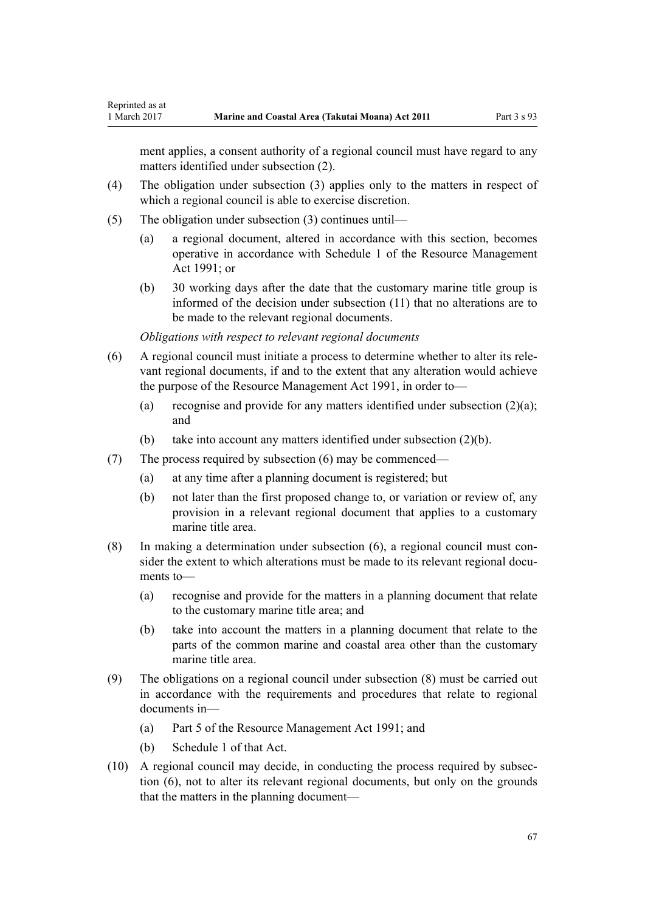ment applies, a consent authority of a regional council must have regard to any matters identified under subsection (2).

- (4) The obligation under subsection (3) applies only to the matters in respect of which a regional council is able to exercise discretion.
- (5) The obligation under subsection (3) continues until—

Reprinted as at

- (a) a regional document, altered in accordance with this section, becomes operative in accordance with [Schedule 1](http://prd-lgnz-nlb.prd.pco.net.nz/pdflink.aspx?id=DLM240686) of the Resource Management Act 1991; or
- (b) 30 working days after the date that the customary marine title group is informed of the decision under subsection (11) that no alterations are to be made to the relevant regional documents.

*Obligations with respect to relevant regional documents*

- (6) A regional council must initiate a process to determine whether to alter its relevant regional documents, if and to the extent that any alteration would achieve the purpose of the [Resource Management Act 1991,](http://prd-lgnz-nlb.prd.pco.net.nz/pdflink.aspx?id=DLM230264) in order to—
	- (a) recognise and provide for any matters identified under subsection (2)(a); and
	- (b) take into account any matters identified under subsection (2)(b).
- (7) The process required by subsection (6) may be commenced—
	- (a) at any time after a planning document is registered; but
	- (b) not later than the first proposed change to, or variation or review of, any provision in a relevant regional document that applies to a customary marine title area.
- (8) In making a determination under subsection (6), a regional council must consider the extent to which alterations must be made to its relevant regional documents to—
	- (a) recognise and provide for the matters in a planning document that relate to the customary marine title area; and
	- (b) take into account the matters in a planning document that relate to the parts of the common marine and coastal area other than the customary marine title area.
- (9) The obligations on a regional council under subsection (8) must be carried out in accordance with the requirements and procedures that relate to regional documents in—
	- (a) [Part 5](http://prd-lgnz-nlb.prd.pco.net.nz/pdflink.aspx?id=DLM233301) of the Resource Management Act 1991; and
	- (b) [Schedule 1](http://prd-lgnz-nlb.prd.pco.net.nz/pdflink.aspx?id=DLM240686) of that Act.
- (10) A regional council may decide, in conducting the process required by subsection (6), not to alter its relevant regional documents, but only on the grounds that the matters in the planning document—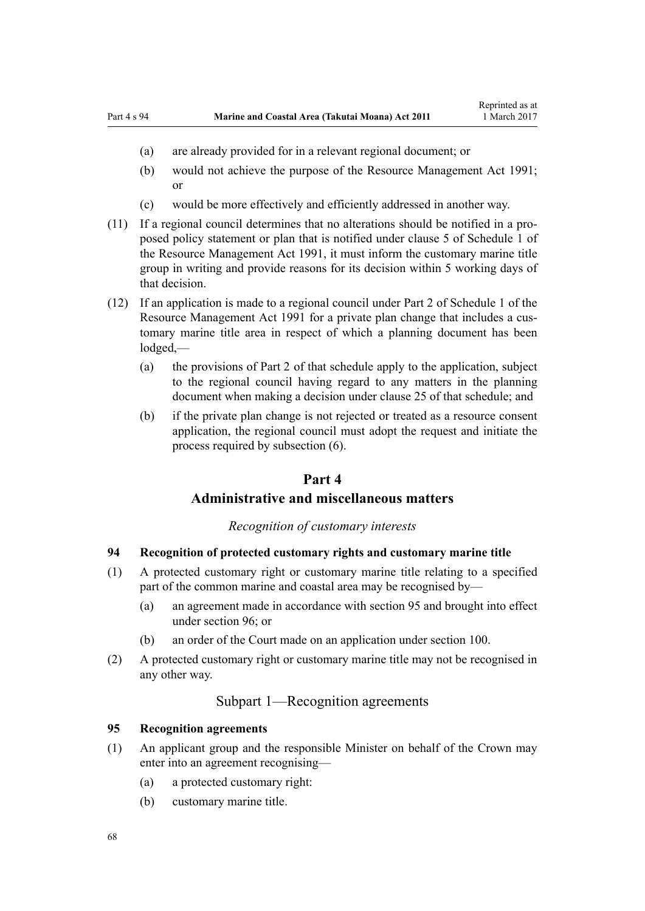- <span id="page-67-0"></span>(a) are already provided for in a relevant regional document; or
- (b) would not achieve the purpose of the [Resource Management Act 1991;](http://prd-lgnz-nlb.prd.pco.net.nz/pdflink.aspx?id=DLM230264) or
- (c) would be more effectively and efficiently addressed in another way.
- (11) If a regional council determines that no alterations should be notified in a proposed policy statement or plan that is notified under [clause 5](http://prd-lgnz-nlb.prd.pco.net.nz/pdflink.aspx?id=DLM241213) of Schedule 1 of the Resource Management Act 1991, it must inform the customary marine title group in writing and provide reasons for its decision within 5 working days of that decision.
- (12) If an application is made to a regional council under [Part 2](http://prd-lgnz-nlb.prd.pco.net.nz/pdflink.aspx?id=DLM241513) of Schedule 1 of the Resource Management Act 1991 for a private plan change that includes a customary marine title area in respect of which a planning document has been lodged,—
	- (a) the provisions of [Part 2](http://prd-lgnz-nlb.prd.pco.net.nz/pdflink.aspx?id=DLM241513) of that schedule apply to the application, subject to the regional council having regard to any matters in the planning document when making a decision under [clause 25](http://prd-lgnz-nlb.prd.pco.net.nz/pdflink.aspx?id=DLM241526) of that schedule; and
	- (b) if the private plan change is not rejected or treated as a resource consent application, the regional council must adopt the request and initiate the process required by subsection (6).

## **Part 4**

## **Administrative and miscellaneous matters**

## *Recognition of customary interests*

## **94 Recognition of protected customary rights and customary marine title**

- (1) A protected customary right or customary marine title relating to a specified part of the common marine and coastal area may be recognised by—
	- (a) an agreement made in accordance with section 95 and brought into effect under [section 96](#page-68-0); or
	- (b) an order of the Court made on an application under [section 100](#page-70-0).
- (2) A protected customary right or customary marine title may not be recognised in any other way.

## Subpart 1—Recognition agreements

#### **95 Recognition agreements**

- (1) An applicant group and the responsible Minister on behalf of the Crown may enter into an agreement recognising—
	- (a) a protected customary right:
	- (b) customary marine title.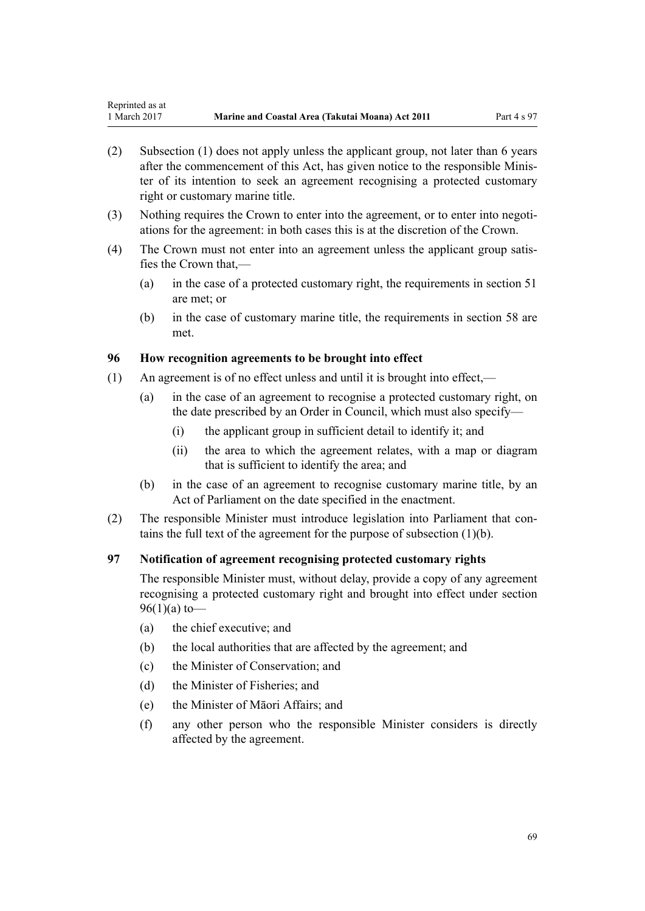- <span id="page-68-0"></span>(2) Subsection (1) does not apply unless the applicant group, not later than 6 years after the commencement of this Act, has given notice to the responsible Minister of its intention to seek an agreement recognising a protected customary right or customary marine title.
- (3) Nothing requires the Crown to enter into the agreement, or to enter into negotiations for the agreement: in both cases this is at the discretion of the Crown.
- (4) The Crown must not enter into an agreement unless the applicant group satisfies the Crown that,—
	- (a) in the case of a protected customary right, the requirements in [section 51](#page-38-0) are met; or
	- (b) in the case of customary marine title, the requirements in [section 58](#page-43-0) are met.

### **96 How recognition agreements to be brought into effect**

- (1) An agreement is of no effect unless and until it is brought into effect,—
	- (a) in the case of an agreement to recognise a protected customary right, on the date prescribed by an Order in Council, which must also specify—
		- (i) the applicant group in sufficient detail to identify it; and
		- (ii) the area to which the agreement relates, with a map or diagram that is sufficient to identify the area; and
	- (b) in the case of an agreement to recognise customary marine title, by an Act of Parliament on the date specified in the enactment.
- (2) The responsible Minister must introduce legislation into Parliament that contains the full text of the agreement for the purpose of subsection (1)(b).

## **97 Notification of agreement recognising protected customary rights**

The responsible Minister must, without delay, provide a copy of any agreement recognising a protected customary right and brought into effect under section 96(1)(a) to—

- (a) the chief executive; and
- (b) the local authorities that are affected by the agreement; and
- (c) the Minister of Conservation; and
- (d) the Minister of Fisheries; and
- (e) the Minister of Māori Affairs; and
- (f) any other person who the responsible Minister considers is directly affected by the agreement.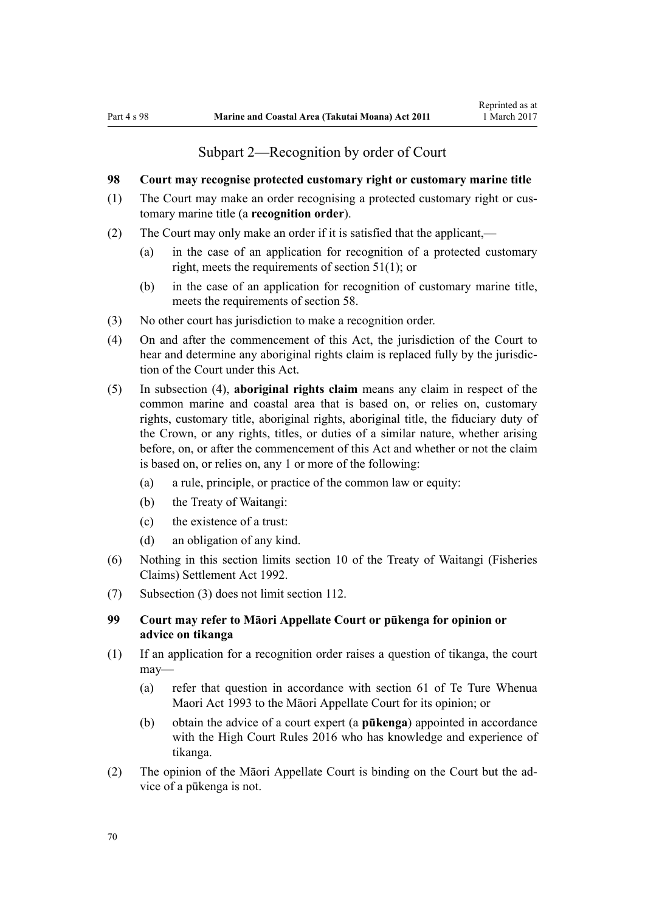## Subpart 2—Recognition by order of Court

## <span id="page-69-0"></span>**98 Court may recognise protected customary right or customary marine title**

- (1) The Court may make an order recognising a protected customary right or customary marine title (a **recognition order**).
- (2) The Court may only make an order if it is satisfied that the applicant,—
	- (a) in the case of an application for recognition of a protected customary right, meets the requirements of [section 51\(1\)](#page-38-0); or
	- (b) in the case of an application for recognition of customary marine title, meets the requirements of [section 58](#page-43-0).
- (3) No other court has jurisdiction to make a recognition order.
- (4) On and after the commencement of this Act, the jurisdiction of the Court to hear and determine any aboriginal rights claim is replaced fully by the jurisdiction of the Court under this Act.
- (5) In subsection (4), **aboriginal rights claim** means any claim in respect of the common marine and coastal area that is based on, or relies on, customary rights, customary title, aboriginal rights, aboriginal title, the fiduciary duty of the Crown, or any rights, titles, or duties of a similar nature, whether arising before, on, or after the commencement of this Act and whether or not the claim is based on, or relies on, any 1 or more of the following:
	- (a) a rule, principle, or practice of the common law or equity:
	- (b) the Treaty of Waitangi:
	- (c) the existence of a trust:
	- (d) an obligation of any kind.
- (6) Nothing in this section limits [section 10](http://prd-lgnz-nlb.prd.pco.net.nz/pdflink.aspx?id=DLM281461) of the Treaty of Waitangi (Fisheries Claims) Settlement Act 1992.
- (7) Subsection (3) does not limit [section 112](#page-75-0).

## **99 Court may refer to Māori Appellate Court or pūkenga for opinion or advice on tikanga**

- (1) If an application for a recognition order raises a question of tikanga, the court may—
	- (a) refer that question in accordance with [section 61](http://prd-lgnz-nlb.prd.pco.net.nz/pdflink.aspx?id=DLM290946) of Te Ture Whenua Maori Act 1993 to the Māori Appellate Court for its opinion; or
	- (b) obtain the advice of a court expert (a **pūkenga**) appointed in accordance with the [High Court Rules 2016](http://prd-lgnz-nlb.prd.pco.net.nz/pdflink.aspx?id=DLM6959800) who has knowledge and experience of tikanga.
- (2) The opinion of the Māori Appellate Court is binding on the Court but the advice of a pūkenga is not.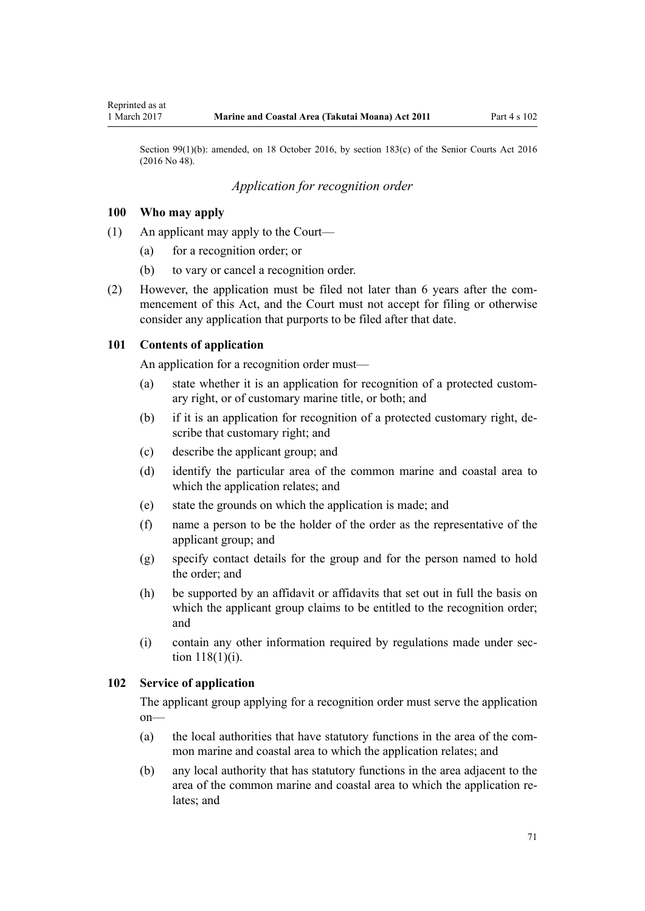<span id="page-70-0"></span>Section 99(1)(b): amended, on 18 October 2016, by [section 183\(c\)](http://prd-lgnz-nlb.prd.pco.net.nz/pdflink.aspx?id=DLM5759564) of the Senior Courts Act 2016 (2016 No 48).

## *Application for recognition order*

#### **100 Who may apply**

- (1) An applicant may apply to the Court—
	- (a) for a recognition order; or
	- (b) to vary or cancel a recognition order.
- (2) However, the application must be filed not later than 6 years after the commencement of this Act, and the Court must not accept for filing or otherwise consider any application that purports to be filed after that date.

#### **101 Contents of application**

An application for a recognition order must—

- (a) state whether it is an application for recognition of a protected customary right, or of customary marine title, or both; and
- (b) if it is an application for recognition of a protected customary right, describe that customary right; and
- (c) describe the applicant group; and
- (d) identify the particular area of the common marine and coastal area to which the application relates; and
- (e) state the grounds on which the application is made; and
- (f) name a person to be the holder of the order as the representative of the applicant group; and
- (g) specify contact details for the group and for the person named to hold the order; and
- (h) be supported by an affidavit or affidavits that set out in full the basis on which the applicant group claims to be entitled to the recognition order; and
- (i) contain any other information required by regulations made under [sec](#page-77-0)[tion 118\(1\)\(i\)](#page-77-0).

## **102 Service of application**

The applicant group applying for a recognition order must serve the application on—

- (a) the local authorities that have statutory functions in the area of the common marine and coastal area to which the application relates; and
- (b) any local authority that has statutory functions in the area adjacent to the area of the common marine and coastal area to which the application relates; and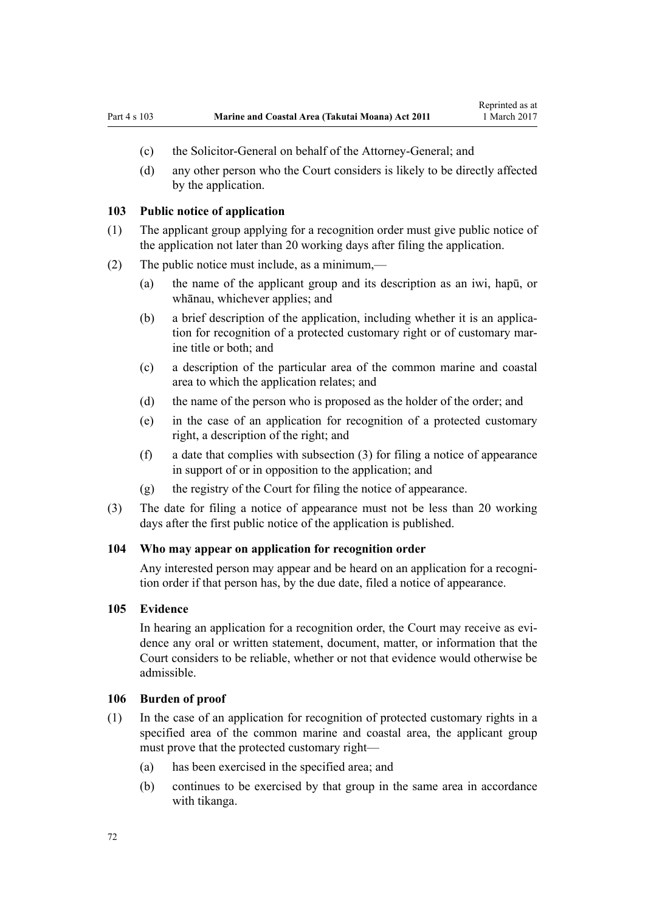- <span id="page-71-0"></span>(c) the Solicitor-General on behalf of the Attorney-General; and
- (d) any other person who the Court considers is likely to be directly affected by the application.

#### **103 Public notice of application**

- (1) The applicant group applying for a recognition order must give public notice of the application not later than 20 working days after filing the application.
- (2) The public notice must include, as a minimum,—
	- (a) the name of the applicant group and its description as an iwi, hapū, or whānau, whichever applies; and
	- (b) a brief description of the application, including whether it is an application for recognition of a protected customary right or of customary marine title or both; and
	- (c) a description of the particular area of the common marine and coastal area to which the application relates; and
	- (d) the name of the person who is proposed as the holder of the order; and
	- (e) in the case of an application for recognition of a protected customary right, a description of the right; and
	- (f) a date that complies with subsection (3) for filing a notice of appearance in support of or in opposition to the application; and
	- (g) the registry of the Court for filing the notice of appearance.
- (3) The date for filing a notice of appearance must not be less than 20 working days after the first public notice of the application is published.

#### **104 Who may appear on application for recognition order**

Any interested person may appear and be heard on an application for a recognition order if that person has, by the due date, filed a notice of appearance.

#### **105 Evidence**

In hearing an application for a recognition order, the Court may receive as evidence any oral or written statement, document, matter, or information that the Court considers to be reliable, whether or not that evidence would otherwise be admissible.

#### **106 Burden of proof**

- (1) In the case of an application for recognition of protected customary rights in a specified area of the common marine and coastal area, the applicant group must prove that the protected customary right—
	- (a) has been exercised in the specified area; and
	- (b) continues to be exercised by that group in the same area in accordance with tikanga.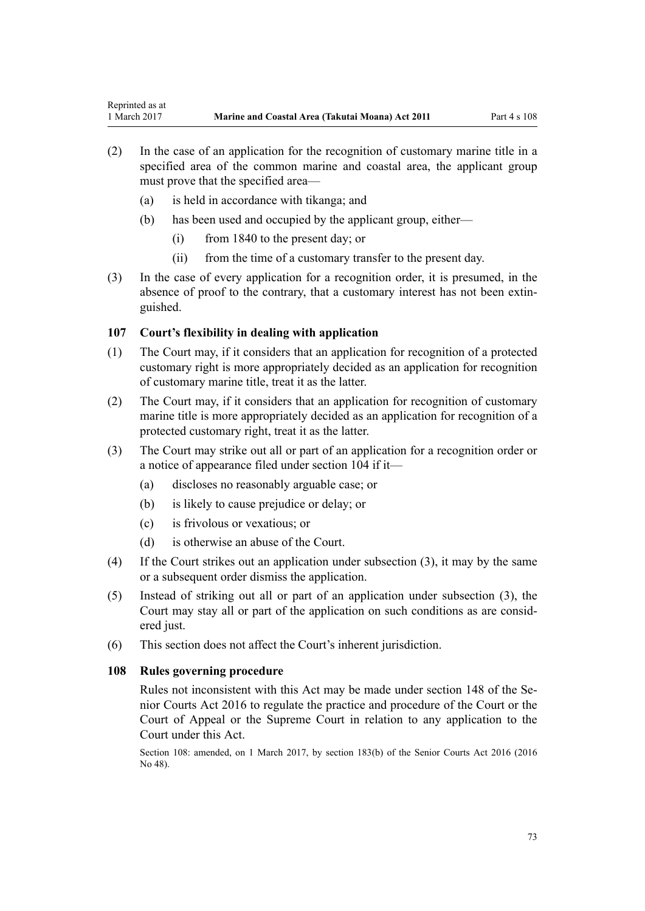- (2) In the case of an application for the recognition of customary marine title in a specified area of the common marine and coastal area, the applicant group must prove that the specified area—
	- (a) is held in accordance with tikanga; and
	- (b) has been used and occupied by the applicant group, either—
		- (i) from 1840 to the present day; or
		- (ii) from the time of a customary transfer to the present day.
- (3) In the case of every application for a recognition order, it is presumed, in the absence of proof to the contrary, that a customary interest has not been extinguished.

## **107 Court's flexibility in dealing with application**

- (1) The Court may, if it considers that an application for recognition of a protected customary right is more appropriately decided as an application for recognition of customary marine title, treat it as the latter.
- (2) The Court may, if it considers that an application for recognition of customary marine title is more appropriately decided as an application for recognition of a protected customary right, treat it as the latter.
- (3) The Court may strike out all or part of an application for a recognition order or a notice of appearance filed under [section 104](#page-71-0) if it—
	- (a) discloses no reasonably arguable case; or
	- (b) is likely to cause prejudice or delay; or
	- (c) is frivolous or vexatious; or
	- (d) is otherwise an abuse of the Court.
- (4) If the Court strikes out an application under subsection (3), it may by the same or a subsequent order dismiss the application.
- (5) Instead of striking out all or part of an application under subsection (3), the Court may stay all or part of the application on such conditions as are considered just.
- (6) This section does not affect the Court's inherent jurisdiction.

## **108 Rules governing procedure**

Rules not inconsistent with this Act may be made under [section 148](http://prd-lgnz-nlb.prd.pco.net.nz/pdflink.aspx?id=DLM5759504) of the Senior Courts Act 2016 to regulate the practice and procedure of the Court or the Court of Appeal or the Supreme Court in relation to any application to the Court under this Act.

Section 108: amended, on 1 March 2017, by [section 183\(b\)](http://prd-lgnz-nlb.prd.pco.net.nz/pdflink.aspx?id=DLM5759564) of the Senior Courts Act 2016 (2016 No 48).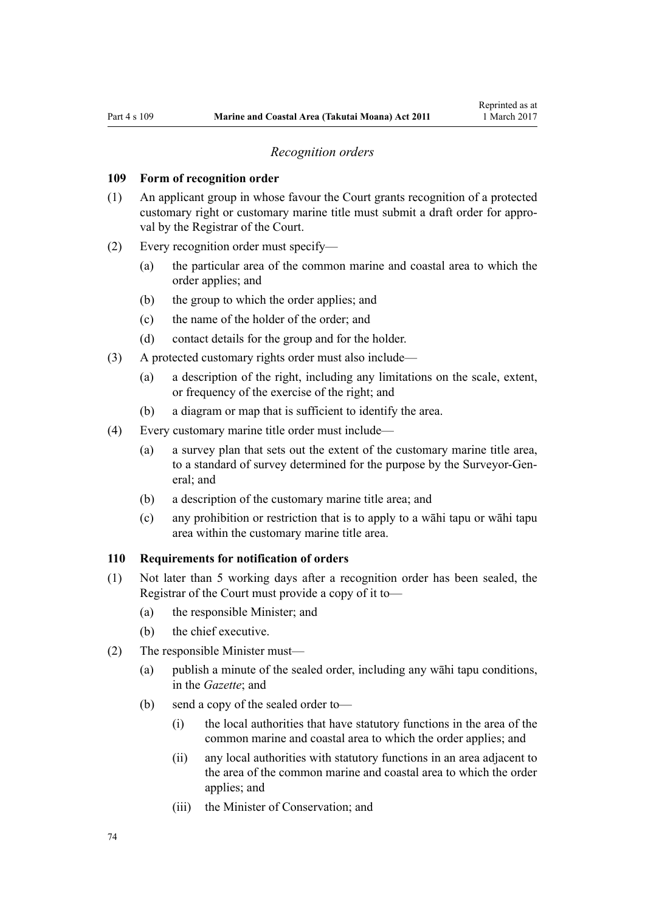#### *Recognition orders*

#### <span id="page-73-0"></span>**109 Form of recognition order**

- (1) An applicant group in whose favour the Court grants recognition of a protected customary right or customary marine title must submit a draft order for approval by the Registrar of the Court.
- (2) Every recognition order must specify—
	- (a) the particular area of the common marine and coastal area to which the order applies; and
	- (b) the group to which the order applies; and
	- (c) the name of the holder of the order; and
	- (d) contact details for the group and for the holder.
- (3) A protected customary rights order must also include—
	- (a) a description of the right, including any limitations on the scale, extent, or frequency of the exercise of the right; and
	- (b) a diagram or map that is sufficient to identify the area.
- (4) Every customary marine title order must include—
	- (a) a survey plan that sets out the extent of the customary marine title area, to a standard of survey determined for the purpose by the Surveyor-General; and
	- (b) a description of the customary marine title area; and
	- (c) any prohibition or restriction that is to apply to a wāhi tapu or wāhi tapu area within the customary marine title area.

#### **110 Requirements for notification of orders**

- (1) Not later than 5 working days after a recognition order has been sealed, the Registrar of the Court must provide a copy of it to—
	- (a) the responsible Minister; and
	- (b) the chief executive.
- (2) The responsible Minister must—
	- (a) publish a minute of the sealed order, including any wāhi tapu conditions, in the *Gazette*; and
	- (b) send a copy of the sealed order to—
		- (i) the local authorities that have statutory functions in the area of the common marine and coastal area to which the order applies; and
		- (ii) any local authorities with statutory functions in an area adjacent to the area of the common marine and coastal area to which the order applies; and
		- (iii) the Minister of Conservation; and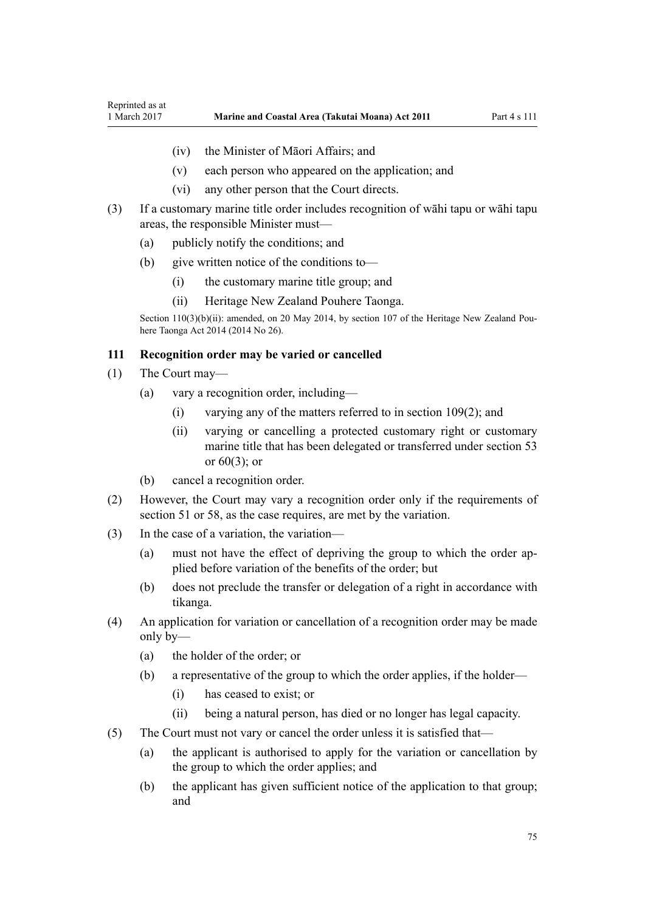- <span id="page-74-0"></span>(iv) the Minister of Māori Affairs; and
- (v) each person who appeared on the application; and
- (vi) any other person that the Court directs.
- (3) If a customary marine title order includes recognition of wāhi tapu or wāhi tapu areas, the responsible Minister must—
	- (a) publicly notify the conditions; and
	- (b) give written notice of the conditions to—
		- (i) the customary marine title group; and
		- (ii) Heritage New Zealand Pouhere Taonga.

Section 110(3)(b)(ii): amended, on 20 May 2014, by [section 107](http://prd-lgnz-nlb.prd.pco.net.nz/pdflink.aspx?id=DLM4005646) of the Heritage New Zealand Pouhere Taonga Act 2014 (2014 No 26).

## **111 Recognition order may be varied or cancelled**

- (1) The Court may—
	- (a) vary a recognition order, including—
		- (i) varying any of the matters referred to in [section 109\(2\);](#page-73-0) and
		- (ii) varying or cancelling a protected customary right or customary marine title that has been delegated or transferred under [section 53](#page-40-0) or [60\(3\);](#page-44-0) or
	- (b) cancel a recognition order.
- (2) However, the Court may vary a recognition order only if the requirements of [section 51](#page-38-0) or [58,](#page-43-0) as the case requires, are met by the variation.
- (3) In the case of a variation, the variation—
	- (a) must not have the effect of depriving the group to which the order applied before variation of the benefits of the order; but
	- (b) does not preclude the transfer or delegation of a right in accordance with tikanga.
- (4) An application for variation or cancellation of a recognition order may be made only by—
	- (a) the holder of the order; or
	- (b) a representative of the group to which the order applies, if the holder—
		- (i) has ceased to exist; or
		- (ii) being a natural person, has died or no longer has legal capacity.
- (5) The Court must not vary or cancel the order unless it is satisfied that—
	- (a) the applicant is authorised to apply for the variation or cancellation by the group to which the order applies; and
	- (b) the applicant has given sufficient notice of the application to that group; and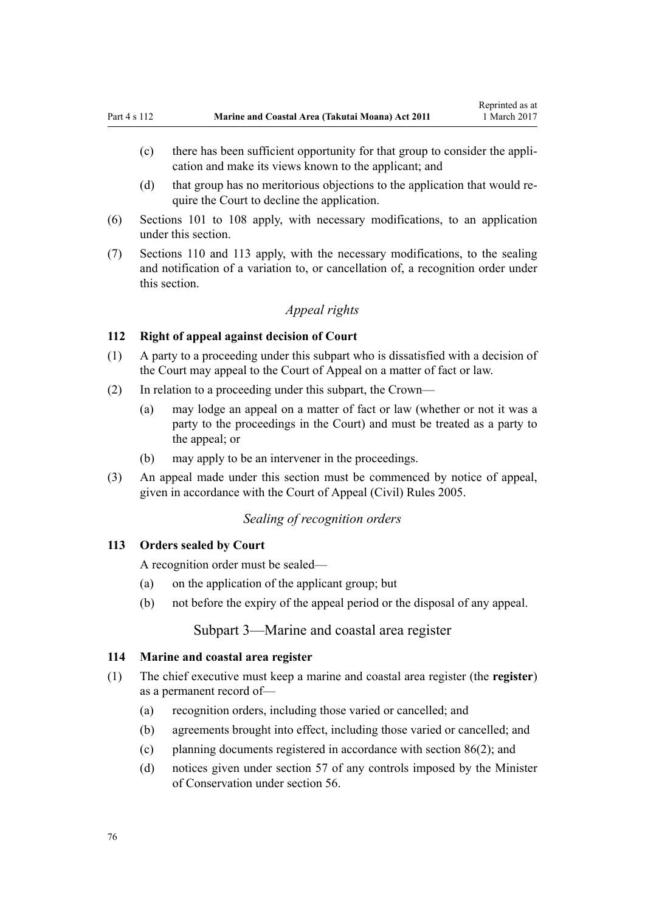- <span id="page-75-0"></span>(c) there has been sufficient opportunity for that group to consider the application and make its views known to the applicant; and
- (d) that group has no meritorious objections to the application that would require the Court to decline the application.
- (6) [Sections 101 to 108](#page-70-0) apply, with necessary modifications, to an application under this section.
- (7) [Sections 110](#page-73-0) and 113 apply, with the necessary modifications, to the sealing and notification of a variation to, or cancellation of, a recognition order under this section.

# *Appeal rights*

## **112 Right of appeal against decision of Court**

- (1) A party to a proceeding under this subpart who is dissatisfied with a decision of the Court may appeal to the Court of Appeal on a matter of fact or law.
- (2) In relation to a proceeding under this subpart, the Crown—
	- (a) may lodge an appeal on a matter of fact or law (whether or not it was a party to the proceedings in the Court) and must be treated as a party to the appeal; or
	- (b) may apply to be an intervener in the proceedings.
- (3) An appeal made under this section must be commenced by notice of appeal, given in accordance with the [Court of Appeal \(Civil\) Rules 2005](http://prd-lgnz-nlb.prd.pco.net.nz/pdflink.aspx?id=DLM319745).

## *Sealing of recognition orders*

#### **113 Orders sealed by Court**

A recognition order must be sealed—

- (a) on the application of the applicant group; but
- (b) not before the expiry of the appeal period or the disposal of any appeal.

## Subpart 3—Marine and coastal area register

## **114 Marine and coastal area register**

- (1) The chief executive must keep a marine and coastal area register (the **register**) as a permanent record of—
	- (a) recognition orders, including those varied or cancelled; and
	- (b) agreements brought into effect, including those varied or cancelled; and
	- (c) planning documents registered in accordance with [section 86\(2\)](#page-63-0); and
	- (d) notices given under [section 57](#page-42-0) of any controls imposed by the Minister of Conservation under [section 56.](#page-41-0)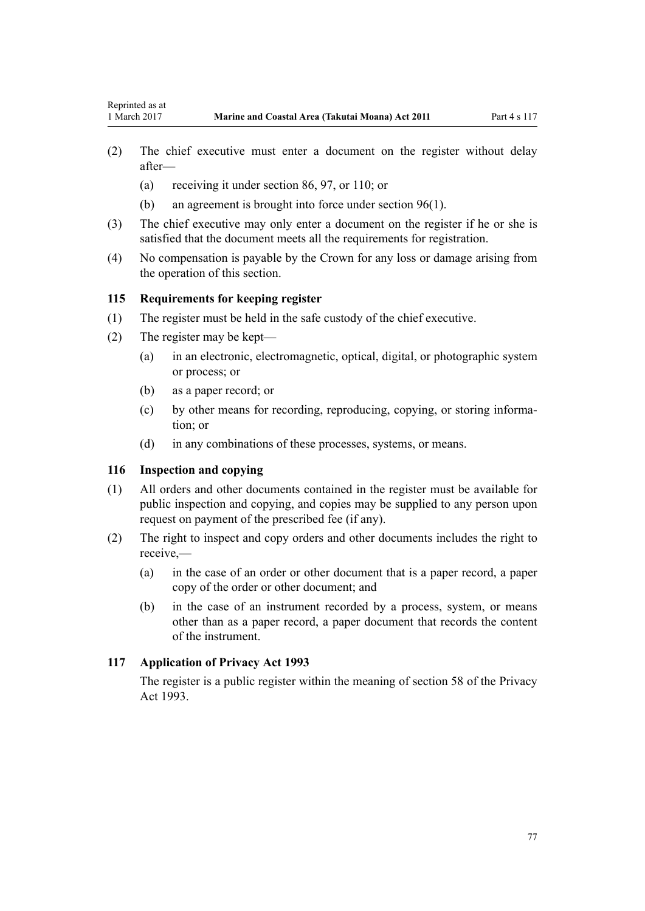- (2) The chief executive must enter a document on the register without delay after—
	- (a) receiving it under [section 86](#page-63-0), [97](#page-68-0), or [110](#page-73-0); or
	- (b) an agreement is brought into force under [section 96\(1\).](#page-68-0)
- (3) The chief executive may only enter a document on the register if he or she is satisfied that the document meets all the requirements for registration.
- (4) No compensation is payable by the Crown for any loss or damage arising from the operation of this section.

## **115 Requirements for keeping register**

- (1) The register must be held in the safe custody of the chief executive.
- (2) The register may be kept—
	- (a) in an electronic, electromagnetic, optical, digital, or photographic system or process; or
	- (b) as a paper record; or
	- (c) by other means for recording, reproducing, copying, or storing information; or
	- (d) in any combinations of these processes, systems, or means.

## **116 Inspection and copying**

- (1) All orders and other documents contained in the register must be available for public inspection and copying, and copies may be supplied to any person upon request on payment of the prescribed fee (if any).
- (2) The right to inspect and copy orders and other documents includes the right to receive,—
	- (a) in the case of an order or other document that is a paper record, a paper copy of the order or other document; and
	- (b) in the case of an instrument recorded by a process, system, or means other than as a paper record, a paper document that records the content of the instrument.

## **117 Application of Privacy Act 1993**

The register is a public register within the meaning of [section 58](http://prd-lgnz-nlb.prd.pco.net.nz/pdflink.aspx?id=DLM297424) of the Privacy Act 1993.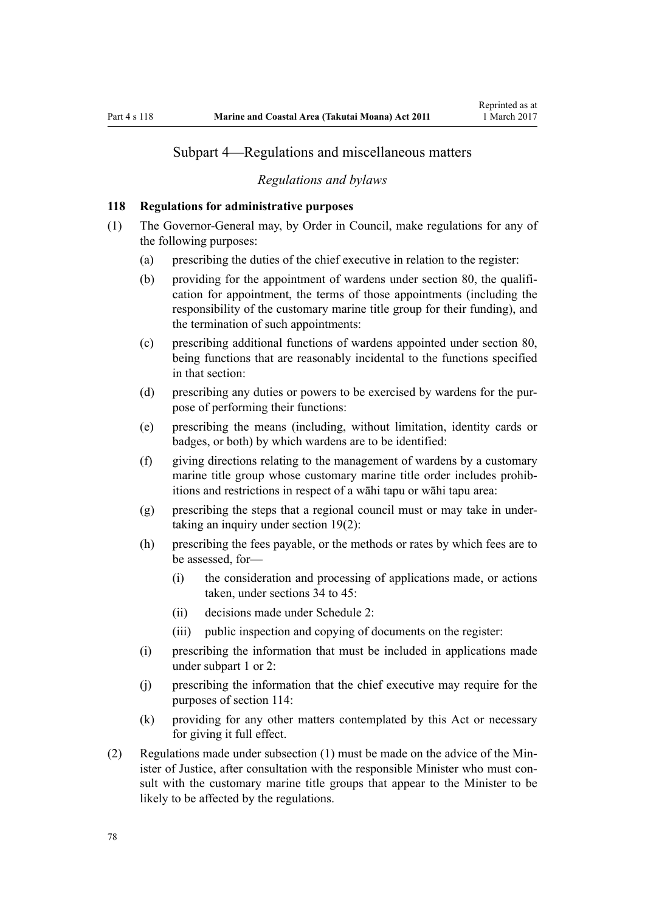## Subpart 4—Regulations and miscellaneous matters

#### *Regulations and bylaws*

## **118 Regulations for administrative purposes**

- (1) The Governor-General may, by Order in Council, make regulations for any of the following purposes:
	- (a) prescribing the duties of the chief executive in relation to the register:
	- (b) providing for the appointment of wardens under [section 80,](#page-59-0) the qualification for appointment, the terms of those appointments (including the responsibility of the customary marine title group for their funding), and the termination of such appointments:
	- (c) prescribing additional functions of wardens appointed under [section 80](#page-59-0), being functions that are reasonably incidental to the functions specified in that section:
	- (d) prescribing any duties or powers to be exercised by wardens for the purpose of performing their functions:
	- (e) prescribing the means (including, without limitation, identity cards or badges, or both) by which wardens are to be identified:
	- (f) giving directions relating to the management of wardens by a customary marine title group whose customary marine title order includes prohibitions and restrictions in respect of a wāhi tapu or wāhi tapu area:
	- (g) prescribing the steps that a regional council must or may take in undertaking an inquiry under [section 19\(2\)](#page-20-0):
	- (h) prescribing the fees payable, or the methods or rates by which fees are to be assessed, for—
		- (i) the consideration and processing of applications made, or actions taken, under [sections 34 to 45:](#page-27-0)
		- (ii) decisions made under [Schedule 2:](#page-90-0)
		- (iii) public inspection and copying of documents on the register:
	- (i) prescribing the information that must be included in applications made under [subpart 1](#page-67-0) or [2:](#page-69-0)
	- (j) prescribing the information that the chief executive may require for the purposes of [section 114:](#page-75-0)
	- (k) providing for any other matters contemplated by this Act or necessary for giving it full effect.
- (2) Regulations made under subsection (1) must be made on the advice of the Minister of Justice, after consultation with the responsible Minister who must consult with the customary marine title groups that appear to the Minister to be likely to be affected by the regulations.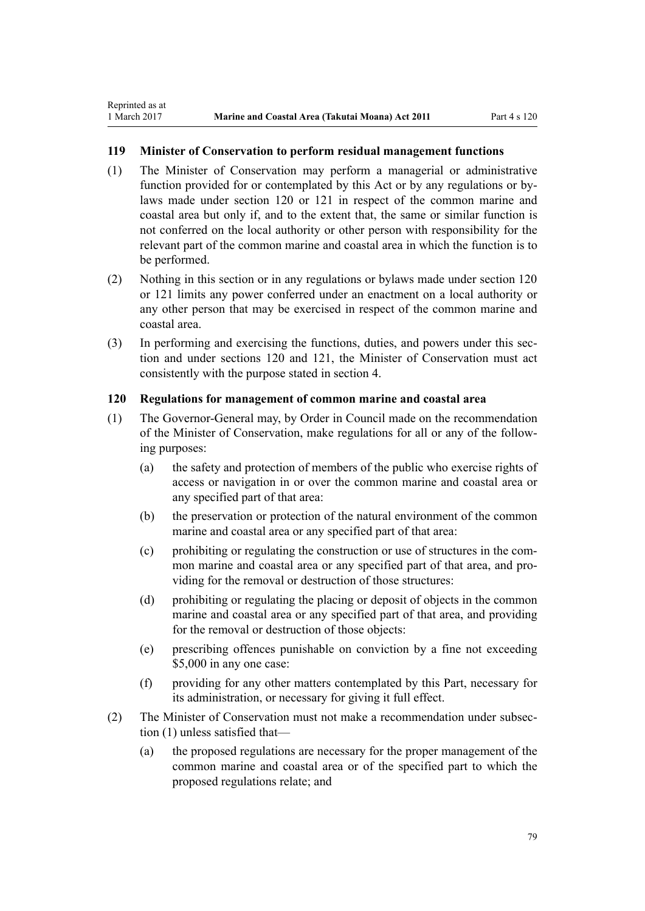<span id="page-78-0"></span>Reprinted as at

## **119 Minister of Conservation to perform residual management functions**

- (1) The Minister of Conservation may perform a managerial or administrative function provided for or contemplated by this Act or by any regulations or bylaws made under section 120 or [121](#page-79-0) in respect of the common marine and coastal area but only if, and to the extent that, the same or similar function is not conferred on the local authority or other person with responsibility for the relevant part of the common marine and coastal area in which the function is to be performed.
- (2) Nothing in this section or in any regulations or bylaws made under section 120 or [121](#page-79-0) limits any power conferred under an enactment on a local authority or any other person that may be exercised in respect of the common marine and coastal area.
- (3) In performing and exercising the functions, duties, and powers under this section and under sections 120 and [121,](#page-79-0) the Minister of Conservation must act consistently with the purpose stated in [section 4](#page-8-0).

## **120 Regulations for management of common marine and coastal area**

- (1) The Governor-General may, by Order in Council made on the recommendation of the Minister of Conservation, make regulations for all or any of the following purposes:
	- (a) the safety and protection of members of the public who exercise rights of access or navigation in or over the common marine and coastal area or any specified part of that area:
	- (b) the preservation or protection of the natural environment of the common marine and coastal area or any specified part of that area:
	- (c) prohibiting or regulating the construction or use of structures in the common marine and coastal area or any specified part of that area, and providing for the removal or destruction of those structures:
	- (d) prohibiting or regulating the placing or deposit of objects in the common marine and coastal area or any specified part of that area, and providing for the removal or destruction of those objects:
	- (e) prescribing offences punishable on conviction by a fine not exceeding \$5,000 in any one case:
	- (f) providing for any other matters contemplated by this Part, necessary for its administration, or necessary for giving it full effect.
- (2) The Minister of Conservation must not make a recommendation under subsection (1) unless satisfied that—
	- (a) the proposed regulations are necessary for the proper management of the common marine and coastal area or of the specified part to which the proposed regulations relate; and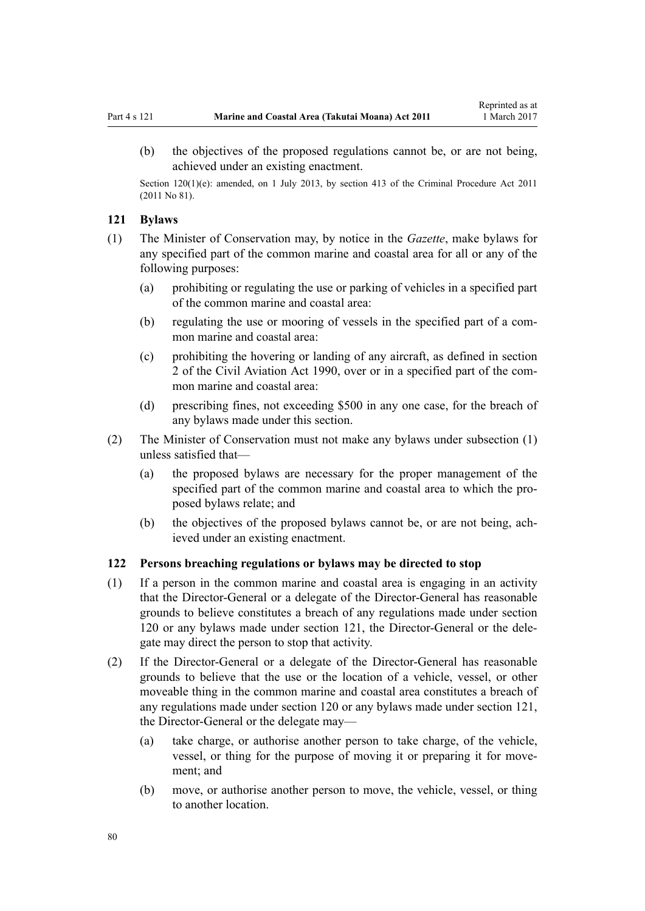<span id="page-79-0"></span>(b) the objectives of the proposed regulations cannot be, or are not being, achieved under an existing enactment.

Section 120(1)(e): amended, on 1 July 2013, by [section 413](http://prd-lgnz-nlb.prd.pco.net.nz/pdflink.aspx?id=DLM3360714) of the Criminal Procedure Act 2011 (2011 No 81).

## **121 Bylaws**

- (1) The Minister of Conservation may, by notice in the *Gazette*, make bylaws for any specified part of the common marine and coastal area for all or any of the following purposes:
	- (a) prohibiting or regulating the use or parking of vehicles in a specified part of the common marine and coastal area:
	- (b) regulating the use or mooring of vessels in the specified part of a common marine and coastal area:
	- (c) prohibiting the hovering or landing of any aircraft, as defined in [section](http://prd-lgnz-nlb.prd.pco.net.nz/pdflink.aspx?id=DLM214692) [2](http://prd-lgnz-nlb.prd.pco.net.nz/pdflink.aspx?id=DLM214692) of the Civil Aviation Act 1990, over or in a specified part of the common marine and coastal area:
	- (d) prescribing fines, not exceeding \$500 in any one case, for the breach of any bylaws made under this section.
- (2) The Minister of Conservation must not make any bylaws under subsection (1) unless satisfied that—
	- (a) the proposed bylaws are necessary for the proper management of the specified part of the common marine and coastal area to which the proposed bylaws relate; and
	- (b) the objectives of the proposed bylaws cannot be, or are not being, achieved under an existing enactment.

## **122 Persons breaching regulations or bylaws may be directed to stop**

- (1) If a person in the common marine and coastal area is engaging in an activity that the Director-General or a delegate of the Director-General has reasonable grounds to believe constitutes a breach of any regulations made under [section](#page-78-0) [120](#page-78-0) or any bylaws made under section 121, the Director-General or the delegate may direct the person to stop that activity.
- (2) If the Director-General or a delegate of the Director-General has reasonable grounds to believe that the use or the location of a vehicle, vessel, or other moveable thing in the common marine and coastal area constitutes a breach of any regulations made under [section 120](#page-78-0) or any bylaws made under [section 121](#page-78-0), the Director-General or the delegate may—
	- (a) take charge, or authorise another person to take charge, of the vehicle, vessel, or thing for the purpose of moving it or preparing it for movement; and
	- (b) move, or authorise another person to move, the vehicle, vessel, or thing to another location.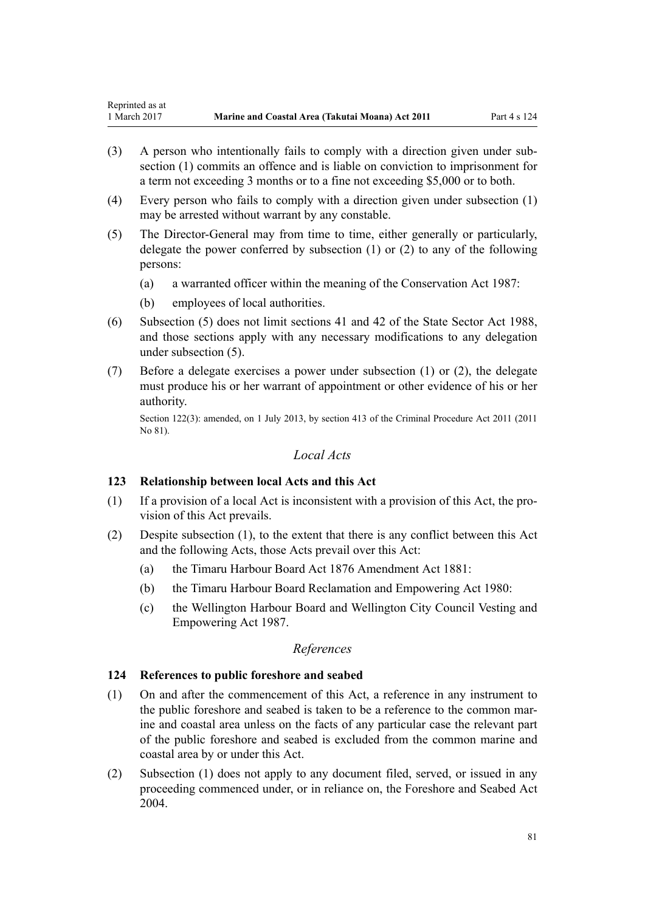- (3) A person who intentionally fails to comply with a direction given under subsection (1) commits an offence and is liable on conviction to imprisonment for a term not exceeding 3 months or to a fine not exceeding \$5,000 or to both.
- (4) Every person who fails to comply with a direction given under subsection (1) may be arrested without warrant by any constable.
- (5) The Director-General may from time to time, either generally or particularly, delegate the power conferred by subsection (1) or (2) to any of the following persons:
	- (a) a warranted officer within the meaning of the [Conservation Act 1987](http://prd-lgnz-nlb.prd.pco.net.nz/pdflink.aspx?id=DLM103609):
	- (b) employees of local authorities.
- (6) Subsection (5) does not limit [sections 41](http://prd-lgnz-nlb.prd.pco.net.nz/pdflink.aspx?id=DLM129566) and [42](http://prd-lgnz-nlb.prd.pco.net.nz/pdflink.aspx?id=DLM129571) of the State Sector Act 1988, and those sections apply with any necessary modifications to any delegation under subsection (5).
- (7) Before a delegate exercises a power under subsection (1) or (2), the delegate must produce his or her warrant of appointment or other evidence of his or her authority.

Section 122(3): amended, on 1 July 2013, by [section 413](http://prd-lgnz-nlb.prd.pco.net.nz/pdflink.aspx?id=DLM3360714) of the Criminal Procedure Act 2011 (2011 No 81).

## *Local Acts*

## **123 Relationship between local Acts and this Act**

- (1) If a provision of a local Act is inconsistent with a provision of this Act, the provision of this Act prevails.
- (2) Despite subsection (1), to the extent that there is any conflict between this Act and the following Acts, those Acts prevail over this Act:
	- (a) the [Timaru Harbour Board Act 1876 Amendment Act 1881](http://prd-lgnz-nlb.prd.pco.net.nz/pdflink.aspx?id=DLM15371):
	- (b) the [Timaru Harbour Board Reclamation and Empowering Act 1980:](http://prd-lgnz-nlb.prd.pco.net.nz/pdflink.aspx?id=DLM74774)
	- (c) the [Wellington Harbour Board and Wellington City Council Vesting and](http://prd-lgnz-nlb.prd.pco.net.nz/pdflink.aspx?id=DLM78106) [Empowering Act 1987.](http://prd-lgnz-nlb.prd.pco.net.nz/pdflink.aspx?id=DLM78106)

## *References*

## **124 References to public foreshore and seabed**

- (1) On and after the commencement of this Act, a reference in any instrument to the public foreshore and seabed is taken to be a reference to the common marine and coastal area unless on the facts of any particular case the relevant part of the public foreshore and seabed is excluded from the common marine and coastal area by or under this Act.
- (2) Subsection (1) does not apply to any document filed, served, or issued in any proceeding commenced under, or in reliance on, the [Foreshore and Seabed Act](http://prd-lgnz-nlb.prd.pco.net.nz/pdflink.aspx?id=DLM319838) [2004](http://prd-lgnz-nlb.prd.pco.net.nz/pdflink.aspx?id=DLM319838).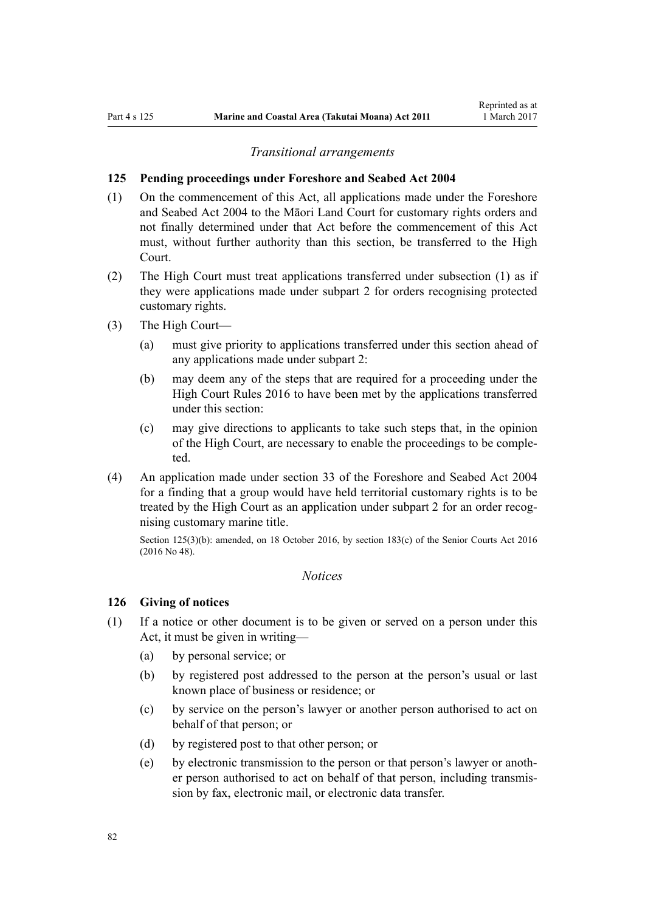#### *Transitional arrangements*

#### **125 Pending proceedings under Foreshore and Seabed Act 2004**

- (1) On the commencement of this Act, all applications made under the [Foreshore](http://prd-lgnz-nlb.prd.pco.net.nz/pdflink.aspx?id=DLM319838) [and Seabed Act 2004](http://prd-lgnz-nlb.prd.pco.net.nz/pdflink.aspx?id=DLM319838) to the Māori Land Court for customary rights orders and not finally determined under that Act before the commencement of this Act must, without further authority than this section, be transferred to the High Court.
- (2) The High Court must treat applications transferred under subsection (1) as if they were applications made under [subpart 2](#page-69-0) for orders recognising protected customary rights.
- (3) The High Court—
	- (a) must give priority to applications transferred under this section ahead of any applications made under [subpart 2](#page-69-0):
	- (b) may deem any of the steps that are required for a proceeding under the [High Court Rules 2016](http://prd-lgnz-nlb.prd.pco.net.nz/pdflink.aspx?id=DLM6959800) to have been met by the applications transferred under this section:
	- (c) may give directions to applicants to take such steps that, in the opinion of the High Court, are necessary to enable the proceedings to be completed.
- (4) An application made under [section 33](http://prd-lgnz-nlb.prd.pco.net.nz/pdflink.aspx?id=DLM320263) of the Foreshore and Seabed Act 2004 for a finding that a group would have held territorial customary rights is to be treated by the High Court as an application under [subpart 2](#page-69-0) for an order recognising customary marine title.

Section 125(3)(b): amended, on 18 October 2016, by [section 183\(c\)](http://prd-lgnz-nlb.prd.pco.net.nz/pdflink.aspx?id=DLM5759564) of the Senior Courts Act 2016 (2016 No 48).

## *Notices*

## **126 Giving of notices**

- (1) If a notice or other document is to be given or served on a person under this Act, it must be given in writing—
	- (a) by personal service; or
	- (b) by registered post addressed to the person at the person's usual or last known place of business or residence; or
	- (c) by service on the person's lawyer or another person authorised to act on behalf of that person; or
	- (d) by registered post to that other person; or
	- (e) by electronic transmission to the person or that person's lawyer or another person authorised to act on behalf of that person, including transmission by fax, electronic mail, or electronic data transfer.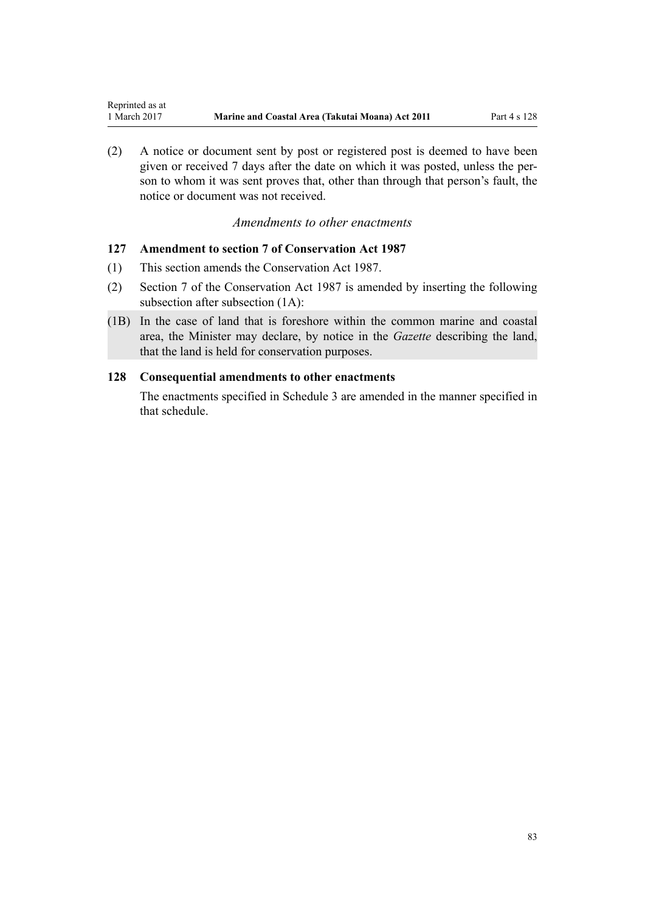<span id="page-82-0"></span>(2) A notice or document sent by post or registered post is deemed to have been given or received 7 days after the date on which it was posted, unless the person to whom it was sent proves that, other than through that person's fault, the notice or document was not received.

## *Amendments to other enactments*

## **127 Amendment to section 7 of Conservation Act 1987**

- (1) This section amends the [Conservation Act 1987.](http://prd-lgnz-nlb.prd.pco.net.nz/pdflink.aspx?id=DLM103609)
- (2) [Section 7](http://prd-lgnz-nlb.prd.pco.net.nz/pdflink.aspx?id=DLM104251) of the Conservation Act 1987 is amended by inserting the following subsection after subsection (1A):
- (1B) In the case of land that is foreshore within the common marine and coastal area, the Minister may declare, by notice in the *Gazette* describing the land, that the land is held for conservation purposes.

## **128 Consequential amendments to other enactments**

The enactments specified in [Schedule 3 a](#page-96-0)re amended in the manner specified in that schedule.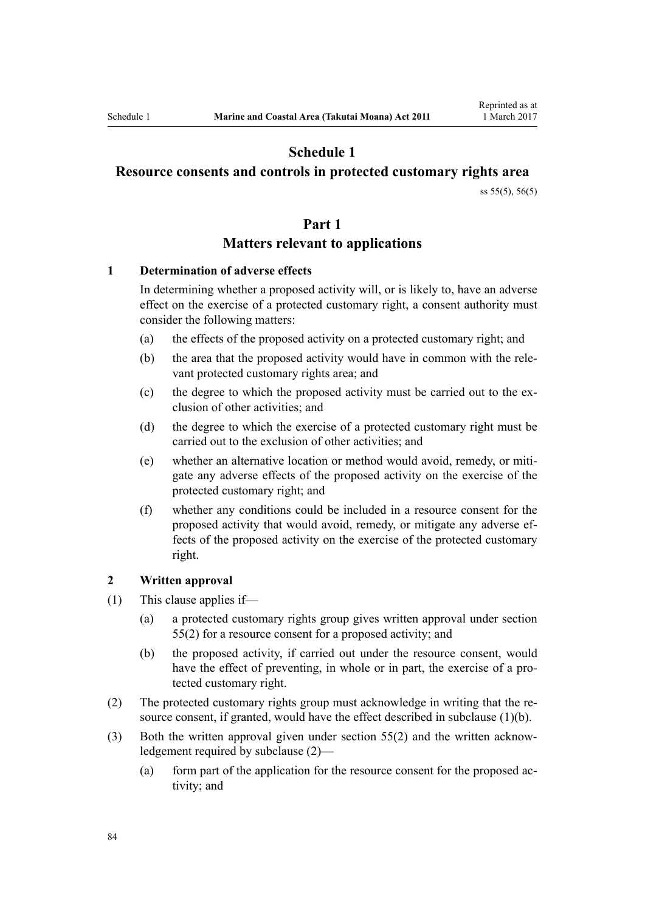# **Schedule 1**

## <span id="page-83-0"></span>**Resource consents and controls in protected customary rights area**

[ss 55\(5\)](#page-40-0), [56\(5\)](#page-41-0)

## **Part 1**

## **Matters relevant to applications**

## **1 Determination of adverse effects**

In determining whether a proposed activity will, or is likely to, have an adverse effect on the exercise of a protected customary right, a consent authority must consider the following matters:

- (a) the effects of the proposed activity on a protected customary right; and
- (b) the area that the proposed activity would have in common with the relevant protected customary rights area; and
- (c) the degree to which the proposed activity must be carried out to the exclusion of other activities; and
- (d) the degree to which the exercise of a protected customary right must be carried out to the exclusion of other activities; and
- (e) whether an alternative location or method would avoid, remedy, or mitigate any adverse effects of the proposed activity on the exercise of the protected customary right; and
- (f) whether any conditions could be included in a resource consent for the proposed activity that would avoid, remedy, or mitigate any adverse effects of the proposed activity on the exercise of the protected customary right.

#### **2 Written approval**

- (1) This clause applies if—
	- (a) a protected customary rights group gives written approval under [section](#page-40-0) [55\(2\)](#page-40-0) for a resource consent for a proposed activity; and
	- (b) the proposed activity, if carried out under the resource consent, would have the effect of preventing, in whole or in part, the exercise of a protected customary right.
- (2) The protected customary rights group must acknowledge in writing that the resource consent, if granted, would have the effect described in subclause (1)(b).
- (3) Both the written approval given under [section 55\(2\)](#page-40-0) and the written acknowledgement required by subclause (2)—
	- (a) form part of the application for the resource consent for the proposed activity; and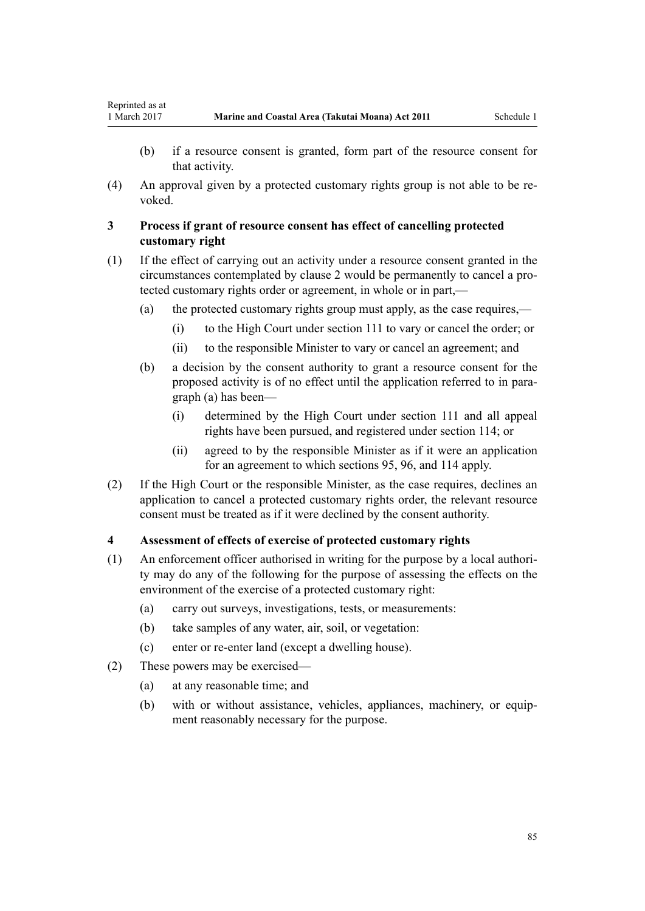Reprinted as at

(4) An approval given by a protected customary rights group is not able to be revoked.

## **3 Process if grant of resource consent has effect of cancelling protected customary right**

- (1) If the effect of carrying out an activity under a resource consent granted in the circumstances contemplated by [clause 2](#page-83-0) would be permanently to cancel a protected customary rights order or agreement, in whole or in part,—
	- (a) the protected customary rights group must apply, as the case requires,—
		- (i) to the High Court under [section 111](#page-74-0) to vary or cancel the order; or
		- (ii) to the responsible Minister to vary or cancel an agreement; and
	- (b) a decision by the consent authority to grant a resource consent for the proposed activity is of no effect until the application referred to in paragraph (a) has been—
		- (i) determined by the High Court under [section 111](#page-74-0) and all appeal rights have been pursued, and registered under [section 114;](#page-75-0) or
		- (ii) agreed to by the responsible Minister as if it were an application for an agreement to which [sections 95](#page-67-0), [96](#page-68-0), and [114](#page-75-0) apply.
- (2) If the High Court or the responsible Minister, as the case requires, declines an application to cancel a protected customary rights order, the relevant resource consent must be treated as if it were declined by the consent authority.

## **4 Assessment of effects of exercise of protected customary rights**

- (1) An enforcement officer authorised in writing for the purpose by a local authority may do any of the following for the purpose of assessing the effects on the environment of the exercise of a protected customary right:
	- (a) carry out surveys, investigations, tests, or measurements:
	- (b) take samples of any water, air, soil, or vegetation:
	- (c) enter or re-enter land (except a dwelling house).
- (2) These powers may be exercised—
	- (a) at any reasonable time; and
	- (b) with or without assistance, vehicles, appliances, machinery, or equipment reasonably necessary for the purpose.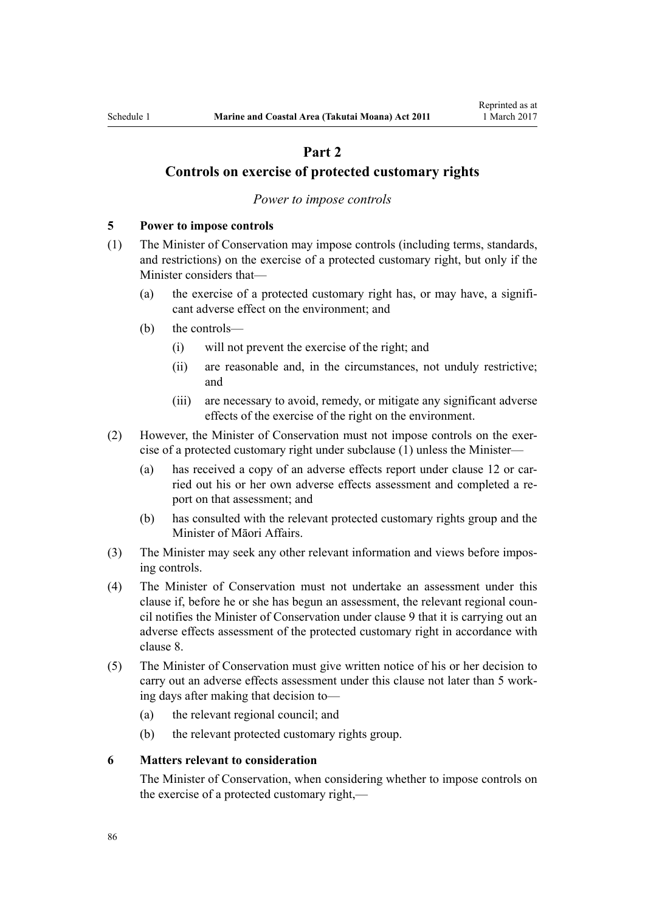# **Part 2**

## <span id="page-85-0"></span>**Controls on exercise of protected customary rights**

#### *Power to impose controls*

## **5 Power to impose controls**

- (1) The Minister of Conservation may impose controls (including terms, standards, and restrictions) on the exercise of a protected customary right, but only if the Minister considers that—
	- (a) the exercise of a protected customary right has, or may have, a significant adverse effect on the environment; and
	- (b) the controls—
		- (i) will not prevent the exercise of the right; and
		- (ii) are reasonable and, in the circumstances, not unduly restrictive; and
		- (iii) are necessary to avoid, remedy, or mitigate any significant adverse effects of the exercise of the right on the environment.
- (2) However, the Minister of Conservation must not impose controls on the exercise of a protected customary right under subclause (1) unless the Minister—
	- (a) has received a copy of an adverse effects report under [clause 12](#page-89-0) or carried out his or her own adverse effects assessment and completed a report on that assessment; and
	- (b) has consulted with the relevant protected customary rights group and the Minister of Māori Affairs.
- (3) The Minister may seek any other relevant information and views before imposing controls.
- (4) The Minister of Conservation must not undertake an assessment under this clause if, before he or she has begun an assessment, the relevant regional council notifies the Minister of Conservation under [clause 9](#page-87-0) that it is carrying out an adverse effects assessment of the protected customary right in accordance with [clause 8.](#page-86-0)
- (5) The Minister of Conservation must give written notice of his or her decision to carry out an adverse effects assessment under this clause not later than 5 working days after making that decision to—
	- (a) the relevant regional council; and
	- (b) the relevant protected customary rights group.

## **6 Matters relevant to consideration**

The Minister of Conservation, when considering whether to impose controls on the exercise of a protected customary right,—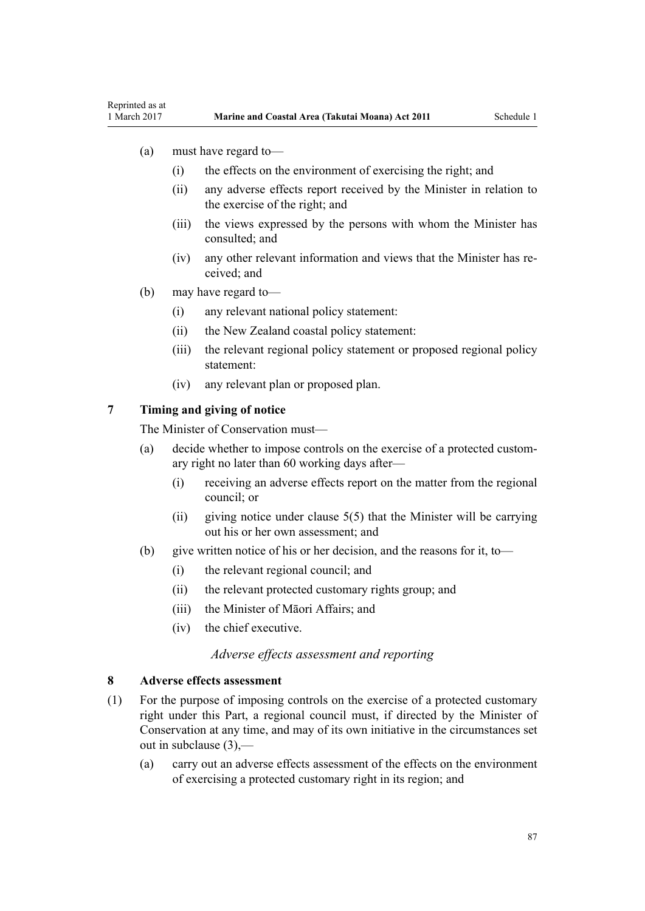- <span id="page-86-0"></span>(a) must have regard to—
	- (i) the effects on the environment of exercising the right; and
	- (ii) any adverse effects report received by the Minister in relation to the exercise of the right; and
	- (iii) the views expressed by the persons with whom the Minister has consulted; and
	- (iv) any other relevant information and views that the Minister has received; and
- (b) may have regard to—
	- (i) any relevant national policy statement:
	- (ii) the New Zealand coastal policy statement:
	- (iii) the relevant regional policy statement or proposed regional policy statement:
	- (iv) any relevant plan or proposed plan.

## **7 Timing and giving of notice**

The Minister of Conservation must—

- (a) decide whether to impose controls on the exercise of a protected customary right no later than 60 working days after—
	- (i) receiving an adverse effects report on the matter from the regional council; or
	- (ii) giving notice under clause  $5(5)$  that the Minister will be carrying out his or her own assessment; and
- (b) give written notice of his or her decision, and the reasons for it, to—
	- (i) the relevant regional council; and
	- (ii) the relevant protected customary rights group; and
	- (iii) the Minister of Māori Affairs; and
	- (iv) the chief executive.

## *Adverse effects assessment and reporting*

#### **8 Adverse effects assessment**

- (1) For the purpose of imposing controls on the exercise of a protected customary right under this Part, a regional council must, if directed by the Minister of Conservation at any time, and may of its own initiative in the circumstances set out in subclause (3),—
	- (a) carry out an adverse effects assessment of the effects on the environment of exercising a protected customary right in its region; and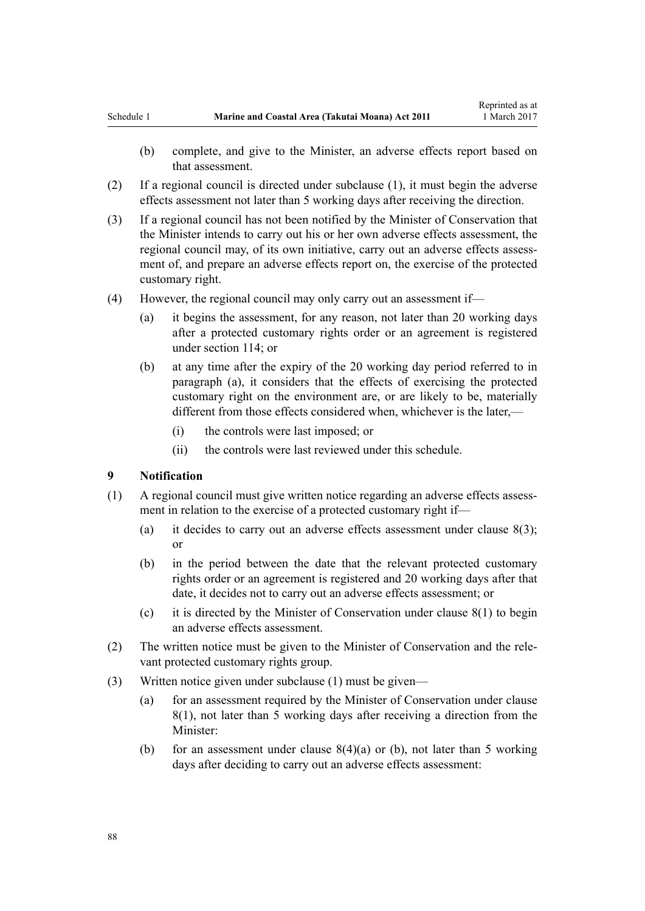- <span id="page-87-0"></span>(b) complete, and give to the Minister, an adverse effects report based on that assessment.
- (2) If a regional council is directed under subclause (1), it must begin the adverse effects assessment not later than 5 working days after receiving the direction.
- (3) If a regional council has not been notified by the Minister of Conservation that the Minister intends to carry out his or her own adverse effects assessment, the regional council may, of its own initiative, carry out an adverse effects assessment of, and prepare an adverse effects report on, the exercise of the protected customary right.
- (4) However, the regional council may only carry out an assessment if—
	- (a) it begins the assessment, for any reason, not later than 20 working days after a protected customary rights order or an agreement is registered under [section 114;](#page-75-0) or
	- (b) at any time after the expiry of the 20 working day period referred to in paragraph (a), it considers that the effects of exercising the protected customary right on the environment are, or are likely to be, materially different from those effects considered when, whichever is the later,—
		- (i) the controls were last imposed; or
		- (ii) the controls were last reviewed under this schedule.

#### **9 Notification**

- (1) A regional council must give written notice regarding an adverse effects assessment in relation to the exercise of a protected customary right if—
	- (a) it decides to carry out an adverse effects assessment under clause  $8(3)$ ; or
	- (b) in the period between the date that the relevant protected customary rights order or an agreement is registered and 20 working days after that date, it decides not to carry out an adverse effects assessment; or
	- (c) it is directed by the Minister of Conservation under [clause 8\(1\)](#page-86-0) to begin an adverse effects assessment.
- (2) The written notice must be given to the Minister of Conservation and the relevant protected customary rights group.
- (3) Written notice given under subclause (1) must be given—
	- (a) for an assessment required by the Minister of Conservation under [clause](#page-86-0) [8\(1\)](#page-86-0), not later than 5 working days after receiving a direction from the Minister:
	- (b) for an assessment under clause  $8(4)(a)$  or (b), not later than 5 working days after deciding to carry out an adverse effects assessment: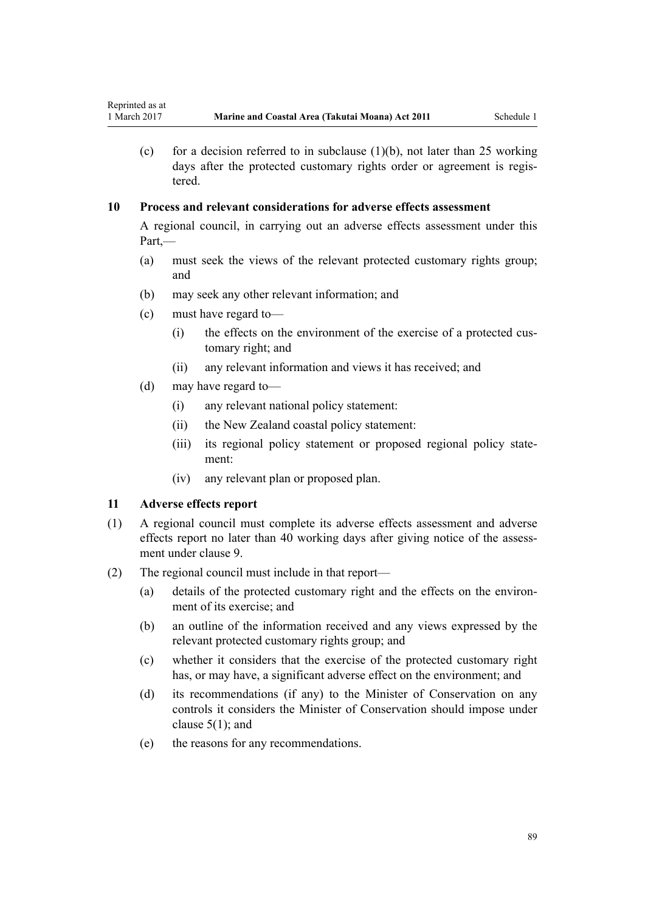(c) for a decision referred to in subclause  $(1)(b)$ , not later than 25 working days after the protected customary rights order or agreement is registered.

## **10 Process and relevant considerations for adverse effects assessment**

A regional council, in carrying out an adverse effects assessment under this Part,—

- (a) must seek the views of the relevant protected customary rights group; and
- (b) may seek any other relevant information; and
- (c) must have regard to—
	- (i) the effects on the environment of the exercise of a protected customary right; and
	- (ii) any relevant information and views it has received; and
- (d) may have regard to—
	- (i) any relevant national policy statement:
	- (ii) the New Zealand coastal policy statement:
	- (iii) its regional policy statement or proposed regional policy statement:
	- (iv) any relevant plan or proposed plan.

## **11 Adverse effects report**

- (1) A regional council must complete its adverse effects assessment and adverse effects report no later than 40 working days after giving notice of the assessment under [clause 9](#page-87-0).
- (2) The regional council must include in that report—
	- (a) details of the protected customary right and the effects on the environment of its exercise; and
	- (b) an outline of the information received and any views expressed by the relevant protected customary rights group; and
	- (c) whether it considers that the exercise of the protected customary right has, or may have, a significant adverse effect on the environment; and
	- (d) its recommendations (if any) to the Minister of Conservation on any controls it considers the Minister of Conservation should impose under [clause 5\(1\);](#page-85-0) and
	- (e) the reasons for any recommendations.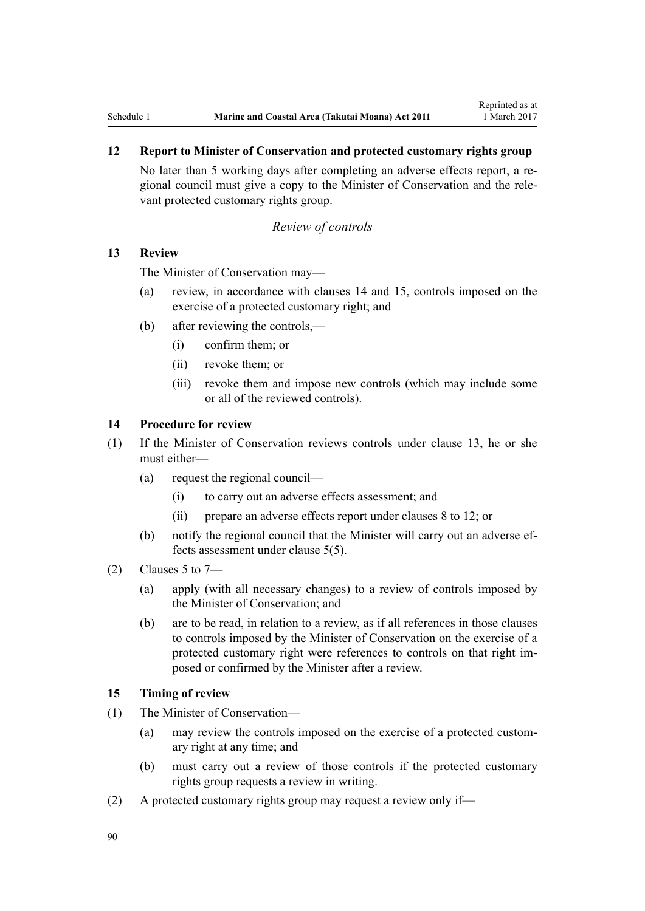## <span id="page-89-0"></span>**12 Report to Minister of Conservation and protected customary rights group**

No later than 5 working days after completing an adverse effects report, a regional council must give a copy to the Minister of Conservation and the relevant protected customary rights group.

#### *Review of controls*

## **13 Review**

The Minister of Conservation may—

- (a) review, in accordance with clauses 14 and 15, controls imposed on the exercise of a protected customary right; and
- (b) after reviewing the controls,—
	- (i) confirm them; or
	- (ii) revoke them; or
	- (iii) revoke them and impose new controls (which may include some or all of the reviewed controls).

## **14 Procedure for review**

- (1) If the Minister of Conservation reviews controls under clause 13, he or she must either—
	- (a) request the regional council—
		- (i) to carry out an adverse effects assessment; and
		- (ii) prepare an adverse effects report under [clauses 8 to 12](#page-86-0); or
	- (b) notify the regional council that the Minister will carry out an adverse effects assessment under [clause 5\(5\).](#page-85-0)
- $(2)$  [Clauses 5 to 7](#page-85-0)
	- (a) apply (with all necessary changes) to a review of controls imposed by the Minister of Conservation; and
	- (b) are to be read, in relation to a review, as if all references in those clauses to controls imposed by the Minister of Conservation on the exercise of a protected customary right were references to controls on that right imposed or confirmed by the Minister after a review.

## **15 Timing of review**

- (1) The Minister of Conservation—
	- (a) may review the controls imposed on the exercise of a protected customary right at any time; and
	- (b) must carry out a review of those controls if the protected customary rights group requests a review in writing.
- (2) A protected customary rights group may request a review only if—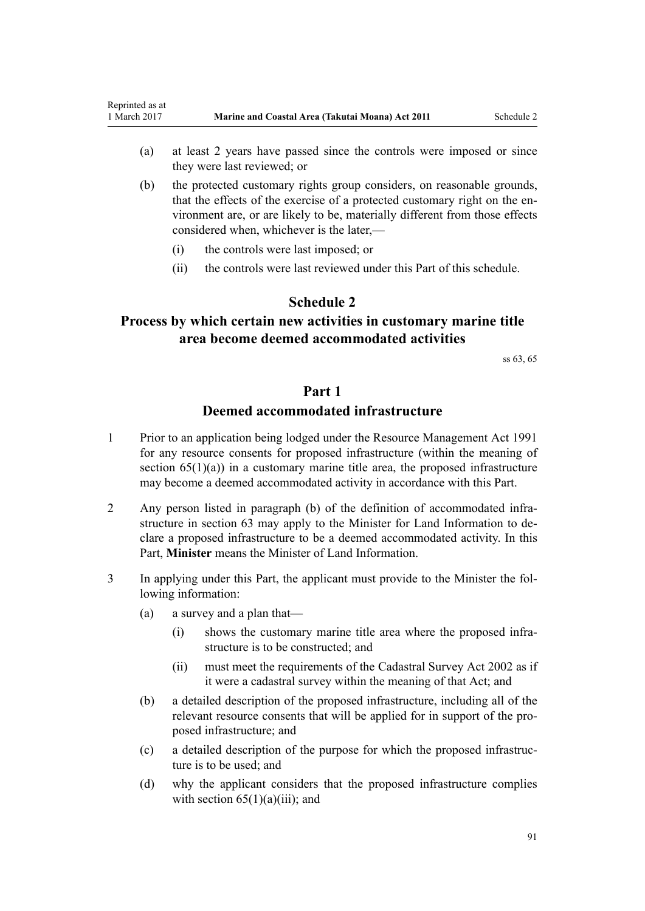- <span id="page-90-0"></span>(a) at least 2 years have passed since the controls were imposed or since they were last reviewed; or
- (b) the protected customary rights group considers, on reasonable grounds, that the effects of the exercise of a protected customary right on the environment are, or are likely to be, materially different from those effects considered when, whichever is the later,—
	- (i) the controls were last imposed; or
	- (ii) the controls were last reviewed under this Part of this schedule.

## **Schedule 2**

# **Process by which certain new activities in customary marine title area become deemed accommodated activities**

[ss 63,](#page-46-0) [65](#page-50-0)

## **Part 1**

## **Deemed accommodated infrastructure**

- 1 Prior to an application being lodged under the [Resource Management Act 1991](http://prd-lgnz-nlb.prd.pco.net.nz/pdflink.aspx?id=DLM230264) for any resource consents for proposed infrastructure (within the meaning of section  $65(1)(a)$  in a customary marine title area, the proposed infrastructure may become a deemed accommodated activity in accordance with this Part.
- 2 Any person listed in paragraph (b) of the definition of accommodated infrastructure in [section 63](#page-46-0) may apply to the Minister for Land Information to declare a proposed infrastructure to be a deemed accommodated activity. In this Part, **Minister** means the Minister of Land Information.
- 3 In applying under this Part, the applicant must provide to the Minister the following information:
	- (a) a survey and a plan that—
		- (i) shows the customary marine title area where the proposed infrastructure is to be constructed; and
		- (ii) must meet the requirements of the [Cadastral Survey Act 2002](http://prd-lgnz-nlb.prd.pco.net.nz/pdflink.aspx?id=DLM141994) as if it were a cadastral survey within the meaning of that Act; and
	- (b) a detailed description of the proposed infrastructure, including all of the relevant resource consents that will be applied for in support of the proposed infrastructure; and
	- (c) a detailed description of the purpose for which the proposed infrastructure is to be used; and
	- (d) why the applicant considers that the proposed infrastructure complies with section  $65(1)(a)(iii)$ ; and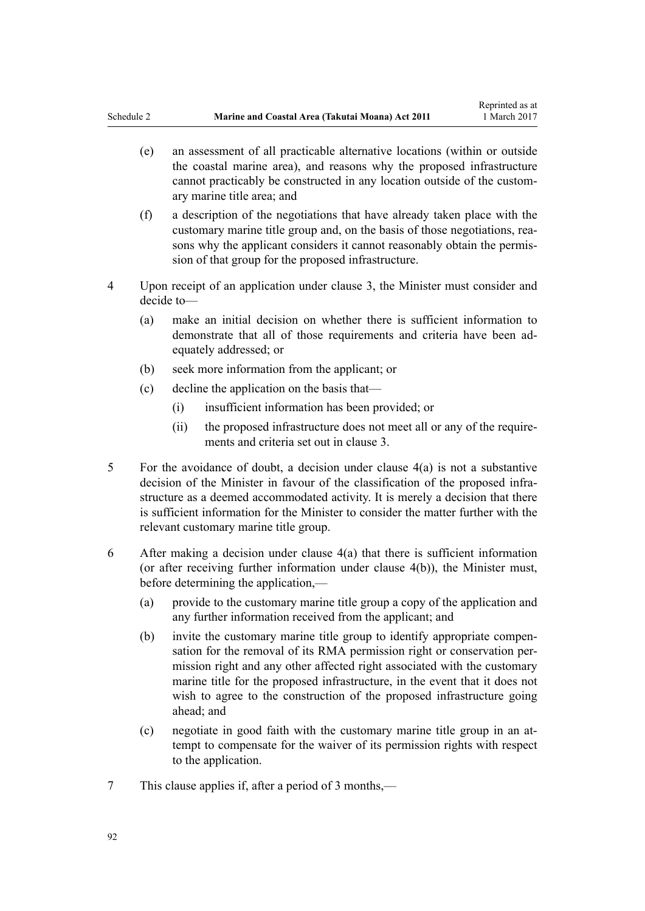- <span id="page-91-0"></span>(e) an assessment of all practicable alternative locations (within or outside the coastal marine area), and reasons why the proposed infrastructure cannot practicably be constructed in any location outside of the customary marine title area; and
- (f) a description of the negotiations that have already taken place with the customary marine title group and, on the basis of those negotiations, reasons why the applicant considers it cannot reasonably obtain the permission of that group for the proposed infrastructure.
- 4 Upon receipt of an application under clause 3, the Minister must consider and decide to—
	- (a) make an initial decision on whether there is sufficient information to demonstrate that all of those requirements and criteria have been adequately addressed; or
	- (b) seek more information from the applicant; or
	- (c) decline the application on the basis that—
		- (i) insufficient information has been provided; or
		- (ii) the proposed infrastructure does not meet all or any of the requirements and criteria set out in [clause 3.](#page-90-0)
- 5 For the avoidance of doubt, a decision under clause 4(a) is not a substantive decision of the Minister in favour of the classification of the proposed infrastructure as a deemed accommodated activity. It is merely a decision that there is sufficient information for the Minister to consider the matter further with the relevant customary marine title group.
- 6 After making a decision under clause 4(a) that there is sufficient information (or after receiving further information under clause 4(b)), the Minister must, before determining the application,—
	- (a) provide to the customary marine title group a copy of the application and any further information received from the applicant; and
	- (b) invite the customary marine title group to identify appropriate compensation for the removal of its RMA permission right or conservation permission right and any other affected right associated with the customary marine title for the proposed infrastructure, in the event that it does not wish to agree to the construction of the proposed infrastructure going ahead; and
	- (c) negotiate in good faith with the customary marine title group in an attempt to compensate for the waiver of its permission rights with respect to the application.
- 7 This clause applies if, after a period of 3 months,—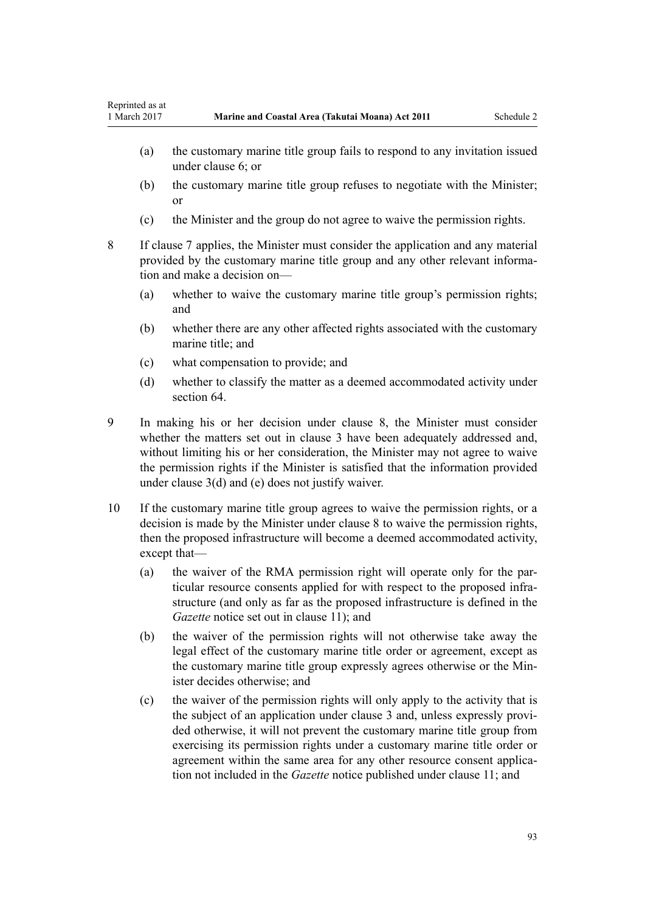- <span id="page-92-0"></span>(a) the customary marine title group fails to respond to any invitation issued under [clause 6;](#page-91-0) or
- (b) the customary marine title group refuses to negotiate with the Minister; or
- (c) the Minister and the group do not agree to waive the permission rights.
- 8 If [clause 7](#page-91-0) applies, the Minister must consider the application and any material provided by the customary marine title group and any other relevant information and make a decision on—
	- (a) whether to waive the customary marine title group's permission rights; and
	- (b) whether there are any other affected rights associated with the customary marine title: and
	- (c) what compensation to provide; and
	- (d) whether to classify the matter as a deemed accommodated activity under [section 64](#page-48-0)
- 9 In making his or her decision under clause 8, the Minister must consider whether the matters set out in [clause 3](#page-90-0) have been adequately addressed and, without limiting his or her consideration, the Minister may not agree to waive the permission rights if the Minister is satisfied that the information provided under [clause 3\(d\) and \(e\)](#page-90-0) does not justify waiver.
- 10 If the customary marine title group agrees to waive the permission rights, or a decision is made by the Minister under clause 8 to waive the permission rights, then the proposed infrastructure will become a deemed accommodated activity, except that—
	- (a) the waiver of the RMA permission right will operate only for the particular resource consents applied for with respect to the proposed infrastructure (and only as far as the proposed infrastructure is defined in the *Gazette* notice set out in [clause 11\)](#page-93-0); and
	- (b) the waiver of the permission rights will not otherwise take away the legal effect of the customary marine title order or agreement, except as the customary marine title group expressly agrees otherwise or the Minister decides otherwise; and
	- (c) the waiver of the permission rights will only apply to the activity that is the subject of an application under [clause 3](#page-90-0) and, unless expressly provided otherwise, it will not prevent the customary marine title group from exercising its permission rights under a customary marine title order or agreement within the same area for any other resource consent application not included in the *Gazette* notice published under [clause 11](#page-93-0); and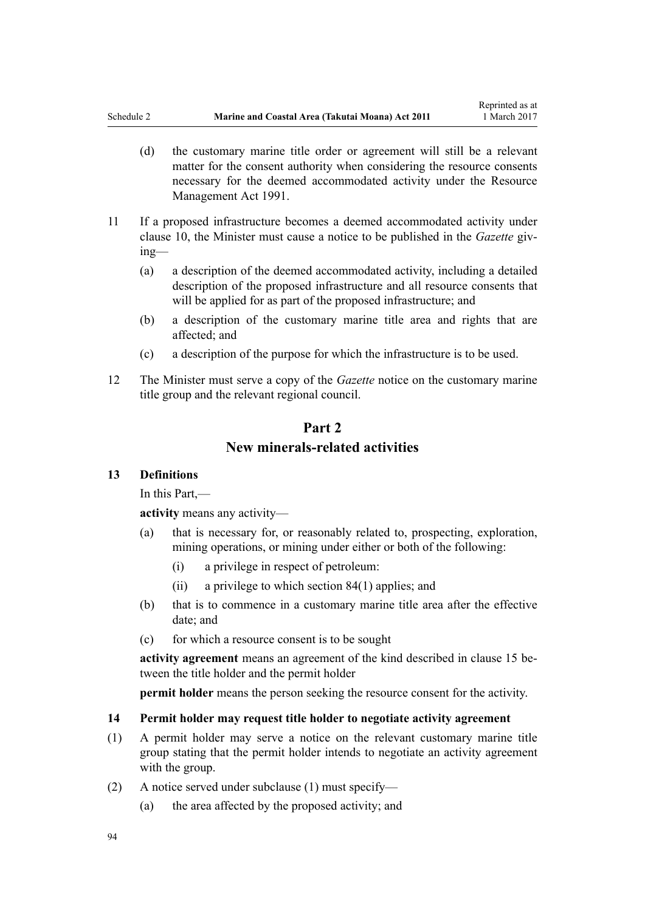- <span id="page-93-0"></span>(d) the customary marine title order or agreement will still be a relevant matter for the consent authority when considering the resource consents necessary for the deemed accommodated activity under the [Resource](http://prd-lgnz-nlb.prd.pco.net.nz/pdflink.aspx?id=DLM230264) [Management Act 1991.](http://prd-lgnz-nlb.prd.pco.net.nz/pdflink.aspx?id=DLM230264)
- 11 If a proposed infrastructure becomes a deemed accommodated activity under [clause 10,](#page-92-0) the Minister must cause a notice to be published in the *Gazette* giving—
	- (a) a description of the deemed accommodated activity, including a detailed description of the proposed infrastructure and all resource consents that will be applied for as part of the proposed infrastructure; and
	- (b) a description of the customary marine title area and rights that are affected; and
	- (c) a description of the purpose for which the infrastructure is to be used.
- 12 The Minister must serve a copy of the *Gazette* notice on the customary marine title group and the relevant regional council.

# **Part 2 New minerals-related activities**

## **13 Definitions**

In this Part,—

**activity** means any activity—

- (a) that is necessary for, or reasonably related to, prospecting, exploration, mining operations, or mining under either or both of the following:
	- (i) a privilege in respect of petroleum:
	- (ii) a privilege to which [section 84\(1\)](#page-61-0) applies; and
- (b) that is to commence in a customary marine title area after the effective date; and
- (c) for which a resource consent is to be sought

**activity agreement** means an agreement of the kind described in [clause 15](#page-94-0) between the title holder and the permit holder

**permit holder** means the person seeking the resource consent for the activity.

#### **14 Permit holder may request title holder to negotiate activity agreement**

- (1) A permit holder may serve a notice on the relevant customary marine title group stating that the permit holder intends to negotiate an activity agreement with the group.
- (2) A notice served under subclause (1) must specify—
	- (a) the area affected by the proposed activity; and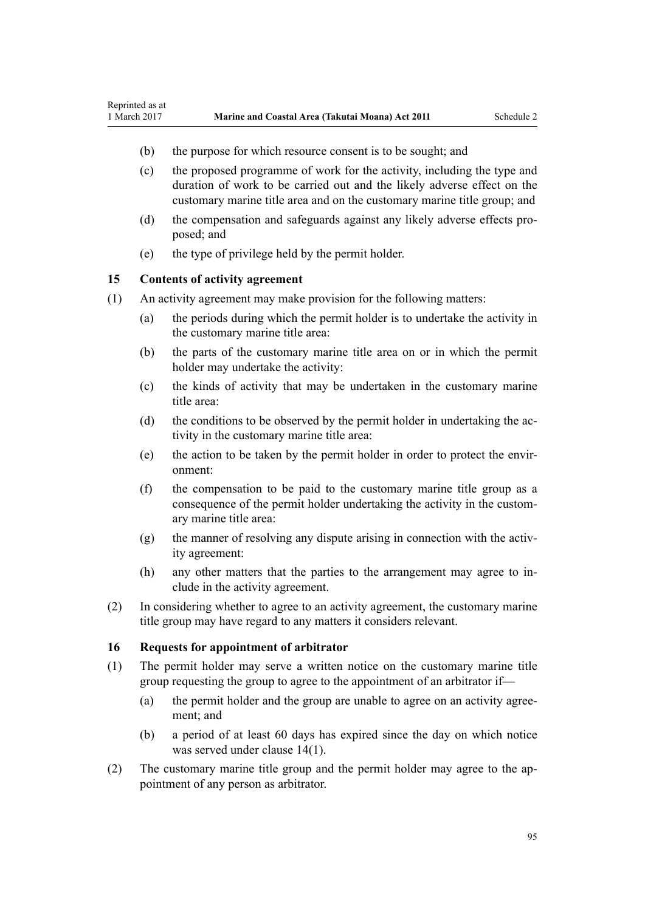- (b) the purpose for which resource consent is to be sought; and
- (c) the proposed programme of work for the activity, including the type and duration of work to be carried out and the likely adverse effect on the customary marine title area and on the customary marine title group; and
- (d) the compensation and safeguards against any likely adverse effects proposed; and
- (e) the type of privilege held by the permit holder.

## **15 Contents of activity agreement**

<span id="page-94-0"></span>Reprinted as at

- (1) An activity agreement may make provision for the following matters:
	- (a) the periods during which the permit holder is to undertake the activity in the customary marine title area:
	- (b) the parts of the customary marine title area on or in which the permit holder may undertake the activity:
	- (c) the kinds of activity that may be undertaken in the customary marine title area:
	- (d) the conditions to be observed by the permit holder in undertaking the activity in the customary marine title area:
	- (e) the action to be taken by the permit holder in order to protect the environment:
	- (f) the compensation to be paid to the customary marine title group as a consequence of the permit holder undertaking the activity in the customary marine title area:
	- (g) the manner of resolving any dispute arising in connection with the activity agreement:
	- (h) any other matters that the parties to the arrangement may agree to include in the activity agreement.
- (2) In considering whether to agree to an activity agreement, the customary marine title group may have regard to any matters it considers relevant.

#### **16 Requests for appointment of arbitrator**

- (1) The permit holder may serve a written notice on the customary marine title group requesting the group to agree to the appointment of an arbitrator if—
	- (a) the permit holder and the group are unable to agree on an activity agreement; and
	- (b) a period of at least 60 days has expired since the day on which notice was served under [clause 14\(1\)](#page-93-0).
- (2) The customary marine title group and the permit holder may agree to the appointment of any person as arbitrator.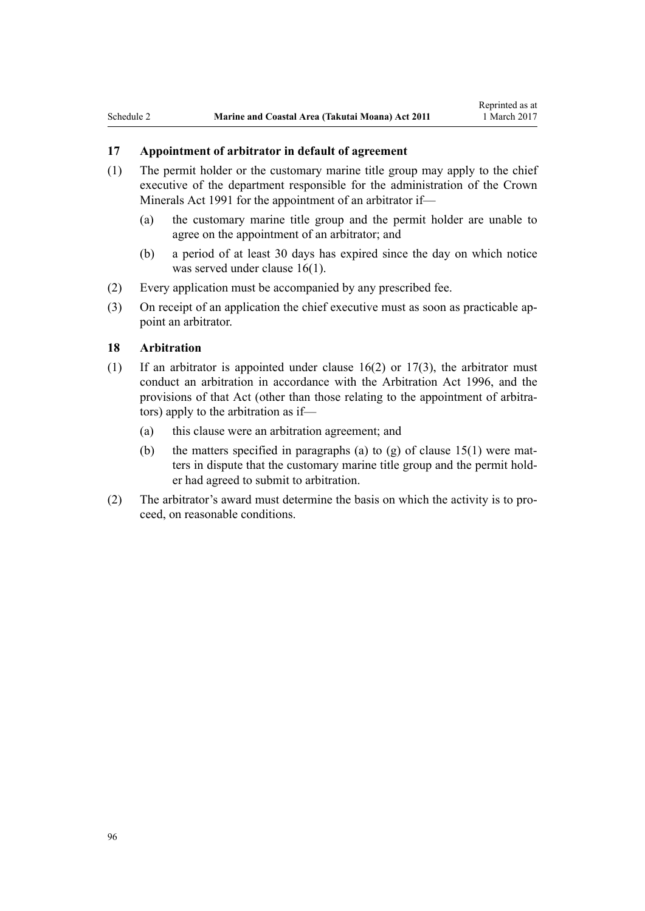## **17 Appointment of arbitrator in default of agreement**

- (1) The permit holder or the customary marine title group may apply to the chief executive of the department responsible for the administration of the [Crown](http://prd-lgnz-nlb.prd.pco.net.nz/pdflink.aspx?id=DLM242535) [Minerals Act 1991](http://prd-lgnz-nlb.prd.pco.net.nz/pdflink.aspx?id=DLM242535) for the appointment of an arbitrator if—
	- (a) the customary marine title group and the permit holder are unable to agree on the appointment of an arbitrator; and
	- (b) a period of at least 30 days has expired since the day on which notice was served under [clause 16\(1\)](#page-94-0).
- (2) Every application must be accompanied by any prescribed fee.
- (3) On receipt of an application the chief executive must as soon as practicable appoint an arbitrator.

## **18 Arbitration**

- (1) If an arbitrator is appointed under clause  $16(2)$  or  $17(3)$ , the arbitrator must conduct an arbitration in accordance with the [Arbitration Act 1996](http://prd-lgnz-nlb.prd.pco.net.nz/pdflink.aspx?id=DLM403276), and the provisions of that Act (other than those relating to the appointment of arbitrators) apply to the arbitration as if—
	- (a) this clause were an arbitration agreement; and
	- (b) the matters specified in paragraphs (a) to (g) of clause  $15(1)$  were matters in dispute that the customary marine title group and the permit holder had agreed to submit to arbitration.
- (2) The arbitrator's award must determine the basis on which the activity is to proceed, on reasonable conditions.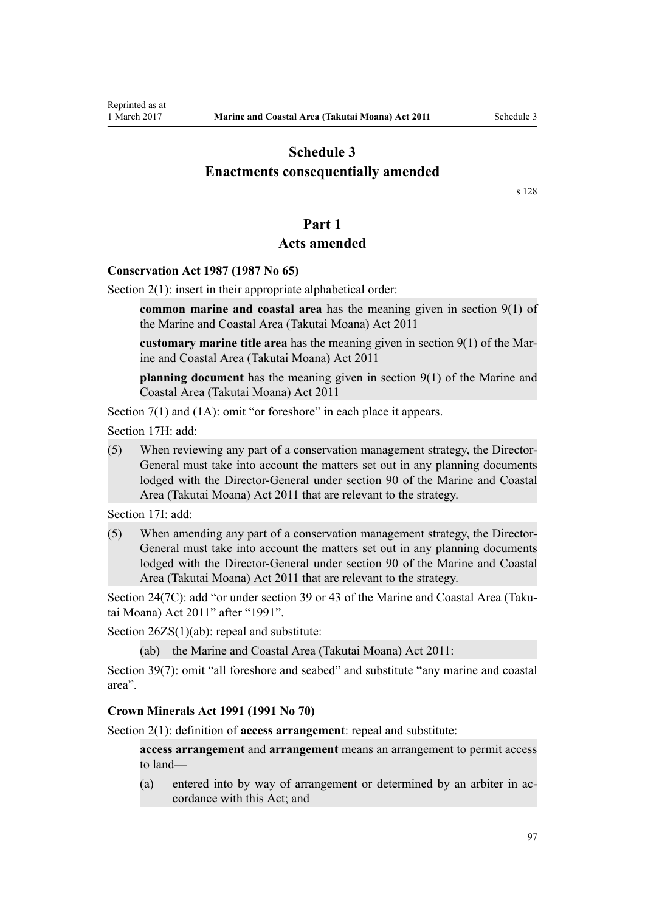# <span id="page-96-0"></span>**Schedule 3 Enactments consequentially amended**

[s 128](#page-82-0)

## **Part 1**

## **Acts amended**

#### **[Conservation Act 1987](http://prd-lgnz-nlb.prd.pco.net.nz/pdflink.aspx?id=DLM103609) (1987 No 65)**

[Section 2\(1\):](http://prd-lgnz-nlb.prd.pco.net.nz/pdflink.aspx?id=DLM103616) insert in their appropriate alphabetical order:

**common marine and coastal area** has the meaning given in section 9(1) of the Marine and Coastal Area (Takutai Moana) Act 2011

**customary marine title area** has the meaning given in section 9(1) of the Marine and Coastal Area (Takutai Moana) Act 2011

**planning document** has the meaning given in section 9(1) of the Marine and Coastal Area (Takutai Moana) Act 2011

[Section 7\(1\)](http://prd-lgnz-nlb.prd.pco.net.nz/pdflink.aspx?id=DLM104251) and (1A): omit "or foreshore" in each place it appears.

[Section 17H](http://prd-lgnz-nlb.prd.pco.net.nz/pdflink.aspx?id=DLM104613): add:

(5) When reviewing any part of a conservation management strategy, the Director-General must take into account the matters set out in any planning documents lodged with the Director-General under section 90 of the Marine and Coastal Area (Takutai Moana) Act 2011 that are relevant to the strategy.

[Section 17I:](http://prd-lgnz-nlb.prd.pco.net.nz/pdflink.aspx?id=DLM104615) add:

(5) When amending any part of a conservation management strategy, the Director-General must take into account the matters set out in any planning documents lodged with the Director-General under section 90 of the Marine and Coastal Area (Takutai Moana) Act 2011 that are relevant to the strategy.

[Section 24\(7C\)](http://prd-lgnz-nlb.prd.pco.net.nz/pdflink.aspx?id=DLM104699): add "or under section 39 or 43 of the Marine and Coastal Area (Takutai Moana) Act 2011" after "1991".

[Section 26ZS\(1\)\(ab\)](http://prd-lgnz-nlb.prd.pco.net.nz/pdflink.aspx?id=DLM106043): repeal and substitute:

(ab) the Marine and Coastal Area (Takutai Moana) Act 2011:

[Section 39\(7\):](http://prd-lgnz-nlb.prd.pco.net.nz/pdflink.aspx?id=DLM106641) omit "all foreshore and seabed" and substitute "any marine and coastal area".

#### **[Crown Minerals Act 1991](http://prd-lgnz-nlb.prd.pco.net.nz/pdflink.aspx?id=DLM242535) (1991 No 70)**

[Section 2\(1\):](http://prd-lgnz-nlb.prd.pco.net.nz/pdflink.aspx?id=DLM242543) definition of **access arrangement**: repeal and substitute:

**access arrangement** and **arrangement** means an arrangement to permit access to land—

(a) entered into by way of arrangement or determined by an arbiter in accordance with this Act; and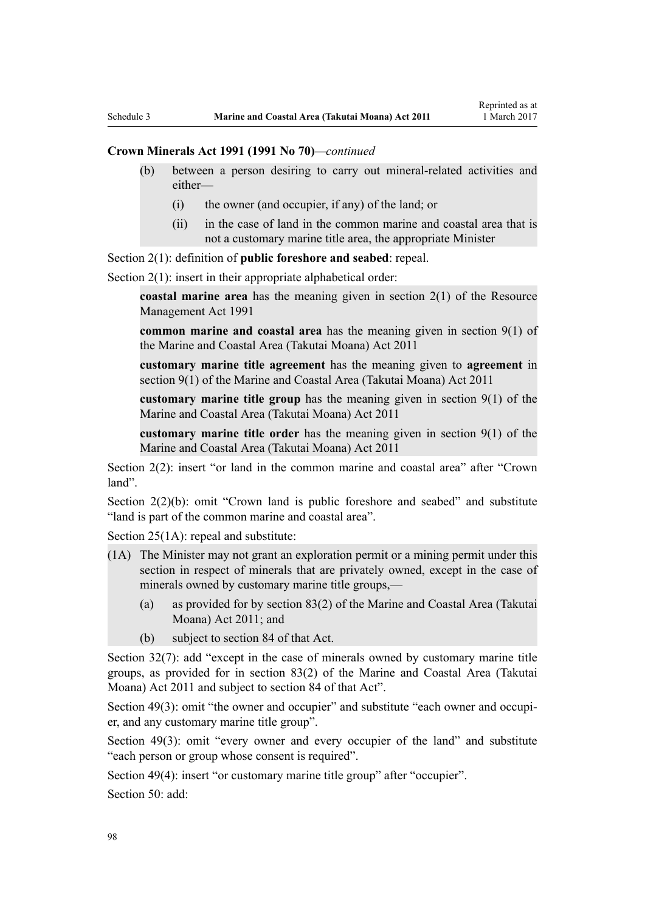#### **Crown Minerals Act 1991 (1991 No 70)***—continued*

- (b) between a person desiring to carry out mineral-related activities and either—
	- (i) the owner (and occupier, if any) of the land; or
	- (ii) in the case of land in the common marine and coastal area that is not a customary marine title area, the appropriate Minister

[Section 2\(1\):](http://prd-lgnz-nlb.prd.pco.net.nz/pdflink.aspx?id=DLM242543) definition of **public foreshore and seabed**: repeal.

[Section 2\(1\):](http://prd-lgnz-nlb.prd.pco.net.nz/pdflink.aspx?id=DLM242543) insert in their appropriate alphabetical order:

**coastal marine area** has the meaning given in section 2(1) of the Resource Management Act 1991

**common marine and coastal area** has the meaning given in section 9(1) of the Marine and Coastal Area (Takutai Moana) Act 2011

**customary marine title agreement** has the meaning given to **agreement** in section 9(1) of the Marine and Coastal Area (Takutai Moana) Act 2011

**customary marine title group** has the meaning given in section 9(1) of the Marine and Coastal Area (Takutai Moana) Act 2011

**customary marine title order** has the meaning given in section 9(1) of the Marine and Coastal Area (Takutai Moana) Act 2011

[Section 2\(2\)](http://prd-lgnz-nlb.prd.pco.net.nz/pdflink.aspx?id=DLM242543): insert "or land in the common marine and coastal area" after "Crown land".

[Section 2\(2\)\(b\)](http://prd-lgnz-nlb.prd.pco.net.nz/pdflink.aspx?id=DLM242543): omit "Crown land is public foreshore and seabed" and substitute "land is part of the common marine and coastal area".

[Section 25\(1A\):](http://prd-lgnz-nlb.prd.pco.net.nz/pdflink.aspx?id=DLM246328) repeal and substitute:

- (1A) The Minister may not grant an exploration permit or a mining permit under this section in respect of minerals that are privately owned, except in the case of minerals owned by customary marine title groups,—
	- (a) as provided for by section 83(2) of the Marine and Coastal Area (Takutai Moana) Act 2011; and
	- (b) subject to section 84 of that Act.

[Section 32\(7\):](http://prd-lgnz-nlb.prd.pco.net.nz/pdflink.aspx?id=DLM246341) add "except in the case of minerals owned by customary marine title groups, as provided for in section 83(2) of the Marine and Coastal Area (Takutai Moana) Act 2011 and subject to section 84 of that Act".

[Section 49\(3\):](http://prd-lgnz-nlb.prd.pco.net.nz/pdflink.aspx?id=DLM246396) omit "the owner and occupier" and substitute "each owner and occupier, and any customary marine title group".

[Section 49\(3\):](http://prd-lgnz-nlb.prd.pco.net.nz/pdflink.aspx?id=DLM246396) omit "every owner and every occupier of the land" and substitute "each person or group whose consent is required".

[Section 49\(4\)](http://prd-lgnz-nlb.prd.pco.net.nz/pdflink.aspx?id=DLM246396): insert "or customary marine title group" after "occupier".

[Section 50](http://prd-lgnz-nlb.prd.pco.net.nz/pdflink.aspx?id=DLM246397): add: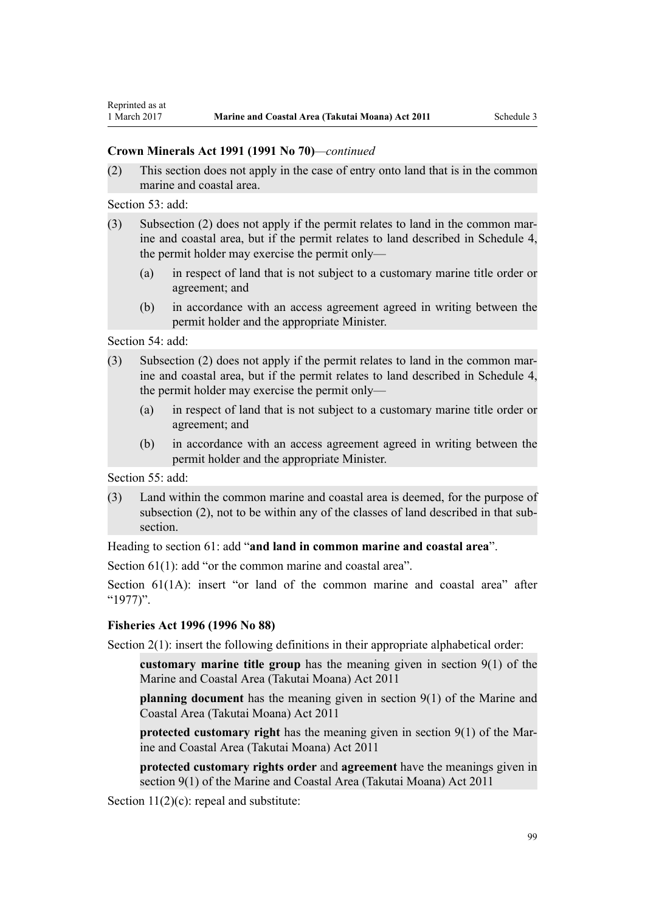## **Crown Minerals Act 1991 (1991 No 70)***—continued*

(2) This section does not apply in the case of entry onto land that is in the common marine and coastal area.

[Section 53](http://prd-lgnz-nlb.prd.pco.net.nz/pdflink.aspx?id=DLM246703): add:

- (3) Subsection (2) does not apply if the permit relates to land in the common marine and coastal area, but if the permit relates to land described in Schedule 4, the permit holder may exercise the permit only—
	- (a) in respect of land that is not subject to a customary marine title order or agreement; and
	- (b) in accordance with an access agreement agreed in writing between the permit holder and the appropriate Minister.

[Section 54](http://prd-lgnz-nlb.prd.pco.net.nz/pdflink.aspx?id=DLM246704): add:

- (3) Subsection (2) does not apply if the permit relates to land in the common marine and coastal area, but if the permit relates to land described in Schedule 4, the permit holder may exercise the permit only—
	- (a) in respect of land that is not subject to a customary marine title order or agreement; and
	- (b) in accordance with an access agreement agreed in writing between the permit holder and the appropriate Minister.

[Section 55](http://prd-lgnz-nlb.prd.pco.net.nz/pdflink.aspx?id=DLM246706): add:

(3) Land within the common marine and coastal area is deemed, for the purpose of subsection (2), not to be within any of the classes of land described in that subsection.

Heading to [section 61:](http://prd-lgnz-nlb.prd.pco.net.nz/pdflink.aspx?id=DLM246714) add "**and land in common marine and coastal area**".

[Section 61\(1\)](http://prd-lgnz-nlb.prd.pco.net.nz/pdflink.aspx?id=DLM246714): add "or the common marine and coastal area".

[Section 61\(1A\)](http://prd-lgnz-nlb.prd.pco.net.nz/pdflink.aspx?id=DLM246714): insert "or land of the common marine and coastal area" after "1977)".

## **[Fisheries Act 1996](http://prd-lgnz-nlb.prd.pco.net.nz/pdflink.aspx?id=DLM394191) (1996 No 88)**

[Section 2\(1\):](http://prd-lgnz-nlb.prd.pco.net.nz/pdflink.aspx?id=DLM394199) insert the following definitions in their appropriate alphabetical order:

**customary marine title group** has the meaning given in section 9(1) of the Marine and Coastal Area (Takutai Moana) Act 2011

**planning document** has the meaning given in section 9(1) of the Marine and Coastal Area (Takutai Moana) Act 2011

**protected customary right** has the meaning given in section 9(1) of the Marine and Coastal Area (Takutai Moana) Act 2011

**protected customary rights order** and **agreement** have the meanings given in section 9(1) of the Marine and Coastal Area (Takutai Moana) Act 2011

[Section 11\(2\)\(c\):](http://prd-lgnz-nlb.prd.pco.net.nz/pdflink.aspx?id=DLM395397) repeal and substitute: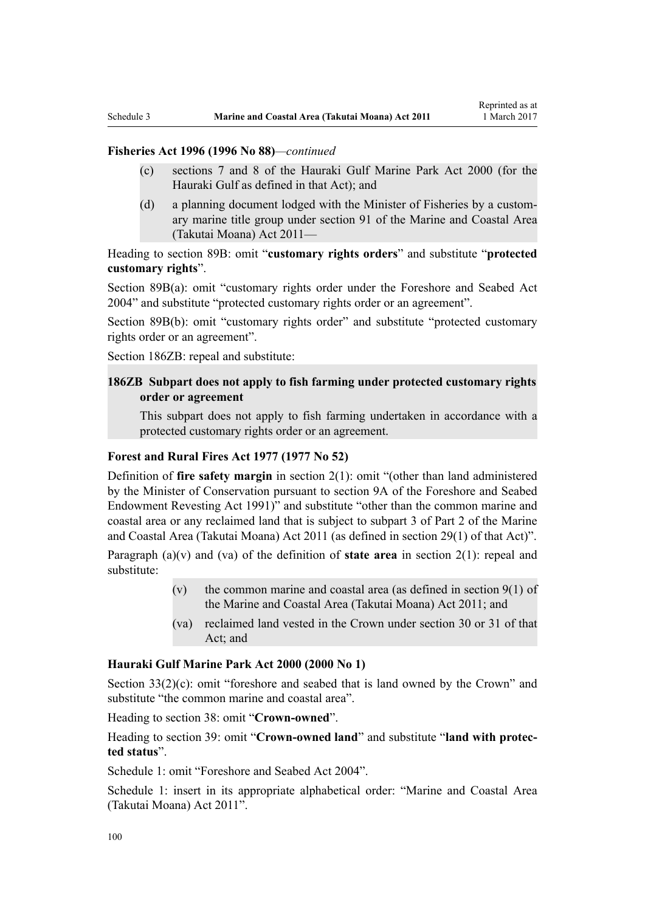## **Fisheries Act 1996 (1996 No 88)***—continued*

- (c) sections 7 and 8 of the Hauraki Gulf Marine Park Act 2000 (for the Hauraki Gulf as defined in that Act); and
- (d) a planning document lodged with the Minister of Fisheries by a customary marine title group under section 91 of the Marine and Coastal Area (Takutai Moana) Act 2011—

Heading to [section 89B](http://prd-lgnz-nlb.prd.pco.net.nz/pdflink.aspx?id=DLM396920): omit "**customary rights orders**" and substitute "**protected customary rights**".

[Section 89B\(a\)](http://prd-lgnz-nlb.prd.pco.net.nz/pdflink.aspx?id=DLM396920): omit "customary rights order under the Foreshore and Seabed Act 2004" and substitute "protected customary rights order or an agreement".

[Section 89B\(b\):](http://prd-lgnz-nlb.prd.pco.net.nz/pdflink.aspx?id=DLM396920) omit "customary rights order" and substitute "protected customary rights order or an agreement".

[Section 186ZB:](http://prd-lgnz-nlb.prd.pco.net.nz/pdflink.aspx?id=DLM398342) repeal and substitute:

## **186ZB Subpart does not apply to fish farming under protected customary rights order or agreement**

This subpart does not apply to fish farming undertaken in accordance with a protected customary rights order or an agreement.

## **[Forest and Rural Fires Act 1977](http://prd-lgnz-nlb.prd.pco.net.nz/pdflink.aspx?id=DLM442946) (1977 No 52)**

Definition of **fire safety margin** in [section 2\(1\):](http://prd-lgnz-nlb.prd.pco.net.nz/pdflink.aspx?id=DLM442952) omit "(other than land administered by the Minister of Conservation pursuant to section 9A of the Foreshore and Seabed Endowment Revesting Act 1991)" and substitute "other than the common marine and coastal area or any reclaimed land that is subject to subpart 3 of Part 2 of the Marine and Coastal Area (Takutai Moana) Act 2011 (as defined in section 29(1) of that Act)".

Paragraph (a)(v) and (va) of the definition of **state area** in [section 2\(1\):](http://prd-lgnz-nlb.prd.pco.net.nz/pdflink.aspx?id=DLM442952) repeal and substitute:

- (v) the common marine and coastal area (as defined in section  $9(1)$  of the Marine and Coastal Area (Takutai Moana) Act 2011; and
- (va) reclaimed land vested in the Crown under section 30 or 31 of that Act; and

#### **[Hauraki Gulf Marine Park Act 2000](http://prd-lgnz-nlb.prd.pco.net.nz/pdflink.aspx?id=DLM52557) (2000 No 1)**

[Section 33\(2\)\(c\)](http://prd-lgnz-nlb.prd.pco.net.nz/pdflink.aspx?id=DLM53174): omit "foreshore and seabed that is land owned by the Crown" and substitute "the common marine and coastal area".

Heading to [section 38:](http://prd-lgnz-nlb.prd.pco.net.nz/pdflink.aspx?id=DLM53180) omit "**Crown-owned**".

Heading to [section 39:](http://prd-lgnz-nlb.prd.pco.net.nz/pdflink.aspx?id=DLM53181) omit "**Crown-owned land**" and substitute "**land with protected status**".

[Schedule 1:](http://prd-lgnz-nlb.prd.pco.net.nz/pdflink.aspx?id=DLM53199) omit "Foreshore and Seabed Act 2004".

[Schedule 1:](http://prd-lgnz-nlb.prd.pco.net.nz/pdflink.aspx?id=DLM53199) insert in its appropriate alphabetical order: "Marine and Coastal Area (Takutai Moana) Act 2011".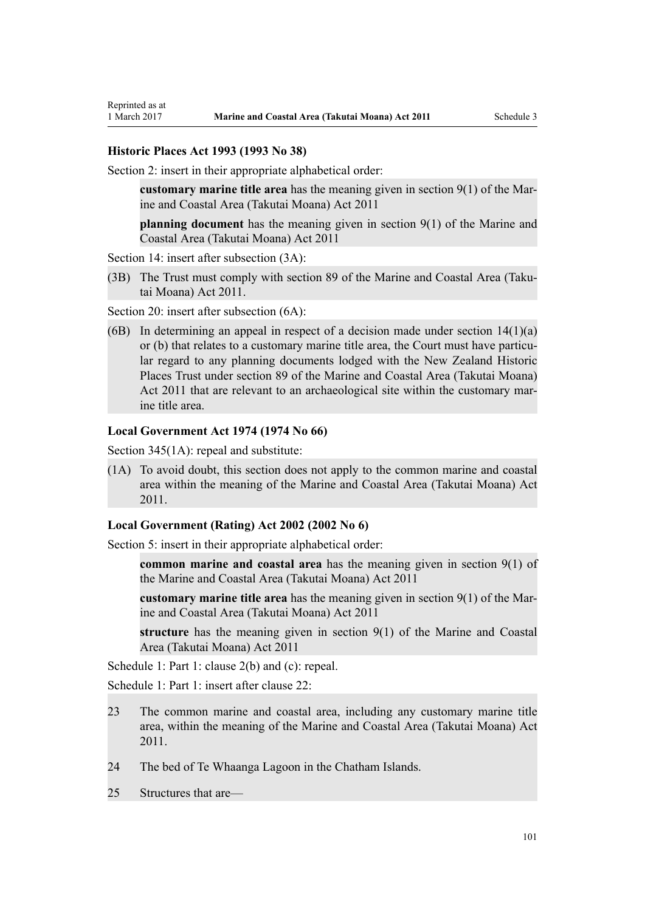#### **[Historic Places Act 1993](http://prd-lgnz-nlb.prd.pco.net.nz/pdflink.aspx?id=DLM300510) (1993 No 38)**

[Section 2](http://prd-lgnz-nlb.prd.pco.net.nz/pdflink.aspx?id=DLM300516): insert in their appropriate alphabetical order:

**customary marine title area** has the meaning given in section 9(1) of the Marine and Coastal Area (Takutai Moana) Act 2011

**planning document** has the meaning given in section 9(1) of the Marine and Coastal Area (Takutai Moana) Act 2011

[Section 14](http://prd-lgnz-nlb.prd.pco.net.nz/pdflink.aspx?id=DLM300610): insert after subsection  $(3A)$ :

(3B) The Trust must comply with section 89 of the Marine and Coastal Area (Takutai Moana) Act 2011.

[Section 20](http://prd-lgnz-nlb.prd.pco.net.nz/pdflink.aspx?id=DLM300622): insert after subsection  $(6A)$ :

(6B) In determining an appeal in respect of a decision made under section  $14(1)(a)$ or (b) that relates to a customary marine title area, the Court must have particular regard to any planning documents lodged with the New Zealand Historic Places Trust under section 89 of the Marine and Coastal Area (Takutai Moana) Act 2011 that are relevant to an archaeological site within the customary marine title area.

#### **[Local Government Act 1974](http://prd-lgnz-nlb.prd.pco.net.nz/pdflink.aspx?id=DLM415531) (1974 No 66)**

[Section 345\(1A\):](http://prd-lgnz-nlb.prd.pco.net.nz/pdflink.aspx?id=DLM420626) repeal and substitute:

(1A) To avoid doubt, this section does not apply to the common marine and coastal area within the meaning of the Marine and Coastal Area (Takutai Moana) Act 2011.

## **[Local Government \(Rating\) Act 2002](http://prd-lgnz-nlb.prd.pco.net.nz/pdflink.aspx?id=DLM131393) (2002 No 6)**

[Section 5](http://prd-lgnz-nlb.prd.pco.net.nz/pdflink.aspx?id=DLM132004): insert in their appropriate alphabetical order:

**common marine and coastal area** has the meaning given in section 9(1) of the Marine and Coastal Area (Takutai Moana) Act 2011

**customary marine title area** has the meaning given in section 9(1) of the Marine and Coastal Area (Takutai Moana) Act 2011

**structure** has the meaning given in section 9(1) of the Marine and Coastal Area (Takutai Moana) Act 2011

[Schedule 1:](http://prd-lgnz-nlb.prd.pco.net.nz/pdflink.aspx?id=DLM133512) Part 1: clause 2(b) and (c): repeal.

[Schedule 1:](http://prd-lgnz-nlb.prd.pco.net.nz/pdflink.aspx?id=DLM133512) Part 1: insert after clause 22:

- 23 The common marine and coastal area, including any customary marine title area, within the meaning of the Marine and Coastal Area (Takutai Moana) Act 2011.
- 24 The bed of Te Whaanga Lagoon in the Chatham Islands.
- 25 Structures that are—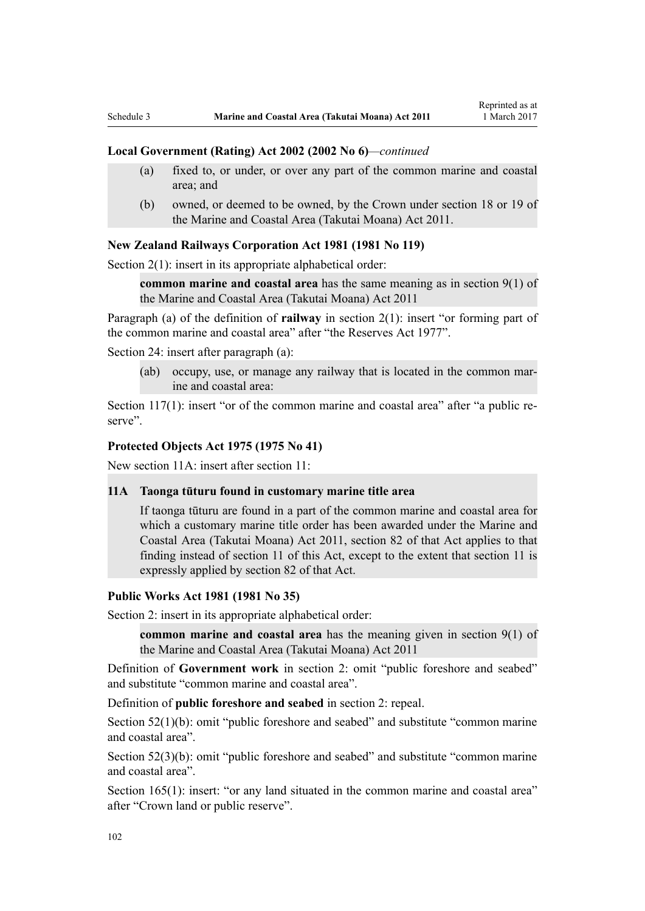#### **Local Government (Rating) Act 2002 (2002 No 6)***—continued*

- (a) fixed to, or under, or over any part of the common marine and coastal area; and
- (b) owned, or deemed to be owned, by the Crown under section 18 or 19 of the Marine and Coastal Area (Takutai Moana) Act 2011.

## **[New Zealand Railways Corporation Act 1981](http://prd-lgnz-nlb.prd.pco.net.nz/pdflink.aspx?id=DLM57005) (1981 No 119)**

[Section 2\(1\):](http://prd-lgnz-nlb.prd.pco.net.nz/pdflink.aspx?id=DLM57011) insert in its appropriate alphabetical order:

**common marine and coastal area** has the same meaning as in section 9(1) of the Marine and Coastal Area (Takutai Moana) Act 2011

Paragraph (a) of the definition of **railway** in section 2(1): insert "or forming part of the common marine and coastal area" after "the Reserves Act 1977".

[Section 24](http://prd-lgnz-nlb.prd.pco.net.nz/pdflink.aspx?id=DLM57642): insert after paragraph (a):

(ab) occupy, use, or manage any railway that is located in the common marine and coastal area:

[Section 117\(1\)](http://prd-lgnz-nlb.prd.pco.net.nz/pdflink.aspx?id=DLM58268): insert "or of the common marine and coastal area" after "a public reserve".

#### **[Protected Objects Act 1975](http://prd-lgnz-nlb.prd.pco.net.nz/pdflink.aspx?id=DLM432115) (1975 No 41)**

New section 11A: insert after section 11:

## **11A Taonga tūturu found in customary marine title area**

If taonga tūturu are found in a part of the common marine and coastal area for which a customary marine title order has been awarded under the Marine and Coastal Area (Takutai Moana) Act 2011, section 82 of that Act applies to that finding instead of section 11 of this Act, except to the extent that section 11 is expressly applied by section 82 of that Act.

#### **[Public Works Act 1981](http://prd-lgnz-nlb.prd.pco.net.nz/pdflink.aspx?id=DLM45426) (1981 No 35)**

Section 2: insert in its appropriate alphabetical order:

**common marine and coastal area** has the meaning given in section 9(1) of the Marine and Coastal Area (Takutai Moana) Act 2011

Definition of **Government work** in section 2: omit "public foreshore and seabed" and substitute "common marine and coastal area".

Definition of **public foreshore and seabed** in section 2: repeal.

[Section 52\(1\)\(b\)](http://prd-lgnz-nlb.prd.pco.net.nz/pdflink.aspx?id=DLM46307): omit "public foreshore and seabed" and substitute "common marine" and coastal area".

[Section 52\(3\)\(b\)](http://prd-lgnz-nlb.prd.pco.net.nz/pdflink.aspx?id=DLM46307): omit "public foreshore and seabed" and substitute "common marine and coastal area".

[Section 165\(1\):](http://prd-lgnz-nlb.prd.pco.net.nz/pdflink.aspx?id=DLM47750) insert: "or any land situated in the common marine and coastal area" after "Crown land or public reserve".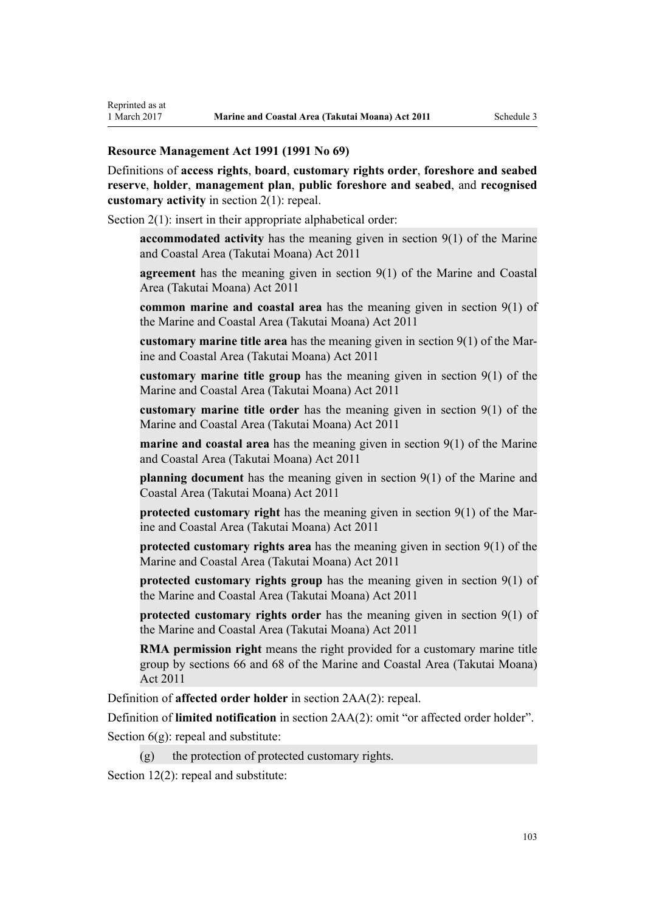## **[Resource Management Act 1991](http://prd-lgnz-nlb.prd.pco.net.nz/pdflink.aspx?id=DLM230264) (1991 No 69)**

Definitions of **access rights**, **board**, **customary rights order**, **foreshore and seabed reserve**, **holder**, **management plan**, **public foreshore and seabed**, and **recognised customary activity** in [section 2\(1\):](http://prd-lgnz-nlb.prd.pco.net.nz/pdflink.aspx?id=DLM230272) repeal.

[Section 2\(1\):](http://prd-lgnz-nlb.prd.pco.net.nz/pdflink.aspx?id=DLM230272) insert in their appropriate alphabetical order:

**accommodated activity** has the meaning given in section 9(1) of the Marine and Coastal Area (Takutai Moana) Act 2011

**agreement** has the meaning given in section 9(1) of the Marine and Coastal Area (Takutai Moana) Act 2011

**common marine and coastal area** has the meaning given in section 9(1) of the Marine and Coastal Area (Takutai Moana) Act 2011

**customary marine title area** has the meaning given in section 9(1) of the Marine and Coastal Area (Takutai Moana) Act 2011

**customary marine title group** has the meaning given in section 9(1) of the Marine and Coastal Area (Takutai Moana) Act 2011

**customary marine title order** has the meaning given in section 9(1) of the Marine and Coastal Area (Takutai Moana) Act 2011

**marine and coastal area** has the meaning given in section 9(1) of the Marine and Coastal Area (Takutai Moana) Act 2011

**planning document** has the meaning given in section 9(1) of the Marine and Coastal Area (Takutai Moana) Act 2011

**protected customary right** has the meaning given in section 9(1) of the Marine and Coastal Area (Takutai Moana) Act 2011

**protected customary rights area** has the meaning given in section 9(1) of the Marine and Coastal Area (Takutai Moana) Act 2011

**protected customary rights group** has the meaning given in section 9(1) of the Marine and Coastal Area (Takutai Moana) Act 2011

**protected customary rights order** has the meaning given in section 9(1) of the Marine and Coastal Area (Takutai Moana) Act 2011

**RMA permission right** means the right provided for a customary marine title group by sections 66 and 68 of the Marine and Coastal Area (Takutai Moana) Act 2011

Definition of **affected order holder** in [section 2AA\(2\):](http://prd-lgnz-nlb.prd.pco.net.nz/pdflink.aspx?id=DLM2408220) repeal.

Definition of **limited notification** in [section 2AA\(2\)](http://prd-lgnz-nlb.prd.pco.net.nz/pdflink.aspx?id=DLM2408220): omit "or affected order holder".

Section  $6(g)$ : repeal and substitute:

 $(g)$  the protection of protected customary rights.

[Section 12\(2\)](http://prd-lgnz-nlb.prd.pco.net.nz/pdflink.aspx?id=DLM231949): repeal and substitute: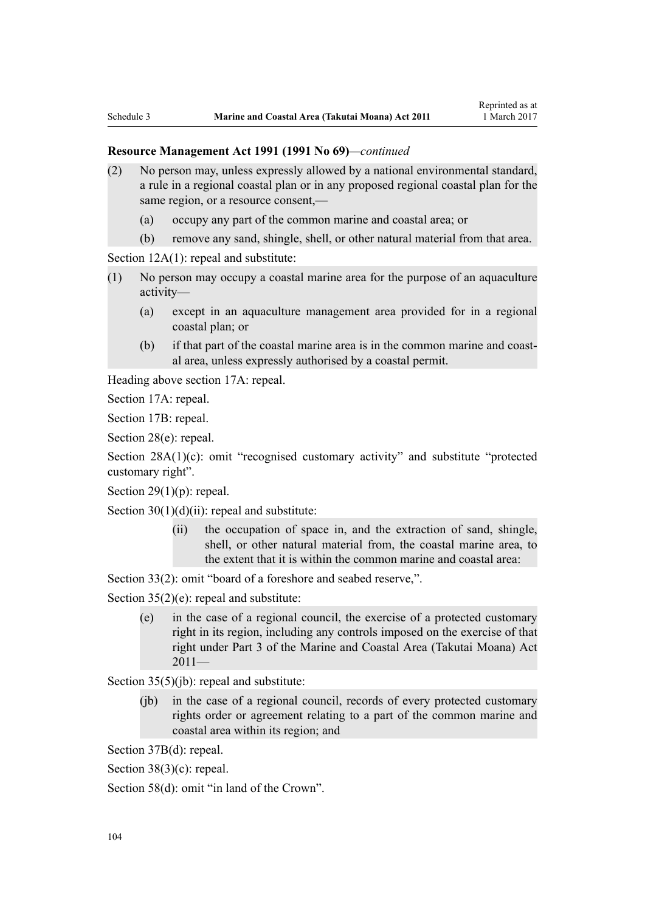- (2) No person may, unless expressly allowed by a national environmental standard, a rule in a regional coastal plan or in any proposed regional coastal plan for the same region, or a resource consent,—
	- (a) occupy any part of the common marine and coastal area; or
	- (b) remove any sand, shingle, shell, or other natural material from that area.

[Section 12A\(1\):](http://prd-lgnz-nlb.prd.pco.net.nz/pdflink.aspx?id=DLM231965) repeal and substitute:

- (1) No person may occupy a coastal marine area for the purpose of an aquaculture activity—
	- (a) except in an aquaculture management area provided for in a regional coastal plan; or
	- (b) if that part of the coastal marine area is in the common marine and coastal area, unless expressly authorised by a coastal permit.

Heading above [section 17A:](http://prd-lgnz-nlb.prd.pco.net.nz/pdflink.aspx?id=DLM232508) repeal.

[Section 17A](http://prd-lgnz-nlb.prd.pco.net.nz/pdflink.aspx?id=DLM232508): repeal.

[Section 17B:](http://prd-lgnz-nlb.prd.pco.net.nz/pdflink.aspx?id=DLM232510) repeal.

[Section 28\(e\):](http://prd-lgnz-nlb.prd.pco.net.nz/pdflink.aspx?id=DLM232548) repeal.

[Section 28A\(1\)\(c\):](http://prd-lgnz-nlb.prd.pco.net.nz/pdflink.aspx?id=DLM232552) omit "recognised customary activity" and substitute "protected customary right".

Section  $29(1)(p)$ : repeal.

Section  $30(1)(d)(ii)$ : repeal and substitute:

(ii) the occupation of space in, and the extraction of sand, shingle, shell, or other natural material from, the coastal marine area, to the extent that it is within the common marine and coastal area:

[Section 33\(2\)](http://prd-lgnz-nlb.prd.pco.net.nz/pdflink.aspx?id=DLM232593): omit "board of a foreshore and seabed reserve,".

[Section 35\(2\)\(e\)](http://prd-lgnz-nlb.prd.pco.net.nz/pdflink.aspx?id=DLM233009): repeal and substitute:

(e) in the case of a regional council, the exercise of a protected customary right in its region, including any controls imposed on the exercise of that right under Part 3 of the Marine and Coastal Area (Takutai Moana) Act  $2011-$ 

[Section 35\(5\)\(jb\)](http://prd-lgnz-nlb.prd.pco.net.nz/pdflink.aspx?id=DLM233009): repeal and substitute:

(jb) in the case of a regional council, records of every protected customary rights order or agreement relating to a part of the common marine and coastal area within its region; and

[Section 37B\(d\)](http://prd-lgnz-nlb.prd.pco.net.nz/pdflink.aspx?id=DLM233052): repeal.

[Section 38\(3\)\(c\)](http://prd-lgnz-nlb.prd.pco.net.nz/pdflink.aspx?id=DLM233057): repeal.

[Section 58\(d\)](http://prd-lgnz-nlb.prd.pco.net.nz/pdflink.aspx?id=DLM233381): omit "in land of the Crown".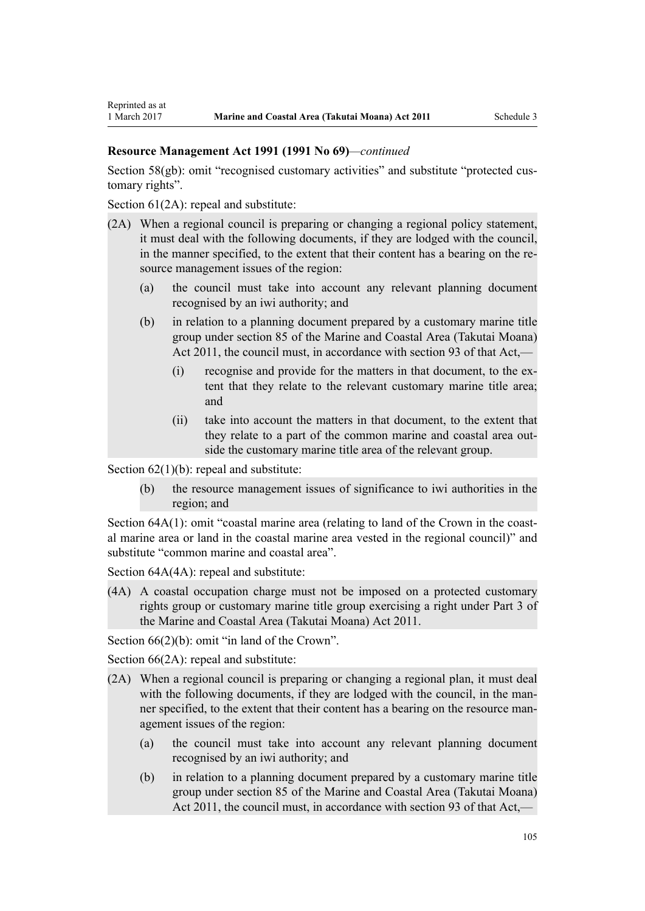[Section 58\(gb\):](http://prd-lgnz-nlb.prd.pco.net.nz/pdflink.aspx?id=DLM233381) omit "recognised customary activities" and substitute "protected customary rights".

[Section 61\(2A\):](http://prd-lgnz-nlb.prd.pco.net.nz/pdflink.aspx?id=DLM233389) repeal and substitute:

- (2A) When a regional council is preparing or changing a regional policy statement, it must deal with the following documents, if they are lodged with the council, in the manner specified, to the extent that their content has a bearing on the resource management issues of the region:
	- (a) the council must take into account any relevant planning document recognised by an iwi authority; and
	- (b) in relation to a planning document prepared by a customary marine title group under section 85 of the Marine and Coastal Area (Takutai Moana) Act 2011, the council must, in accordance with section 93 of that Act,—
		- (i) recognise and provide for the matters in that document, to the extent that they relate to the relevant customary marine title area; and
		- (ii) take into account the matters in that document, to the extent that they relate to a part of the common marine and coastal area outside the customary marine title area of the relevant group.

Section  $62(1)(b)$ : repeal and substitute:

(b) the resource management issues of significance to iwi authorities in the region; and

[Section 64A\(1\)](http://prd-lgnz-nlb.prd.pco.net.nz/pdflink.aspx?id=DLM233610): omit "coastal marine area (relating to land of the Crown in the coastal marine area or land in the coastal marine area vested in the regional council)" and substitute "common marine and coastal area".

Section  $64A(4A)$ : repeal and substitute:

(4A) A coastal occupation charge must not be imposed on a protected customary rights group or customary marine title group exercising a right under Part 3 of the Marine and Coastal Area (Takutai Moana) Act 2011.

[Section 66\(2\)\(b\):](http://prd-lgnz-nlb.prd.pco.net.nz/pdflink.aspx?id=DLM233620) omit "in land of the Crown".

[Section 66\(2A\):](http://prd-lgnz-nlb.prd.pco.net.nz/pdflink.aspx?id=DLM233620) repeal and substitute:

- (2A) When a regional council is preparing or changing a regional plan, it must deal with the following documents, if they are lodged with the council, in the manner specified, to the extent that their content has a bearing on the resource management issues of the region:
	- (a) the council must take into account any relevant planning document recognised by an iwi authority; and
	- (b) in relation to a planning document prepared by a customary marine title group under section 85 of the Marine and Coastal Area (Takutai Moana) Act 2011, the council must, in accordance with section 93 of that Act,—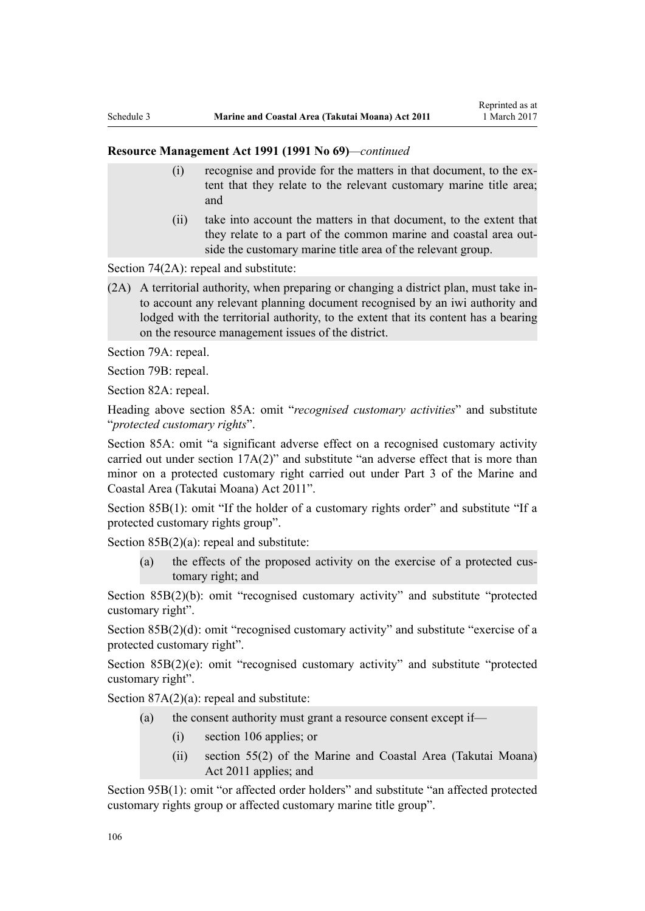- (i) recognise and provide for the matters in that document, to the extent that they relate to the relevant customary marine title area; and
- (ii) take into account the matters in that document, to the extent that they relate to a part of the common marine and coastal area outside the customary marine title area of the relevant group.

[Section 74\(2A\):](http://prd-lgnz-nlb.prd.pco.net.nz/pdflink.aspx?id=DLM233671) repeal and substitute:

(2A) A territorial authority, when preparing or changing a district plan, must take into account any relevant planning document recognised by an iwi authority and lodged with the territorial authority, to the extent that its content has a bearing on the resource management issues of the district.

[Section 79A](http://prd-lgnz-nlb.prd.pco.net.nz/pdflink.aspx?id=DLM233815): repeal.

[Section 79B:](http://prd-lgnz-nlb.prd.pco.net.nz/pdflink.aspx?id=DLM233818) repeal.

[Section 82A](http://prd-lgnz-nlb.prd.pco.net.nz/pdflink.aspx?id=DLM233827): repeal.

Heading above [section 85A](http://prd-lgnz-nlb.prd.pco.net.nz/pdflink.aspx?id=DLM233840): omit "*recognised customary activities*" and substitute "*protected customary rights*".

[Section 85A](http://prd-lgnz-nlb.prd.pco.net.nz/pdflink.aspx?id=DLM233840): omit "a significant adverse effect on a recognised customary activity carried out under section 17A(2)" and substitute "an adverse effect that is more than minor on a protected customary right carried out under Part 3 of the Marine and Coastal Area (Takutai Moana) Act 2011".

[Section 85B\(1\)](http://prd-lgnz-nlb.prd.pco.net.nz/pdflink.aspx?id=DLM233842): omit "If the holder of a customary rights order" and substitute "If a protected customary rights group".

[Section 85B\(2\)\(a\):](http://prd-lgnz-nlb.prd.pco.net.nz/pdflink.aspx?id=DLM233842) repeal and substitute:

(a) the effects of the proposed activity on the exercise of a protected customary right; and

[Section 85B\(2\)\(b\):](http://prd-lgnz-nlb.prd.pco.net.nz/pdflink.aspx?id=DLM233842) omit "recognised customary activity" and substitute "protected customary right".

[Section 85B\(2\)\(d\):](http://prd-lgnz-nlb.prd.pco.net.nz/pdflink.aspx?id=DLM233842) omit "recognised customary activity" and substitute "exercise of a protected customary right".

[Section 85B\(2\)\(e\)](http://prd-lgnz-nlb.prd.pco.net.nz/pdflink.aspx?id=DLM233842): omit "recognised customary activity" and substitute "protected customary right".

Section  $87A(2)(a)$ : repeal and substitute:

- (a) the consent authority must grant a resource consent except if—
	- (i) section 106 applies; or
	- (ii) section 55(2) of the Marine and Coastal Area (Takutai Moana) Act 2011 applies; and

[Section 95B\(1\)](http://prd-lgnz-nlb.prd.pco.net.nz/pdflink.aspx?id=DLM2416410): omit "or affected order holders" and substitute "an affected protected customary rights group or affected customary marine title group".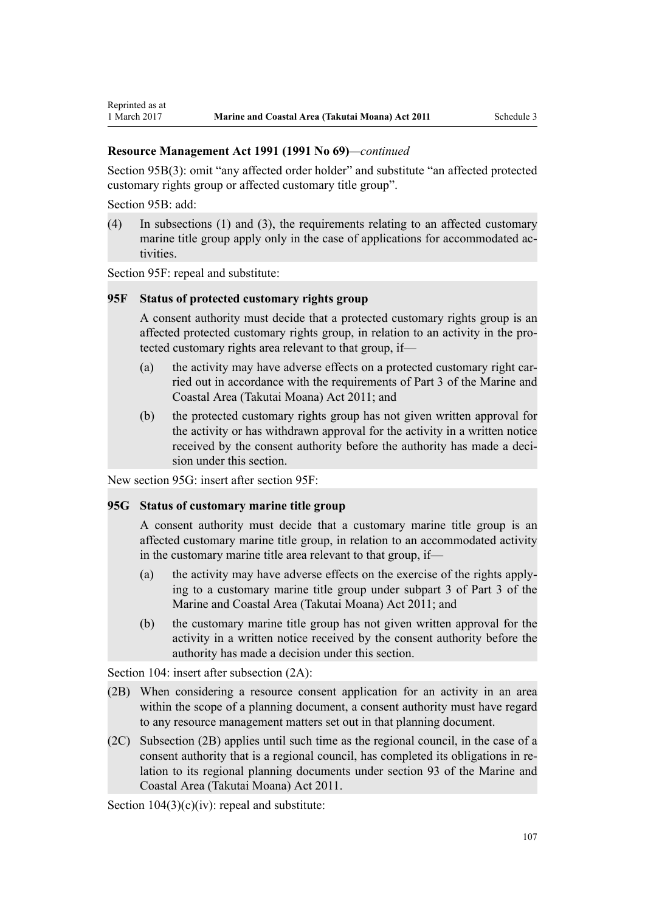[Section 95B\(3\)](http://prd-lgnz-nlb.prd.pco.net.nz/pdflink.aspx?id=DLM2416410): omit "any affected order holder" and substitute "an affected protected customary rights group or affected customary title group".

[Section 95B:](http://prd-lgnz-nlb.prd.pco.net.nz/pdflink.aspx?id=DLM2416410) add:

Reprinted as at

(4) In subsections (1) and (3), the requirements relating to an affected customary marine title group apply only in the case of applications for accommodated activities.

[Section 95F](http://prd-lgnz-nlb.prd.pco.net.nz/pdflink.aspx?id=DLM2416414): repeal and substitute:

#### **95F Status of protected customary rights group**

A consent authority must decide that a protected customary rights group is an affected protected customary rights group, in relation to an activity in the protected customary rights area relevant to that group, if—

- (a) the activity may have adverse effects on a protected customary right carried out in accordance with the requirements of Part 3 of the Marine and Coastal Area (Takutai Moana) Act 2011; and
- (b) the protected customary rights group has not given written approval for the activity or has withdrawn approval for the activity in a written notice received by the consent authority before the authority has made a decision under this section.

New section 95G: insert after [section 95F:](http://prd-lgnz-nlb.prd.pco.net.nz/pdflink.aspx?id=DLM2416414)

## **95G Status of customary marine title group**

A consent authority must decide that a customary marine title group is an affected customary marine title group, in relation to an accommodated activity in the customary marine title area relevant to that group, if—

- (a) the activity may have adverse effects on the exercise of the rights applying to a customary marine title group under subpart 3 of Part 3 of the Marine and Coastal Area (Takutai Moana) Act 2011; and
- (b) the customary marine title group has not given written approval for the activity in a written notice received by the consent authority before the authority has made a decision under this section.

[Section 104:](http://prd-lgnz-nlb.prd.pco.net.nz/pdflink.aspx?id=DLM234355) insert after subsection  $(2A)$ :

- (2B) When considering a resource consent application for an activity in an area within the scope of a planning document, a consent authority must have regard to any resource management matters set out in that planning document.
- (2C) Subsection (2B) applies until such time as the regional council, in the case of a consent authority that is a regional council, has completed its obligations in relation to its regional planning documents under section 93 of the Marine and Coastal Area (Takutai Moana) Act 2011.

Section  $104(3)(c)(iv)$ : repeal and substitute: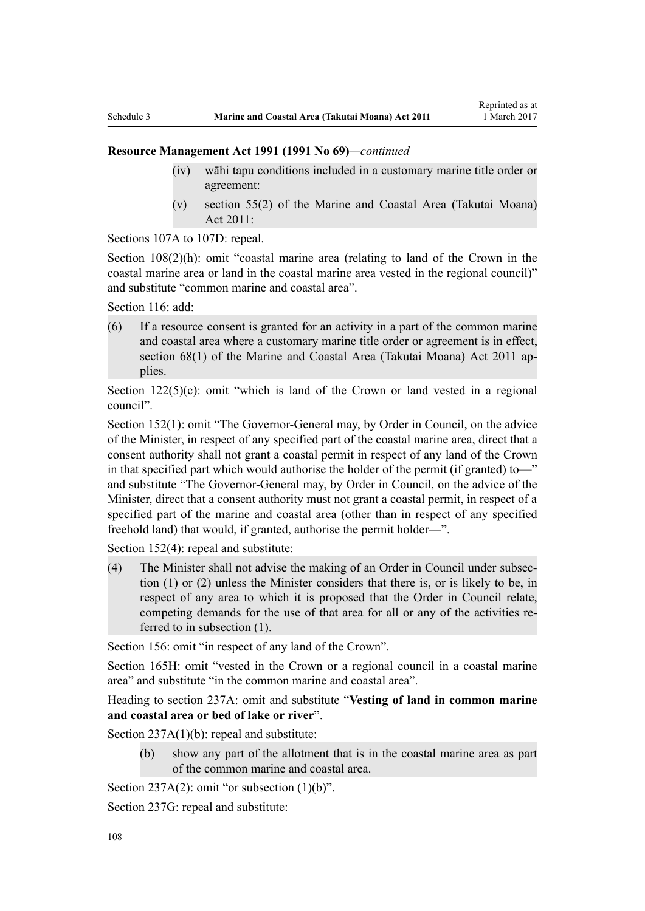- (iv) wāhi tapu conditions included in a customary marine title order or agreement:
- (v) section 55(2) of the Marine and Coastal Area (Takutai Moana) Act 2011:

[Sections 107A to 107D:](http://prd-lgnz-nlb.prd.pco.net.nz/pdflink.aspx?id=DLM234801) repeal.

[Section 108\(2\)\(h\)](http://prd-lgnz-nlb.prd.pco.net.nz/pdflink.aspx?id=DLM234810): omit "coastal marine area (relating to land of the Crown in the coastal marine area or land in the coastal marine area vested in the regional council)" and substitute "common marine and coastal area".

[Section 116](http://prd-lgnz-nlb.prd.pco.net.nz/pdflink.aspx?id=DLM234865): add:

(6) If a resource consent is granted for an activity in a part of the common marine and coastal area where a customary marine title order or agreement is in effect, section 68(1) of the Marine and Coastal Area (Takutai Moana) Act 2011 applies.

Section  $122(5)(c)$ : omit "which is land of the Crown or land vested in a regional council".

[Section 152\(1\)](http://prd-lgnz-nlb.prd.pco.net.nz/pdflink.aspx?id=DLM235468): omit "The Governor-General may, by Order in Council, on the advice of the Minister, in respect of any specified part of the coastal marine area, direct that a consent authority shall not grant a coastal permit in respect of any land of the Crown in that specified part which would authorise the holder of the permit (if granted) to—" and substitute "The Governor-General may, by Order in Council, on the advice of the Minister, direct that a consent authority must not grant a coastal permit, in respect of a specified part of the marine and coastal area (other than in respect of any specified freehold land) that would, if granted, authorise the permit holder—".

[Section 152\(4\)](http://prd-lgnz-nlb.prd.pco.net.nz/pdflink.aspx?id=DLM235468): repeal and substitute:

(4) The Minister shall not advise the making of an Order in Council under subsection (1) or (2) unless the Minister considers that there is, or is likely to be, in respect of any area to which it is proposed that the Order in Council relate, competing demands for the use of that area for all or any of the activities referred to in subsection (1).

[Section 156:](http://prd-lgnz-nlb.prd.pco.net.nz/pdflink.aspx?id=DLM235484) omit "in respect of any land of the Crown".

[Section 165H:](http://prd-lgnz-nlb.prd.pco.net.nz/pdflink.aspx?id=DLM236036) omit "vested in the Crown or a regional council in a coastal marine area" and substitute "in the common marine and coastal area".

Heading to section 237A: omit and substitute "**Vesting of land in common marine and coastal area or bed of lake or river**".

[Section 237A\(1\)\(b\):](http://prd-lgnz-nlb.prd.pco.net.nz/pdflink.aspx?id=DLM237276) repeal and substitute:

(b) show any part of the allotment that is in the coastal marine area as part of the common marine and coastal area.

[Section 237A\(2\):](http://prd-lgnz-nlb.prd.pco.net.nz/pdflink.aspx?id=DLM237276) omit "or subsection  $(1)(b)$ ".

[Section 237G](http://prd-lgnz-nlb.prd.pco.net.nz/pdflink.aspx?id=DLM237291): repeal and substitute: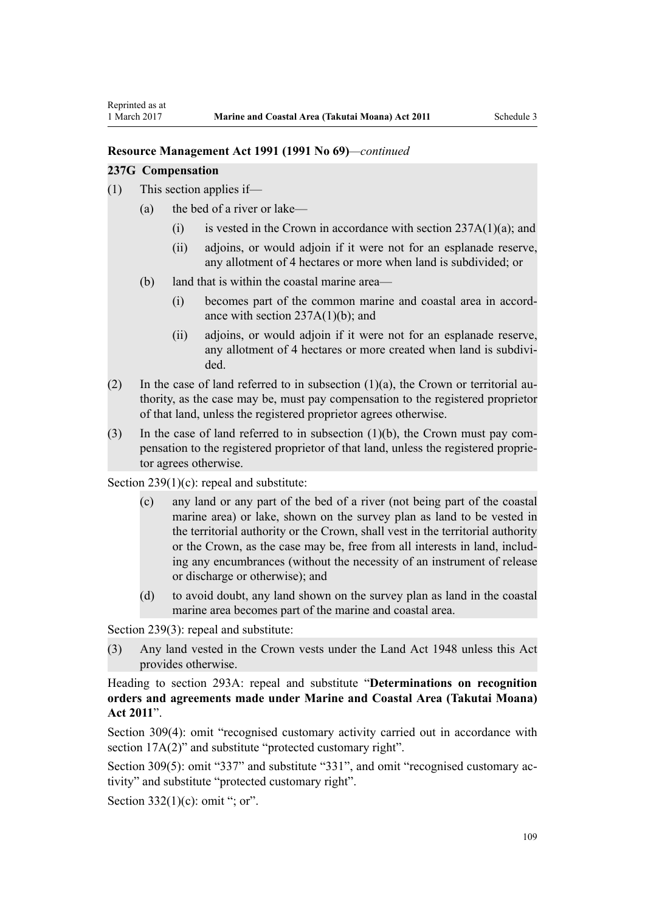#### **Resource Management Act 1991 (1991 No 69)***—continued*

#### **237G Compensation**

- (1) This section applies if—
	- (a) the bed of a river or lake—
		- (i) is vested in the Crown in accordance with section  $237A(1)(a)$ ; and
		- (ii) adjoins, or would adjoin if it were not for an esplanade reserve, any allotment of 4 hectares or more when land is subdivided; or
	- (b) land that is within the coastal marine area—
		- (i) becomes part of the common marine and coastal area in accordance with section  $237A(1)(b)$ ; and
		- (ii) adjoins, or would adjoin if it were not for an esplanade reserve, any allotment of 4 hectares or more created when land is subdivided.
- (2) In the case of land referred to in subsection  $(1)(a)$ , the Crown or territorial authority, as the case may be, must pay compensation to the registered proprietor of that land, unless the registered proprietor agrees otherwise.
- (3) In the case of land referred to in subsection (1)(b), the Crown must pay compensation to the registered proprietor of that land, unless the registered proprietor agrees otherwise.

[Section 239\(1\)\(c\):](http://prd-lgnz-nlb.prd.pco.net.nz/pdflink.aspx?id=DLM237600) repeal and substitute:

- (c) any land or any part of the bed of a river (not being part of the coastal marine area) or lake, shown on the survey plan as land to be vested in the territorial authority or the Crown, shall vest in the territorial authority or the Crown, as the case may be, free from all interests in land, including any encumbrances (without the necessity of an instrument of release or discharge or otherwise); and
- (d) to avoid doubt, any land shown on the survey plan as land in the coastal marine area becomes part of the marine and coastal area.

[Section 239\(3\)](http://prd-lgnz-nlb.prd.pco.net.nz/pdflink.aspx?id=DLM237600): repeal and substitute:

(3) Any land vested in the Crown vests under the Land Act 1948 unless this Act provides otherwise.

Heading to [section 293A:](http://prd-lgnz-nlb.prd.pco.net.nz/pdflink.aspx?id=DLM238254) repeal and substitute "**Determinations on recognition orders and agreements made under Marine and Coastal Area (Takutai Moana) Act 2011**".

[Section 309\(4\):](http://prd-lgnz-nlb.prd.pco.net.nz/pdflink.aspx?id=DLM238505) omit "recognised customary activity carried out in accordance with section  $17A(2)$ " and substitute "protected customary right".

[Section 309\(5\)](http://prd-lgnz-nlb.prd.pco.net.nz/pdflink.aspx?id=DLM238505): omit "337" and substitute "331", and omit "recognised customary activity" and substitute "protected customary right".

Section  $332(1)(c)$ : omit "; or".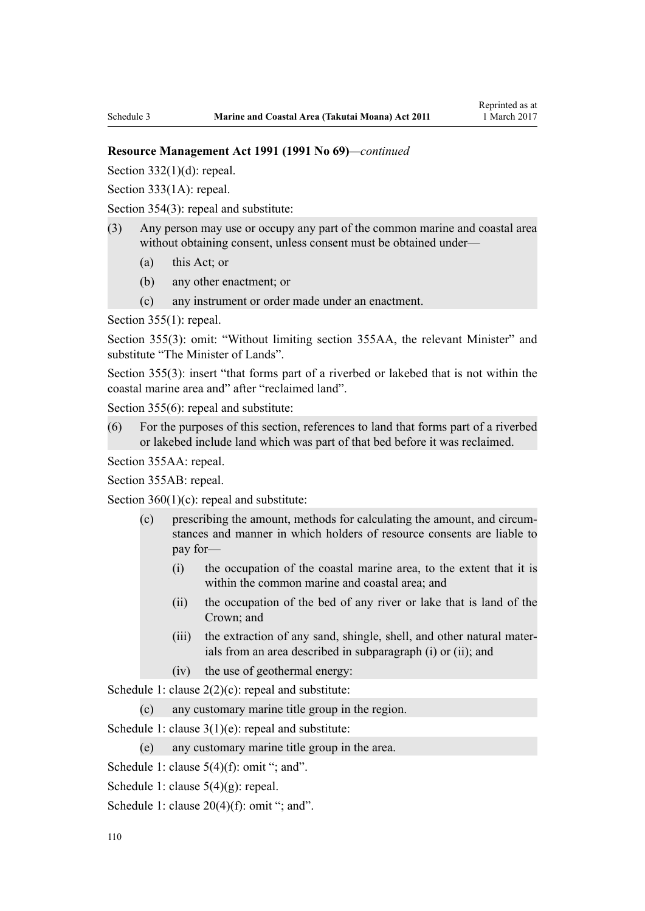#### **Resource Management Act 1991 (1991 No 69)***—continued*

Section  $332(1)(d)$ : repeal.

[Section 333\(1A\):](http://prd-lgnz-nlb.prd.pco.net.nz/pdflink.aspx?id=DLM239027) repeal.

[Section 354\(3\)](http://prd-lgnz-nlb.prd.pco.net.nz/pdflink.aspx?id=DLM239318): repeal and substitute:

- (3) Any person may use or occupy any part of the common marine and coastal area without obtaining consent, unless consent must be obtained under—
	- (a) this Act; or
	- (b) any other enactment; or
	- (c) any instrument or order made under an enactment.

[Section 355\(1\)](http://prd-lgnz-nlb.prd.pco.net.nz/pdflink.aspx?id=DLM239322): repeal.

[Section 355\(3\):](http://prd-lgnz-nlb.prd.pco.net.nz/pdflink.aspx?id=DLM239322) omit: "Without limiting section 355AA, the relevant Minister" and substitute "The Minister of Lands".

[Section 355\(3\)](http://prd-lgnz-nlb.prd.pco.net.nz/pdflink.aspx?id=DLM239322): insert "that forms part of a riverbed or lakebed that is not within the coastal marine area and" after "reclaimed land".

[Section 355\(6\)](http://prd-lgnz-nlb.prd.pco.net.nz/pdflink.aspx?id=DLM239322): repeal and substitute:

(6) For the purposes of this section, references to land that forms part of a riverbed or lakebed include land which was part of that bed before it was reclaimed.

[Section 355AA](http://prd-lgnz-nlb.prd.pco.net.nz/pdflink.aspx?id=DLM239326): repeal.

[Section 355AB:](http://prd-lgnz-nlb.prd.pco.net.nz/pdflink.aspx?id=DLM239328) repeal.

Section  $360(1)(c)$ : repeal and substitute:

- (c) prescribing the amount, methods for calculating the amount, and circumstances and manner in which holders of resource consents are liable to pay for—
	- (i) the occupation of the coastal marine area, to the extent that it is within the common marine and coastal area; and
	- (ii) the occupation of the bed of any river or lake that is land of the Crown; and
	- (iii) the extraction of any sand, shingle, shell, and other natural materials from an area described in subparagraph (i) or (ii); and
	- (iv) the use of geothermal energy:

[Schedule 1:](http://prd-lgnz-nlb.prd.pco.net.nz/pdflink.aspx?id=DLM240686) clause  $2(2)(c)$ : repeal and substitute:

(c) any customary marine title group in the region.

[Schedule 1:](http://prd-lgnz-nlb.prd.pco.net.nz/pdflink.aspx?id=DLM240686) clause 3(1)(e): repeal and substitute:

(e) any customary marine title group in the area.

[Schedule 1:](http://prd-lgnz-nlb.prd.pco.net.nz/pdflink.aspx?id=DLM240686) clause  $5(4)(f)$ : omit "; and".

- [Schedule 1:](http://prd-lgnz-nlb.prd.pco.net.nz/pdflink.aspx?id=DLM240686) clause 5(4)(g): repeal.
- [Schedule 1:](http://prd-lgnz-nlb.prd.pco.net.nz/pdflink.aspx?id=DLM240686) clause  $20(4)(f)$ : omit "; and".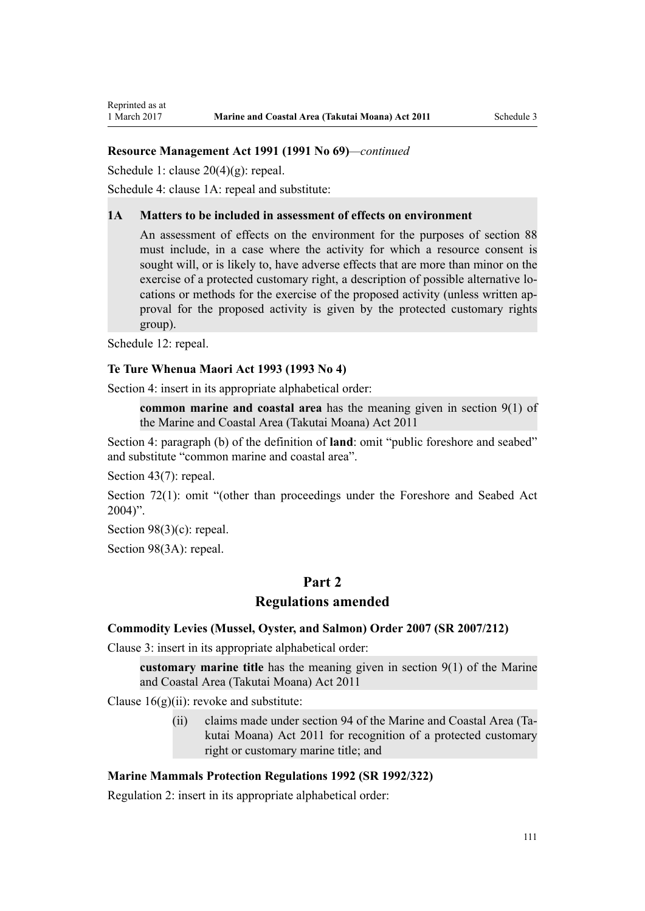# **Resource Management Act 1991 (1991 No 69)***—continued*

[Schedule 1:](http://prd-lgnz-nlb.prd.pco.net.nz/pdflink.aspx?id=DLM240686) clause 20(4)(g): repeal.

[Schedule 4:](http://prd-lgnz-nlb.prd.pco.net.nz/pdflink.aspx?id=DLM242008) clause 1A: repeal and substitute:

#### **1A Matters to be included in assessment of effects on environment**

An assessment of effects on the environment for the purposes of section 88 must include, in a case where the activity for which a resource consent is sought will, or is likely to, have adverse effects that are more than minor on the exercise of a protected customary right, a description of possible alternative locations or methods for the exercise of the proposed activity (unless written approval for the proposed activity is given by the protected customary rights group).

[Schedule 12:](http://prd-lgnz-nlb.prd.pco.net.nz/pdflink.aspx?id=DLM242515) repeal.

#### **[Te Ture Whenua Maori Act 1993](http://prd-lgnz-nlb.prd.pco.net.nz/pdflink.aspx?id=DLM289881) (1993 No 4)**

[Section 4](http://prd-lgnz-nlb.prd.pco.net.nz/pdflink.aspx?id=DLM289897): insert in its appropriate alphabetical order:

**common marine and coastal area** has the meaning given in section 9(1) of the Marine and Coastal Area (Takutai Moana) Act 2011

[Section 4:](http://prd-lgnz-nlb.prd.pco.net.nz/pdflink.aspx?id=DLM289897) paragraph (b) of the definition of **land**: omit "public foreshore and seabed" and substitute "common marine and coastal area".

[Section 43\(7\)](http://prd-lgnz-nlb.prd.pco.net.nz/pdflink.aspx?id=DLM290907): repeal.

[Section 72\(1\)](http://prd-lgnz-nlb.prd.pco.net.nz/pdflink.aspx?id=DLM290961): omit "(other than proceedings under the Foreshore and Seabed Act  $2004$ ".

[Section 98\(3\)\(c\)](http://prd-lgnz-nlb.prd.pco.net.nz/pdflink.aspx?id=DLM291203): repeal.

[Section 98\(3A\):](http://prd-lgnz-nlb.prd.pco.net.nz/pdflink.aspx?id=DLM291203) repeal.

# **Part 2**

# **Regulations amended**

#### **[Commodity Levies \(Mussel, Oyster, and Salmon\) Order 2007](http://prd-lgnz-nlb.prd.pco.net.nz/pdflink.aspx?id=DLM443982) (SR 2007/212)**

[Clause 3](http://prd-lgnz-nlb.prd.pco.net.nz/pdflink.aspx?id=DLM443990): insert in its appropriate alphabetical order:

**customary marine title** has the meaning given in section 9(1) of the Marine and Coastal Area (Takutai Moana) Act 2011

Clause  $16(g)(ii)$ : revoke and substitute:

(ii) claims made under section 94 of the Marine and Coastal Area (Takutai Moana) Act 2011 for recognition of a protected customary right or customary marine title; and

## **[Marine Mammals Protection Regulations 1992](http://prd-lgnz-nlb.prd.pco.net.nz/pdflink.aspx?id=DLM168285) (SR 1992/322)**

[Regulation 2](http://prd-lgnz-nlb.prd.pco.net.nz/pdflink.aspx?id=DLM168290): insert in its appropriate alphabetical order: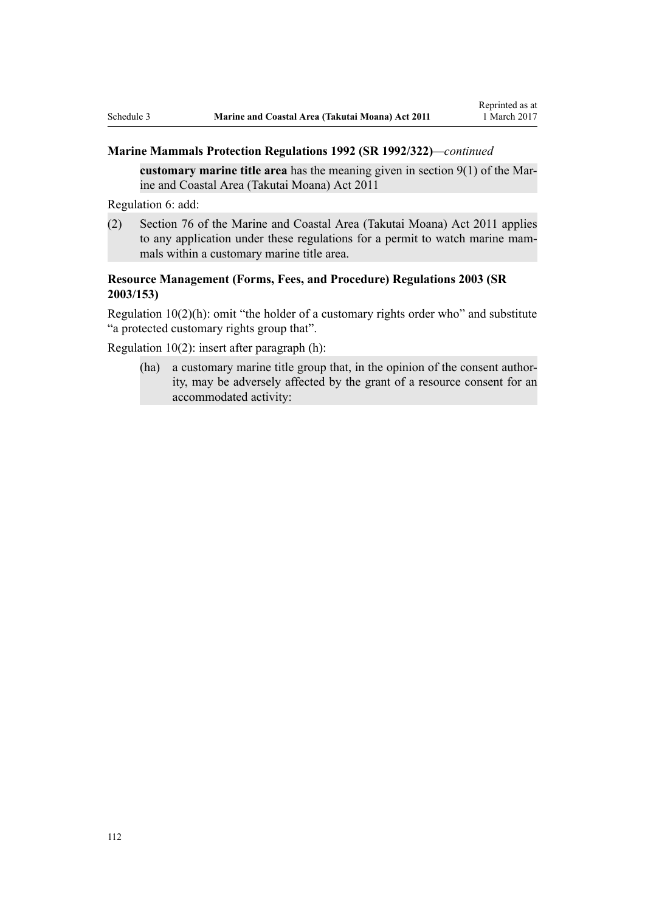## **Marine Mammals Protection Regulations 1992 (SR 1992/322)***—continued*

**customary marine title area** has the meaning given in section 9(1) of the Marine and Coastal Area (Takutai Moana) Act 2011

[Regulation 6](http://prd-lgnz-nlb.prd.pco.net.nz/pdflink.aspx?id=DLM168824): add:

(2) Section 76 of the Marine and Coastal Area (Takutai Moana) Act 2011 applies to any application under these regulations for a permit to watch marine mammals within a customary marine title area.

# **[Resource Management \(Forms, Fees, and Procedure\) Regulations 2003](http://prd-lgnz-nlb.prd.pco.net.nz/pdflink.aspx?id=DLM195259) (SR 2003/153)**

[Regulation 10\(2\)\(h\)](http://prd-lgnz-nlb.prd.pco.net.nz/pdflink.aspx?id=DLM168828): omit "the holder of a customary rights order who" and substitute "a protected customary rights group that".

[Regulation 10\(2\)](http://prd-lgnz-nlb.prd.pco.net.nz/pdflink.aspx?id=DLM168828): insert after paragraph (h):

(ha) a customary marine title group that, in the opinion of the consent authority, may be adversely affected by the grant of a resource consent for an accommodated activity: